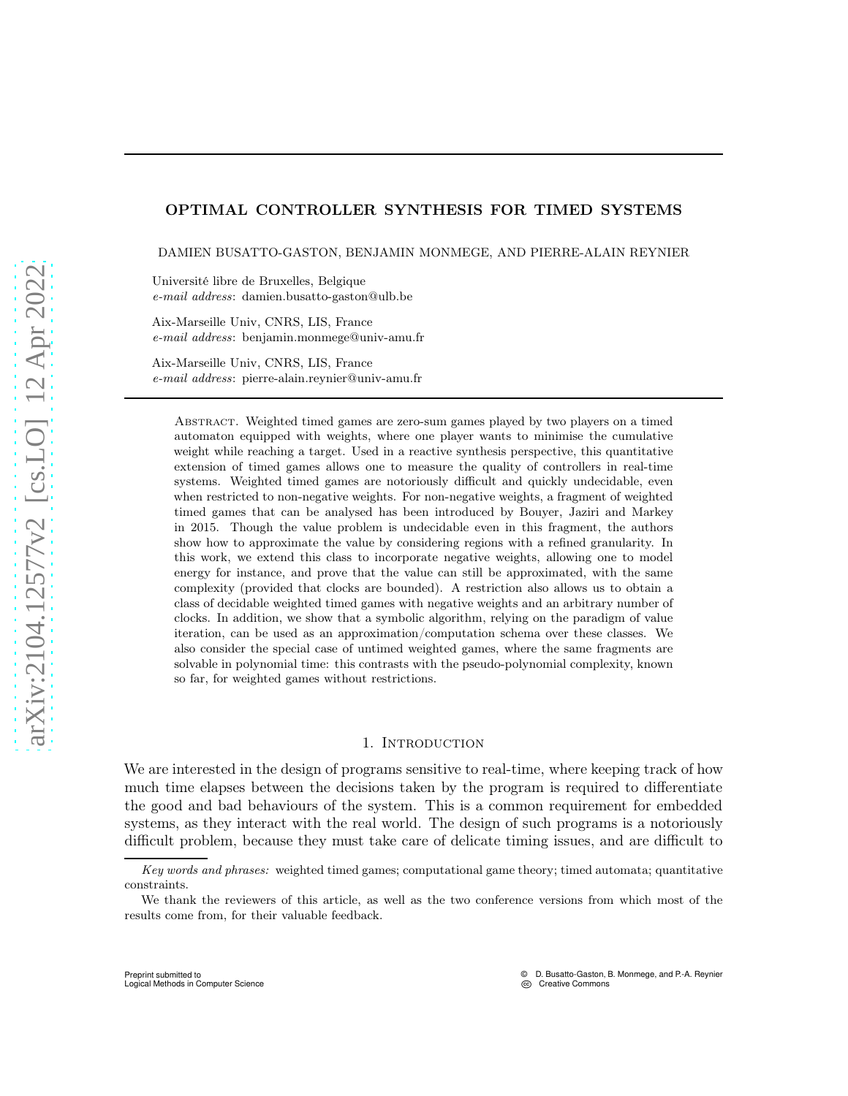### OPTIMAL CONTROLLER SYNTHESIS FOR TIMED SYSTEMS

DAMIEN BUSATTO-GASTON, BENJAMIN MONMEGE, AND PIERRE-ALAIN REYNIER

Université libre de Bruxelles, Belgique e-mail address: damien.busatto-gaston@ulb.be

Aix-Marseille Univ, CNRS, LIS, France e-mail address: benjamin.monmege@univ-amu.fr

Aix-Marseille Univ, CNRS, LIS, France e-mail address: pierre-alain.reynier@univ-amu.fr

Abstract. Weighted timed games are zero-sum games played by two players on a timed automaton equipped with weights, where one player wants to minimise the cumulative weight while reaching a target. Used in a reactive synthesis perspective, this quantitative extension of timed games allows one to measure the quality of controllers in real-time systems. Weighted timed games are notoriously difficult and quickly undecidable, even when restricted to non-negative weights. For non-negative weights, a fragment of weighted timed games that can be analysed has been introduced by Bouyer, Jaziri and Markey in 2015. Though the value problem is undecidable even in this fragment, the authors show how to approximate the value by considering regions with a refined granularity. In this work, we extend this class to incorporate negative weights, allowing one to model energy for instance, and prove that the value can still be approximated, with the same complexity (provided that clocks are bounded). A restriction also allows us to obtain a class of decidable weighted timed games with negative weights and an arbitrary number of clocks. In addition, we show that a symbolic algorithm, relying on the paradigm of value iteration, can be used as an approximation/computation schema over these classes. We also consider the special case of untimed weighted games, where the same fragments are solvable in polynomial time: this contrasts with the pseudo-polynomial complexity, known so far, for weighted games without restrictions.

#### 1. INTRODUCTION

We are interested in the design of programs sensitive to real-time, where keeping track of how much time elapses between the decisions taken by the program is required to differentiate the good and bad behaviours of the system. This is a common requirement for embedded systems, as they interact with the real world. The design of such programs is a notoriously difficult problem, because they must take care of delicate timing issues, and are difficult to

Key words and phrases: weighted timed games; computational game theory; timed automata; quantitative constraints.

We thank the reviewers of this article, as well as the two conference versions from which most of the results come from, for their valuable feedback.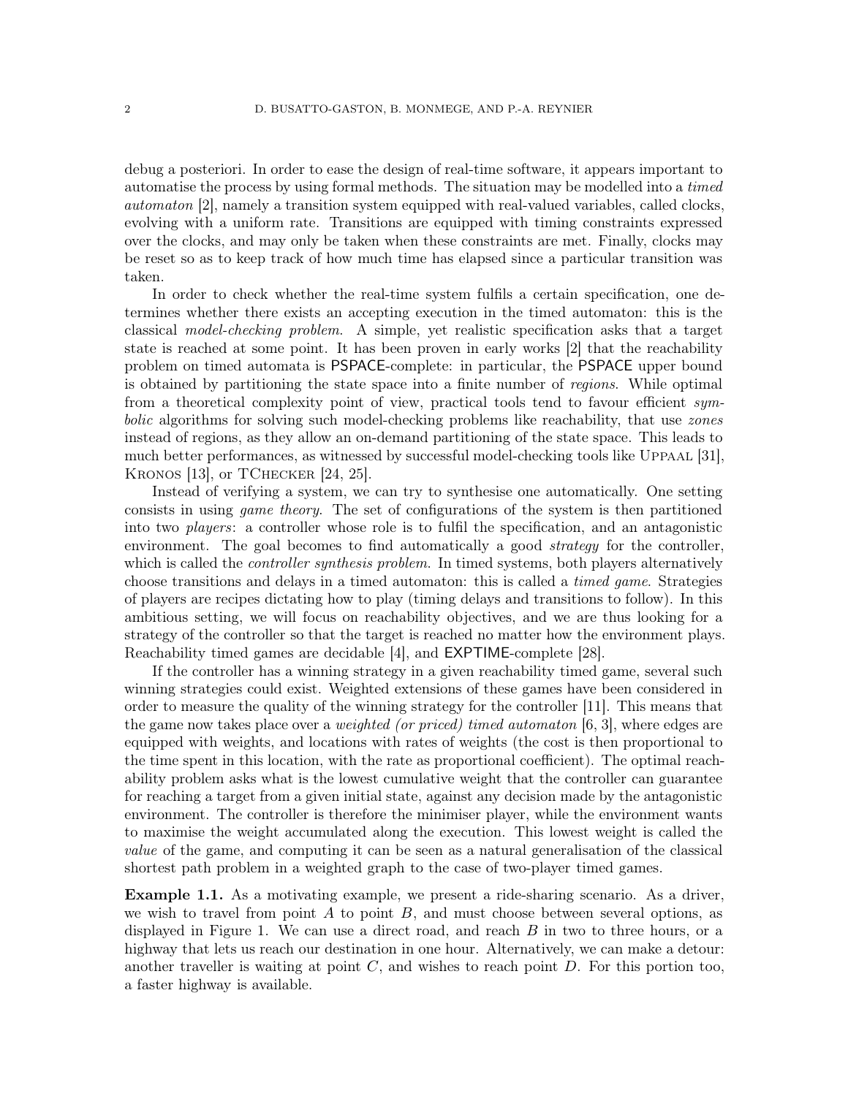debug a posteriori. In order to ease the design of real-time software, it appears important to automatise the process by using formal methods. The situation may be modelled into a timed automaton [\[2\]](#page-70-0), namely a transition system equipped with real-valued variables, called clocks, evolving with a uniform rate. Transitions are equipped with timing constraints expressed over the clocks, and may only be taken when these constraints are met. Finally, clocks may be reset so as to keep track of how much time has elapsed since a particular transition was taken.

In order to check whether the real-time system fulfils a certain specification, one determines whether there exists an accepting execution in the timed automaton: this is the classical model-checking problem. A simple, yet realistic specification asks that a target state is reached at some point. It has been proven in early works [\[2\]](#page-70-0) that the reachability problem on timed automata is PSPACE-complete: in particular, the PSPACE upper bound is obtained by partitioning the state space into a finite number of regions. While optimal from a theoretical complexity point of view, practical tools tend to favour efficient symbolic algorithms for solving such model-checking problems like reachability, that use *zones* instead of regions, as they allow an on-demand partitioning of the state space. This leads to much better performances, as witnessed by successful model-checking tools like Uppaal [\[31\]](#page-72-0), KRONOS [\[13\]](#page-71-0), or TCHECKER [\[24,](#page-72-1) [25\]](#page-72-2).

Instead of verifying a system, we can try to synthesise one automatically. One setting consists in using game theory. The set of configurations of the system is then partitioned into two players: a controller whose role is to fulfil the specification, and an antagonistic environment. The goal becomes to find automatically a good *strategy* for the controller, which is called the *controller synthesis problem*. In timed systems, both players alternatively choose transitions and delays in a timed automaton: this is called a timed game. Strategies of players are recipes dictating how to play (timing delays and transitions to follow). In this ambitious setting, we will focus on reachability objectives, and we are thus looking for a strategy of the controller so that the target is reached no matter how the environment plays. Reachability timed games are decidable [\[4\]](#page-70-1), and EXPTIME-complete [\[28\]](#page-72-3).

If the controller has a winning strategy in a given reachability timed game, several such winning strategies could exist. Weighted extensions of these games have been considered in order to measure the quality of the winning strategy for the controller [\[11\]](#page-71-1). This means that the game now takes place over a *weighted (or priced) timed automaton*  $[6, 3]$  $[6, 3]$ , where edges are equipped with weights, and locations with rates of weights (the cost is then proportional to the time spent in this location, with the rate as proportional coefficient). The optimal reachability problem asks what is the lowest cumulative weight that the controller can guarantee for reaching a target from a given initial state, against any decision made by the antagonistic environment. The controller is therefore the minimiser player, while the environment wants to maximise the weight accumulated along the execution. This lowest weight is called the value of the game, and computing it can be seen as a natural generalisation of the classical shortest path problem in a weighted graph to the case of two-player timed games.

Example 1.1. As a motivating example, we present a ride-sharing scenario. As a driver, we wish to travel from point  $A$  to point  $B$ , and must choose between several options, as displayed in Figure [1.](#page-2-0) We can use a direct road, and reach  $B$  in two to three hours, or a highway that lets us reach our destination in one hour. Alternatively, we can make a detour: another traveller is waiting at point  $C$ , and wishes to reach point  $D$ . For this portion too, a faster highway is available.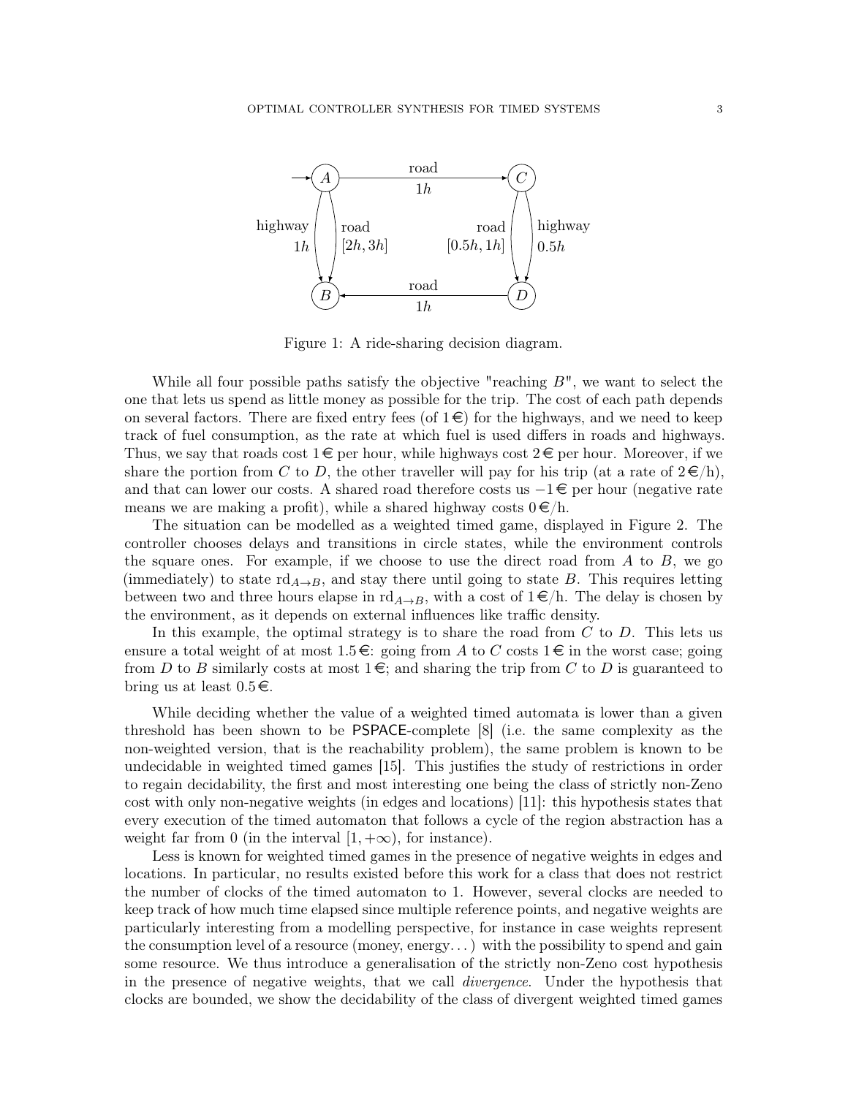

<span id="page-2-0"></span>Figure 1: A ride-sharing decision diagram.

While all four possible paths satisfy the objective "reaching  $B$ ", we want to select the one that lets us spend as little money as possible for the trip. The cost of each path depends on several factors. There are fixed entry fees (of  $1 \in \mathbb{R}$ ) for the highways, and we need to keep track of fuel consumption, as the rate at which fuel is used differs in roads and highways. Thus, we say that roads cost  $1 \in \mathbb{R}$  per hour, while highways cost  $2 \in \mathbb{R}$  per hour. Moreover, if we share the portion from C to D, the other traveller will pay for his trip (at a rate of  $2 \in \mathbb{R}$ ), and that can lower our costs. A shared road therefore costs us  $-1 \in \mathcal{E}$  per hour (negative rate means we are making a profit), while a shared highway costs  $0 \in \mathcal{E}/h$ .

The situation can be modelled as a weighted timed game, displayed in Figure [2.](#page-3-0) The controller chooses delays and transitions in circle states, while the environment controls the square ones. For example, if we choose to use the direct road from  $A$  to  $B$ , we go (immediately) to state  $\mathrm{rd}_{A\rightarrow B}$ , and stay there until going to state B. This requires letting between two and three hours elapse in  $\text{rd}_{A\rightarrow B}$ , with a cost of  $1 \in \mathcal{E}/h$ . The delay is chosen by the environment, as it depends on external influences like traffic density.

In this example, the optimal strategy is to share the road from  $C$  to  $D$ . This lets us ensure a total weight of at most  $1.5 \in \mathbb{R}$  going from A to C costs  $1 \in \mathbb{R}$  in the worst case; going from D to B similarly costs at most  $1 \in \mathcal{E}$ ; and sharing the trip from C to D is guaranteed to bring us at least  $0.5 \in$ .

While deciding whether the value of a weighted timed automata is lower than a given threshold has been shown to be PSPACE-complete [\[8\]](#page-71-3) (i.e. the same complexity as the non-weighted version, that is the reachability problem), the same problem is known to be undecidable in weighted timed games [\[15\]](#page-71-4). This justifies the study of restrictions in order to regain decidability, the first and most interesting one being the class of strictly non-Zeno cost with only non-negative weights (in edges and locations) [\[11\]](#page-71-1): this hypothesis states that every execution of the timed automaton that follows a cycle of the region abstraction has a weight far from 0 (in the interval  $[1, +\infty)$ , for instance).

Less is known for weighted timed games in the presence of negative weights in edges and locations. In particular, no results existed before this work for a class that does not restrict the number of clocks of the timed automaton to 1. However, several clocks are needed to keep track of how much time elapsed since multiple reference points, and negative weights are particularly interesting from a modelling perspective, for instance in case weights represent the consumption level of a resource (money, energy...) with the possibility to spend and gain some resource. We thus introduce a generalisation of the strictly non-Zeno cost hypothesis in the presence of negative weights, that we call divergence. Under the hypothesis that clocks are bounded, we show the decidability of the class of divergent weighted timed games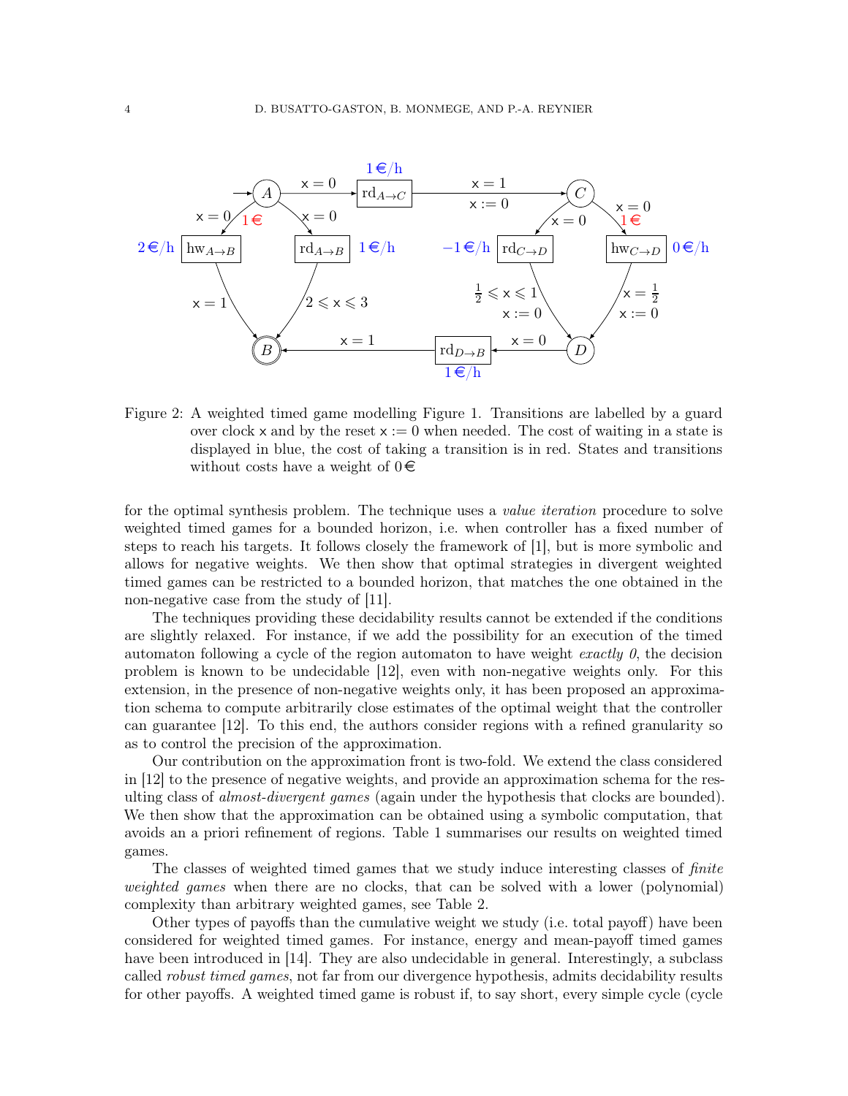

<span id="page-3-0"></span>Figure 2: A weighted timed game modelling Figure [1.](#page-2-0) Transitions are labelled by a guard over clock x and by the reset  $x := 0$  when needed. The cost of waiting in a state is displayed in blue, the cost of taking a transition is in red. States and transitions without costs have a weight of  $0 \in \mathbb{R}$ 

for the optimal synthesis problem. The technique uses a *value iteration* procedure to solve weighted timed games for a bounded horizon, i.e. when controller has a fixed number of steps to reach his targets. It follows closely the framework of [\[1\]](#page-70-3), but is more symbolic and allows for negative weights. We then show that optimal strategies in divergent weighted timed games can be restricted to a bounded horizon, that matches the one obtained in the non-negative case from the study of [\[11\]](#page-71-1).

The techniques providing these decidability results cannot be extended if the conditions are slightly relaxed. For instance, if we add the possibility for an execution of the timed automaton following a cycle of the region automaton to have weight exactly  $\theta$ , the decision problem is known to be undecidable [\[12\]](#page-71-5), even with non-negative weights only. For this extension, in the presence of non-negative weights only, it has been proposed an approximation schema to compute arbitrarily close estimates of the optimal weight that the controller can guarantee [\[12\]](#page-71-5). To this end, the authors consider regions with a refined granularity so as to control the precision of the approximation.

Our contribution on the approximation front is two-fold. We extend the class considered in [\[12\]](#page-71-5) to the presence of negative weights, and provide an approximation schema for the resulting class of *almost-divergent games* (again under the hypothesis that clocks are bounded). We then show that the approximation can be obtained using a symbolic computation, that avoids an a priori refinement of regions. Table [1](#page-4-0) summarises our results on weighted timed games.

The classes of weighted timed games that we study induce interesting classes of *finite* weighted games when there are no clocks, that can be solved with a lower (polynomial) complexity than arbitrary weighted games, see Table [2.](#page-4-1)

Other types of payoffs than the cumulative weight we study (i.e. total payoff) have been considered for weighted timed games. For instance, energy and mean-payoff timed games have been introduced in [\[14\]](#page-71-6). They are also undecidable in general. Interestingly, a subclass called *robust timed games*, not far from our divergence hypothesis, admits decidability results for other payoffs. A weighted timed game is robust if, to say short, every simple cycle (cycle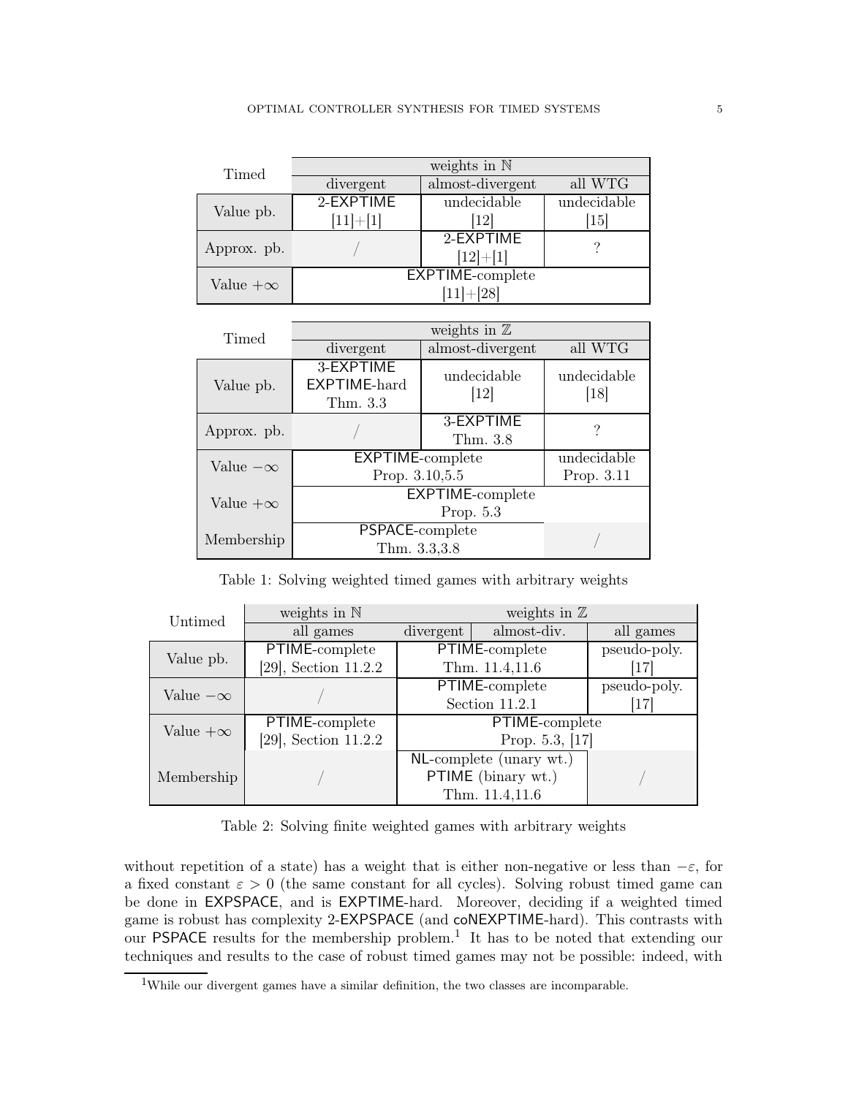| Timed           | weights in $\mathbb N$ |                  |                   |  |
|-----------------|------------------------|------------------|-------------------|--|
|                 | divergent              | almost-divergent | all WTG           |  |
| Value pb.       | 2-EXPTIME              | undecidable      | undecidable       |  |
|                 | $[11]+[1]$             | 12               | $\left[15\right]$ |  |
| Approx. pb.     |                        | $2$ -EXPTIME     |                   |  |
|                 |                        | $[12]+[1]$       |                   |  |
| Value $+\infty$ | EXPTIME-complete       |                  |                   |  |
|                 | $[11]+[28]$            |                  |                   |  |

| Timed           | weights in $\mathbb Z$                |                       |                     |  |
|-----------------|---------------------------------------|-----------------------|---------------------|--|
|                 | divergent                             | almost-divergent      | all WTG             |  |
| Value pb.       | 3-EXPTIME<br>EXPTIME-hard<br>Thm. 3.3 | undecidable<br>$[12]$ | undecidable<br>[18] |  |
| Approx. pb.     |                                       | 3-EXPTIME<br>Thm. 3.8 | ?                   |  |
| Value $-\infty$ | <b>EXPTIME-complete</b>               |                       | undecidable         |  |
|                 | Prop. 3.10,5.5                        |                       | Prop. 3.11          |  |
| Value $+\infty$ | <b>EXPTIME-complete</b>               |                       |                     |  |
|                 | Prop. $5.3$                           |                       |                     |  |
| Membership      | PSPACE-complete                       |                       |                     |  |
|                 | Thm. 3.3,3.8                          |                       |                     |  |

<span id="page-4-0"></span>Table 1: Solving weighted timed games with arbitrary weights

| Untimed         | weights in $\mathbb N$  | weights in $\mathbb Z$ |                         |              |
|-----------------|-------------------------|------------------------|-------------------------|--------------|
|                 | all games               | divergent              | almost-div.             | all games    |
| Value pb.       | PTIME-complete          | PTIME-complete         |                         | pseudo-poly. |
|                 | $[29]$ , Section 11.2.2 | Thm. 11.4,11.6         |                         |              |
| Value $-\infty$ |                         |                        | PTIME-complete          | pseudo-poly. |
|                 |                         | Section 11.2.1         |                         | [17]         |
| Value $+\infty$ | PTIME-complete          | PTIME-complete         |                         |              |
|                 | $[29]$ , Section 11.2.2 | Prop. $5.3$ , [17]     |                         |              |
| Membership      |                         |                        | NL-complete (unary wt.) |              |
|                 |                         |                        | PTIME (binary wt.)      |              |
|                 |                         |                        | Thm. 11.4,11.6          |              |

<span id="page-4-1"></span>Table 2: Solving finite weighted games with arbitrary weights

without repetition of a state) has a weight that is either non-negative or less than  $-\varepsilon$ , for a fixed constant  $\varepsilon > 0$  (the same constant for all cycles). Solving robust timed game can be done in EXPSPACE, and is EXPTIME-hard. Moreover, deciding if a weighted timed game is robust has complexity 2-EXPSPACE (and coNEXPTIME-hard). This contrasts with our PSPACE results for the membership problem.<sup>[1](#page-4-2)</sup> It has to be noted that extending our techniques and results to the case of robust timed games may not be possible: indeed, with

<span id="page-4-2"></span><sup>&</sup>lt;sup>1</sup>While our divergent games have a similar definition, the two classes are incomparable.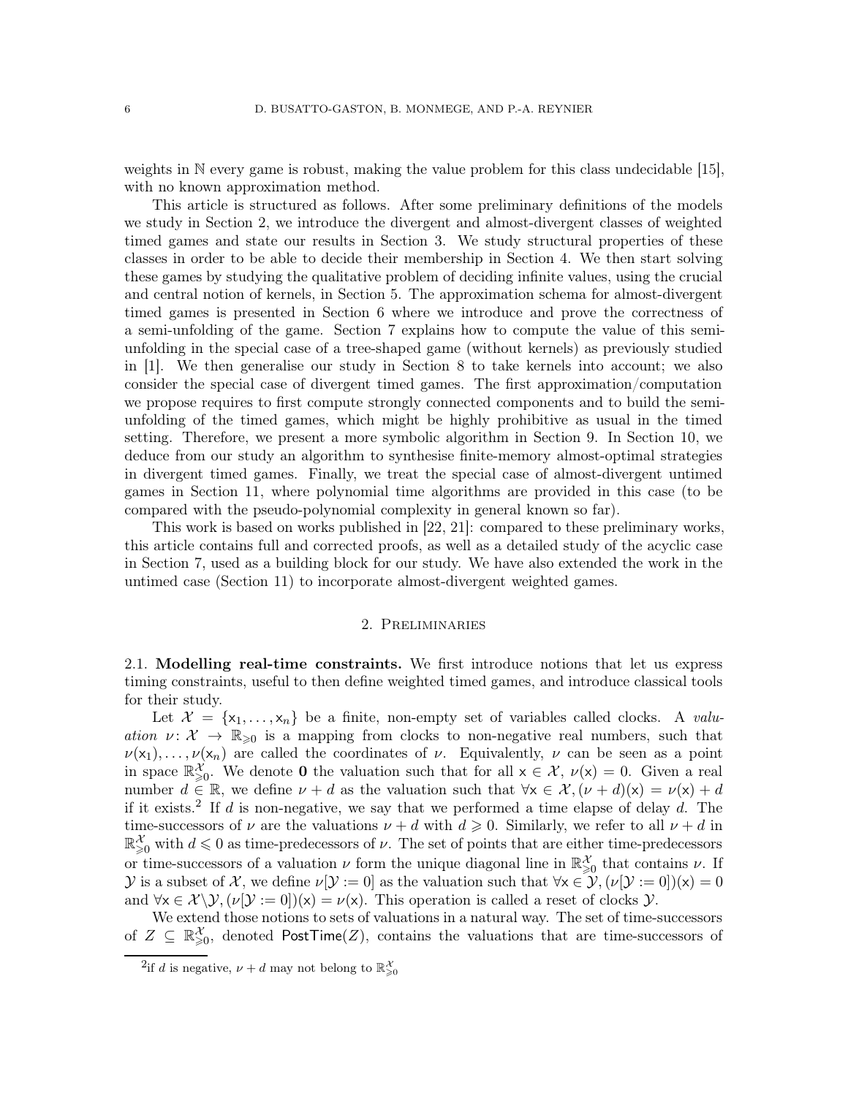weights in N every game is robust, making the value problem for this class undecidable [\[15\]](#page-71-4), with no known approximation method.

This article is structured as follows. After some preliminary definitions of the models we study in Section [2,](#page-5-0) we introduce the divergent and almost-divergent classes of weighted timed games and state our results in Section [3.](#page-20-0) We study structural properties of these classes in order to be able to decide their membership in Section [4.](#page-25-1) We then start solving these games by studying the qualitative problem of deciding infinite values, using the crucial and central notion of kernels, in Section [5.](#page-32-0) The approximation schema for almost-divergent timed games is presented in Section [6](#page-36-0) where we introduce and prove the correctness of a semi-unfolding of the game. Section [7](#page-40-0) explains how to compute the value of this semiunfolding in the special case of a tree-shaped game (without kernels) as previously studied in [\[1\]](#page-70-3). We then generalise our study in Section [8](#page-52-0) to take kernels into account; we also consider the special case of divergent timed games. The first approximation/computation we propose requires to first compute strongly connected components and to build the semiunfolding of the timed games, which might be highly prohibitive as usual in the timed setting. Therefore, we present a more symbolic algorithm in Section [9.](#page-58-0) In Section [10,](#page-62-0) we deduce from our study an algorithm to synthesise finite-memory almost-optimal strategies in divergent timed games. Finally, we treat the special case of almost-divergent untimed games in Section [11,](#page-65-0) where polynomial time algorithms are provided in this case (to be compared with the pseudo-polynomial complexity in general known so far).

This work is based on works published in [\[22,](#page-71-9) [21\]](#page-71-10): compared to these preliminary works, this article contains full and corrected proofs, as well as a detailed study of the acyclic case in Section [7,](#page-40-0) used as a building block for our study. We have also extended the work in the untimed case (Section [11\)](#page-65-0) to incorporate almost-divergent weighted games.

### 2. Preliminaries

<span id="page-5-0"></span>2.1. Modelling real-time constraints. We first introduce notions that let us express timing constraints, useful to then define weighted timed games, and introduce classical tools for their study.

Let  $\mathcal{X} = \{x_1, \ldots, x_n\}$  be a finite, non-empty set of variables called clocks. A valuation  $\nu: \mathcal{X} \to \mathbb{R}_{\geq 0}$  is a mapping from clocks to non-negative real numbers, such that  $\nu(x_1), \ldots, \nu(x_n)$  are called the coordinates of  $\nu$ . Equivalently,  $\nu$  can be seen as a point in space  $\mathbb{R}^{\mathcal{X}}_{\geqslant 0}$ . We denote **0** the valuation such that for all  $x \in \mathcal{X}$ ,  $\nu(x) = 0$ . Given a real number  $d \in \mathbb{R}$ , we define  $\nu + d$  as the valuation such that  $\forall x \in \mathcal{X}, (\nu + d)(x) = \nu(x) + d$ if it exists.<sup>[2](#page-5-1)</sup> If d is non-negative, we say that we performed a time elapse of delay d. The time-successors of  $\nu$  are the valuations  $\nu + d$  with  $d \geqslant 0$ . Similarly, we refer to all  $\nu + d$  in  $\mathbb{R}^{\mathcal{X}}_{\geqslant 0}$  with  $d \leqslant 0$  as time-predecessors of  $\nu$ . The set of points that are either time-predecessors or time-successors of a valuation  $\nu$  form the unique diagonal line in  $\mathbb{R}^{\mathcal{X}}_{\geq 0}$  that contains  $\nu$ . If y is a subset of X, we define  $\nu[\mathcal{Y} := 0]$  as the valuation such that  $\forall x \in \mathcal{Y}, (\nu[\mathcal{Y} := 0])(x) = 0$ and  $\forall x \in \mathcal{X} \setminus \mathcal{Y}, (\nu[\mathcal{Y} := 0])(x) = \nu(x)$ . This operation is called a reset of clocks  $\mathcal{Y}$ .

We extend those notions to sets of valuations in a natural way. The set of time-successors of  $Z \subseteq \mathbb{R}^{\mathcal{X}}_{\geqslant 0}$ , denoted PostTime(Z), contains the valuations that are time-successors of

<span id="page-5-1"></span><sup>&</sup>lt;sup>2</sup>if d is negative,  $\nu + d$  may not belong to  $\mathbb{R}^{\mathcal{X}}_{\geqslant 0}$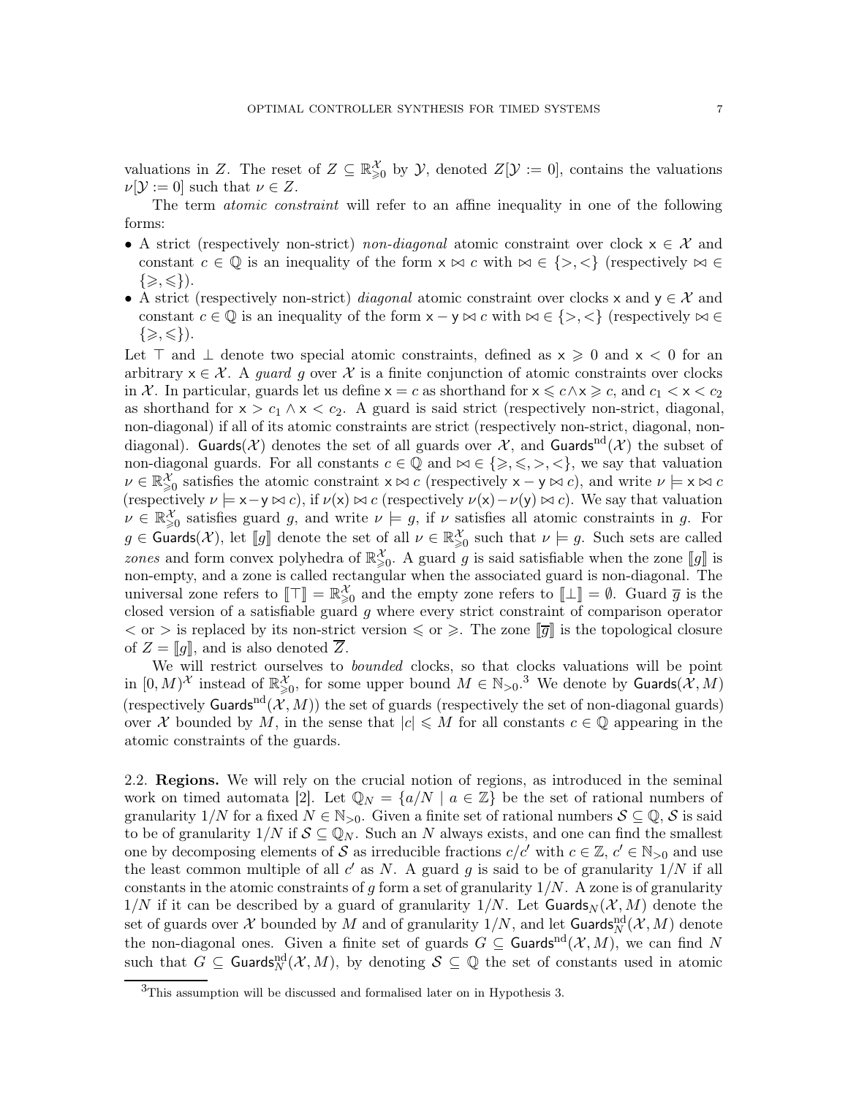valuations in Z. The reset of  $Z \subseteq \mathbb{R}_{\geqslant 0}^{\mathcal{X}}$  by  $\mathcal{Y}$ , denoted  $Z[\mathcal{Y} := 0]$ , contains the valuations  $\nu[\mathcal{Y} := 0]$  such that  $\nu \in Z$ .

The term *atomic constraint* will refer to an affine inequality in one of the following forms:

- A strict (respectively non-strict) non-diagonal atomic constraint over clock  $x \in \mathcal{X}$  and constant  $c \in \mathbb{Q}$  is an inequality of the form  $x \bowtie c$  with  $\bowtie \in \{>, <\}$  (respectively  $\bowtie \in$  $\{\geqslant,\leqslant\}$ ).
- A strict (respectively non-strict) *diagonal* atomic constraint over clocks x and  $y \in \mathcal{X}$  and constant  $c \in \mathbb{Q}$  is an inequality of the form  $x - y \bowtie c$  with  $\bowtie \in \{\gt, \leq\}$  (respectively  $\bowtie \in$  $\{\geqslant,\leqslant\}).$

Let  $\top$  and  $\bot$  denote two special atomic constraints, defined as  $x \ge 0$  and  $x < 0$  for an arbitrary  $x \in \mathcal{X}$ . A *guard g* over X is a finite conjunction of atomic constraints over clocks in X. In particular, guards let us define  $x = c$  as shorthand for  $x \leqslant c \wedge x \geqslant c$ , and  $c_1 < x < c_2$ as shorthand for  $x > c_1 \land x < c_2$ . A guard is said strict (respectively non-strict, diagonal, non-diagonal) if all of its atomic constraints are strict (respectively non-strict, diagonal, nondiagonal). Guards(X) denotes the set of all guards over X, and Guards<sup>nd</sup>(X) the subset of non-diagonal guards. For all constants  $c \in \mathbb{Q}$  and  $\bowtie \in \{\geq, \leq, >, <\}$ , we say that valuation  $\nu \in \mathbb{R}^{\mathcal{X}}_{\geq 0}$  satisfies the atomic constraint  $x \bowtie c$  (respectively  $x - y \bowtie c$ ), and write  $\nu \models x \bowtie c$ (respectively  $\nu \models x-y \Join c$ ), if  $\nu(x) \Join c$  (respectively  $\nu(x)-\nu(y) \Join c$ ). We say that valuation  $\nu \in \mathbb{R}^{\mathcal{X}}_{\geqslant 0}$  satisfies guard g, and write  $\nu \models g$ , if  $\nu$  satisfies all atomic constraints in g. For  $g \in$  Guards(X), let [[g]] denote the set of all  $\nu \in \mathbb{R}^{\mathcal{X}}_{\geqslant 0}$  such that  $\nu \models g$ . Such sets are called zones and form convex polyhedra of  $\mathbb{R}^{\mathcal{X}}_{\geq 0}$ . A guard g is said satisfiable when the zone  $[\![g]\!]$  is non-empty, and a zone is called rectangular when the associated guard is non-diagonal. The universal zone refers to  $[\![\top]\!] = \mathbb{R}^{\mathcal{X}}_{\geq 0}$  and the empty zone refers to  $[\![\bot]\!] = \emptyset$ . Guard  $\overline{g}$  is the closed version of a satisfiable guard g where every strict constraint of comparison operator  $<$  or  $>$  is replaced by its non-strict version  $\leq$  or  $\geq$ . The zone  $\overline{g}$  is the topological closure of  $Z = [q]$ , and is also denoted  $\overline{Z}$ .

We will restrict ourselves to *bounded* clocks, so that clocks valuations will be point in  $[0, M)^{\mathcal{X}}$  instead of  $\mathbb{R}^{\mathcal{X}}_{\geqslant 0}$ , for some upper bound  $M \in \mathbb{N}_{>0}$ .<sup>[3](#page-6-0)</sup> We denote by Guards $(\mathcal{X}, M)$ (respectively Guards<sup>nd</sup> $(X, M)$ ) the set of guards (respectively the set of non-diagonal guards) over X bounded by M, in the sense that  $|c| \leq M$  for all constants  $c \in \mathbb{Q}$  appearing in the atomic constraints of the guards.

2.2. Regions. We will rely on the crucial notion of regions, as introduced in the seminal work on timed automata [\[2\]](#page-70-0). Let  $\mathbb{Q}_N = \{a/N \mid a \in \mathbb{Z}\}\$ be the set of rational numbers of granularity  $1/N$  for a fixed  $N \in \mathbb{N}_{>0}$ . Given a finite set of rational numbers  $S \subseteq \mathbb{Q}, S$  is said to be of granularity  $1/N$  if  $S \subseteq \mathbb{Q}_N$ . Such an N always exists, and one can find the smallest one by decomposing elements of S as irreducible fractions  $c/c'$  with  $c \in \mathbb{Z}$ ,  $c' \in \mathbb{N}_{>0}$  and use the least common multiple of all  $c'$  as N. A guard g is said to be of granularity  $1/N$  if all constants in the atomic constraints of g form a set of granularity  $1/N$ . A zone is of granularity  $1/N$  if it can be described by a guard of granularity  $1/N$ . Let Guards $_N(\mathcal{X}, M)$  denote the set of guards over  $\mathcal X$  bounded by  $M$  and of granularity  $1/N$ , and let  $\mathsf{Guards}_N^{\mathrm{nd}}(\mathcal X,M)$  denote the non-diagonal ones. Given a finite set of guards  $G \subseteq$  Guards<sup>nd</sup> $(\mathcal{X}, M)$ , we can find N such that  $G \subseteq$  Guards $_{N}^{nd}(\mathcal{X},M)$ , by denoting  $\mathcal{S} \subseteq \mathbb{Q}$  the set of constants used in atomic

<span id="page-6-0"></span><sup>3</sup>This assumption will be discussed and formalised later on in Hypothesis [3.](#page-12-0)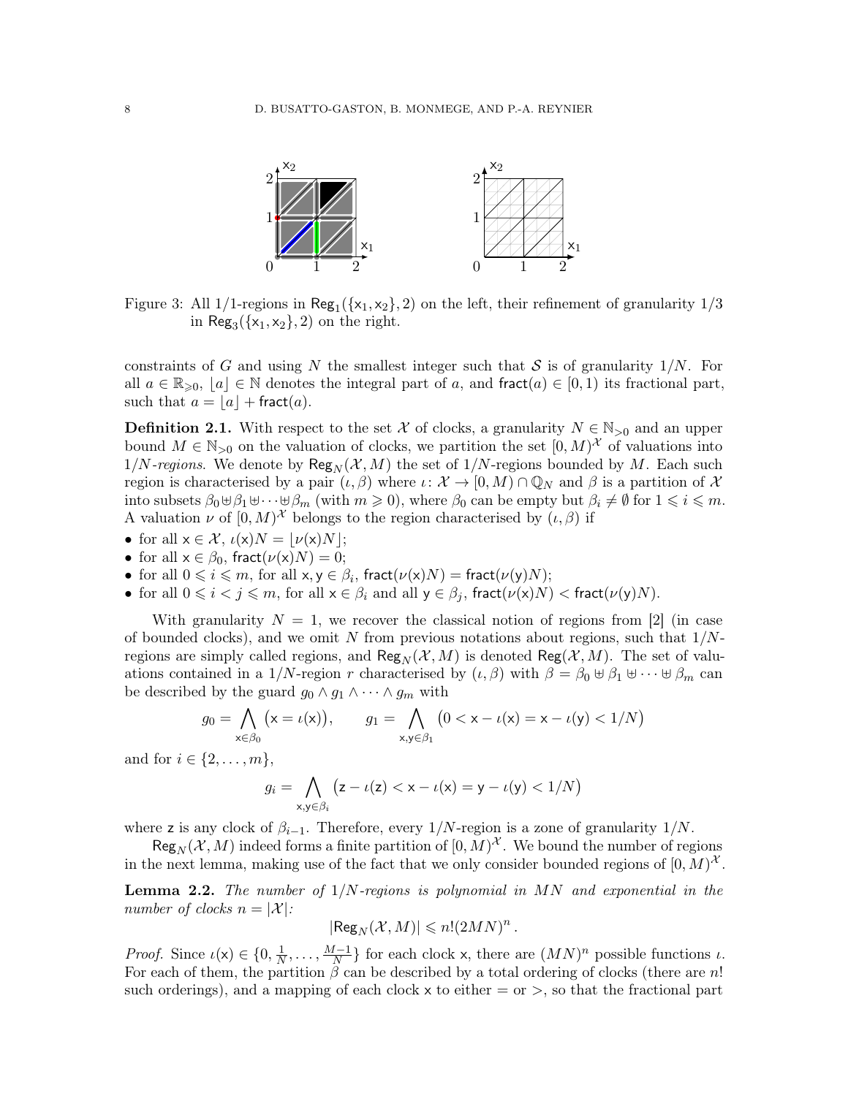

<span id="page-7-0"></span>Figure 3: All  $1/1$ -regions in  $\text{Reg}_1(\{x_1, x_2\}, 2)$  on the left, their refinement of granularity  $1/3$ in  $\text{Reg}_3(\{x_1, x_2\}, 2)$  on the right.

constraints of G and using N the smallest integer such that S is of granularity  $1/N$ . For all  $a \in \mathbb{R}_{\geqslant 0}$ ,  $|a| \in \mathbb{N}$  denotes the integral part of a, and fract $(a) \in [0,1)$  its fractional part, such that  $a = \lfloor a \rfloor + \text{fract}(a)$ .

**Definition 2.1.** With respect to the set X of clocks, a granularity  $N \in \mathbb{N}_{>0}$  and an upper bound  $M \in \mathbb{N}_{>0}$  on the valuation of clocks, we partition the set  $[0, M)^{\mathcal{X}}$  of valuations into  $1/N$ -regions. We denote by  $\mathsf{Reg}_N(\mathcal{X}, M)$  the set of  $1/N$ -regions bounded by M. Each such region is characterised by a pair  $(\iota, \beta)$  where  $\iota: \mathcal{X} \to [0, M) \cap \mathbb{Q}_N$  and  $\beta$  is a partition of X into subsets  $\beta_0 \cup \beta_1 \cup \cdots \cup \beta_m$  (with  $m \geq 0$ ), where  $\beta_0$  can be empty but  $\beta_i \neq \emptyset$  for  $1 \leq i \leq m$ . A valuation  $\nu$  of  $[0, M)^{\mathcal{X}}$  belongs to the region characterised by  $(\iota, \beta)$  if

- for all  $x \in \mathcal{X}$ ,  $\iota(x)N = |\nu(x)N|$ ;
- for all  $x \in \beta_0$ , fract $(\nu(x)N) = 0$ ;
- for all  $0 \leqslant i \leqslant m$ , for all  $x, y \in \beta_i$ , fract $(\nu(x)N) = \text{fract}(\nu(y)N)$ ;
- for all  $0 \le i < j \le m$ , for all  $x \in \beta_i$  and all  $y \in \beta_j$ , fract $(\nu(x)N)$  < fract $(\nu(y)N)$ .

With granularity  $N = 1$ , we recover the classical notion of regions from [\[2\]](#page-70-0) (in case of bounded clocks), and we omit N from previous notations about regions, such that  $1/N$ regions are simply called regions, and  $\text{Reg}_N(\mathcal{X}, M)$  is denoted  $\text{Reg}(\mathcal{X}, M)$ . The set of valuations contained in a 1/N-region r characterised by  $(\iota, \beta)$  with  $\beta = \beta_0 \oplus \beta_1 \oplus \cdots \oplus \beta_m$  can be described by the guard  $g_0 \wedge g_1 \wedge \cdots \wedge g_m$  with

$$
g_0 = \bigwedge_{\mathsf{x} \in \beta_0} (\mathsf{x} = \iota(\mathsf{x})), \qquad g_1 = \bigwedge_{\mathsf{x}, \mathsf{y} \in \beta_1} \left(0 < \mathsf{x} - \iota(\mathsf{x}) = \mathsf{x} - \iota(\mathsf{y}) < 1/N\right)
$$

and for  $i \in \{2, \ldots, m\},\$ 

$$
g_i = \bigwedge_{\mathsf{x},\mathsf{y}\in\beta_i} \big(z-\iota(\mathsf{z}) < \mathsf{x}-\iota(\mathsf{x}) = \mathsf{y}-\iota(\mathsf{y}) < 1/N\big)
$$

where z is any clock of  $\beta_{i-1}$ . Therefore, every 1/N-region is a zone of granularity 1/N.

 $\text{Reg}_N(\mathcal{X}, M)$  indeed forms a finite partition of  $[0, M)^\mathcal{X}$ . We bound the number of regions in the next lemma, making use of the fact that we only consider bounded regions of  $[0, M)^{\mathcal{X}}$ .

**Lemma 2.2.** The number of  $1/N$ -regions is polynomial in  $MN$  and exponential in the number of clocks  $n = |\mathcal{X}|$ :

$$
|\text{\rm Reg}_N(\mathcal{X},M)|\leqslant n!(2MN)^n\,.
$$

*Proof.* Since  $\iota(\mathsf{x}) \in \{0, \frac{1}{N}\}\$  $\frac{1}{N}, \ldots, \frac{M-1}{N}$  $\frac{N-1}{N}$  for each clock x, there are  $(MN)^n$  possible functions  $\iota$ . For each of them, the partition  $\beta$  can be described by a total ordering of clocks (there are n! such orderings), and a mapping of each clock  $x$  to either  $=$  or  $\ge$ , so that the fractional part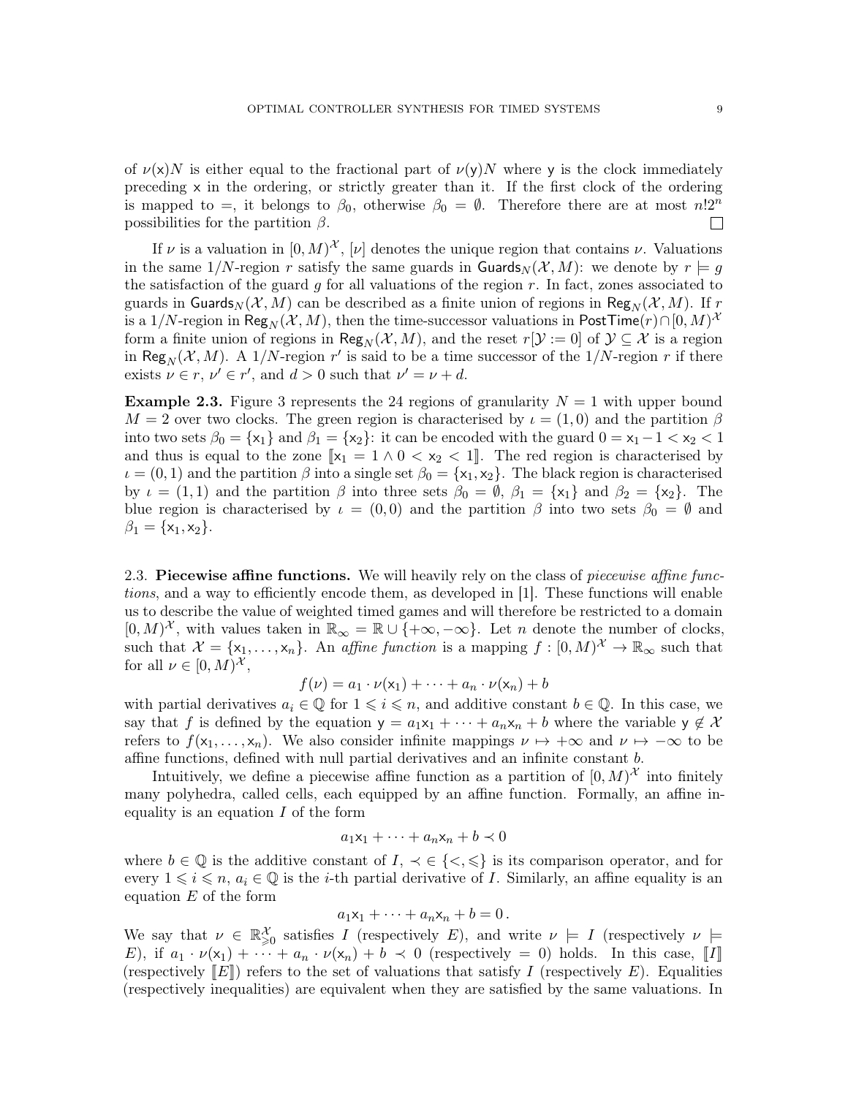of  $\nu(x)N$  is either equal to the fractional part of  $\nu(y)N$  where y is the clock immediately preceding x in the ordering, or strictly greater than it. If the first clock of the ordering is mapped to =, it belongs to  $\beta_0$ , otherwise  $\beta_0 = \emptyset$ . Therefore there are at most  $n!2^n$ possibilities for the partition  $\beta$ .  $\mathbf{L}$ 

If  $\nu$  is a valuation in  $[0, M)^{\mathcal{X}}$ ,  $[\nu]$  denotes the unique region that contains  $\nu$ . Valuations in the same  $1/N$ -region r satisfy the same guards in Guards<sub>N</sub> ( $\mathcal{X}, M$ ): we denote by  $r \models g$ the satisfaction of the guard g for all valuations of the region  $r$ . In fact, zones associated to guards in Guards<sub>N</sub> (X, M) can be described as a finite union of regions in Reg<sub>N</sub> (X, M). If r is a 1/N-region in  $\mathsf{Reg}_N(\mathcal{X},M),$  then the time-successor valuations in  $\mathsf{PostTime}(r) \cap [0,M)^{\mathcal{X}}$ form a finite union of regions in Reg<sub>N</sub>( $\mathcal{X}, M$ ), and the reset  $r[\mathcal{Y} := 0]$  of  $\mathcal{Y} \subseteq \mathcal{X}$  is a region in Reg<sub>N</sub>( $\mathcal{X}, M$ ). A 1/N-region r' is said to be a time successor of the 1/N-region r if there exists  $\nu \in r$ ,  $\nu' \in r'$ , and  $d > 0$  such that  $\nu' = \nu + d$ .

**Example 2.3.** Figure [3](#page-7-0) represents the 24 regions of granularity  $N = 1$  with upper bound  $M = 2$  over two clocks. The green region is characterised by  $\iota = (1,0)$  and the partition  $\beta$ into two sets  $\beta_0 = \{x_1\}$  and  $\beta_1 = \{x_2\}$ : it can be encoded with the guard  $0 = x_1 - 1 < x_2 < 1$ and thus is equal to the zone  $\llbracket x_1 = 1 \wedge 0 < x_2 < 1 \rrbracket$ . The red region is characterised by  $\iota = (0, 1)$  and the partition  $\beta$  into a single set  $\beta_0 = {\mathbf{x}_1, \mathbf{x}_2}$ . The black region is characterised by  $\iota = (1, 1)$  and the partition  $\beta$  into three sets  $\beta_0 = \emptyset$ ,  $\beta_1 = {\mathbf{x}_1}$  and  $\beta_2 = {\mathbf{x}_2}$ . The blue region is characterised by  $\iota = (0,0)$  and the partition  $\beta$  into two sets  $\beta_0 = \emptyset$  and  $\beta_1 = \{x_1, x_2\}.$ 

<span id="page-8-0"></span>2.3. Piecewise affine functions. We will heavily rely on the class of piecewise affine functions, and a way to efficiently encode them, as developed in [\[1\]](#page-70-3). These functions will enable us to describe the value of weighted timed games and will therefore be restricted to a domain  $[0, M)^{\mathcal{X}}$ , with values taken in  $\mathbb{R}_{\infty} = \mathbb{R} \cup \{+\infty, -\infty\}$ . Let *n* denote the number of clocks, such that  $\mathcal{X} = \{x_1, \ldots, x_n\}$ . An affine function is a mapping  $f : [0, M)^{\mathcal{X}} \to \mathbb{R}_{\infty}$  such that for all  $\nu \in [0, M)^{\mathcal{X}},$ 

$$
f(\nu) = a_1 \cdot \nu(\mathsf{x}_1) + \cdots + a_n \cdot \nu(\mathsf{x}_n) + b
$$

with partial derivatives  $a_i \in \mathbb{Q}$  for  $1 \leq i \leq n$ , and additive constant  $b \in \mathbb{Q}$ . In this case, we say that f is defined by the equation  $y = a_1x_1 + \cdots + a_nx_n + b$  where the variable  $y \notin \mathcal{X}$ refers to  $f(x_1, \ldots, x_n)$ . We also consider infinite mappings  $\nu \mapsto +\infty$  and  $\nu \mapsto -\infty$  to be affine functions, defined with null partial derivatives and an infinite constant b.

Intuitively, we define a piecewise affine function as a partition of  $[0, M)^{\mathcal{X}}$  into finitely many polyhedra, called cells, each equipped by an affine function. Formally, an affine inequality is an equation  $I$  of the form

$$
a_1x_1 + \dots + a_nx_n + b \prec 0
$$

where  $b \in \mathbb{Q}$  is the additive constant of  $I, \prec \in \{\leq, \leq\}$  is its comparison operator, and for every  $1 \leq i \leq n$ ,  $a_i \in \mathbb{Q}$  is the *i*-th partial derivative of *I*. Similarly, an affine equality is an equation  $E$  of the form

$$
a_1x_1 + \cdots + a_nx_n + b = 0.
$$

We say that  $\nu \in \mathbb{R}^{\mathcal{X}}_{\geqslant 0}$  satisfies I (respectively E), and write  $\nu \models I$  (respectively  $\nu \models$ E), if  $a_1 \cdot \nu(x_1) + \cdots + a_n \cdot \nu(x_n) + b \prec 0$  (respectively = 0) holds. In this case, [I] (respectively  $\llbracket E \rrbracket$ ) refers to the set of valuations that satisfy I (respectively E). Equalities (respectively inequalities) are equivalent when they are satisfied by the same valuations. In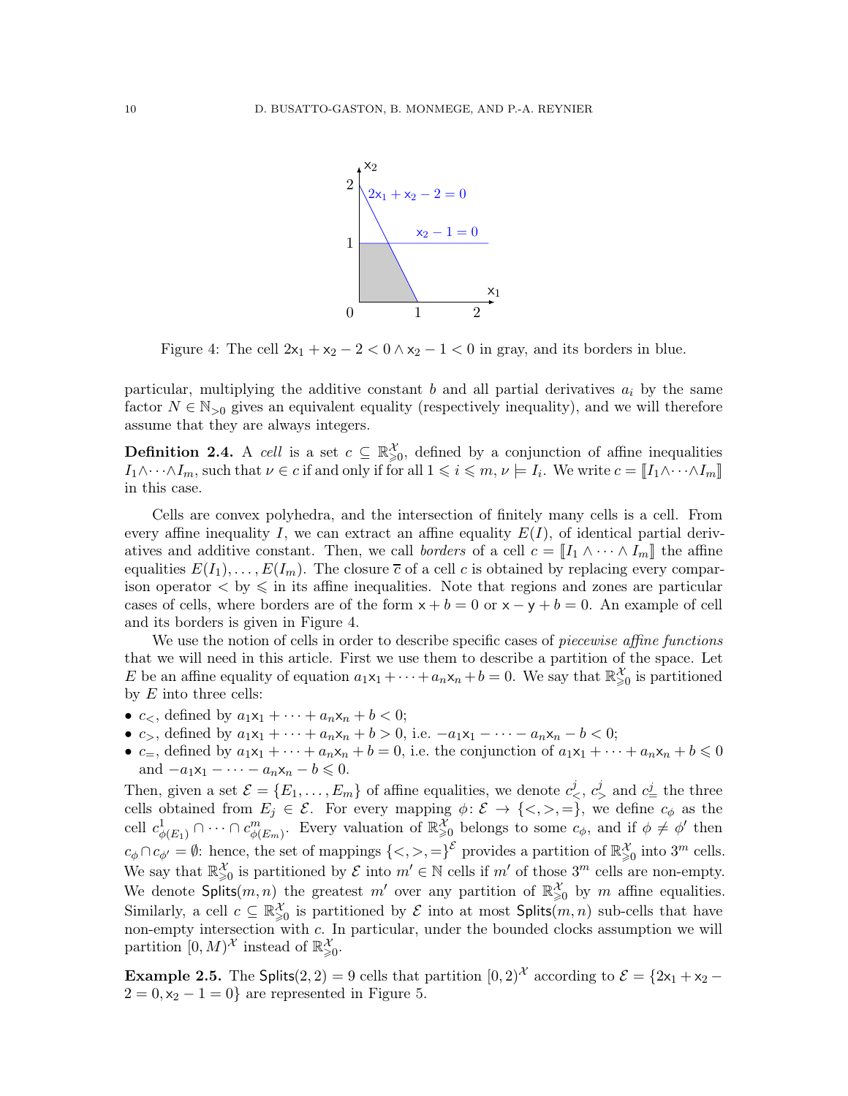

<span id="page-9-0"></span>Figure 4: The cell  $2x_1 + x_2 - 2 < 0 \wedge x_2 - 1 < 0$  in gray, and its borders in blue.

particular, multiplying the additive constant b and all partial derivatives  $a_i$  by the same factor  $N \in \mathbb{N}_{\geq 0}$  gives an equivalent equality (respectively inequality), and we will therefore assume that they are always integers.

<span id="page-9-1"></span>**Definition 2.4.** A cell is a set  $c \subseteq \mathbb{R}^{\mathcal{X}}_{\geqslant 0}$ , defined by a conjunction of affine inequalities  $I_1 \wedge \cdots \wedge I_m$ , such that  $\nu \in c$  if and only if for all  $1 \leqslant i \leqslant m$ ,  $\nu \models I_i$ . We write  $c = \llbracket I_1 \wedge \cdots \wedge I_m \rrbracket$ in this case.

Cells are convex polyhedra, and the intersection of finitely many cells is a cell. From every affine inequality I, we can extract an affine equality  $E(I)$ , of identical partial derivatives and additive constant. Then, we call *borders* of a cell  $c = [I_1 \wedge \cdots \wedge I_m]$  the affine equalities  $E(I_1), \ldots, E(I_m)$ . The closure  $\overline{c}$  of a cell c is obtained by replacing every comparison operator  $\langle$  by  $\leq$  in its affine inequalities. Note that regions and zones are particular cases of cells, where borders are of the form  $x + b = 0$  or  $x - y + b = 0$ . An example of cell and its borders is given in Figure [4.](#page-9-0)

We use the notion of cells in order to describe specific cases of *piecewise affine functions* that we will need in this article. First we use them to describe a partition of the space. Let E be an affine equality of equation  $a_1x_1 + \cdots + a_nx_n + b = 0$ . We say that  $\mathbb{R}^{\mathcal{X}}_{\geq 0}$  is partitioned by  $E$  into three cells:

- $c_<$ , defined by  $a_1x_1 + \cdots + a_nx_n + b < 0$ ;
- $c_>,$  defined by  $a_1x_1 + \cdots + a_nx_n + b > 0$ , i.e.  $-a_1x_1 \cdots a_nx_n b < 0$ ;
- $c_{=}$ , defined by  $a_1x_1 + \cdots + a_nx_n + b = 0$ , i.e. the conjunction of  $a_1x_1 + \cdots + a_nx_n + b \leq 0$ and  $-a_1x_1 - \cdots - a_nx_n - b \leq 0$ .

Then, given a set  $\mathcal{E} = \{E_1, \ldots, E_m\}$  of affine equalities, we denote  $c^j_<, c^j_<$  and  $c^j_-$  the three cells obtained from  $E_j \in \mathcal{E}$ . For every mapping  $\phi \colon \mathcal{E} \to \{<,>,=\}$ , we define  $c_{\phi}$  as the cell  $c^1_{\phi(E_1)} \cap \cdots \cap c^m_{\phi(E_m)}$ . Every valuation of  $\mathbb{R}^{\mathcal{X}}_{\geq 0}$  belongs to some  $c_{\phi}$ , and if  $\phi \neq \phi'$  then  $c_{\phi} \cap c_{\phi'} = \emptyset$ : hence, the set of mappings  $\{<, >, =\}^{\mathcal{E}}$  provides a partition of  $\mathbb{R}^{\mathcal{X}}_{\geq 0}$  into  $3^m$  cells. We say that  $\mathbb{R}^{\mathcal{X}}_{\geqslant 0}$  is partitioned by  $\mathcal{E}$  into  $m' \in \mathbb{N}$  cells if  $m'$  of those  $3^m$  cells are non-empty. We denote Splits $(m, n)$  the greatest m' over any partition of  $\mathbb{R}^{\mathcal{X}}_{\geq 0}$  by m affine equalities. Similarly, a cell  $c \subseteq \mathbb{R}^{\mathcal{X}}_{\geq 0}$  is partitioned by  $\mathcal E$  into at most  $\mathsf{Splits}(m,n)$  sub-cells that have non-empty intersection with c. In particular, under the bounded clocks assumption we will partition  $[0, M)$ <sup>X</sup> instead of  $\mathbb{R}^{\mathcal{X}}_{\geqslant 0}$ .

**Example 2.5.** The Splits(2, 2) = 9 cells that partition  $[0, 2)^{\mathcal{X}}$  according to  $\mathcal{E} = \{2x_1 + x_2 2 = 0, x_2 - 1 = 0$ } are represented in Figure [5.](#page-10-0)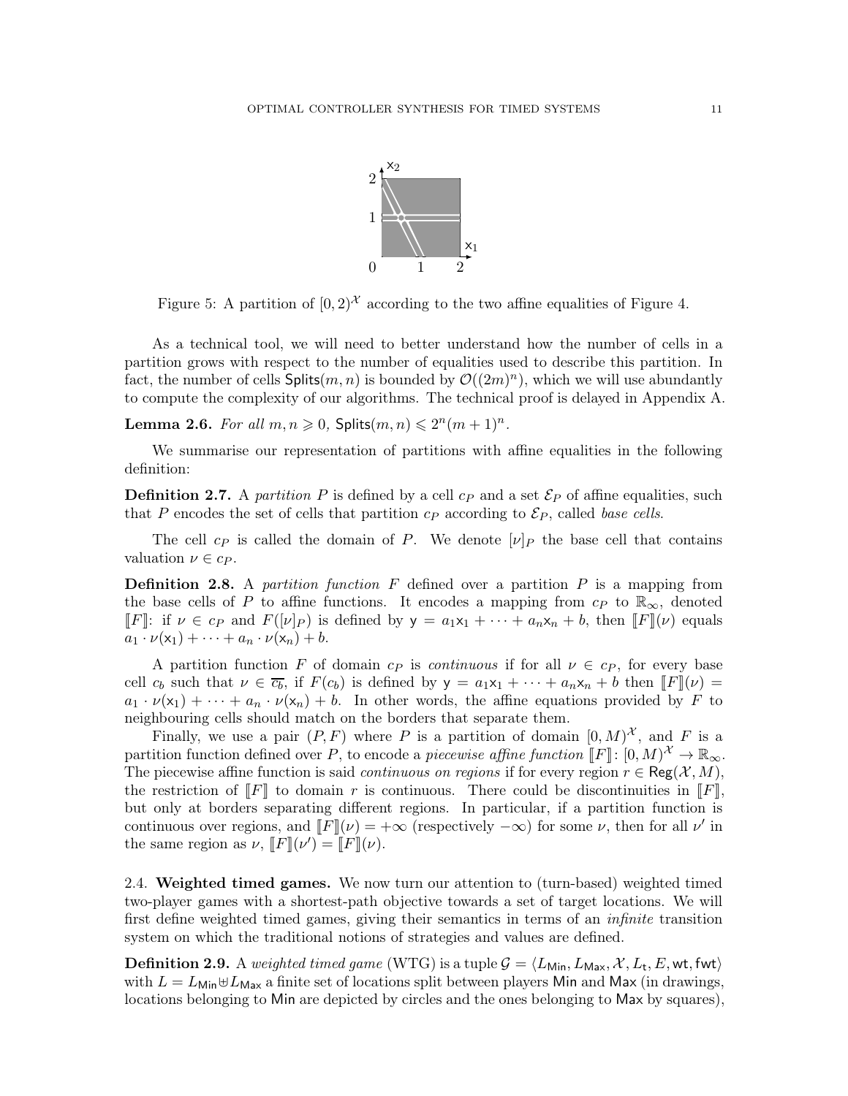

<span id="page-10-0"></span>Figure 5: A partition of  $[0, 2)^{\mathcal{X}}$  according to the two affine equalities of Figure [4.](#page-9-0)

As a technical tool, we will need to better understand how the number of cells in a partition grows with respect to the number of equalities used to describe this partition. In fact, the number of cells  $\mathsf{Splits}(m, n)$  is bounded by  $\mathcal{O}((2m)^n)$ , which we will use abundantly to compute the complexity of our algorithms. The technical proof is delayed in Appendix [A.](#page-73-0)

**Lemma 2.6.** For all  $m, n \ge 0$ , Splits $(m, n) \le 2^n(m + 1)^n$ .

We summarise our representation of partitions with affine equalities in the following definition:

**Definition 2.7.** A partition P is defined by a cell  $c_P$  and a set  $\mathcal{E}_P$  of affine equalities, such that P encodes the set of cells that partition  $c_P$  according to  $\mathcal{E}_P$ , called base cells.

The cell  $c_P$  is called the domain of P. We denote  $[\nu]_P$  the base cell that contains valuation  $\nu \in c_P$ .

**Definition 2.8.** A partition function  $F$  defined over a partition  $P$  is a mapping from the base cells of P to affine functions. It encodes a mapping from  $c_P$  to  $\mathbb{R}_{\infty}$ , denoted  $\llbracket F \rrbracket$ : if  $\nu \in c_P$  and  $F([\nu]_P)$  is defined by  $y = a_1x_1 + \cdots + a_nx_n + b$ , then  $\llbracket F \rrbracket(\nu)$  equals  $a_1 \cdot \nu(x_1) + \cdots + a_n \cdot \nu(x_n) + b.$ 

A partition function F of domain  $c_P$  is *continuous* if for all  $\nu \in c_P$ , for every base cell  $c_b$  such that  $\nu \in \overline{c_b}$ , if  $F(c_b)$  is defined by  $y = a_1x_1 + \cdots + a_nx_n + b$  then  $\llbracket F \rrbracket(\nu) =$  $a_1 \cdot \nu(x_1) + \cdots + a_n \cdot \nu(x_n) + b$ . In other words, the affine equations provided by F to neighbouring cells should match on the borders that separate them.

Finally, we use a pair  $(P, F)$  where P is a partition of domain  $[0, M)^{\mathcal{X}}$ , and F is a partition function defined over P, to encode a piecewise affine function  $[[F]] : [0, M)^{\mathcal{X}} \to \mathbb{R}_{\infty}$ . The piecewise affine function is said *continuous on regions* if for every region  $r \in \text{Reg}(\mathcal{X}, M)$ , the restriction of  $\llbracket F \rrbracket$  to domain r is continuous. There could be discontinuities in  $\llbracket F \rrbracket$ , but only at borders separating different regions. In particular, if a partition function is continuous over regions, and  $\llbracket F \rrbracket(\nu) = +\infty$  (respectively  $-\infty$ ) for some  $\nu$ , then for all  $\nu'$  in the same region as  $\nu$ ,  $\llbracket F \rrbracket(\nu') = \llbracket F \rrbracket(\nu)$ .

2.4. Weighted timed games. We now turn our attention to (turn-based) weighted timed two-player games with a shortest-path objective towards a set of target locations. We will first define weighted timed games, giving their semantics in terms of an infinite transition system on which the traditional notions of strategies and values are defined.

 $\bf{Definition 2.9.~}$  A weighted timed game  $(\rm{WTG})$  is a tuple  $\mathcal{G} = \langle L_\mathsf{Min}, L_\mathsf{Max}, \mathcal{X}, L_\mathsf{t}, E, \mathsf{wt}, \mathsf{fwt} \rangle$ with  $L = L_{\text{Min}} \oplus L_{\text{Max}}$  a finite set of locations split between players Min and Max (in drawings, locations belonging to Min are depicted by circles and the ones belonging to Max by squares),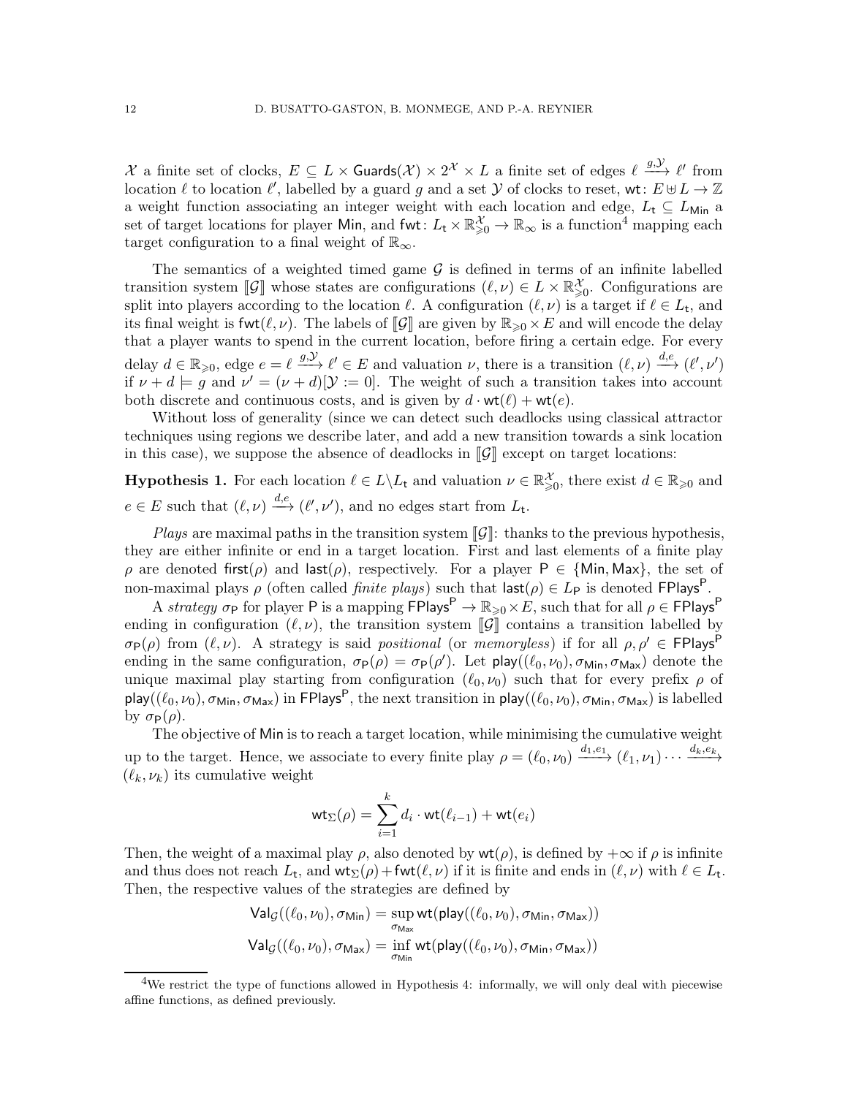X a finite set of clocks,  $E \subseteq L \times$  Guards $(\mathcal{X}) \times 2^{\mathcal{X}} \times L$  a finite set of edges  $\ell \stackrel{g,\mathcal{Y}}{\longrightarrow} \ell'$  from location  $\ell$  to location  $\ell'$ , labelled by a guard g and a set  $\mathcal Y$  of clocks to reset, wt:  $E \oplus L \to \mathbb Z$ a weight function associating an integer weight with each location and edge,  $L_t \subseteq L_{\text{Min}}$  a set of target locations for player Min, and fwt:  $L_t \times \mathbb{R}^{\mathcal{X}}_{\geq 0} \to \mathbb{R}_{\infty}$  is a function<sup>[4](#page-11-0)</sup> mapping each target configuration to a final weight of  $\mathbb{R}_{\infty}$ .

The semantics of a weighted timed game  $\mathcal G$  is defined in terms of an infinite labelled transition system  $[\![\mathcal{G}]\!]$  whose states are configurations  $(\ell,\nu) \in L \times \mathbb{R}^{\mathcal{X}}_{\geq 0}$ . Configurations are split into players according to the location  $\ell$ . A configuration  $(\ell, \nu)$  is a target if  $\ell \in L_{\mathsf{t}}$ , and its final weight is fwt $(\ell, \nu)$ . The labels of  $\llbracket \mathcal{G} \rrbracket$  are given by  $\mathbb{R}_{\geq 0} \times E$  and will encode the delay that a player wants to spend in the current location, before firing a certain edge. For every delay  $d \in \mathbb{R}_{\geqslant 0}$ , edge  $e = \ell \stackrel{g,\mathcal{Y}}{\longrightarrow} \ell' \in E$  and valuation  $\nu$ , there is a transition  $(\ell, \nu) \stackrel{d,e}{\longrightarrow} (\ell', \nu')$ if  $\nu + d \models g$  and  $\nu' = (\nu + d)[\mathcal{Y} := 0]$ . The weight of such a transition takes into account both discrete and continuous costs, and is given by  $d \cdot \text{wt}(\ell) + \text{wt}(e)$ .

Without loss of generality (since we can detect such deadlocks using classical attractor techniques using regions we describe later, and add a new transition towards a sink location in this case), we suppose the absence of deadlocks in  $\llbracket \mathcal{G} \rrbracket$  except on target locations:

**Hypothesis 1.** For each location  $\ell \in L \setminus L_t$  and valuation  $\nu \in \mathbb{R}^{\mathcal{X}}_{\geq 0}$ , there exist  $d \in \mathbb{R}_{\geq 0}$  and  $e \in E$  such that  $(\ell, \nu) \xrightarrow{d,e} (\ell', \nu')$ , and no edges start from  $L_{\mathsf{t}}$ .

Plays are maximal paths in the transition system  $\llbracket \mathcal{G} \rrbracket$ : thanks to the previous hypothesis, they are either infinite or end in a target location. First and last elements of a finite play  $\rho$  are denoted first( $\rho$ ) and last( $\rho$ ), respectively. For a player P  $\in \{Min, Max\}$ , the set of non-maximal plays  $\rho$  (often called *finite plays*) such that  $\mathsf{last}(\rho) \in L_{\mathsf{P}}$  is denoted FPlays<sup>P</sup>.

A strategy  $\sigma_P$  for player P is a mapping  $\overline{FPI}$ ays<sup>P</sup>  $\rightarrow \mathbb{R}_{\geq 0} \times E$ , such that for all  $\rho \in \overline{FP}$ lays<sup>P</sup> ending in configuration  $(\ell, \nu)$ , the transition system  $\llbracket \mathcal{G} \rrbracket$  contains a transition labelled by  $\sigma_{\mathsf{P}}(\rho)$  from  $(\ell, \nu)$ . A strategy is said positional (or memoryless) if for all  $\rho, \rho' \in \mathsf{FPlays}^{\mathsf{P}}$ ending in the same configuration,  $\sigma_{\mathsf{P}}(\rho) = \sigma_{\mathsf{P}}(\rho')$ . Let  $\mathsf{play}((\ell_0, \nu_0), \sigma_{\mathsf{Min}}, \sigma_{\mathsf{Max}})$  denote the unique maximal play starting from configuration  $(\ell_0, \nu_0)$  such that for every prefix  $\rho$  of play $((\ell_0,\nu_0),\sigma_{\mathsf{Min}},\sigma_{\mathsf{Max}})$  in <code>FPlays $^{\mathsf{P}},$ </code> the next transition in <code>play $((\ell_0,\nu_0),\sigma_{\mathsf{Min}},\sigma_{\mathsf{Max}})$ </code> is labelled by  $\sigma_{\mathsf{P}}(\rho)$ .

The objective of Min is to reach a target location, while minimising the cumulative weight up to the target. Hence, we associate to every finite play  $\rho = (\ell_0, \nu_0) \xrightarrow{d_1, e_1} (\ell_1, \nu_1) \cdots \xrightarrow{d_k, e_k}$  $(\ell_k, \nu_k)$  its cumulative weight

$$
\mathsf{wt}_{\Sigma}(\rho) = \sum_{i=1}^{k} d_i \cdot \mathsf{wt}(\ell_{i-1}) + \mathsf{wt}(e_i)
$$

Then, the weight of a maximal play  $\rho$ , also denoted by  $wt(\rho)$ , is defined by  $+\infty$  if  $\rho$  is infinite and thus does not reach  $L_t$ , and  $\mathsf{wt}_\Sigma(\rho) + \mathsf{fwt}(\ell,\nu)$  if it is finite and ends in  $(\ell,\nu)$  with  $\ell \in L_t$ . Then, the respective values of the strategies are defined by

$$
Val_{\mathcal{G}}((\ell_0, \nu_0), \sigma_{Min}) = \sup_{\sigma_{Max}} wt(\text{play}((\ell_0, \nu_0), \sigma_{Min}, \sigma_{Max}))
$$
  

$$
Val_{\mathcal{G}}((\ell_0, \nu_0), \sigma_{Max}) = \inf_{\sigma_{Min}} wt(\text{play}((\ell_0, \nu_0), \sigma_{Min}, \sigma_{Max}))
$$

<span id="page-11-0"></span><sup>&</sup>lt;sup>4</sup>We restrict the type of functions allowed in Hypothesis [4:](#page-12-1) informally, we will only deal with piecewise affine functions, as defined previously.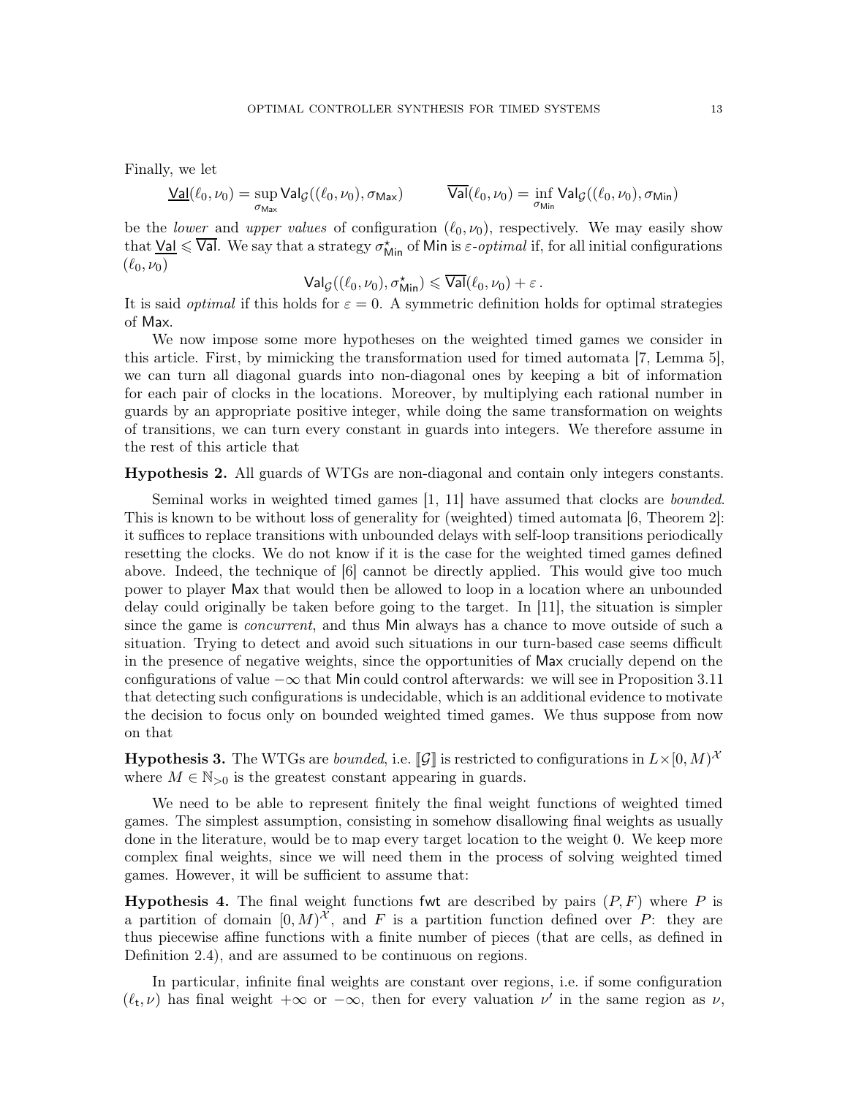Finally, we let

$$
\underline{\mathrm{Val}}(\ell_0,\nu_0) = \sup_{\sigma_{\mathrm{Max}}} \mathrm{Val}_{\mathcal{G}}((\ell_0,\nu_0),\sigma_{\mathrm{Max}}) \hspace{1cm} \overline{\mathrm{Val}}(\ell_0,\nu_0) = \inf_{\sigma_{\mathrm{Min}}} \mathrm{Val}_{\mathcal{G}}((\ell_0,\nu_0),\sigma_{\mathrm{Min}})
$$

be the *lower* and *upper values* of configuration  $(\ell_0, \nu_0)$ , respectively. We may easily show that  $\underline{\sf Val}\leqslant\overline{\sf Val}.$  We say that a strategy  $\sigma^\star_{\sf Min}$  of  $\sf Min$  is  $\varepsilon\text{-}optimal$  if, for all initial configurations  $(\ell_0, \nu_0)$ 

$$
\mathsf{Val}_{\mathcal{G}}((\ell_0,\nu_0),\sigma_{\mathsf{Min}}^{\star})\leqslant \overline{\mathsf{Val}}(\ell_0,\nu_0)+\varepsilon\,.
$$

It is said *optimal* if this holds for  $\varepsilon = 0$ . A symmetric definition holds for optimal strategies of Max.

We now impose some more hypotheses on the weighted timed games we consider in this article. First, by mimicking the transformation used for timed automata [\[7,](#page-71-11) Lemma 5], we can turn all diagonal guards into non-diagonal ones by keeping a bit of information for each pair of clocks in the locations. Moreover, by multiplying each rational number in guards by an appropriate positive integer, while doing the same transformation on weights of transitions, we can turn every constant in guards into integers. We therefore assume in the rest of this article that

Hypothesis 2. All guards of WTGs are non-diagonal and contain only integers constants.

Seminal works in weighted timed games [\[1,](#page-70-3) [11\]](#page-71-1) have assumed that clocks are bounded. This is known to be without loss of generality for (weighted) timed automata [\[6,](#page-71-2) Theorem 2]: it suffices to replace transitions with unbounded delays with self-loop transitions periodically resetting the clocks. We do not know if it is the case for the weighted timed games defined above. Indeed, the technique of [\[6\]](#page-71-2) cannot be directly applied. This would give too much power to player Max that would then be allowed to loop in a location where an unbounded delay could originally be taken before going to the target. In [\[11\]](#page-71-1), the situation is simpler since the game is *concurrent*, and thus Min always has a chance to move outside of such a situation. Trying to detect and avoid such situations in our turn-based case seems difficult in the presence of negative weights, since the opportunities of Max crucially depend on the configurations of value  $-\infty$  that Min could control afterwards: we will see in Proposition [3.11](#page-25-0) that detecting such configurations is undecidable, which is an additional evidence to motivate the decision to focus only on bounded weighted timed games. We thus suppose from now on that

<span id="page-12-0"></span>**Hypothesis 3.** The WTGs are *bounded*, i.e. [C] is restricted to configurations in  $L \times [0, M)^{\lambda}$ where  $M \in \mathbb{N}_{>0}$  is the greatest constant appearing in guards.

We need to be able to represent finitely the final weight functions of weighted timed games. The simplest assumption, consisting in somehow disallowing final weights as usually done in the literature, would be to map every target location to the weight 0. We keep more complex final weights, since we will need them in the process of solving weighted timed games. However, it will be sufficient to assume that:

<span id="page-12-1"></span>**Hypothesis 4.** The final weight functions fwt are described by pairs  $(P, F)$  where P is a partition of domain  $[0, M)^{\mathcal{X}}$ , and F is a partition function defined over P: they are thus piecewise affine functions with a finite number of pieces (that are cells, as defined in Definition [2.4\)](#page-9-1), and are assumed to be continuous on regions.

In particular, infinite final weights are constant over regions, i.e. if some configuration  $(\ell_t, \nu)$  has final weight  $+\infty$  or  $-\infty$ , then for every valuation  $\nu'$  in the same region as  $\nu$ ,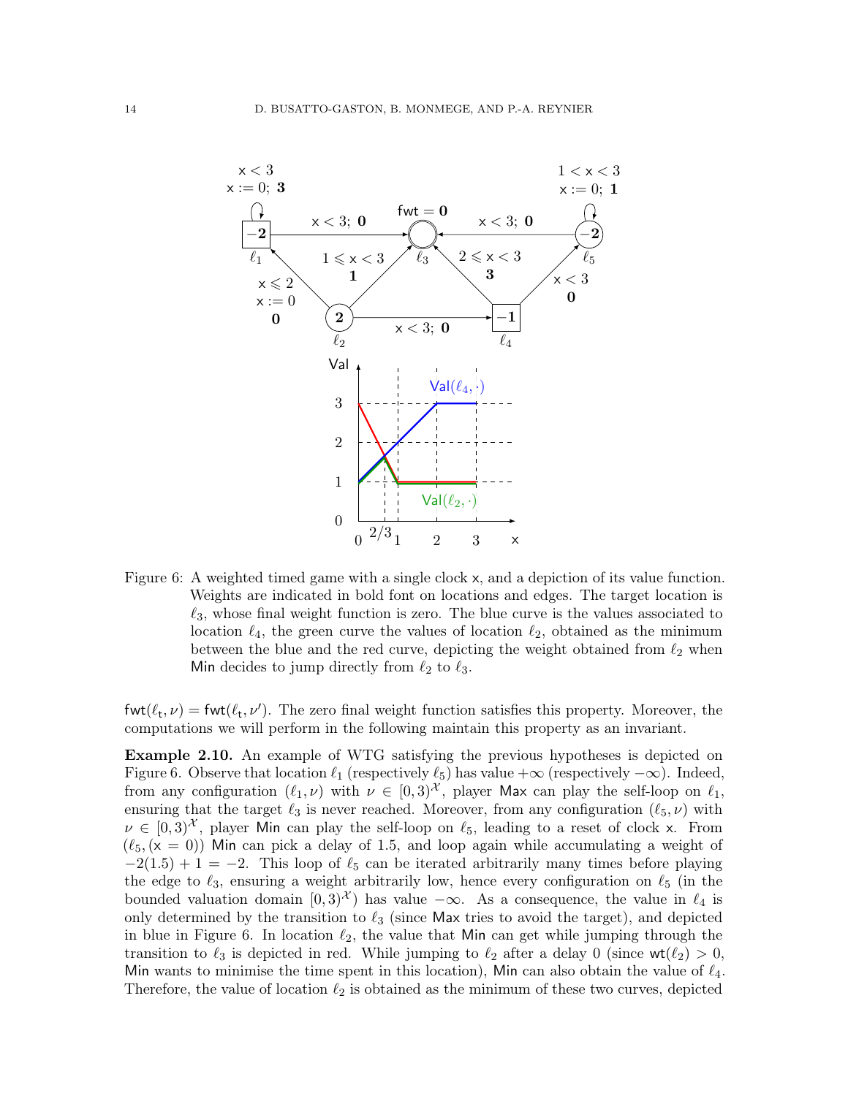

<span id="page-13-0"></span>Figure 6: A weighted timed game with a single clock x, and a depiction of its value function. Weights are indicated in bold font on locations and edges. The target location is  $\ell_3$ , whose final weight function is zero. The blue curve is the values associated to location  $\ell_4$ , the green curve the values of location  $\ell_2$ , obtained as the minimum between the blue and the red curve, depicting the weight obtained from  $\ell_2$  when Min decides to jump directly from  $\ell_2$  to  $\ell_3$ .

 $fwt(\ell_t, \nu) = fwt(\ell_t, \nu')$ . The zero final weight function satisfies this property. Moreover, the computations we will perform in the following maintain this property as an invariant.

Example 2.10. An example of WTG satisfying the previous hypotheses is depicted on Figure [6.](#page-13-0) Observe that location  $\ell_1$  (respectively  $\ell_5$ ) has value  $+\infty$  (respectively  $-\infty$ ). Indeed, from any configuration  $(\ell_1, \nu)$  with  $\nu \in [0, 3)^{\mathcal{X}}$ , player Max can play the self-loop on  $\ell_1$ , ensuring that the target  $\ell_3$  is never reached. Moreover, from any configuration  $(\ell_5, \nu)$  with  $\nu \in [0,3)^\mathcal{X}$ , player Min can play the self-loop on  $\ell_5$ , leading to a reset of clock x. From  $(\ell_5, (x = 0))$  Min can pick a delay of 1.5, and loop again while accumulating a weight of  $-2(1.5) + 1 = -2$ . This loop of  $\ell_5$  can be iterated arbitrarily many times before playing the edge to  $\ell_3$ , ensuring a weight arbitrarily low, hence every configuration on  $\ell_5$  (in the bounded valuation domain  $[0,3)^{\mathcal{X}}$  has value  $-\infty$ . As a consequence, the value in  $\ell_4$  is only determined by the transition to  $\ell_3$  (since Max tries to avoid the target), and depicted in blue in Figure [6.](#page-13-0) In location  $\ell_2$ , the value that Min can get while jumping through the transition to  $\ell_3$  is depicted in red. While jumping to  $\ell_2$  after a delay 0 (since  $\mathsf{wt}(\ell_2) > 0$ , Min wants to minimise the time spent in this location), Min can also obtain the value of  $\ell_4$ . Therefore, the value of location  $\ell_2$  is obtained as the minimum of these two curves, depicted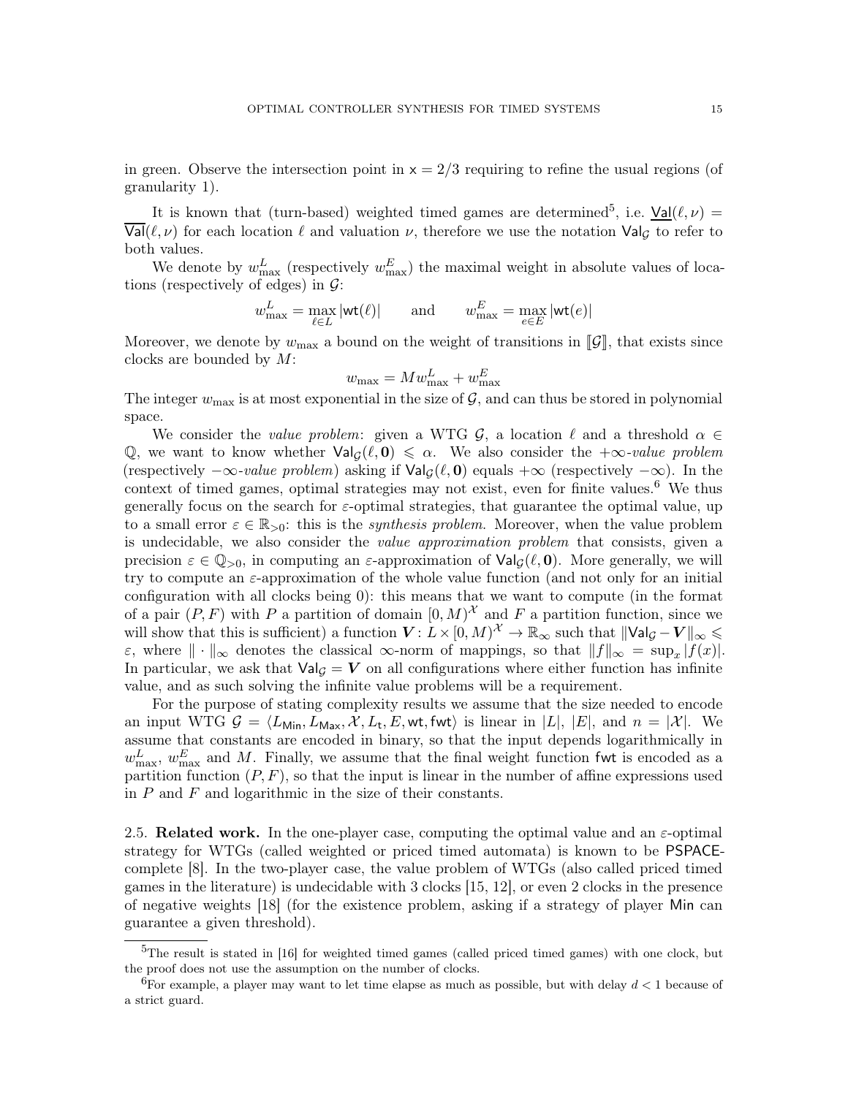in green. Observe the intersection point in  $x = 2/3$  requiring to refine the usual regions (of granularity 1).

It is known that (turn-based) weighted timed games are determined<sup>[5](#page-14-0)</sup>, i.e.  $\underline{Val}(\ell, \nu) =$  $\overline{\text{Val}}(\ell,\nu)$  for each location  $\ell$  and valuation  $\nu$ , therefore we use the notation  $\text{Val}_G$  to refer to both values.

We denote by  $w_{\text{max}}^L$  (respectively  $w_{\text{max}}^E$ ) the maximal weight in absolute values of locations (respectively of edges) in  $\mathcal{G}$ :

$$
w_{\text{max}}^L = \max_{\ell \in L} |\text{wt}(\ell)|
$$
 and  $w_{\text{max}}^E = \max_{e \in E} |\text{wt}(e)|$ 

Moreover, we denote by  $w_{\text{max}}$  a bound on the weight of transitions in  $\llbracket \mathcal{G} \rrbracket$ , that exists since clocks are bounded by M:

$$
w_{\text{max}} = M w_{\text{max}}^L + w_{\text{max}}^E
$$

The integer  $w_{\text{max}}$  is at most exponential in the size of  $\mathcal{G}$ , and can thus be stored in polynomial space.

We consider the value problem: given a WTG  $\mathcal{G}$ , a location  $\ell$  and a threshold  $\alpha \in$ Q, we want to know whether  $\text{Val}_{\mathcal{G}}(\ell,0) \leq \alpha$ . We also consider the  $+\infty$ -value problem (respectively  $-\infty$ -value problem) asking if  $\text{Val}_\mathcal{G}(\ell, \mathbf{0})$  equals  $+\infty$  (respectively  $-\infty$ ). In the context of timed games, optimal strategies may not exist, even for finite values.<sup>[6](#page-14-1)</sup> We thus generally focus on the search for  $\varepsilon$ -optimal strategies, that guarantee the optimal value, up to a small error  $\varepsilon \in \mathbb{R}_{>0}$ : this is the *synthesis problem*. Moreover, when the value problem is undecidable, we also consider the *value approximation problem* that consists, given a precision  $\varepsilon \in \mathbb{Q}_{>0}$ , in computing an  $\varepsilon$ -approximation of  $\text{Val}_{\mathcal{G}}(\ell, 0)$ . More generally, we will try to compute an ε-approximation of the whole value function (and not only for an initial configuration with all clocks being 0): this means that we want to compute (in the format of a pair  $(P, F)$  with P a partition of domain  $[0, M)^{\mathcal{X}}$  and F a partition function, since we will show that this is sufficient) a function  $V: L \times [0, M)^{\mathcal{X}} \to \mathbb{R}_{\infty}$  such that  $\|\mathsf{Val}_\mathcal{G} - V\|_\infty \leq$  $\varepsilon$ , where  $\|\cdot\|_{\infty}$  denotes the classical  $\infty$ -norm of mappings, so that  $||f||_{\infty} = \sup_x |f(x)|$ . In particular, we ask that  $\text{Val}_\mathcal{G} = \mathbf{V}$  on all configurations where either function has infinite value, and as such solving the infinite value problems will be a requirement.

For the purpose of stating complexity results we assume that the size needed to encode an input WTG  $G = \langle L_{\text{Min}}, L_{\text{Max}}, \mathcal{X}, L_{t}, E, \text{wt}, \text{fwt} \rangle$  is linear in  $|L|, |E|$ , and  $n = |\mathcal{X}|$ . We assume that constants are encoded in binary, so that the input depends logarithmically in  $w_{\text{max}}^L$ ,  $w_{\text{max}}^E$  and M. Finally, we assume that the final weight function fwt is encoded as a partition function  $(P, F)$ , so that the input is linear in the number of affine expressions used in  $P$  and  $F$  and logarithmic in the size of their constants.

2.5. Related work. In the one-player case, computing the optimal value and an  $\varepsilon$ -optimal strategy for WTGs (called weighted or priced timed automata) is known to be PSPACEcomplete [\[8\]](#page-71-3). In the two-player case, the value problem of WTGs (also called priced timed games in the literature) is undecidable with 3 clocks [\[15,](#page-71-4) [12\]](#page-71-5), or even 2 clocks in the presence of negative weights [\[18\]](#page-71-7) (for the existence problem, asking if a strategy of player Min can guarantee a given threshold).

<span id="page-14-0"></span><sup>5</sup>The result is stated in [\[16\]](#page-71-12) for weighted timed games (called priced timed games) with one clock, but the proof does not use the assumption on the number of clocks.

<span id="page-14-1"></span><sup>&</sup>lt;sup>6</sup>For example, a player may want to let time elapse as much as possible, but with delay  $d < 1$  because of a strict guard.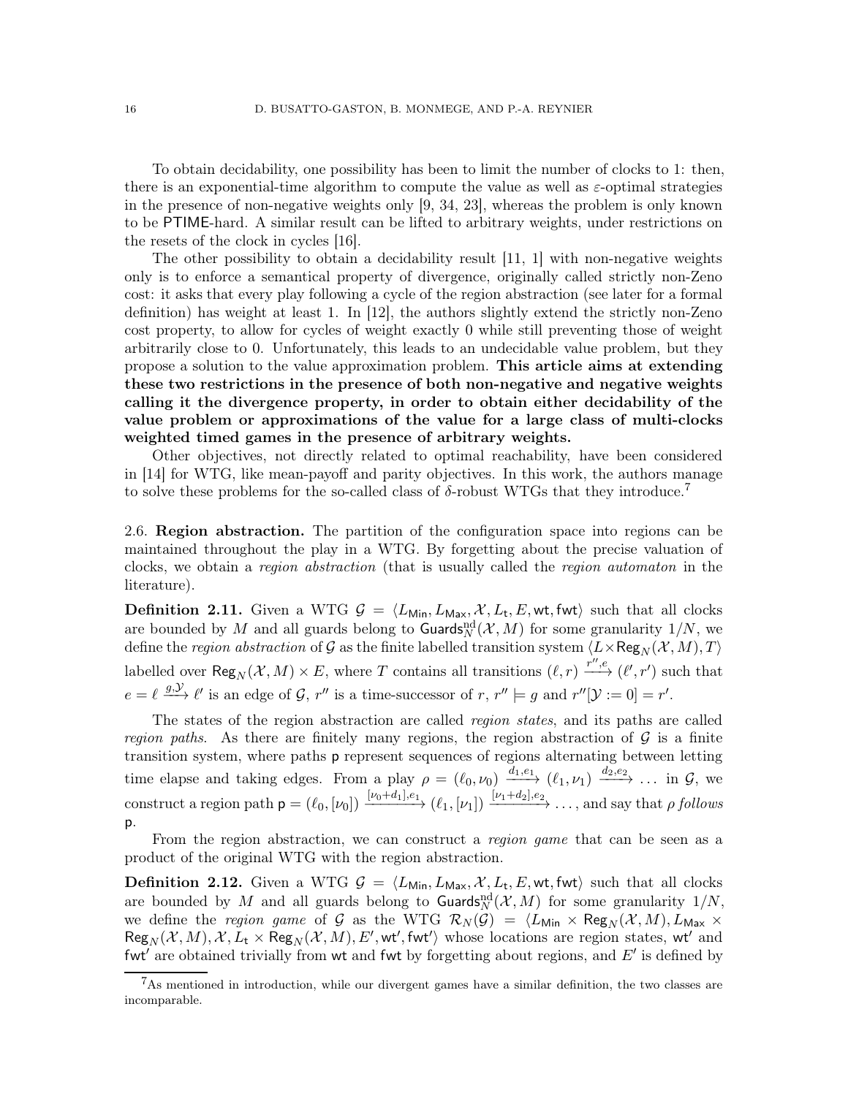To obtain decidability, one possibility has been to limit the number of clocks to 1: then, there is an exponential-time algorithm to compute the value as well as  $\varepsilon$ -optimal strategies in the presence of non-negative weights only [\[9,](#page-71-13) [34,](#page-72-5) [23\]](#page-72-6), whereas the problem is only known to be PTIME-hard. A similar result can be lifted to arbitrary weights, under restrictions on the resets of the clock in cycles [\[16\]](#page-71-12).

The other possibility to obtain a decidability result [\[11,](#page-71-1) [1\]](#page-70-3) with non-negative weights only is to enforce a semantical property of divergence, originally called strictly non-Zeno cost: it asks that every play following a cycle of the region abstraction (see later for a formal definition) has weight at least 1. In [\[12\]](#page-71-5), the authors slightly extend the strictly non-Zeno cost property, to allow for cycles of weight exactly 0 while still preventing those of weight arbitrarily close to 0. Unfortunately, this leads to an undecidable value problem, but they propose a solution to the value approximation problem. This article aims at extending these two restrictions in the presence of both non-negative and negative weights calling it the divergence property, in order to obtain either decidability of the value problem or approximations of the value for a large class of multi-clocks weighted timed games in the presence of arbitrary weights.

Other objectives, not directly related to optimal reachability, have been considered in [\[14\]](#page-71-6) for WTG, like mean-payoff and parity objectives. In this work, the authors manage to solve these problems for the so-called class of  $\delta$ -robust WTGs that they introduce.<sup>[7](#page-15-0)</sup>

2.6. Region abstraction. The partition of the configuration space into regions can be maintained throughout the play in a WTG. By forgetting about the precise valuation of clocks, we obtain a region abstraction (that is usually called the region automaton in the literature).

**Definition 2.11.** Given a WTG  $\mathcal{G} = \langle L_{\text{Min}}, L_{\text{Max}}, \mathcal{X}, L_{\text{t}}, E, \text{wt}, \text{fwt} \rangle$  such that all clocks are bounded by M and all guards belong to  $\text{Guards}_{N}^{\text{nd}}(\mathcal{X}, M)$  for some granularity  $1/N$ , we define the *region abstraction* of  $\mathcal G$  as the finite labelled transition system  $\langle L\times\mathsf{Reg}_N(\mathcal X, M), T\rangle$ labelled over  $\text{Reg}_N(\mathcal{X}, M) \times E$ , where T contains all transitions  $(\ell, r) \xrightarrow{r'', e} (\ell', r')$  such that  $e = \ell \stackrel{g,\mathcal{Y}}{\longrightarrow} \ell'$  is an edge of G, r'' is a time-successor of r, r''  $\models g$  and r''[ $\mathcal{Y} := 0$ ] = r'.

The states of the region abstraction are called region states, and its paths are called region paths. As there are finitely many regions, the region abstraction of  $\mathcal G$  is a finite transition system, where paths p represent sequences of regions alternating between letting time elapse and taking edges. From a play  $\rho = (\ell_0, \nu_0) \xrightarrow{d_1, e_1} (\ell_1, \nu_1) \xrightarrow{d_2, e_2} \dots$  in  $\mathcal{G}$ , we construct a region path  $\mathsf{p} = (\ell_0, [\nu_0]) \xrightarrow{[\nu_0+d_1], e_1} (\ell_1, [\nu_1]) \xrightarrow{[\nu_1+d_2], e_2} \ldots$ , and say that  $\rho$  follows p.

From the region abstraction, we can construct a *region game* that can be seen as a product of the original WTG with the region abstraction.

**Definition 2.12.** Given a WTG  $\mathcal{G} = \langle L_{\text{Min}}, L_{\text{Max}}, \mathcal{X}, L_{\text{t}}, E, \text{wt}, \text{fwt} \rangle$  such that all clocks are bounded by M and all guards belong to  $\text{Guards}_N^{\text{nd}}(\mathcal{X}, M)$  for some granularity  $1/N$ , we define the region game of G as the WTG  $\mathcal{R}_N (\mathcal{G}) = \langle L_{\text{Min}} \times \text{Reg}_N (\mathcal{X}, M), L_{\text{Max}} \times$  $\mathsf{Reg}_N(\mathcal{X},M),\mathcal{X},L_\mathsf{t}\times \mathsf{Reg}_N(\mathcal{X},M),E',\mathsf{wt}',\mathsf{fwt}'\rangle$  whose locations are region states,  $\mathsf{wt}'$  and fwt' are obtained trivially from wt and fwt by forgetting about regions, and  $E'$  is defined by

<span id="page-15-0"></span> $7$ As mentioned in introduction, while our divergent games have a similar definition, the two classes are incomparable.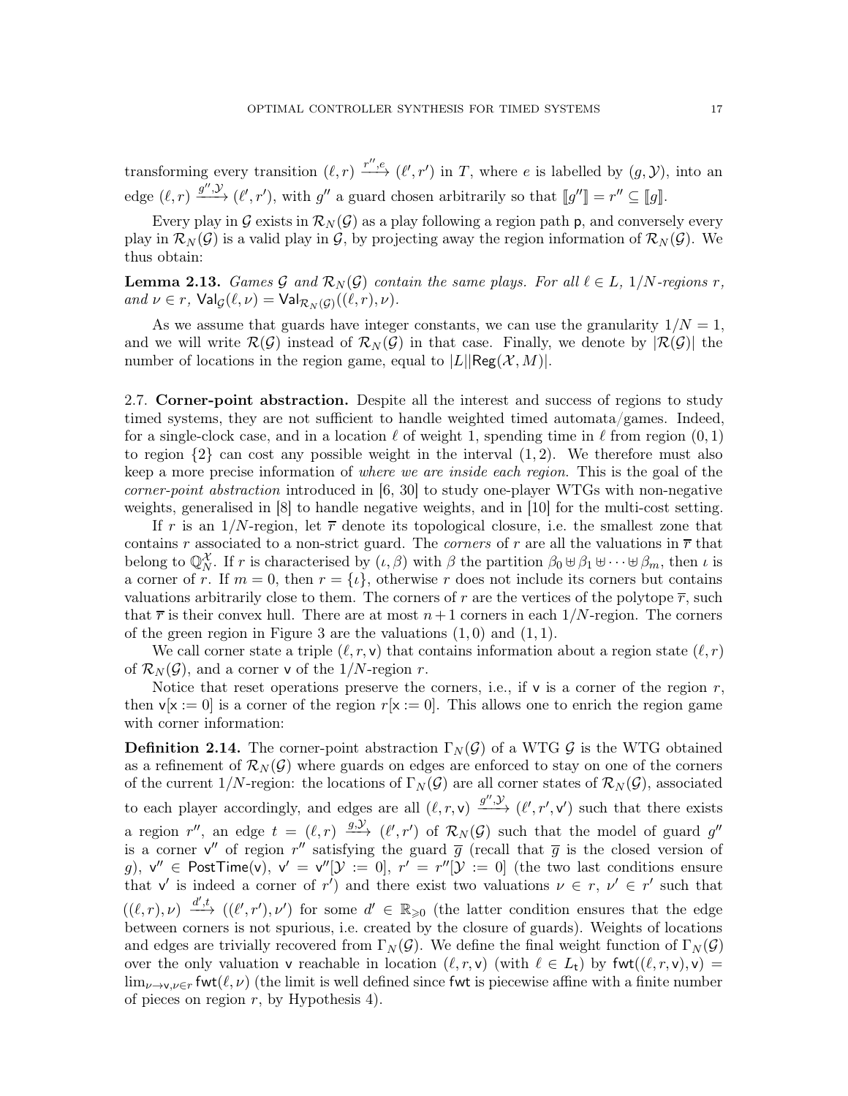transforming every transition  $(\ell, r) \xrightarrow{r'', e} (\ell', r')$  in T, where e is labelled by  $(g, \mathcal{Y})$ , into an edge  $(\ell, r) \xrightarrow{g'', \mathcal{Y}} (\ell', r')$ , with g'' a guard chosen arbitrarily so that  $[[g''] = r'' \subseteq [[g]]$ .

Every play in G exists in  $\mathcal{R}_N(\mathcal{G})$  as a play following a region path p, and conversely every play in  $\mathcal{R}_N(\mathcal{G})$  is a valid play in  $\mathcal{G}$ , by projecting away the region information of  $\mathcal{R}_N(\mathcal{G})$ . We thus obtain:

**Lemma 2.13.** Games G and  $\mathcal{R}_N(G)$  contain the same plays. For all  $\ell \in L$ , 1/N-regions r, and  $\nu \in r$ ,  $\mathsf{Val}_{\mathcal{G}}(\ell, \nu) = \mathsf{Val}_{\mathcal{R}_N(\mathcal{G})}((\ell, r), \nu)$ .

As we assume that guards have integer constants, we can use the granularity  $1/N = 1$ , and we will write  $\mathcal{R}(\mathcal{G})$  instead of  $\mathcal{R}_{N}(\mathcal{G})$  in that case. Finally, we denote by  $|\mathcal{R}(\mathcal{G})|$  the number of locations in the region game, equal to  $|L||\text{Reg}(\mathcal{X}, M)|$ .

2.7. Corner-point abstraction. Despite all the interest and success of regions to study timed systems, they are not sufficient to handle weighted timed automata/games. Indeed, for a single-clock case, and in a location  $\ell$  of weight 1, spending time in  $\ell$  from region  $(0,1)$ to region  $\{2\}$  can cost any possible weight in the interval  $(1, 2)$ . We therefore must also keep a more precise information of where we are inside each region. This is the goal of the corner-point abstraction introduced in [\[6,](#page-71-2) [30\]](#page-72-7) to study one-player WTGs with non-negative weights, generalised in [\[8\]](#page-71-3) to handle negative weights, and in [\[10\]](#page-71-14) for the multi-cost setting.

If r is an  $1/N$ -region, let  $\bar{r}$  denote its topological closure, i.e. the smallest zone that contains r associated to a non-strict guard. The *corners* of r are all the valuations in  $\overline{r}$  that belong to  $\mathbb{Q}_N^{\mathcal{X}}$ . If r is characterised by  $(\iota, \beta)$  with  $\beta$  the partition  $\beta_0 \cup \beta_1 \cup \cdots \cup \beta_m$ , then  $\iota$  is a corner of r. If  $m = 0$ , then  $r = \{i\}$ , otherwise r does not include its corners but contains valuations arbitrarily close to them. The corners of r are the vertices of the polytope  $\overline{r}$ , such that  $\bar{r}$  is their convex hull. There are at most  $n+1$  corners in each  $1/N$ -region. The corners of the green region in Figure [3](#page-7-0) are the valuations  $(1, 0)$  and  $(1, 1)$ .

We call corner state a triple  $(\ell, r, \mathsf{v})$  that contains information about a region state  $(\ell, r)$ of  $\mathcal{R}_N(\mathcal{G})$ , and a corner v of the 1/N-region r.

Notice that reset operations preserve the corners, i.e., if  $\mathbf{v}$  is a corner of the region r, then  $v[x := 0]$  is a corner of the region  $r[x := 0]$ . This allows one to enrich the region game with corner information:

**Definition 2.14.** The corner-point abstraction  $\Gamma_N(\mathcal{G})$  of a WTG  $\mathcal{G}$  is the WTG obtained as a refinement of  $\mathcal{R}_{N}(\mathcal{G})$  where guards on edges are enforced to stay on one of the corners of the current 1/N-region: the locations of  $\Gamma_N(\mathcal{G})$  are all corner states of  $\mathcal{R}_N(\mathcal{G})$ , associated to each player accordingly, and edges are all  $(\ell, r, v) \xrightarrow{g'', \mathcal{Y}} (\ell', r', v')$  such that there exists a region r'', an edge  $t = (\ell, r) \stackrel{g, y}{\longrightarrow} (\ell', r')$  of  $\mathcal{R}_N(\mathcal{G})$  such that the model of guard g'' is a corner  $v''$  of region  $r''$  satisfying the guard  $\overline{g}$  (recall that  $\overline{g}$  is the closed version of g),  $v'' \in PostTime(v)$ ,  $v' = v''[Y := 0]$ ,  $r' = r''[Y := 0]$  (the two last conditions ensure that v' is indeed a corner of r') and there exist two valuations  $\nu \in r$ ,  $\nu' \in r'$  such that  $((\ell,r),\nu) \stackrel{d',t}{\longrightarrow} ((\ell',r'),\nu')$  for some  $d' \in \mathbb{R}_{\geqslant 0}$  (the latter condition ensures that the edge between corners is not spurious, i.e. created by the closure of guards). Weights of locations and edges are trivially recovered from  $\Gamma_N(\mathcal{G})$ . We define the final weight function of  $\Gamma_N(\mathcal{G})$ over the only valuation v reachable in location  $(\ell, r, v)$  (with  $\ell \in L_t$ ) by fwt $((\ell, r, v), v)$  =  $\lim_{\nu\to\nu,\nu\in r}$  fwt $(\ell,\nu)$  (the limit is well defined since fwt is piecewise affine with a finite number of pieces on region  $r$ , by Hypothesis [4\)](#page-12-1).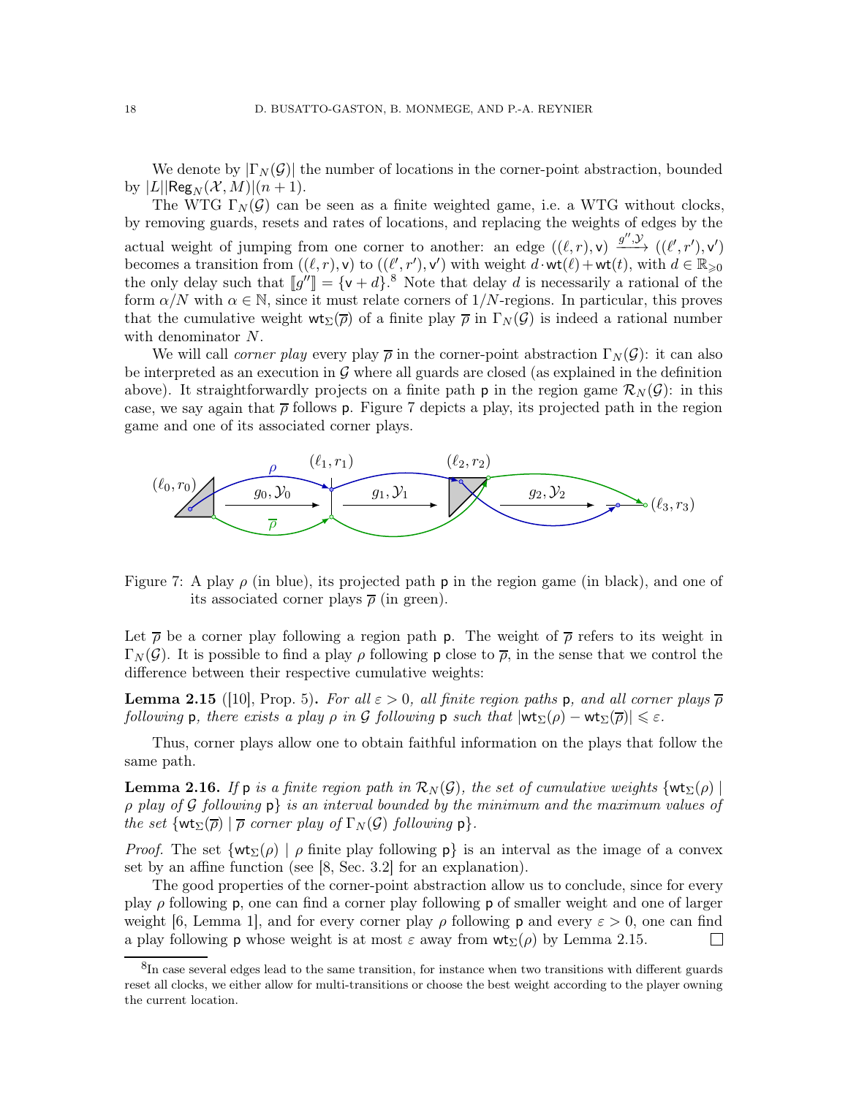We denote by  $|\Gamma_N(\mathcal{G})|$  the number of locations in the corner-point abstraction, bounded by  $|L| \text{Reg}_N(\mathcal{X}, M) | (n + 1)$ .

The WTG  $\Gamma_N(\mathcal{G})$  can be seen as a finite weighted game, i.e. a WTG without clocks, by removing guards, resets and rates of locations, and replacing the weights of edges by the actual weight of jumping from one corner to another: an edge  $((\ell, r), \mathsf{v}) \xrightarrow{g'', \mathcal{Y}} ((\ell', r'), \mathsf{v}')$ becomes a transition from  $((\ell, r), \mathsf{v})$  to  $((\ell', r'), \mathsf{v}')$  with weight  $d \cdot \mathsf{wt}(\ell) + \mathsf{wt}(t)$ , with  $d \in \mathbb{R}_{\geqslant 0}$ the only delay such that  $[[g'']]=\{v+d\}^8$  $[[g'']]=\{v+d\}^8$ . Note that delay d is necessarily a rational of the form  $\alpha/N$  with  $\alpha \in \mathbb{N}$ , since it must relate corners of 1/N-regions. In particular, this proves that the cumulative weight  $\mathsf{wt}_{\Sigma}(\overline{\rho})$  of a finite play  $\overline{\rho}$  in  $\Gamma_N(\mathcal{G})$  is indeed a rational number with denominator N.

We will call *corner play* every play  $\bar{\rho}$  in the corner-point abstraction  $\Gamma_N(\mathcal{G})$ : it can also be interpreted as an execution in  $\mathcal G$  where all guards are closed (as explained in the definition above). It straightforwardly projects on a finite path **p** in the region game  $\mathcal{R}_N(\mathcal{G})$ : in this case, we say again that  $\bar{\rho}$  follows p. Figure [7](#page-17-1) depicts a play, its projected path in the region game and one of its associated corner plays.



<span id="page-17-1"></span>Figure 7: A play  $\rho$  (in blue), its projected path **p** in the region game (in black), and one of its associated corner plays  $\bar{\rho}$  (in green).

Let  $\bar{\rho}$  be a corner play following a region path p. The weight of  $\bar{\rho}$  refers to its weight in  $\Gamma_N(\mathcal{G})$ . It is possible to find a play  $\rho$  following p close to  $\overline{\rho}$ , in the sense that we control the difference between their respective cumulative weights:

<span id="page-17-2"></span>**Lemma 2.15** ([\[10\]](#page-71-14), Prop. 5). For all  $\varepsilon > 0$ , all finite region paths p, and all corner plays  $\overline{\rho}$ following p, there exists a play  $\rho$  in  $\mathcal G$  following p such that  $|\textsf{wt}_{\Sigma}(\rho) - \textsf{wt}_{\Sigma}(\overline{\rho})| \leqslant \varepsilon$ .

Thus, corner plays allow one to obtain faithful information on the plays that follow the same path.

<span id="page-17-3"></span>**Lemma 2.16.** If p is a finite region path in  $\mathcal{R}_N(\mathcal{G})$ , the set of cumulative weights {wt<sub>∑</sub>( $\rho$ ) |  $\rho$  play of G following  $\rho$  is an interval bounded by the minimum and the maximum values of the set  $\{wt_{\Sigma}(\overline{\rho}) \mid \overline{\rho} \text{ corner play of } \Gamma_N(\mathcal{G}) \text{ following } \mathsf{p} \}.$ 

*Proof.* The set  $\{wt_{\Sigma}(\rho) \mid \rho \text{ finite play following } p\}$  is an interval as the image of a convex set by an affine function (see [\[8,](#page-71-3) Sec. 3.2] for an explanation).

The good properties of the corner-point abstraction allow us to conclude, since for every play  $\rho$  following **p**, one can find a corner play following **p** of smaller weight and one of larger weight [\[6,](#page-71-2) Lemma 1], and for every corner play  $\rho$  following p and every  $\varepsilon > 0$ , one can find a play following **p** whose weight is at most  $\varepsilon$  away from  $\mathsf{wt}_{\Sigma}(\rho)$  by Lemma [2.15.](#page-17-2)  $\Box$ 

<span id="page-17-0"></span> ${}^{8}$ In case several edges lead to the same transition, for instance when two transitions with different guards reset all clocks, we either allow for multi-transitions or choose the best weight according to the player owning the current location.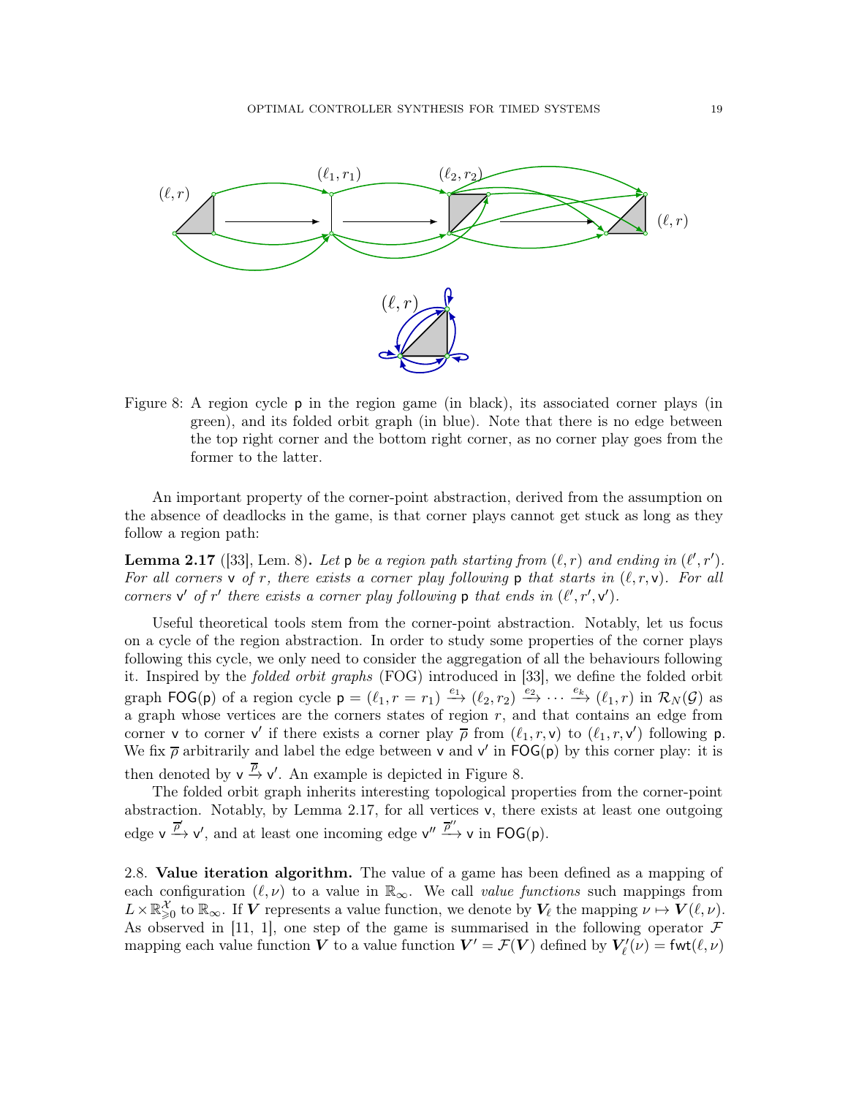

<span id="page-18-0"></span>Figure 8: A region cycle p in the region game (in black), its associated corner plays (in green), and its folded orbit graph (in blue). Note that there is no edge between the top right corner and the bottom right corner, as no corner play goes from the former to the latter.

An important property of the corner-point abstraction, derived from the assumption on the absence of deadlocks in the game, is that corner plays cannot get stuck as long as they follow a region path:

<span id="page-18-1"></span>**Lemma 2.17** ([\[33\]](#page-72-8), Lem. 8). Let p be a region path starting from  $(\ell, r)$  and ending in  $(\ell', r')$ . For all corners v of r, there exists a corner play following p that starts in  $(\ell, r, v)$ . For all corners  $v'$  of  $r'$  there exists a corner play following  $p$  that ends in  $(\ell', r', v')$ .

Useful theoretical tools stem from the corner-point abstraction. Notably, let us focus on a cycle of the region abstraction. In order to study some properties of the corner plays following this cycle, we only need to consider the aggregation of all the behaviours following it. Inspired by the folded orbit graphs (FOG) introduced in [\[33\]](#page-72-8), we define the folded orbit graph  $\textsf{FOG(p)}$  of a region cycle  $\mathsf{p} = (\ell_1, r = r_1) \xrightarrow{e_1} (\ell_2, r_2) \xrightarrow{e_2} \cdots \xrightarrow{e_k} (\ell_1, r)$  in  $\mathcal{R}_N(\mathcal{G})$  as a graph whose vertices are the corners states of region  $r$ , and that contains an edge from corner **v** to corner **v'** if there exists a corner play  $\overline{\rho}$  from  $(\ell_1, r, \mathbf{v})$  to  $(\ell_1, r, \mathbf{v}')$  following **p**. We fix  $\bar{\rho}$  arbitrarily and label the edge between v and v' in FOG(p) by this corner play: it is then denoted by  $v \stackrel{\overline{\rho}}{\rightarrow} v'$ . An example is depicted in Figure [8.](#page-18-0)

The folded orbit graph inherits interesting topological properties from the corner-point abstraction. Notably, by Lemma [2.17,](#page-18-1) for all vertices v, there exists at least one outgoing edge  $v \xrightarrow{\overrightarrow{p}} v'$ , and at least one incoming edge  $v'' \xrightarrow{\overrightarrow{p}'} v$  in  $\text{FOG}(p)$ .

<span id="page-18-2"></span>2.8. Value iteration algorithm. The value of a game has been defined as a mapping of each configuration  $(\ell, \nu)$  to a value in  $\mathbb{R}_{\infty}$ . We call value functions such mappings from  $L \times \mathbb{R}^{\mathcal{X}}_{\geqslant 0}$  to  $\mathbb{R}_{\infty}$ . If  $V$  represents a value function, we denote by  $V_{\ell}$  the mapping  $\nu \mapsto V(\ell, \nu)$ . As observed in [\[11,](#page-71-1) [1\]](#page-70-3), one step of the game is summarised in the following operator  $\mathcal F$ mapping each value function  $V$  to a value function  $V' = \mathcal{F}(V)$  defined by  $V'_{\ell}(\nu) = \text{fwt}(\ell, \nu)$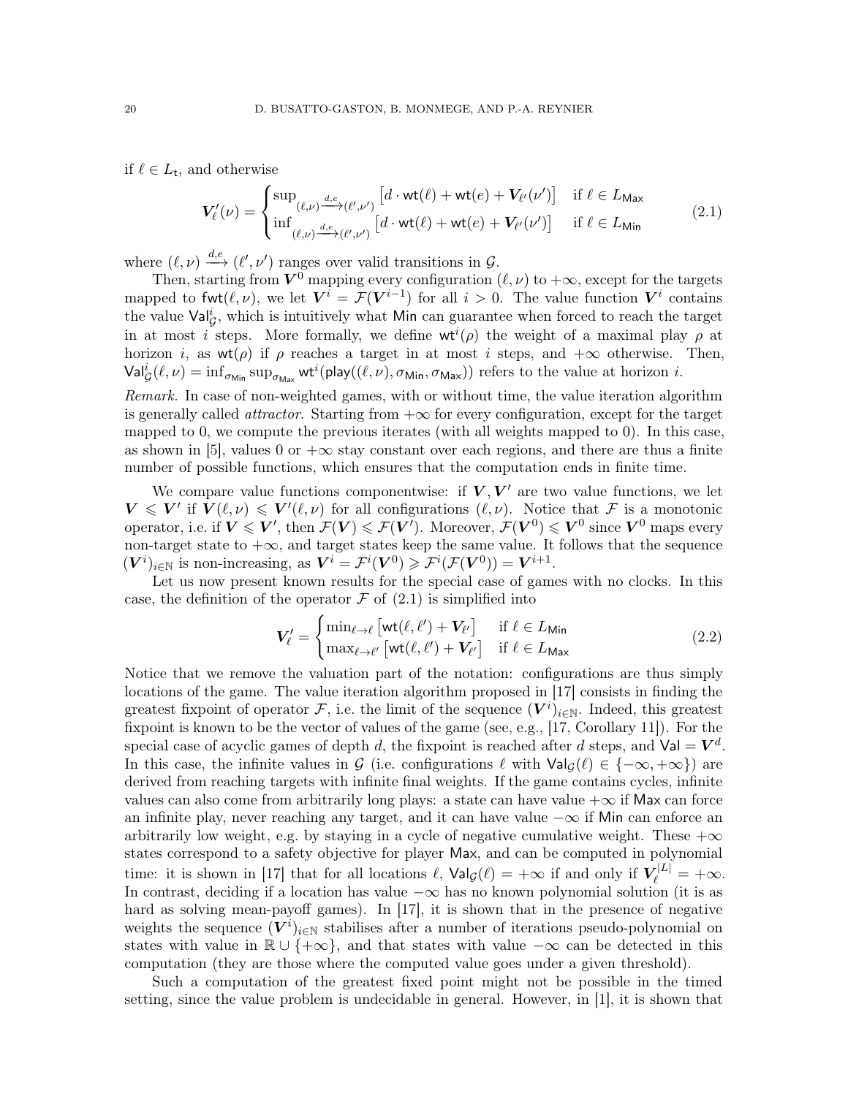if  $\ell \in L_{\mathsf{t}}$ , and otherwise

<span id="page-19-0"></span>
$$
\mathbf{V}_{\ell}'(\nu) = \begin{cases} \sup_{(\ell,\nu) \xrightarrow{d,e} (\ell',\nu')} \left[ d \cdot \text{wt}(\ell) + \text{wt}(e) + V_{\ell'}(\nu') \right] & \text{if } \ell \in L_{\text{Max}} \\ \inf_{(\ell,\nu) \xrightarrow{d,e} (\ell',\nu')} \left[ d \cdot \text{wt}(\ell) + \text{wt}(e) + V_{\ell'}(\nu') \right] & \text{if } \ell \in L_{\text{Min}} \end{cases} \tag{2.1}
$$

where  $(\ell, \nu) \stackrel{d,e}{\longrightarrow} (\ell', \nu')$  ranges over valid transitions in  $\mathcal{G}$ .

Then, starting from  $V^0$  mapping every configuration  $(\ell, \nu)$  to  $+\infty$ , except for the targets mapped to fwt $(\ell, \nu)$ , we let  $V^i = \mathcal{F}(V^{i-1})$  for all  $i > 0$ . The value function  $V^i$  contains the value  $\textsf{Val}_{\mathcal{G}}^i$ , which is intuitively what Min can guarantee when forced to reach the target in at most *i* steps. More formally, we define  $wt^{i}(\rho)$  the weight of a maximal play  $\rho$  at horizon *i*, as wt( $\rho$ ) if  $\rho$  reaches a target in at most *i* steps, and  $+\infty$  otherwise. Then,  $\mathsf{Val}^i_{\mathcal{G}}(\ell,\nu) = \inf_{\sigma_{\mathsf{Min}}} \sup_{\sigma_{\mathsf{Max}}} \mathsf{wt}^i(\mathsf{play}((\ell,\nu),\sigma_{\mathsf{Min}},\sigma_{\mathsf{Max}})) \text{ refers to the value at horizon } i.$ 

Remark. In case of non-weighted games, with or without time, the value iteration algorithm is generally called *attractor*. Starting from  $+\infty$  for every configuration, except for the target mapped to 0, we compute the previous iterates (with all weights mapped to 0). In this case, as shown in [\[5\]](#page-71-15), values 0 or  $+\infty$  stay constant over each regions, and there are thus a finite number of possible functions, which ensures that the computation ends in finite time.

We compare value functions componentwise: if  $V, V'$  are two value functions, we let  $V \leq V'$  if  $V(\ell, \nu) \leq V'(\ell, \nu)$  for all configurations  $(\ell, \nu)$ . Notice that F is a monotonic operator, i.e. if  $V \leqslant V'$ , then  $\mathcal{F}(V) \leqslant \mathcal{F}(V')$ . Moreover,  $\mathcal{F}(V^0) \leqslant V^0$  since  $V^0$  maps every non-target state to  $+\infty$ , and target states keep the same value. It follows that the sequence  $(\mathbf{V}^i)_{i \in \mathbb{N}}$  is non-increasing, as  $\mathbf{V}^i = \mathcal{F}^i(\mathbf{V}^0) \geqslant \mathcal{F}^i(\mathcal{F}(\mathbf{V}^0)) = \mathbf{V}^{i+1}$ .

Let us now present known results for the special case of games with no clocks. In this case, the definition of the operator  $\mathcal F$  of  $(2.1)$  is simplified into

$$
\mathbf{V}_{\ell}^{\prime} = \begin{cases} \min_{\ell \to \ell} \left[ \text{wt}(\ell, \ell^{\prime}) + \mathbf{V}_{\ell^{\prime}} \right] & \text{if } \ell \in L_{\text{Min}} \\ \max_{\ell \to \ell^{\prime}} \left[ \text{wt}(\ell, \ell^{\prime}) + \mathbf{V}_{\ell^{\prime}} \right] & \text{if } \ell \in L_{\text{Max}} \end{cases} \tag{2.2}
$$

Notice that we remove the valuation part of the notation: configurations are thus simply locations of the game. The value iteration algorithm proposed in [\[17\]](#page-71-8) consists in finding the greatest fixpoint of operator  $\mathcal{F}$ , i.e. the limit of the sequence  $(V^i)_{i\in\mathbb{N}}$ . Indeed, this greatest fixpoint is known to be the vector of values of the game (see, e.g., [\[17,](#page-71-8) Corollary 11]). For the special case of acyclic games of depth d, the fixpoint is reached after d steps, and  $Val = V^d$ . In this case, the infinite values in G (i.e. configurations  $\ell$  with  $\textsf{Val}_\mathcal{G}(\ell) \in \{-\infty, +\infty\}$ ) are derived from reaching targets with infinite final weights. If the game contains cycles, infinite values can also come from arbitrarily long plays: a state can have value  $+\infty$  if Max can force an infinite play, never reaching any target, and it can have value −∞ if Min can enforce an arbitrarily low weight, e.g. by staying in a cycle of negative cumulative weight. These  $+\infty$ states correspond to a safety objective for player Max, and can be computed in polynomial time: it is shown in [\[17\]](#page-71-8) that for all locations  $\ell$ ,  $\mathsf{Val}_{\mathcal{G}}(\ell) = +\infty$  if and only if  $V_{\ell}^{|L|} = +\infty$ . In contrast, deciding if a location has value  $-\infty$  has no known polynomial solution (it is as hard as solving mean-payoff games). In [\[17\]](#page-71-8), it is shown that in the presence of negative weights the sequence  $(\overline{V}^i)_{i\in\mathbb{N}}$  stabilises after a number of iterations pseudo-polynomial on states with value in  $\mathbb{R} \cup \{\pm \infty\}$ , and that states with value  $-\infty$  can be detected in this computation (they are those where the computed value goes under a given threshold).

Such a computation of the greatest fixed point might not be possible in the timed setting, since the value problem is undecidable in general. However, in [\[1\]](#page-70-3), it is shown that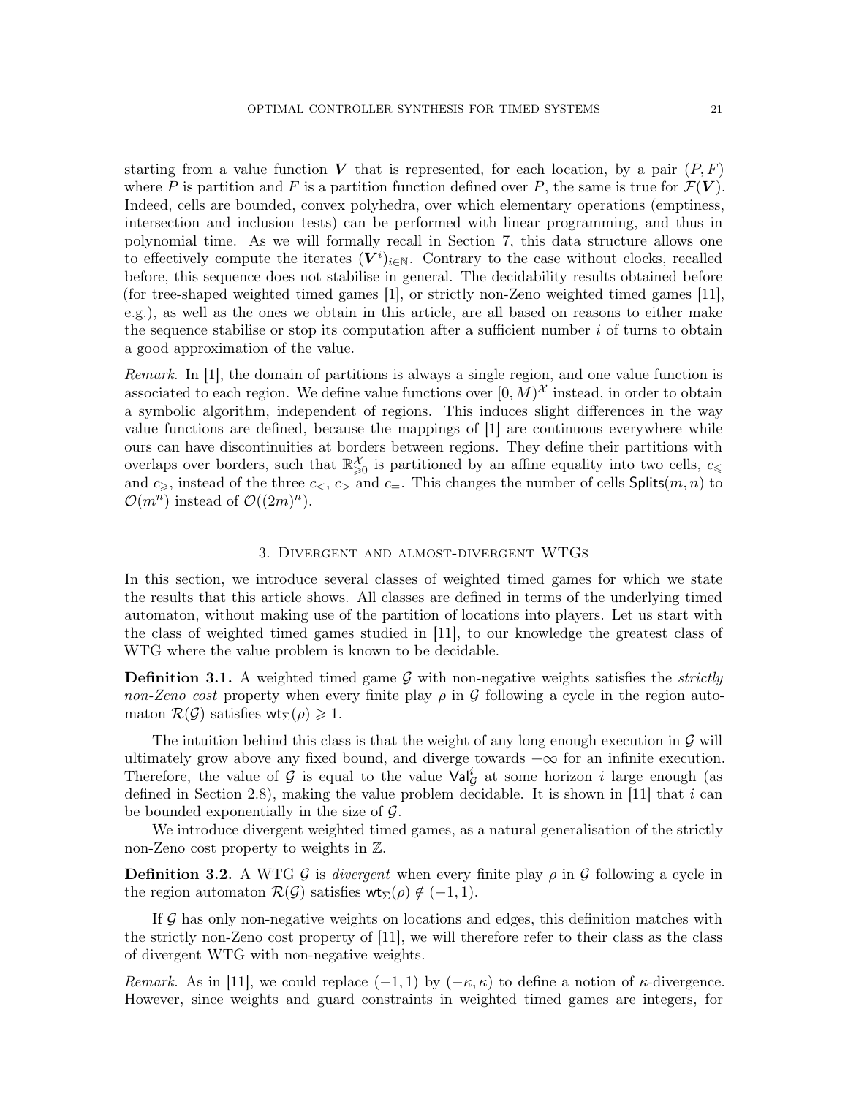starting from a value function V that is represented, for each location, by a pair  $(P, F)$ where P is partition and F is a partition function defined over P, the same is true for  $\mathcal{F}(V)$ . Indeed, cells are bounded, convex polyhedra, over which elementary operations (emptiness, intersection and inclusion tests) can be performed with linear programming, and thus in polynomial time. As we will formally recall in Section [7,](#page-40-0) this data structure allows one to effectively compute the iterates  $(V^i)_{i\in\mathbb{N}}$ . Contrary to the case without clocks, recalled before, this sequence does not stabilise in general. The decidability results obtained before (for tree-shaped weighted timed games [\[1\]](#page-70-3), or strictly non-Zeno weighted timed games [\[11\]](#page-71-1), e.g.), as well as the ones we obtain in this article, are all based on reasons to either make the sequence stabilise or stop its computation after a sufficient number  $i$  of turns to obtain a good approximation of the value.

Remark. In [\[1\]](#page-70-3), the domain of partitions is always a single region, and one value function is associated to each region. We define value functions over  $[0, M)^{\mathcal{X}}$  instead, in order to obtain a symbolic algorithm, independent of regions. This induces slight differences in the way value functions are defined, because the mappings of [\[1\]](#page-70-3) are continuous everywhere while ours can have discontinuities at borders between regions. They define their partitions with overlaps over borders, such that  $\mathbb{R}^{\mathcal{X}}_{\geqslant 0}$  is partitioned by an affine equality into two cells,  $c_{\leqslant}$ and  $c_>,$  instead of the three  $c_>, c_>$  and  $c_-.$  This changes the number of cells Splits $(m, n)$  to  $\mathcal{O}(m^n)$  instead of  $\mathcal{O}((2m)^n)$ .

### 3. Divergent and almost-divergent WTGs

<span id="page-20-0"></span>In this section, we introduce several classes of weighted timed games for which we state the results that this article shows. All classes are defined in terms of the underlying timed automaton, without making use of the partition of locations into players. Let us start with the class of weighted timed games studied in [\[11\]](#page-71-1), to our knowledge the greatest class of WTG where the value problem is known to be decidable.

**Definition 3.1.** A weighted timed game  $\mathcal{G}$  with non-negative weights satisfies the *strictly* non-Zeno cost property when every finite play  $\rho$  in G following a cycle in the region automaton  $\mathcal{R}(\mathcal{G})$  satisfies wt<sub> $\Sigma(\rho) \geq 1$ .</sub>

The intuition behind this class is that the weight of any long enough execution in  $\mathcal G$  will ultimately grow above any fixed bound, and diverge towards  $+\infty$  for an infinite execution. Therefore, the value of G is equal to the value  $\text{Val}_{\mathcal{G}}^i$  at some horizon i large enough (as defined in Section [2.8\)](#page-18-2), making the value problem decidable. It is shown in [\[11\]](#page-71-1) that i can be bounded exponentially in the size of  $\mathcal{G}$ .

We introduce divergent weighted timed games, as a natural generalisation of the strictly non-Zeno cost property to weights in Z.

**Definition 3.2.** A WTG G is divergent when every finite play  $\rho$  in G following a cycle in the region automaton  $\mathcal{R}(\mathcal{G})$  satisfies wt<sub> $\Sigma(\rho) \notin (-1, 1)$ .</sub>

If  $\mathcal G$  has only non-negative weights on locations and edges, this definition matches with the strictly non-Zeno cost property of [\[11\]](#page-71-1), we will therefore refer to their class as the class of divergent WTG with non-negative weights.

Remark. As in [\[11\]](#page-71-1), we could replace  $(-1, 1)$  by  $(-\kappa, \kappa)$  to define a notion of  $\kappa$ -divergence. However, since weights and guard constraints in weighted timed games are integers, for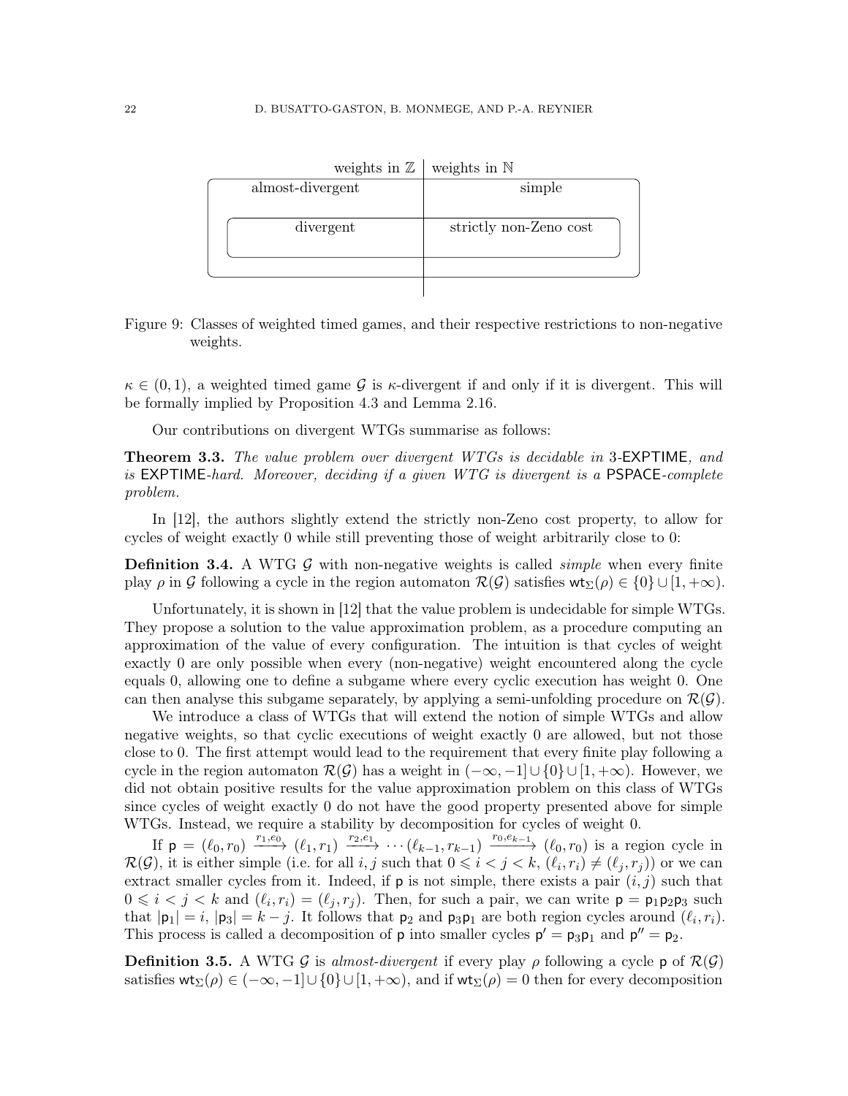| almost-divergent | simple                 |  |
|------------------|------------------------|--|
| divergent        | strictly non-Zeno cost |  |
|                  |                        |  |
|                  |                        |  |

weights in  $\mathbb Z$  weights in  $\mathbb N$ 

<span id="page-21-1"></span>Figure 9: Classes of weighted timed games, and their respective restrictions to non-negative weights.

 $\kappa \in (0, 1)$ , a weighted timed game G is  $\kappa$ -divergent if and only if it is divergent. This will be formally implied by Proposition [4.3](#page-27-0) and Lemma [2.16.](#page-17-3)

Our contributions on divergent WTGs summarise as follows:

<span id="page-21-0"></span>**Theorem 3.3.** The value problem over divergent WTGs is decidable in 3-EXPTIME, and is EXPTIME-hard. Moreover, deciding if a given WTG is divergent is a PSPACE-complete problem.

In [\[12\]](#page-71-5), the authors slightly extend the strictly non-Zeno cost property, to allow for cycles of weight exactly 0 while still preventing those of weight arbitrarily close to 0:

**Definition 3.4.** A WTG  $\mathcal{G}$  with non-negative weights is called *simple* when every finite play  $\rho$  in G following a cycle in the region automaton  $\mathcal{R}(\mathcal{G})$  satisfies  $\mathsf{wt}_{\Sigma}(\rho) \in \{0\} \cup [1, +\infty)$ .

Unfortunately, it is shown in [\[12\]](#page-71-5) that the value problem is undecidable for simple WTGs. They propose a solution to the value approximation problem, as a procedure computing an approximation of the value of every configuration. The intuition is that cycles of weight exactly 0 are only possible when every (non-negative) weight encountered along the cycle equals 0, allowing one to define a subgame where every cyclic execution has weight 0. One can then analyse this subgame separately, by applying a semi-unfolding procedure on  $\mathcal{R}(\mathcal{G})$ .

We introduce a class of WTGs that will extend the notion of simple WTGs and allow negative weights, so that cyclic executions of weight exactly 0 are allowed, but not those close to 0. The first attempt would lead to the requirement that every finite play following a cycle in the region automaton  $\mathcal{R}(\mathcal{G})$  has a weight in  $(-\infty, -1] \cup \{0\} \cup [1, +\infty)$ . However, we did not obtain positive results for the value approximation problem on this class of WTGs since cycles of weight exactly 0 do not have the good property presented above for simple WTGs. Instead, we require a stability by decomposition for cycles of weight 0.

If  $p = (\ell_0, r_0) \xrightarrow{r_1, e_0} (\ell_1, r_1) \xrightarrow{r_2, e_1} \cdots (\ell_{k-1}, r_{k-1}) \xrightarrow{r_0, e_{k-1}} (\ell_0, r_0)$  is a region cycle in  $\mathcal{R}(\mathcal{G})$ , it is either simple (i.e. for all  $i, j$  such that  $0 \leq i < j < k$ ,  $(\ell_i, r_i) \neq (\ell_j, r_j)$ ) or we can extract smaller cycles from it. Indeed, if  $p$  is not simple, there exists a pair  $(i, j)$  such that  $0 \leq i \leq j \leq k$  and  $(\ell_i, r_i) = (\ell_j, r_j)$ . Then, for such a pair, we can write  $p = p_1 p_2 p_3$  such that  $|\mathbf{p}_1| = i$ ,  $|\mathbf{p}_3| = k - j$ . It follows that  $\mathbf{p}_2$  and  $\mathbf{p}_3\mathbf{p}_1$  are both region cycles around  $(\ell_i, r_i)$ . This process is called a decomposition of  $p$  into smaller cycles  $p' = p_3p_1$  and  $p'' = p_2$ .

<span id="page-21-2"></span>**Definition 3.5.** A WTG G is almost-divergent if every play  $\rho$  following a cycle p of  $\mathcal{R}(\mathcal{G})$ satisfies  $\mathsf{wt}_{\Sigma}(\rho) \in (-\infty, -1] \cup \{0\} \cup [1, +\infty)$ , and if  $\mathsf{wt}_{\Sigma}(\rho) = 0$  then for every decomposition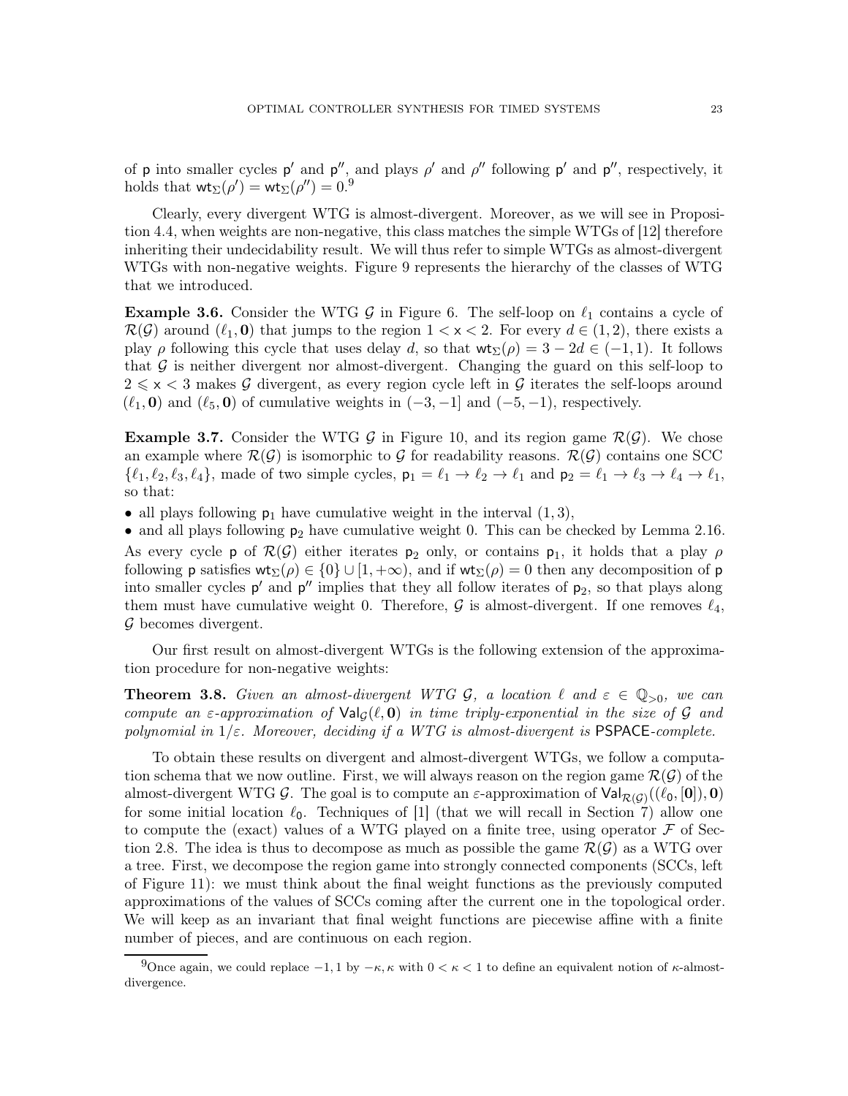of p into smaller cycles p' and  $p''$ , and plays  $\rho'$  and  $\rho''$  following p' and  $p''$ , respectively, it holds that  $\mathsf{wt}_{\Sigma}(\rho') = \mathsf{wt}_{\Sigma}(\rho'') = 0.9$  $\mathsf{wt}_{\Sigma}(\rho') = \mathsf{wt}_{\Sigma}(\rho'') = 0.9$ 

Clearly, every divergent WTG is almost-divergent. Moreover, as we will see in Proposition [4.4,](#page-27-1) when weights are non-negative, this class matches the simple WTGs of [\[12\]](#page-71-5) therefore inheriting their undecidability result. We will thus refer to simple WTGs as almost-divergent WTGs with non-negative weights. Figure [9](#page-21-1) represents the hierarchy of the classes of WTG that we introduced.

**Example 3.6.** Consider the WTG G in Figure [6.](#page-13-0) The self-loop on  $\ell_1$  contains a cycle of  $\mathcal{R}(\mathcal{G})$  around  $(\ell_1, \mathbf{0})$  that jumps to the region  $1 < x < 2$ . For every  $d \in (1, 2)$ , there exists a play  $\rho$  following this cycle that uses delay d, so that  $\mathsf{wt}_\Sigma(\rho) = 3 - 2d \in (-1,1)$ . It follows that  $\mathcal G$  is neither divergent nor almost-divergent. Changing the guard on this self-loop to  $2 \leq x < 3$  makes G divergent, as every region cycle left in G iterates the self-loops around  $(\ell_1, 0)$  and  $(\ell_5, 0)$  of cumulative weights in  $(-3, -1]$  and  $(-5, -1)$ , respectively.

**Example 3.7.** Consider the WTG G in Figure [10,](#page-23-0) and its region game  $\mathcal{R}(\mathcal{G})$ . We chose an example where  $\mathcal{R}(\mathcal{G})$  is isomorphic to  $\mathcal G$  for readability reasons.  $\mathcal{R}(\mathcal{G})$  contains one SCC  $\{\ell_1, \ell_2, \ell_3, \ell_4\}$ , made of two simple cycles,  $p_1 = \ell_1 \rightarrow \ell_2 \rightarrow \ell_1$  and  $p_2 = \ell_1 \rightarrow \ell_3 \rightarrow \ell_4 \rightarrow \ell_1$ , so that:

• all plays following  $p_1$  have cumulative weight in the interval  $(1, 3)$ ,

• and all plays following  $p_2$  have cumulative weight 0. This can be checked by Lemma [2.16.](#page-17-3) As every cycle p of  $\mathcal{R}(\mathcal{G})$  either iterates  $p_2$  only, or contains  $p_1$ , it holds that a play  $\rho$ following **p** satisfies  $wt_{\Sigma}(\rho) \in \{0\} \cup [1, +\infty)$ , and if  $wt_{\Sigma}(\rho) = 0$  then any decomposition of **p** into smaller cycles  $p'$  and  $p''$  implies that they all follow iterates of  $p_2$ , so that plays along them must have cumulative weight 0. Therefore,  $\mathcal G$  is almost-divergent. If one removes  $\ell_4$ ,  $\mathcal G$  becomes divergent.

Our first result on almost-divergent WTGs is the following extension of the approximation procedure for non-negative weights:

<span id="page-22-0"></span>**Theorem 3.8.** Given an almost-divergent WTG  $\mathcal{G}$ , a location  $\ell$  and  $\varepsilon \in \mathbb{Q}_{>0}$ , we can compute an  $\varepsilon$ -approximation of  $\text{Val}_\mathcal{G}(\ell, \mathbf{0})$  in time triply-exponential in the size of G and polynomial in  $1/\varepsilon$ . Moreover, deciding if a WTG is almost-divergent is PSPACE-complete.

To obtain these results on divergent and almost-divergent WTGs, we follow a computation schema that we now outline. First, we will always reason on the region game  $\mathcal{R}(\mathcal{G})$  of the almost-divergent WTG G. The goal is to compute an  $\varepsilon$ -approximation of  $\text{Val}_{\mathcal{R}(\mathcal{G})}((\ell_0, [\mathbf{0}]), \mathbf{0})$ for some initial location  $\ell_0$ . Techniques of [\[1\]](#page-70-3) (that we will recall in Section [7\)](#page-40-0) allow one to compute the (exact) values of a WTG played on a finite tree, using operator  $\mathcal F$  of Sec-tion [2.8.](#page-18-2) The idea is thus to decompose as much as possible the game  $\mathcal{R}(\mathcal{G})$  as a WTG over a tree. First, we decompose the region game into strongly connected components (SCCs, left of Figure [11\)](#page-24-1): we must think about the final weight functions as the previously computed approximations of the values of SCCs coming after the current one in the topological order. We will keep as an invariant that final weight functions are piecewise affine with a finite number of pieces, and are continuous on each region.

<span id="page-22-1"></span><sup>9</sup>Once again, we could replace  $-1$ , 1 by  $-\kappa$ ,  $\kappa$  with  $0 < \kappa < 1$  to define an equivalent notion of  $\kappa$ -almostdivergence.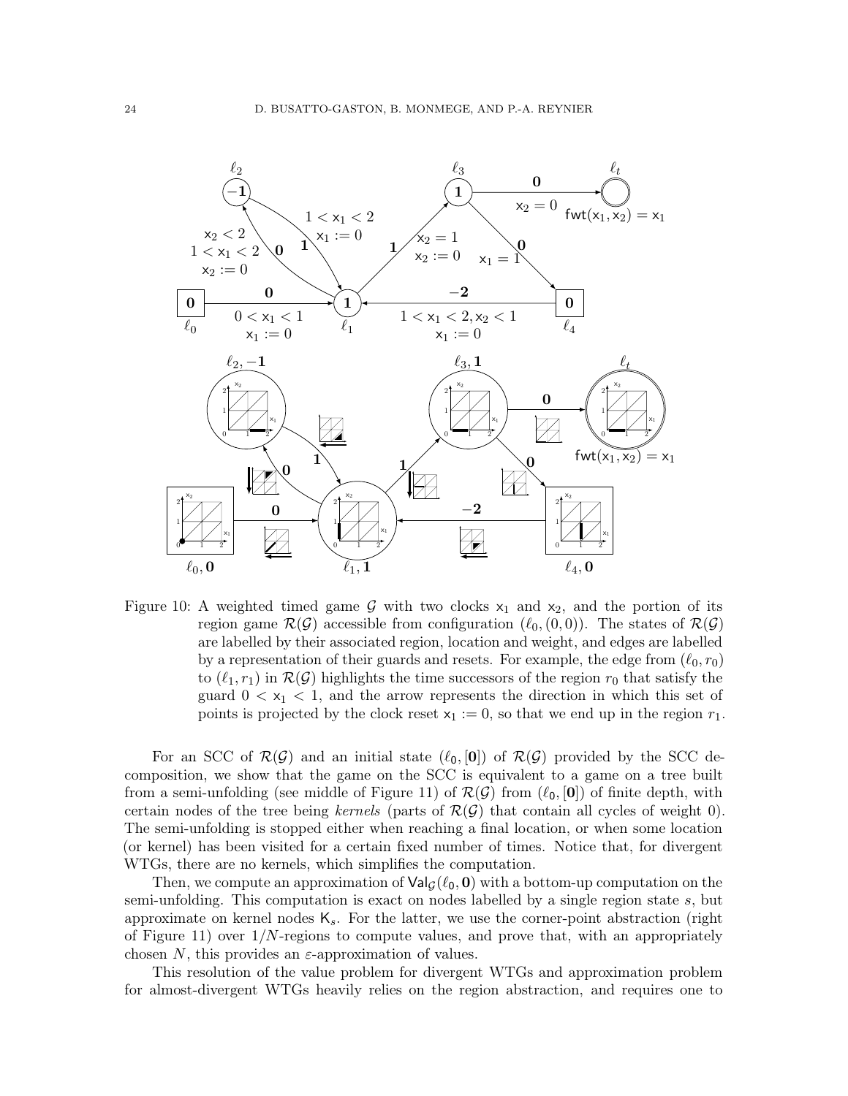

<span id="page-23-0"></span>Figure 10: A weighted timed game G with two clocks  $x_1$  and  $x_2$ , and the portion of its region game  $\mathcal{R}(\mathcal{G})$  accessible from configuration  $(\ell_0,(0,0))$ . The states of  $\mathcal{R}(\mathcal{G})$ are labelled by their associated region, location and weight, and edges are labelled by a representation of their guards and resets. For example, the edge from  $(\ell_0, r_0)$ to  $(\ell_1, r_1)$  in  $\mathcal{R}(\mathcal{G})$  highlights the time successors of the region  $r_0$  that satisfy the guard  $0 < x_1 < 1$ , and the arrow represents the direction in which this set of points is projected by the clock reset  $x_1 := 0$ , so that we end up in the region  $r_1$ .

For an SCC of  $\mathcal{R}(\mathcal{G})$  and an initial state  $(\ell_0, \mathcal{0}]$  of  $\mathcal{R}(\mathcal{G})$  provided by the SCC decomposition, we show that the game on the SCC is equivalent to a game on a tree built from a semi-unfolding (see middle of Figure [11\)](#page-24-1) of  $\mathcal{R}(\mathcal{G})$  from  $(\ell_0, \mathcal{0}]$ ) of finite depth, with certain nodes of the tree being kernels (parts of  $\mathcal{R}(\mathcal{G})$  that contain all cycles of weight 0). The semi-unfolding is stopped either when reaching a final location, or when some location (or kernel) has been visited for a certain fixed number of times. Notice that, for divergent WTGs, there are no kernels, which simplifies the computation.

Then, we compute an approximation of  $\mathsf{Val}_{\mathcal{G}}(\ell_0, \mathbf{0})$  with a bottom-up computation on the semi-unfolding. This computation is exact on nodes labelled by a single region state s, but approximate on kernel nodes  $K_s$ . For the latter, we use the corner-point abstraction (right of Figure [11\)](#page-24-1) over  $1/N$ -regions to compute values, and prove that, with an appropriately chosen N, this provides an  $\varepsilon$ -approximation of values.

This resolution of the value problem for divergent WTGs and approximation problem for almost-divergent WTGs heavily relies on the region abstraction, and requires one to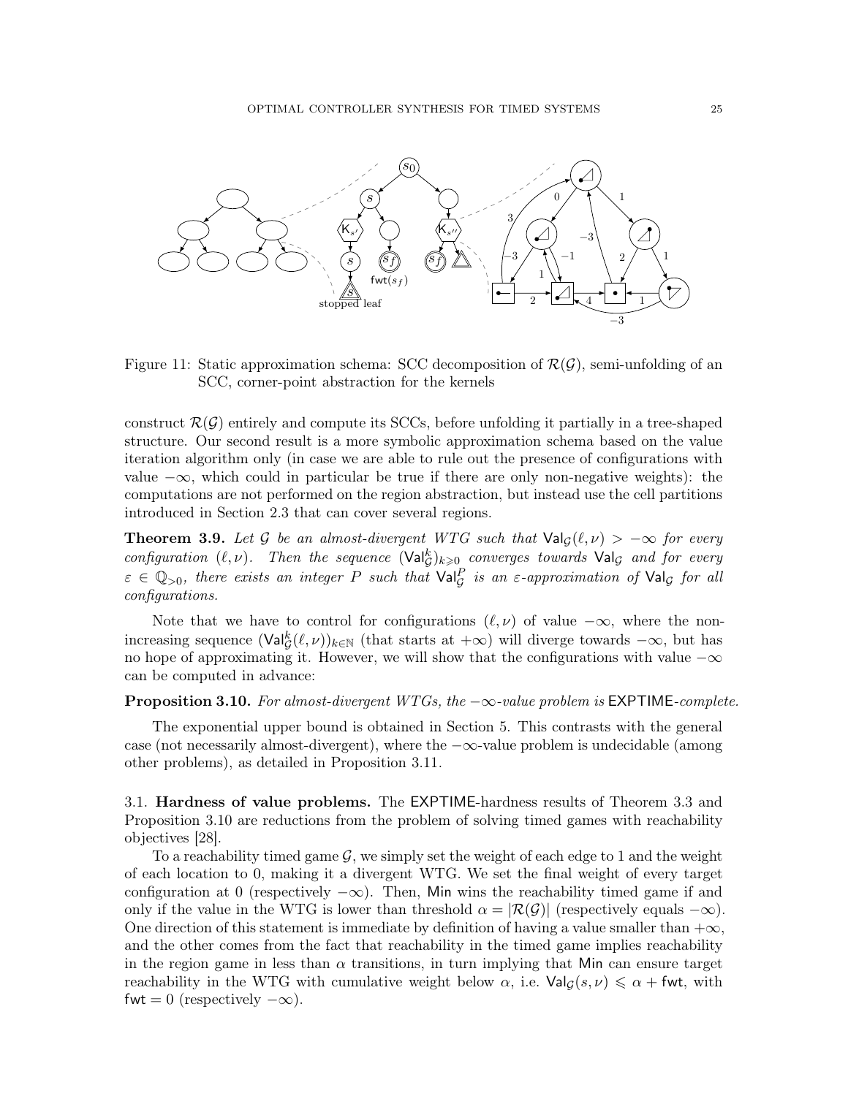

<span id="page-24-1"></span>Figure 11: Static approximation schema: SCC decomposition of  $\mathcal{R}(\mathcal{G})$ , semi-unfolding of an SCC, corner-point abstraction for the kernels

construct  $\mathcal{R}(\mathcal{G})$  entirely and compute its SCCs, before unfolding it partially in a tree-shaped structure. Our second result is a more symbolic approximation schema based on the value iteration algorithm only (in case we are able to rule out the presence of configurations with value  $-\infty$ , which could in particular be true if there are only non-negative weights): the computations are not performed on the region abstraction, but instead use the cell partitions introduced in Section [2.3](#page-8-0) that can cover several regions.

**Theorem 3.9.** Let G be an almost-divergent WTG such that  $\text{Val}_G(\ell, \nu) > -\infty$  for every configuration  $(\ell, \nu)$ . Then the sequence  $(\mathrm{Val}_{\mathcal{G}}^k)_{k \geq 0}$  converges towards  $\mathrm{Val}_{\mathcal{G}}$  and for every  $\varepsilon \in \mathbb{Q}_{>0}$ , there exists an integer P such that  $\text{Val}_{\mathcal{G}}^P$  is an  $\varepsilon$ -approximation of  $\text{Val}_{\mathcal{G}}$  for all configurations.

Note that we have to control for configurations  $(\ell, \nu)$  of value  $-\infty$ , where the nonincreasing sequence  $(\text{Val}_{\mathcal{G}}^k(\ell,\nu))_{k\in\mathbb{N}}$  (that starts at  $+\infty$ ) will diverge towards  $-\infty$ , but has no hope of approximating it. However, we will show that the configurations with value  $-\infty$ can be computed in advance:

### <span id="page-24-0"></span>**Proposition 3.10.** For almost-divergent WTGs, the  $-\infty$ -value problem is EXPTIME-complete.

The exponential upper bound is obtained in Section [5.](#page-32-0) This contrasts with the general case (not necessarily almost-divergent), where the  $-\infty$ -value problem is undecidable (among other problems), as detailed in Proposition [3.11.](#page-25-0)

3.1. Hardness of value problems. The EXPTIME-hardness results of Theorem [3.3](#page-21-0) and Proposition [3.10](#page-24-0) are reductions from the problem of solving timed games with reachability objectives [\[28\]](#page-72-3).

To a reachability timed game  $\mathcal{G}$ , we simply set the weight of each edge to 1 and the weight of each location to 0, making it a divergent WTG. We set the final weight of every target configuration at 0 (respectively  $-\infty$ ). Then, Min wins the reachability timed game if and only if the value in the WTG is lower than threshold  $\alpha = |\mathcal{R}(\mathcal{G})|$  (respectively equals  $-\infty$ ). One direction of this statement is immediate by definition of having a value smaller than  $+\infty$ , and the other comes from the fact that reachability in the timed game implies reachability in the region game in less than  $\alpha$  transitions, in turn implying that Min can ensure target reachability in the WTG with cumulative weight below  $\alpha$ , i.e.  $\text{Val}_\mathcal{G}(s, \nu) \leq \alpha + \text{fwt}$ , with fwt = 0 (respectively  $-\infty$ ).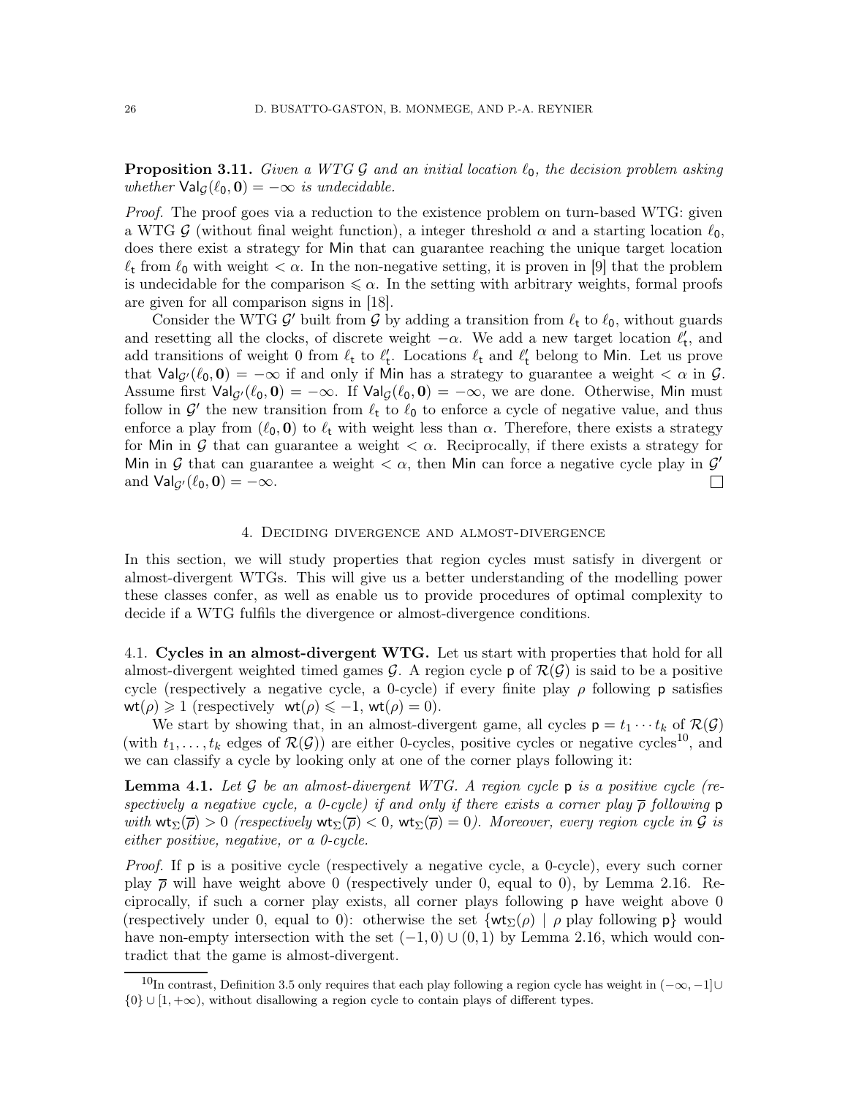## <span id="page-25-0"></span>**Proposition 3.11.** Given a WTG G and an initial location  $\ell_0$ , the decision problem asking whether  $\text{Val}_G(\ell_0, \mathbf{0}) = -\infty$  is undecidable.

Proof. The proof goes via a reduction to the existence problem on turn-based WTG: given a WTG G (without final weight function), a integer threshold  $\alpha$  and a starting location  $\ell_0$ , does there exist a strategy for Min that can guarantee reaching the unique target location  $\ell_t$  from  $\ell_0$  with weight  $\lt \alpha$ . In the non-negative setting, it is proven in [\[9\]](#page-71-13) that the problem is undecidable for the comparison  $\leq \alpha$ . In the setting with arbitrary weights, formal proofs are given for all comparison signs in [\[18\]](#page-71-7).

Consider the WTG  $\mathcal{G}'$  built from  $\mathcal{G}$  by adding a transition from  $\ell_t$  to  $\ell_0$ , without guards and resetting all the clocks, of discrete weight  $-\alpha$ . We add a new target location  $\ell'_{t}$ , and add transitions of weight 0 from  $\ell_t$  to  $\ell'_t$ . Locations  $\ell_t$  and  $\ell'_t$  belong to Min. Let us prove that  $\text{Val}_{G'}(\ell_0, 0) = -\infty$  if and only if Min has a strategy to guarantee a weight  $\lt \alpha$  in  $\mathcal G$ . Assume first  $\text{Val}_{\mathcal{G}}(\ell_0, \mathbf{0}) = -\infty$ . If  $\text{Val}_{\mathcal{G}}(\ell_0, \mathbf{0}) = -\infty$ , we are done. Otherwise, Min must follow in  $\mathcal{G}'$  the new transition from  $\ell_t$  to  $\ell_0$  to enforce a cycle of negative value, and thus enforce a play from  $(\ell_0, 0)$  to  $\ell_t$  with weight less than  $\alpha$ . Therefore, there exists a strategy for Min in G that can guarantee a weight  $\langle \alpha$ . Reciprocally, if there exists a strategy for Min in G that can guarantee a weight  $\langle \alpha$ , then Min can force a negative cycle play in G' and  $\text{Val}_{G'}(\ell_0, \mathbf{0}) = -\infty$ .  $\Box$ 

### 4. Deciding divergence and almost-divergence

<span id="page-25-1"></span>In this section, we will study properties that region cycles must satisfy in divergent or almost-divergent WTGs. This will give us a better understanding of the modelling power these classes confer, as well as enable us to provide procedures of optimal complexity to decide if a WTG fulfils the divergence or almost-divergence conditions.

4.1. Cycles in an almost-divergent WTG. Let us start with properties that hold for all almost-divergent weighted timed games G. A region cycle **p** of  $\mathcal{R}(G)$  is said to be a positive cycle (respectively a negative cycle, a 0-cycle) if every finite play  $\rho$  following p satisfies  $\text{wt}(\rho) \geq 1$  (respectively  $\text{wt}(\rho) \leq -1$ ,  $\text{wt}(\rho) = 0$ ).

We start by showing that, in an almost-divergent game, all cycles  $p = t_1 \cdots t_k$  of  $\mathcal{R}(\mathcal{G})$ (with  $t_1, \ldots, t_k$  edges of  $\mathcal{R}(\mathcal{G})$ ) are either 0-cycles, positive cycles or negative cycles<sup>[10](#page-25-2)</sup>, and we can classify a cycle by looking only at one of the corner plays following it:

<span id="page-25-3"></span>**Lemma 4.1.** Let  $\mathcal G$  be an almost-divergent WTG. A region cycle  $\mathsf p$  is a positive cycle (respectively a negative cycle, a 0-cycle) if and only if there exists a corner play  $\bar{\rho}$  following p with  $\text{wt}_{\Sigma}(\overline{\rho}) > 0$  (respectively  $\text{wt}_{\Sigma}(\overline{\rho}) < 0$ ,  $\text{wt}_{\Sigma}(\overline{\rho}) = 0$ ). Moreover, every region cycle in G is either positive, negative, or a 0-cycle.

Proof. If **p** is a positive cycle (respectively a negative cycle, a 0-cycle), every such corner play  $\bar{\rho}$  will have weight above 0 (respectively under 0, equal to 0), by Lemma [2.16.](#page-17-3) Reciprocally, if such a corner play exists, all corner plays following p have weight above 0 (respectively under 0, equal to 0): otherwise the set  $\{\mathsf{wt}_{\Sigma}(\rho) \mid \rho \text{ play following } p\}$  would have non-empty intersection with the set  $(-1, 0) \cup (0, 1)$  by Lemma [2.16,](#page-17-3) which would contradict that the game is almost-divergent.

<span id="page-25-2"></span><sup>&</sup>lt;sup>10</sup>In contrast, Definition [3.5](#page-21-2) only requires that each play following a region cycle has weight in  $(-\infty, -1]$ ∪  $\{0\} \cup [1, +\infty)$ , without disallowing a region cycle to contain plays of different types.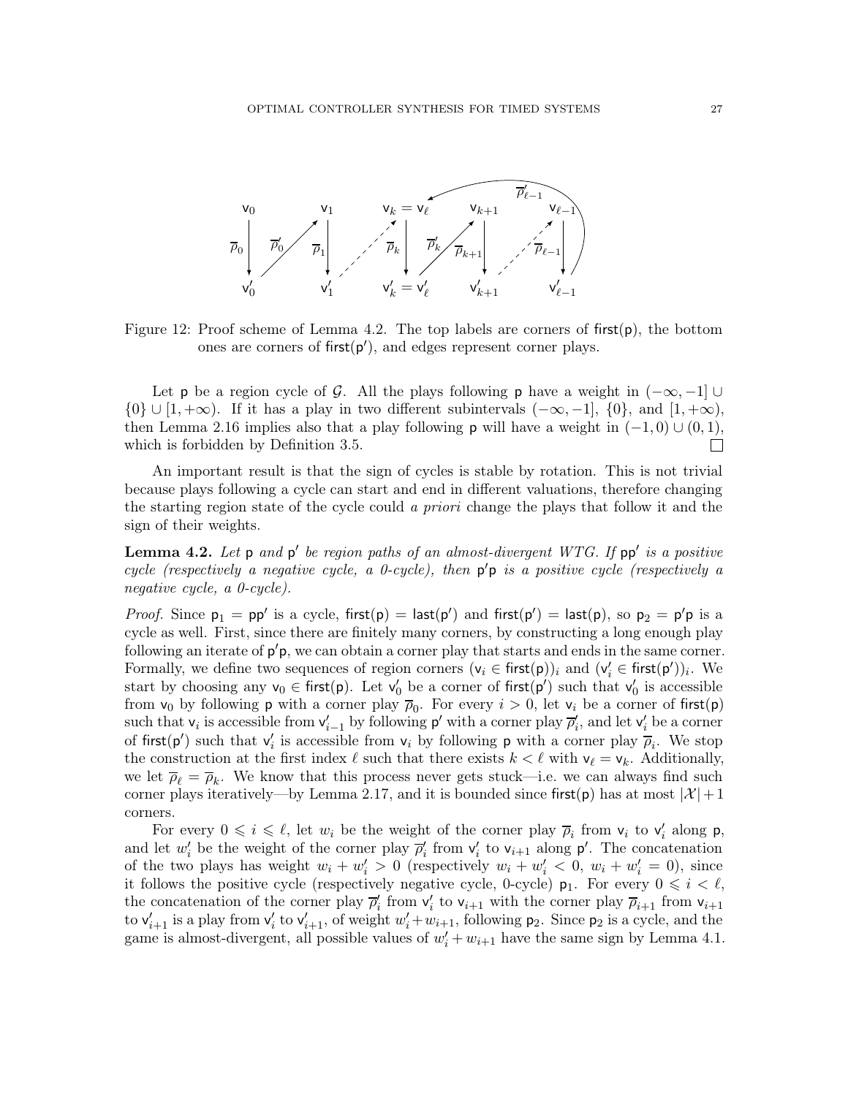

Figure 12: Proof scheme of Lemma [4.2.](#page-26-0) The top labels are corners of first $(p)$ , the bottom ones are corners of  $first(p')$ , and edges represent corner plays.

Let **p** be a region cycle of G. All the plays following **p** have a weight in  $(-\infty, -1] \cup$  $\{0\} \cup [1, +\infty)$ . If it has a play in two different subintervals  $(-\infty, -1]$ ,  $\{0\}$ , and  $[1, +\infty)$ , then Lemma [2.16](#page-17-3) implies also that a play following **p** will have a weight in  $(-1, 0) \cup (0, 1)$ , which is forbidden by Definition [3.5.](#page-21-2)  $\Box$ 

An important result is that the sign of cycles is stable by rotation. This is not trivial because plays following a cycle can start and end in different valuations, therefore changing the starting region state of the cycle could a priori change the plays that follow it and the sign of their weights.

<span id="page-26-0"></span>**Lemma 4.2.** Let  $p$  and  $p'$  be region paths of an almost-divergent WTG. If  $pp'$  is a positive cycle (respectively a negative cycle, a 0-cycle), then  $p'p$  is a positive cycle (respectively a negative cycle, a 0-cycle).

*Proof.* Since  $p_1 = pp'$  is a cycle, first $(p) =$  last $(p')$  and first $(p') =$  last $(p)$ , so  $p_2 = p'p$  is a cycle as well. First, since there are finitely many corners, by constructing a long enough play following an iterate of  $p'p$ , we can obtain a corner play that starts and ends in the same corner. Formally, we define two sequences of region corners  $(v_i \in \text{first}(p))_i$  and  $(v'_i \in \text{first}(p'))_i$ . We start by choosing any  $v_0 \in \text{first}(p)$ . Let  $v'_0$  be a corner of first $(p')$  such that  $v'_0$  is accessible from  $v_0$  by following **p** with a corner play  $\overline{\rho}_0$ . For every  $i > 0$ , let  $v_i$  be a corner of first(**p**) such that  $v_i$  is accessible from  $v'_{i-1}$  by following  $p'$  with a corner play  $\overline{\rho}'_i$ , and let  $v'_i$  be a corner of first( $p'$ ) such that  $v'_i$  is accessible from  $v_i$  by following p with a corner play  $\overline{\rho}_i$ . We stop the construction at the first index  $\ell$  such that there exists  $k < \ell$  with  $v_{\ell} = v_k$ . Additionally, we let  $\overline{\rho}_{\ell} = \overline{\rho}_k$ . We know that this process never gets stuck—i.e. we can always find such corner plays iteratively—by Lemma [2.17,](#page-18-1) and it is bounded since first(p) has at most  $|\mathcal{X}|+1$ corners.

For every  $0 \leq i \leq \ell$ , let  $w_i$  be the weight of the corner play  $\overline{\rho}_i$  from  $v_i$  to  $v'_i$  along  $\rho$ , and let  $w'_i$  be the weight of the corner play  $\overline{\rho}'_i$  from  $v'_i$  to  $v_{i+1}$  along  $p'$ . The concatenation of the two plays has weight  $w_i + w'_i > 0$  (respectively  $w_i + w'_i < 0$ ,  $w_i + w'_i = 0$ ), since it follows the positive cycle (respectively negative cycle, 0-cycle)  $p_1$ . For every  $0 \leq i \leq \ell$ , the concatenation of the corner play  $\overline{\rho}'_i$  from  $v'_i$  to  $v_{i+1}$  with the corner play  $\overline{\rho}_{i+1}$  from  $v_{i+1}$ to  $\mathsf{v}'_{i+1}$  is a play from  $\mathsf{v}'_i$  to  $\mathsf{v}'_{i+1}$ , of weight  $w'_i + w_{i+1}$ , following  $\mathsf{p}_2$ . Since  $\mathsf{p}_2$  is a cycle, and the game is almost-divergent, all possible values of  $w'_i + w_{i+1}$  have the same sign by Lemma [4.1.](#page-25-3)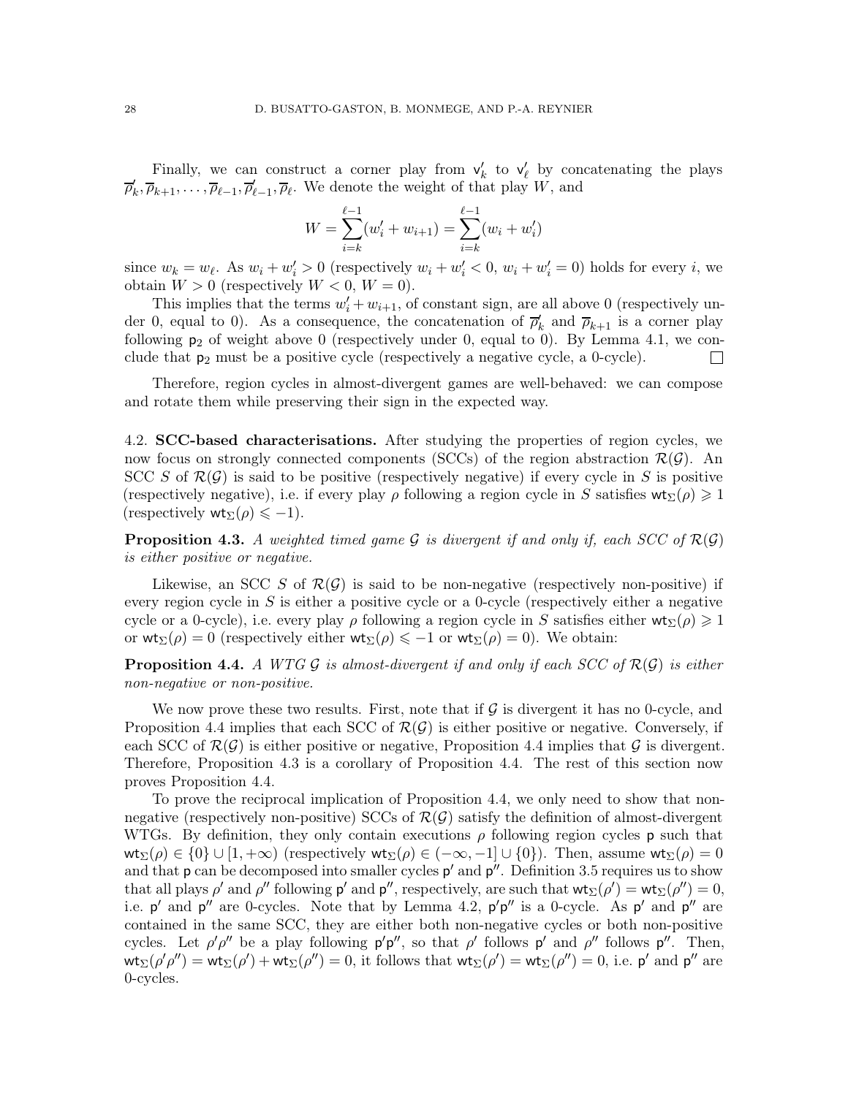Finally, we can construct a corner play from  $v'_k$  to  $v'_\ell$  by concatenating the plays  $\overline{\rho}'_k, \overline{\rho}_{k+1}, \ldots, \overline{\rho}_{\ell-1}, \overline{\rho}_{\ell}, \overline{\rho}_{\ell}$ . We denote the weight of that play W, and

$$
W = \sum_{i=k}^{\ell-1} (w'_i + w_{i+1}) = \sum_{i=k}^{\ell-1} (w_i + w'_i)
$$

since  $w_k = w_{\ell}$ . As  $w_i + w'_i > 0$  (respectively  $w_i + w'_i < 0$ ,  $w_i + w'_i = 0$ ) holds for every i, we obtain  $W > 0$  (respectively  $W < 0$ ,  $W = 0$ ).

This implies that the terms  $w'_i + w_{i+1}$ , of constant sign, are all above 0 (respectively under 0, equal to 0). As a consequence, the concatenation of  $\overline{\rho}'_k$  and  $\overline{\rho}_{k+1}$  is a corner play following  $p_2$  of weight above 0 (respectively under 0, equal to 0). By Lemma [4.1,](#page-25-3) we conclude that  $p_2$  must be a positive cycle (respectively a negative cycle, a 0-cycle).  $\Box$ 

Therefore, region cycles in almost-divergent games are well-behaved: we can compose and rotate them while preserving their sign in the expected way.

4.2. SCC-based characterisations. After studying the properties of region cycles, we now focus on strongly connected components (SCCs) of the region abstraction  $\mathcal{R}(\mathcal{G})$ . An SCC S of  $\mathcal{R}(\mathcal{G})$  is said to be positive (respectively negative) if every cycle in S is positive (respectively negative), i.e. if every play  $\rho$  following a region cycle in S satisfies  $\mathsf{wt}_{\Sigma}(\rho) \geq 1$ (respectively  $\mathsf{wt}_{\Sigma}(\rho) \leq -1$ ).

<span id="page-27-0"></span>**Proposition 4.3.** A weighted timed game G is divergent if and only if, each SCC of  $\mathcal{R}(\mathcal{G})$ is either positive or negative.

Likewise, an SCC S of  $\mathcal{R}(\mathcal{G})$  is said to be non-negative (respectively non-positive) if every region cycle in S is either a positive cycle or a 0-cycle (respectively either a negative cycle or a 0-cycle), i.e. every play ρ following a region cycle in S satisfies either  $\mathsf{wt}_{\Sigma}(\rho) \geq 1$ or  $\mathsf{wt}_{\Sigma}(\rho) = 0$  (respectively either  $\mathsf{wt}_{\Sigma}(\rho) \leq -1$  or  $\mathsf{wt}_{\Sigma}(\rho) = 0$ ). We obtain:

<span id="page-27-1"></span>**Proposition 4.4.** A WTG G is almost-divergent if and only if each SCC of  $\mathcal{R}(G)$  is either non-negative or non-positive.

We now prove these two results. First, note that if  $\mathcal G$  is divergent it has no 0-cycle, and Proposition [4.4](#page-27-1) implies that each SCC of  $\mathcal{R}(\mathcal{G})$  is either positive or negative. Conversely, if each SCC of  $\mathcal{R}(\mathcal{G})$  is either positive or negative, Proposition [4.4](#page-27-1) implies that  $\mathcal{G}$  is divergent. Therefore, Proposition [4.3](#page-27-0) is a corollary of Proposition [4.4.](#page-27-1) The rest of this section now proves Proposition [4.4.](#page-27-1)

To prove the reciprocal implication of Proposition [4.4,](#page-27-1) we only need to show that nonnegative (respectively non-positive) SCCs of  $\mathcal{R}(\mathcal{G})$  satisfy the definition of almost-divergent WTGs. By definition, they only contain executions  $\rho$  following region cycles p such that  $\mathsf{wt}_{\Sigma}(\rho) \in \{0\} \cup [1, +\infty)$  (respectively  $\mathsf{wt}_{\Sigma}(\rho) \in (-\infty, -1] \cup \{0\})$ ). Then, assume  $\mathsf{wt}_{\Sigma}(\rho) = 0$ and that  $p$  can be decomposed into smaller cycles  $p'$  and  $p''$ . Definition [3.5](#page-21-2) requires us to show that all plays  $\rho'$  and  $\rho''$  following  $p'$  and  $p''$ , respectively, are such that  $wt_{\Sigma}(\rho') = wt_{\Sigma}(\rho'') = 0$ , i.e.  $p'$  and  $p''$  are 0-cycles. Note that by Lemma [4.2,](#page-26-0)  $p'p''$  is a 0-cycle. As  $p'$  and  $p''$  are contained in the same SCC, they are either both non-negative cycles or both non-positive cycles. Let  $\rho' \rho''$  be a play following  $\rho' \rho''$ , so that  $\rho'$  follows  $\rho''$  and  $\rho''$  follows  $\rho''$ . Then,  $\mathsf{wt}_{\Sigma}(\rho'\rho'') = \mathsf{wt}_{\Sigma}(\rho') + \mathsf{wt}_{\Sigma}(\rho'') = 0$ , it follows that  $\mathsf{wt}_{\Sigma}(\rho') = \mathsf{wt}_{\Sigma}(\rho'') = 0$ , i.e. p' and p'' are 0-cycles.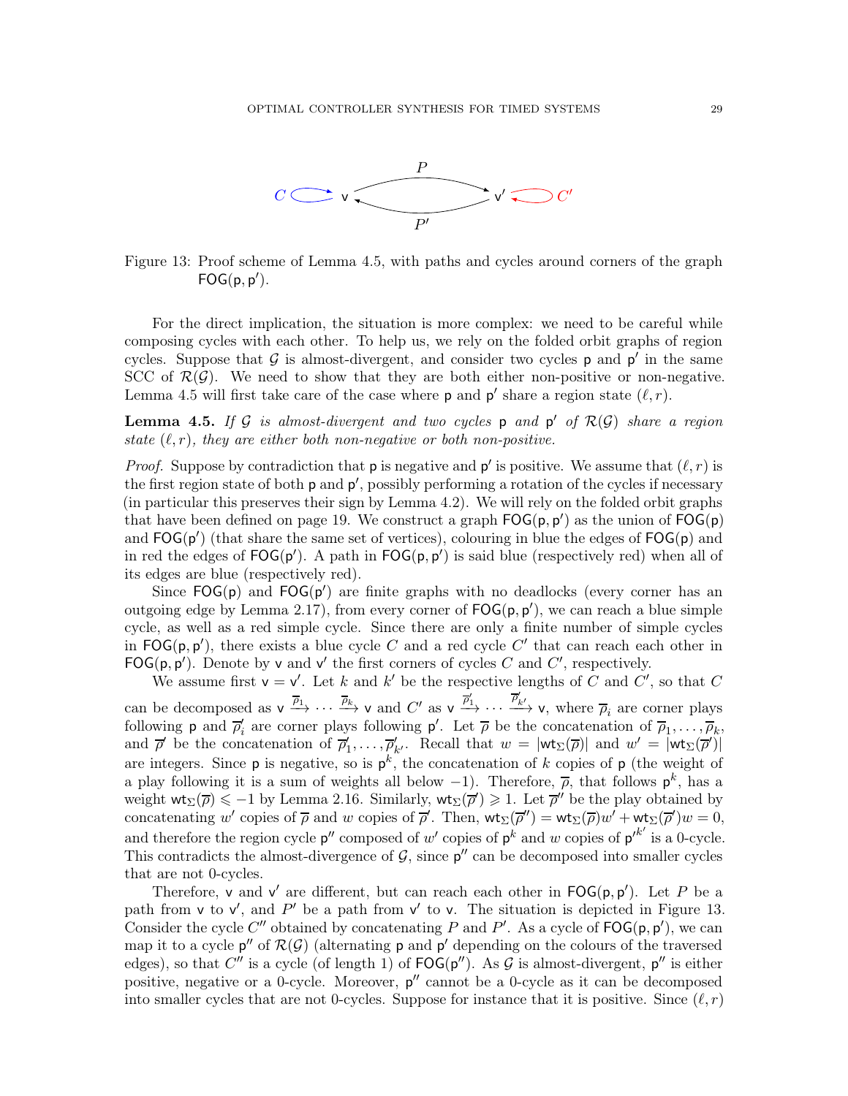

<span id="page-28-1"></span>Figure 13: Proof scheme of Lemma [4.5,](#page-28-0) with paths and cycles around corners of the graph  $FOG(p, p').$ 

For the direct implication, the situation is more complex: we need to be careful while composing cycles with each other. To help us, we rely on the folded orbit graphs of region cycles. Suppose that  $G$  is almost-divergent, and consider two cycles  $p$  and  $p'$  in the same SCC of  $\mathcal{R}(\mathcal{G})$ . We need to show that they are both either non-positive or non-negative. Lemma [4.5](#page-28-0) will first take care of the case where **p** and **p'** share a region state  $(\ell, r)$ .

<span id="page-28-0"></span>**Lemma 4.5.** If G is almost-divergent and two cycles  $p$  and  $p'$  of  $\mathcal{R}(\mathcal{G})$  share a region state  $(\ell, r)$ , they are either both non-negative or both non-positive.

*Proof.* Suppose by contradiction that **p** is negative and **p'** is positive. We assume that  $(\ell, r)$  is the first region state of both  $p$  and  $p'$ , possibly performing a rotation of the cycles if necessary (in particular this preserves their sign by Lemma [4.2\)](#page-26-0). We will rely on the folded orbit graphs that have been defined on page [19.](#page-18-0) We construct a graph  $FOG(p, p')$  as the union of  $FOG(p)$ and  $FOG(p')$  (that share the same set of vertices), colouring in blue the edges of  $FOG(p)$  and in red the edges of  $FOG(p')$ . A path in  $FOG(p, p')$  is said blue (respectively red) when all of its edges are blue (respectively red).

Since  $FOG(p)$  and  $FOG(p')$  are finite graphs with no deadlocks (every corner has an outgoing edge by Lemma [2.17\)](#page-18-1), from every corner of  $FOG(p, p')$ , we can reach a blue simple cycle, as well as a red simple cycle. Since there are only a finite number of simple cycles in  $\mathsf{FOG}(p, p')$ , there exists a blue cycle C and a red cycle C' that can reach each other in FOG( $p, p'$ ). Denote by v and v' the first corners of cycles C and C', respectively.

We assume first  $v = v'$ . Let k and k' be the respective lengths of C and C', so that C can be decomposed as  $v \xrightarrow{\overline{\rho}_1} \cdots \xrightarrow{\overline{\rho}_k} v$  and  $C'$  as  $v \xrightarrow{\overline{\rho}'_1} \cdots \xrightarrow{\overline{\rho}'_{k'}} v$ , where  $\overline{\rho}_i$  are corner plays following **p** and  $\overline{\rho}'_i$  are corner plays following **p'**. Let  $\overline{\rho}$  be the concatenation of  $\overline{\rho}_1, \ldots, \overline{\rho}_k$ , and  $\overline{\rho}'$  be the concatenation of  $\overline{\rho}'_1,\ldots,\overline{\rho}'_{k'}$ . Recall that  $w = |\mathsf{wt}_{\Sigma}(\overline{\rho})|$  and  $w' = |\mathsf{wt}_{\Sigma}(\overline{\rho}')|$ are integers. Since  $p$  is negative, so is  $p^k$ , the concatenation of k copies of  $p$  (the weight of a play following it is a sum of weights all below  $-1$ ). Therefore,  $\bar{\rho}$ , that follows  $p^k$ , has a weight  $\text{wt}_{\Sigma}(\overline{\rho}) \leq -1$  by Lemma [2.16.](#page-17-3) Similarly,  $\text{wt}_{\Sigma}(\overline{\rho}') \geq 1$ . Let  $\overline{\rho}''$  be the play obtained by concatenating w' copies of  $\overline{\rho}$  and w copies of  $\overline{\rho}'$ . Then,  $\mathsf{wt}_{\Sigma}(\overline{\rho}'') = \mathsf{wt}_{\Sigma}(\overline{\rho})w' + \mathsf{wt}_{\Sigma}(\overline{\rho}')w = 0$ , and therefore the region cycle  $p''$  composed of w' copies of  $p^k$  and w copies of  $p'^{k'}$  is a 0-cycle. This contradicts the almost-divergence of  $\mathcal{G}$ , since  $p''$  can be decomposed into smaller cycles that are not 0-cycles.

Therefore, v and v' are different, but can reach each other in  $\mathsf{FOG}(p, p')$ . Let P be a path from v to v', and P' be a path from v' to v. The situation is depicted in Figure [13.](#page-28-1) Consider the cycle  $C''$  obtained by concatenating P and P'. As a cycle of  $\mathsf{FOG}(p, p')$ , we can map it to a cycle  $p''$  of  $\mathcal{R}(\mathcal{G})$  (alternating p and p' depending on the colours of the traversed edges), so that C'' is a cycle (of length 1) of  $\mathsf{FOG}(p'')$ . As G is almost-divergent,  $p''$  is either positive, negative or a 0-cycle. Moreover,  $p''$  cannot be a 0-cycle as it can be decomposed into smaller cycles that are not 0-cycles. Suppose for instance that it is positive. Since  $(\ell, r)$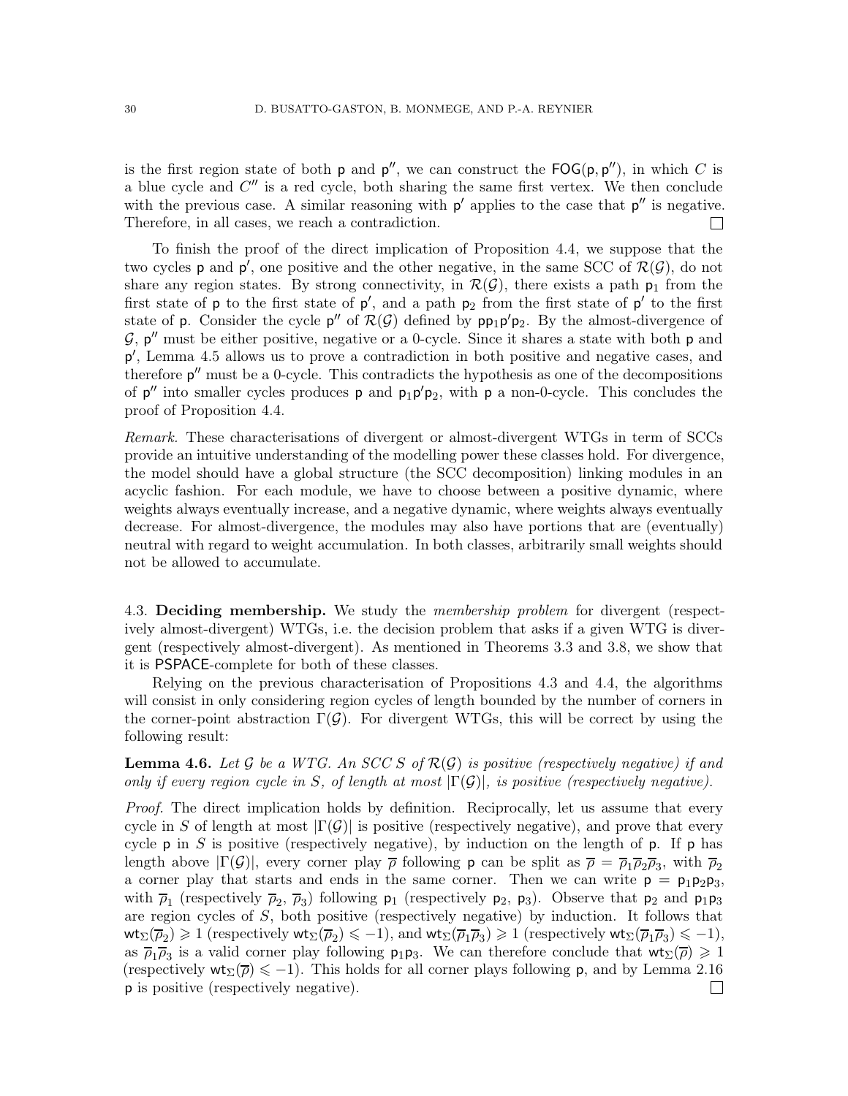is the first region state of both  $p$  and  $p''$ , we can construct the  $\mathsf{FOG}(p, p'')$ , in which C is a blue cycle and  $C''$  is a red cycle, both sharing the same first vertex. We then conclude with the previous case. A similar reasoning with  $p'$  applies to the case that  $p''$  is negative. Therefore, in all cases, we reach a contradiction.

To finish the proof of the direct implication of Proposition [4.4,](#page-27-1) we suppose that the two cycles **p** and **p'**, one positive and the other negative, in the same SCC of  $\mathcal{R}(\mathcal{G})$ , do not share any region states. By strong connectivity, in  $\mathcal{R}(\mathcal{G})$ , there exists a path  $p_1$  from the first state of  $p$  to the first state of  $p'$ , and a path  $p_2$  from the first state of  $p'$  to the first state of p. Consider the cycle  $p''$  of  $\mathcal{R}(\mathcal{G})$  defined by  $pp_1p'p_2$ . By the almost-divergence of  $\mathcal{G}, p''$  must be either positive, negative or a 0-cycle. Since it shares a state with both  $p$  and p ′ , Lemma [4.5](#page-28-0) allows us to prove a contradiction in both positive and negative cases, and therefore  $p''$  must be a 0-cycle. This contradicts the hypothesis as one of the decompositions of  $p''$  into smaller cycles produces p and  $p_1p'p_2$ , with p a non-0-cycle. This concludes the proof of Proposition [4.4.](#page-27-1)

Remark. These characterisations of divergent or almost-divergent WTGs in term of SCCs provide an intuitive understanding of the modelling power these classes hold. For divergence, the model should have a global structure (the SCC decomposition) linking modules in an acyclic fashion. For each module, we have to choose between a positive dynamic, where weights always eventually increase, and a negative dynamic, where weights always eventually decrease. For almost-divergence, the modules may also have portions that are (eventually) neutral with regard to weight accumulation. In both classes, arbitrarily small weights should not be allowed to accumulate.

4.3. Deciding membership. We study the *membership problem* for divergent (respectively almost-divergent) WTGs, i.e. the decision problem that asks if a given WTG is divergent (respectively almost-divergent). As mentioned in Theorems [3.3](#page-21-0) and [3.8,](#page-22-0) we show that it is PSPACE-complete for both of these classes.

Relying on the previous characterisation of Propositions [4.3](#page-27-0) and [4.4,](#page-27-1) the algorithms will consist in only considering region cycles of length bounded by the number of corners in the corner-point abstraction  $\Gamma(\mathcal{G})$ . For divergent WTGs, this will be correct by using the following result:

**Lemma 4.6.** Let G be a WTG. An SCC S of  $\mathcal{R}(G)$  is positive (respectively negative) if and only if every region cycle in S, of length at most  $|\Gamma(\mathcal{G})|$ , is positive (respectively negative).

Proof. The direct implication holds by definition. Reciprocally, let us assume that every cycle in S of length at most  $|\Gamma(\mathcal{G})|$  is positive (respectively negative), and prove that every cycle  $p$  in S is positive (respectively negative), by induction on the length of  $p$ . If  $p$  has length above  $|\Gamma(\mathcal{G})|$ , every corner play  $\bar{\rho}$  following **p** can be split as  $\bar{\rho} = \bar{\rho}_1 \bar{\rho}_2 \bar{\rho}_3$ , with  $\bar{\rho}_2$ a corner play that starts and ends in the same corner. Then we can write  $p = p_1p_2p_3$ , with  $\overline{\rho}_1$  (respectively  $\overline{\rho}_2$ ,  $\overline{\rho}_3$ ) following  $p_1$  (respectively  $p_2$ ,  $p_3$ ). Observe that  $p_2$  and  $p_1p_3$ are region cycles of S, both positive (respectively negative) by induction. It follows that  $\text{wt}_{\Sigma}(\overline{\rho}_2) \geqslant 1$  (respectively  $\text{wt}_{\Sigma}(\overline{\rho}_2) \leqslant -1$ ), and  $\text{wt}_{\Sigma}(\overline{\rho}_1\overline{\rho}_3) \geqslant 1$  (respectively  $\text{wt}_{\Sigma}(\overline{\rho}_1\overline{\rho}_3) \leqslant -1$ ), as  $\overline{\rho}_1\overline{\rho}_3$  is a valid corner play following  $p_1p_3$ . We can therefore conclude that  $wt_{\Sigma}(\overline{\rho})\geq 1$ (respectively  $\mathsf{wt}_{\Sigma}(\overline{\rho}) \leq -1$ ). This holds for all corner plays following **p**, and by Lemma [2.16](#page-17-3) p is positive (respectively negative). $\Box$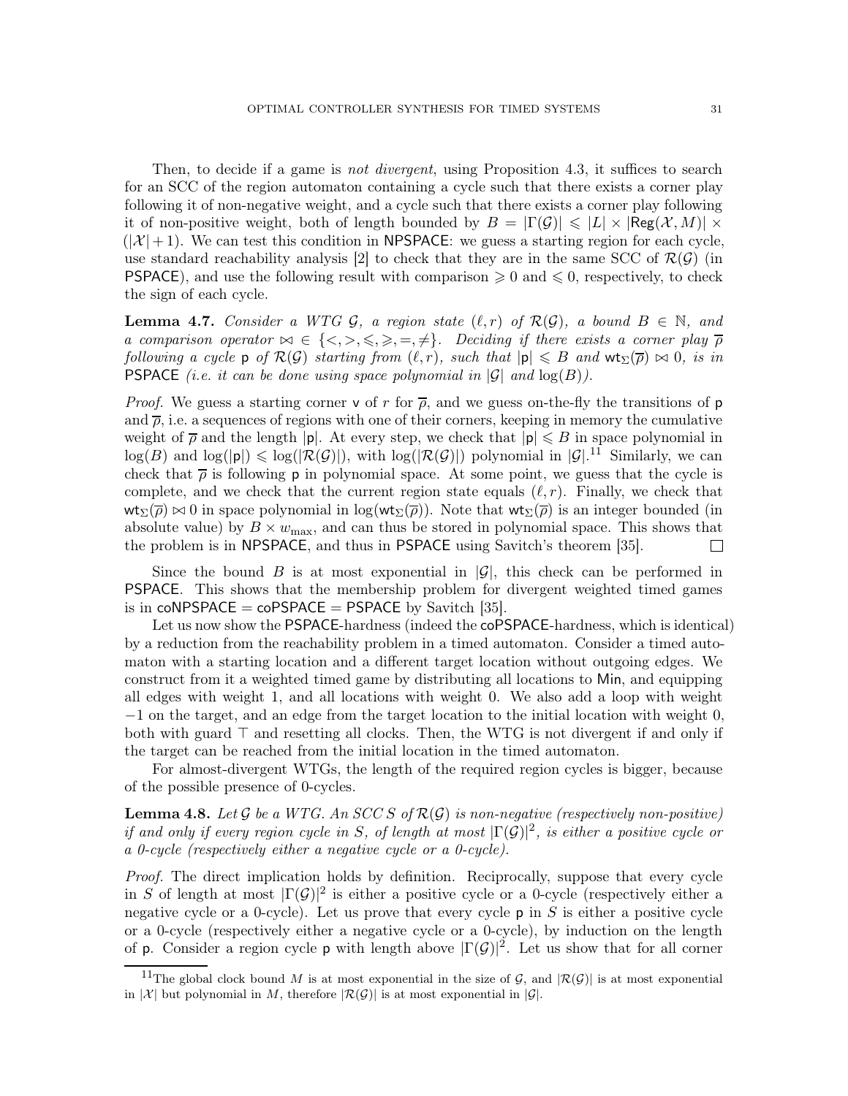Then, to decide if a game is *not divergent*, using Proposition [4.3,](#page-27-0) it suffices to search for an SCC of the region automaton containing a cycle such that there exists a corner play following it of non-negative weight, and a cycle such that there exists a corner play following it of non-positive weight, both of length bounded by  $B = |\Gamma(\mathcal{G})| \leq |L| \times |\text{Reg}(\mathcal{X}, M)| \times$  $(|\mathcal{X}|+1)$ . We can test this condition in NPSPACE: we guess a starting region for each cycle, use standard reachability analysis [\[2\]](#page-70-0) to check that they are in the same SCC of  $\mathcal{R}(\mathcal{G})$  (in **PSPACE**), and use the following result with comparison  $\geq 0$  and  $\leq 0$ , respectively, to check the sign of each cycle.

<span id="page-30-1"></span>**Lemma 4.7.** Consider a WTG G, a region state  $(\ell, r)$  of  $\mathcal{R}(\mathcal{G})$ , a bound  $B \in \mathbb{N}$ , and a comparison operator  $\bowtie \in \{\langle \rangle, \leq \rangle, \leq \rangle, \Rightarrow, \neq \}$ . Deciding if there exists a corner play  $\overline{\rho}$ following a cycle p of  $\mathcal{R}(\mathcal{G})$  starting from  $(\ell, r)$ , such that  $|\mathsf{p}| \leq B$  and  $\mathsf{wt}_\Sigma(\overline{\rho}) \bowtie 0$ , is in **PSPACE** (i.e. it can be done using space polynomial in  $|\mathcal{G}|$  and  $\log(B)$ ).

*Proof.* We guess a starting corner v of r for  $\bar{\rho}$ , and we guess on-the-fly the transitions of p and  $\bar{\rho}$ , i.e. a sequences of regions with one of their corners, keeping in memory the cumulative weight of  $\overline{\rho}$  and the length |p|. At every step, we check that  $|\mathbf{p}| \leq B$  in space polynomial in  $\log(B)$  and  $\log(|p|) \leq \log(|\mathcal{R}(\mathcal{G})|)$ , with  $\log(|\mathcal{R}(\mathcal{G})|)$  polynomial in  $|\mathcal{G}|^{11}$  $|\mathcal{G}|^{11}$  $|\mathcal{G}|^{11}$  Similarly, we can check that  $\bar{\rho}$  is following p in polynomial space. At some point, we guess that the cycle is complete, and we check that the current region state equals  $(\ell, r)$ . Finally, we check that  $wt_{\Sigma}(\overline{\rho}) \bowtie 0$  in space polynomial in log( $wt_{\Sigma}(\overline{\rho})$ ). Note that  $wt_{\Sigma}(\overline{\rho})$  is an integer bounded (in absolute value) by  $B \times w_{\text{max}}$ , and can thus be stored in polynomial space. This shows that the problem is in NPSPACE, and thus in PSPACE using Savitch's theorem [\[35\]](#page-72-9).  $\Box$ 

Since the bound B is at most exponential in  $|\mathcal{G}|$ , this check can be performed in PSPACE. This shows that the membership problem for divergent weighted timed games is in  $coNPSPACE = coPSPACE = PSPACE$  by Savitch [\[35\]](#page-72-9).

Let us now show the PSPACE-hardness (indeed the coPSPACE-hardness, which is identical) by a reduction from the reachability problem in a timed automaton. Consider a timed automaton with a starting location and a different target location without outgoing edges. We construct from it a weighted timed game by distributing all locations to Min, and equipping all edges with weight 1, and all locations with weight 0. We also add a loop with weight −1 on the target, and an edge from the target location to the initial location with weight 0, both with guard ⊤ and resetting all clocks. Then, the WTG is not divergent if and only if the target can be reached from the initial location in the timed automaton.

For almost-divergent WTGs, the length of the required region cycles is bigger, because of the possible presence of 0-cycles.

**Lemma 4.8.** Let  $\mathcal G$  be a WTG. An SCC S of  $\mathcal R(\mathcal G)$  is non-negative (respectively non-positive) if and only if every region cycle in S, of length at most  $|\Gamma(\mathcal{G})|^2$ , is either a positive cycle or a 0-cycle (respectively either a negative cycle or a 0-cycle).

Proof. The direct implication holds by definition. Reciprocally, suppose that every cycle in S of length at most  $|\Gamma(\mathcal{G})|^2$  is either a positive cycle or a 0-cycle (respectively either a negative cycle or a 0-cycle). Let us prove that every cycle  $p$  in S is either a positive cycle or a 0-cycle (respectively either a negative cycle or a 0-cycle), by induction on the length of p. Consider a region cycle p with length above  $|\Gamma(\mathcal{G})|^2$ . Let us show that for all corner

<span id="page-30-0"></span><sup>&</sup>lt;sup>11</sup>The global clock bound M is at most exponential in the size of G, and  $|\mathcal{R}(G)|$  is at most exponential in |X| but polynomial in M, therefore  $\mathcal{R}(\mathcal{G})$ | is at most exponential in  $|\mathcal{G}|$ .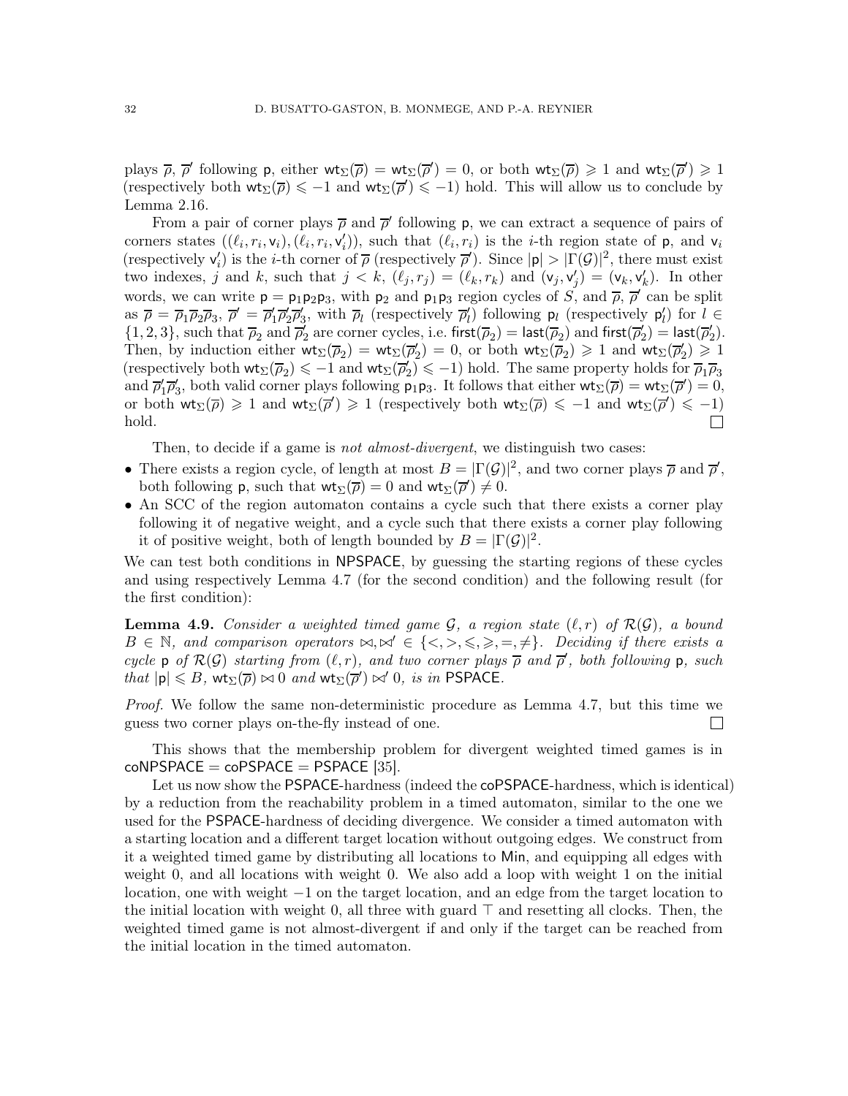plays  $\overline{\rho}$ ,  $\overline{\rho}'$  following p, either  $wt_{\Sigma}(\overline{\rho}) = wt_{\Sigma}(\overline{\rho}') = 0$ , or both  $wt_{\Sigma}(\overline{\rho}) \geq 1$  and  $wt_{\Sigma}(\overline{\rho}') \geq 1$ (respectively both  $wt_{\Sigma}(\overline{\rho}) \leq -1$  and  $wt_{\Sigma}(\overline{\rho}') \leq -1$ ) hold. This will allow us to conclude by Lemma [2.16.](#page-17-3)

From a pair of corner plays  $\bar{\rho}$  and  $\bar{\rho}'$  following p, we can extract a sequence of pairs of corners states  $((\ell_i, r_i, v_i), (\ell_i, r_i, v'_i))$ , such that  $(\ell_i, r_i)$  is the *i*-th region state of **p**, and **v**<sub>i</sub> (respectively  $\mathsf{v}'_i$ ) is the *i*-th corner of  $\overline{\rho}$  (respectively  $\overline{\rho}'$ ). Since  $|\mathsf{p}| > |\Gamma(\mathcal{G})|^2$ , there must exist two indexes, j and k, such that  $j < k$ ,  $(\ell_j, r_j) = (\ell_k, r_k)$  and  $(\mathsf{v}_j, \mathsf{v}'_j) = (\mathsf{v}_k, \mathsf{v}'_k)$ . In other words, we can write  $p = p_1p_2p_3$ , with  $p_2$  and  $p_1p_3$  region cycles of  $S$ , and  $\overline{\rho}, \overline{\rho}'$  can be split as  $\overline{\rho} = \overline{\rho}_1 \overline{\rho}_2 \overline{\rho}_3$ ,  $\overline{\rho}' = \overline{\rho}'_1 \overline{\rho}'_2 \overline{\rho}'_3$ , with  $\overline{\rho}_l$  (respectively  $\overline{\rho}'_l$ ) following  $p_l$  (respectively  $p'_l$ ) for  $l \in$  $\{1,2,3\}$ , such that  $\overline{\rho}_2$  and  $\overline{\rho}'_2$  are corner cycles, i.e. first( $\overline{\rho}_2$ ) = last( $\overline{\rho}'_2$ ) and first( $\overline{\rho}'_2$ ) = last( $\overline{\rho}'_2$ ). Then, by induction either  $wt_{\Sigma}(\overline{\rho}_2) = wt_{\Sigma}(\overline{\rho}'_2) = 0$ , or both  $wt_{\Sigma}(\overline{\rho}_2) \geq 1$  and  $wt_{\Sigma}(\overline{\rho}'_2) \geq 1$ (respectively both  $\text{wt}_{\Sigma}(\overline{\rho}_2) \leq -1$  and  $\text{wt}_{\Sigma}(\overline{\rho}_2') \leq -1$ ) hold. The same property holds for  $\overline{\rho}_1 \overline{\rho}_3$ and  $\overline{\rho}'_1\overline{\rho}'_3$ , both valid corner plays following  $p_1p_3$ . It follows that either  $\mathsf{wt}_{\Sigma}(\overline{\rho}) = \mathsf{wt}_{\Sigma}(\overline{\rho}') = 0$ , or both  $wt_{\Sigma}(\overline{\rho}) \geq 1$  and  $wt_{\Sigma}(\overline{\rho}') \geq 1$  (respectively both  $wt_{\Sigma}(\overline{\rho}) \leq -1$  and  $wt_{\Sigma}(\overline{\rho}') \leq -1$ ) hold.  $\Box$ 

Then, to decide if a game is *not almost-divergent*, we distinguish two cases:

- There exists a region cycle, of length at most  $B = |\Gamma(\mathcal{G})|^2$ , and two corner plays  $\bar{\rho}$  and  $\bar{\rho}'$ , both following **p**, such that  $\mathsf{wt}_{\Sigma}(\overline{\rho}) = 0$  and  $\mathsf{wt}_{\Sigma}(\overline{\rho}') \neq 0$ .
- An SCC of the region automaton contains a cycle such that there exists a corner play following it of negative weight, and a cycle such that there exists a corner play following it of positive weight, both of length bounded by  $B = |\Gamma(\mathcal{G})|^2$ .

We can test both conditions in NPSPACE, by guessing the starting regions of these cycles and using respectively Lemma [4.7](#page-30-1) (for the second condition) and the following result (for the first condition):

**Lemma 4.9.** Consider a weighted timed game  $\mathcal{G}$ , a region state  $(\ell, r)$  of  $\mathcal{R}(\mathcal{G})$ , a bound  $B \in \mathbb{N}$ , and comparison operators  $\bowtie, \bowtie' \in \{\langle \rangle, \leq \rangle, \leq \rangle, \Rightarrow, \neq\}$ . Deciding if there exists a cycle p of  $\mathcal{R}(\mathcal{G})$  starting from  $(\ell, r)$ , and two corner plays  $\overline{\rho}$  and  $\overline{\rho}'$ , both following p, such that  $|\mathsf{p}| \leq B$ ,  $\mathsf{wt}_{\Sigma}(\overline{\rho}) \bowtie 0$  and  $\mathsf{wt}_{\Sigma}(\overline{\rho}') \bowtie' 0$ , is in PSPACE.

Proof. We follow the same non-deterministic procedure as Lemma [4.7,](#page-30-1) but this time we guess two corner plays on-the-fly instead of one.  $\Box$ 

This shows that the membership problem for divergent weighted timed games is in  $coNPSPACE = coPSPACE = PSPACE$  [\[35\]](#page-72-9).

Let us now show the PSPACE-hardness (indeed the coPSPACE-hardness, which is identical) by a reduction from the reachability problem in a timed automaton, similar to the one we used for the PSPACE-hardness of deciding divergence. We consider a timed automaton with a starting location and a different target location without outgoing edges. We construct from it a weighted timed game by distributing all locations to Min, and equipping all edges with weight 0, and all locations with weight 0. We also add a loop with weight 1 on the initial location, one with weight −1 on the target location, and an edge from the target location to the initial location with weight 0, all three with guard ⊤ and resetting all clocks. Then, the weighted timed game is not almost-divergent if and only if the target can be reached from the initial location in the timed automaton.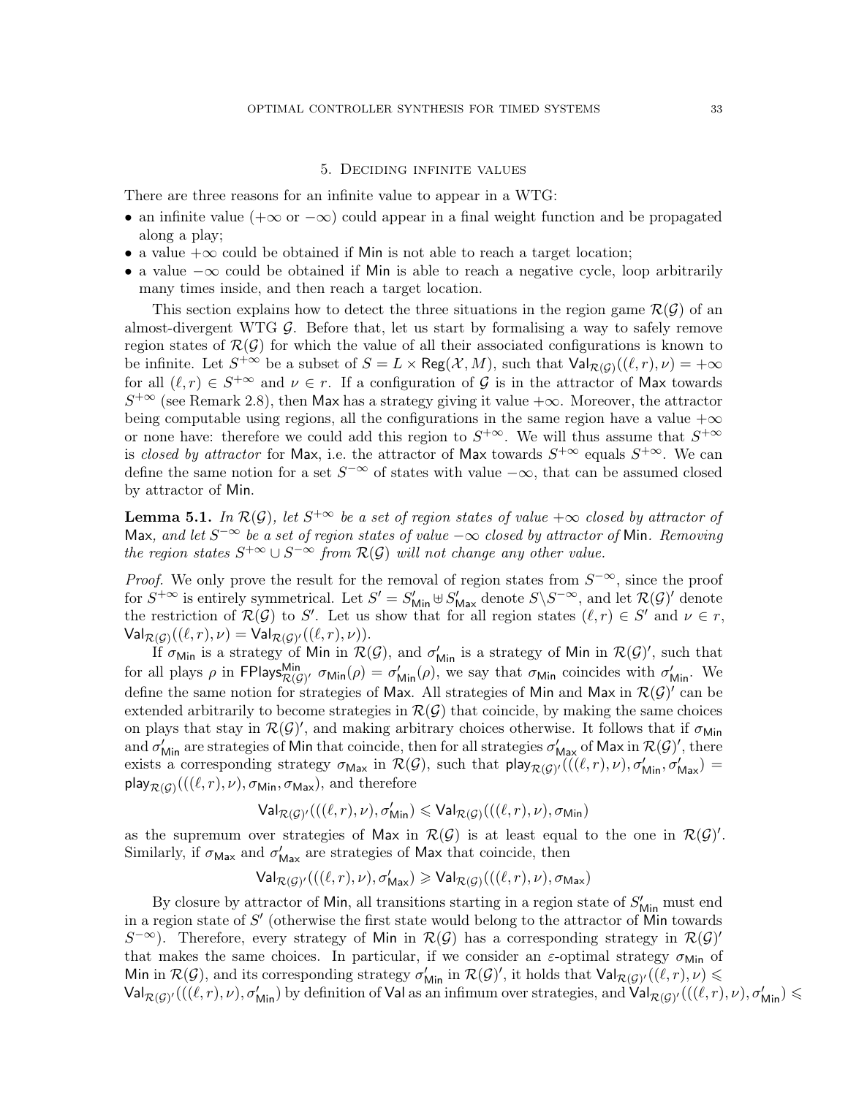### 5. Deciding infinite values

<span id="page-32-0"></span>There are three reasons for an infinite value to appear in a WTG:

- an infinite value ( $+\infty$  or  $-\infty$ ) could appear in a final weight function and be propagated along a play;
- a value  $+\infty$  could be obtained if Min is not able to reach a target location;
- a value −∞ could be obtained if Min is able to reach a negative cycle, loop arbitrarily many times inside, and then reach a target location.

This section explains how to detect the three situations in the region game  $\mathcal{R}(\mathcal{G})$  of an almost-divergent WTG  $\mathcal{G}$ . Before that, let us start by formalising a way to safely remove region states of  $\mathcal{R}(\mathcal{G})$  for which the value of all their associated configurations is known to be infinite. Let  $S^{+\infty}$  be a subset of  $S = L \times \text{Reg}(\mathcal{X}, M)$ , such that  $\text{Val}_{\mathcal{R}(\mathcal{G})}((\ell, r), \nu) = +\infty$ for all  $(\ell, r) \in S^{+\infty}$  and  $\nu \in r$ . If a configuration of G is in the attractor of Max towards  $S^{+\infty}$  (see Remark [2.8\)](#page-19-0), then Max has a strategy giving it value  $+\infty$ . Moreover, the attractor being computable using regions, all the configurations in the same region have a value  $+\infty$ or none have: therefore we could add this region to  $S^{+\infty}$ . We will thus assume that  $S^{+\infty}$ is closed by attractor for Max, i.e. the attractor of Max towards  $S^{+\infty}$  equals  $S^{+\infty}$ . We can define the same notion for a set  $S^{-\infty}$  of states with value  $-\infty$ , that can be assumed closed by attractor of Min.

<span id="page-32-1"></span>**Lemma 5.1.** In  $\mathcal{R}(\mathcal{G})$ , let  $S^{+\infty}$  be a set of region states of value  $+\infty$  closed by attractor of Max, and let  $S^{-\infty}$  be a set of region states of value  $-\infty$  closed by attractor of Min. Removing the region states  $S^{+\infty} \cup S^{-\infty}$  from  $\mathcal{R}(\mathcal{G})$  will not change any other value.

*Proof.* We only prove the result for the removal of region states from  $S^{-\infty}$ , since the proof for  $S^{+\infty}$  is entirely symmetrical. Let  $S' = S'_{\text{Min}} \oplus S'_{\text{Max}}$  denote  $S \setminus S^{-\infty}$ , and let  $\mathcal{R}(\mathcal{G})'$  denote the restriction of  $\mathcal{R}(\mathcal{G})$  to S'. Let us show that for all region states  $(\ell, r) \in S'$  and  $\nu \in r$ ,  $\mathsf{Val}_{\mathcal{R}(\mathcal{G})}((\ell,r),\nu) = \mathsf{Val}_{\mathcal{R}(\mathcal{G})'}((\ell,r),\nu)).$ 

If  $\sigma_{\text{Min}}$  is a strategy of Min in  $\mathcal{R}(\mathcal{G})$ , and  $\sigma'_{\text{Min}}$  is a strategy of Min in  $\mathcal{R}(\mathcal{G})'$ , such that for all plays  $\rho$  in FPlays $_{\mathcal{R}(\mathcal{G})'}^{\mathsf{Min}} \sigma_{\mathsf{Min}}(\rho) = \sigma'_{\mathsf{Min}}(\rho)$ , we say that  $\sigma_{\mathsf{Min}}$  coincides with  $\sigma'_{\mathsf{Min}}$ . We define the same notion for strategies of Max. All strategies of Min and Max in  $\mathcal{R}(\mathcal{G})'$  can be extended arbitrarily to become strategies in  $\mathcal{R}(\mathcal{G})$  that coincide, by making the same choices on plays that stay in  $\mathcal{R}(\mathcal{G})'$ , and making arbitrary choices otherwise. It follows that if  $\sigma_{\text{Min}}$ and  $\sigma'_{\sf Min}$  are strategies of Min that coincide, then for all strategies  $\sigma'_{\sf Max}$  of Max in  $\mathcal{R}(\mathcal{G})'$ , there exists a corresponding strategy  $\sigma_{\text{Max}}$  in  $\mathcal{R}(\mathcal{G})$ , such that  $\text{play}_{\mathcal{R}(\mathcal{G})'}((\ell,r),\nu), \sigma'_{\text{Min}}, \sigma'_{\text{Max}})$ play $_{\mathcal{R}(\mathcal{G})}(((\ell,r),\nu),\sigma_{\mathsf{Min}},\sigma_{\mathsf{Max}}), \text{ and therefore}$ 

$$
\mathsf{Val}_{\mathcal{R}(\mathcal{G})'}(((\ell, r), \nu), \sigma_{\mathsf{Min}}') \leqslant \mathsf{Val}_{\mathcal{R}(\mathcal{G})}(((\ell, r), \nu), \sigma_{\mathsf{Min}})
$$

as the supremum over strategies of Max in  $\mathcal{R}(\mathcal{G})$  is at least equal to the one in  $\mathcal{R}(\mathcal{G})'$ . Similarly, if  $\sigma_{\text{Max}}$  and  $\sigma'_{\text{Max}}$  are strategies of Max that coincide, then

$$
\mathsf{Val}_{\mathcal{R}(\mathcal{G})'}(((\ell, r), \nu), \sigma'_{\mathsf{Max}}) \geqslant \mathsf{Val}_{\mathcal{R}(\mathcal{G})}(((\ell, r), \nu), \sigma_{\mathsf{Max}})
$$

By closure by attractor of Min, all transitions starting in a region state of  $S'_{\text{Min}}$  must end in a region state of  $S'$  (otherwise the first state would belong to the attractor of Min towards S<sup>-∞</sup>). Therefore, every strategy of Min in  $\mathcal{R}(\mathcal{G})$  has a corresponding strategy in  $\mathcal{R}(\mathcal{G})'$ that makes the same choices. In particular, if we consider an  $\varepsilon$ -optimal strategy  $\sigma_{\text{Min}}$  of Min in  $\mathcal{R}(\mathcal{G})$ , and its corresponding strategy  $\sigma'_{\mathsf{Min}}$  in  $\mathcal{R}(\mathcal{G})'$ , it holds that  $\mathsf{Val}_{\mathcal{R}(\mathcal{G})'}((\ell,r),\nu) \leq$  $\mathsf{Val}_{\mathcal{R}(\mathcal{G})'}(((\ell,r),\nu),\sigma_{\mathsf{Min}}')$  by definition of  $\mathsf{Val}$  as an infimum over strategies, and  $\mathsf{Val}_{\mathcal{R}(\mathcal{G})'}(((\ell,r),\nu),\sigma_{\mathsf{Min}}')\leqslant \mathsf{Val}_{\mathcal{R}(\mathcal{G})'}$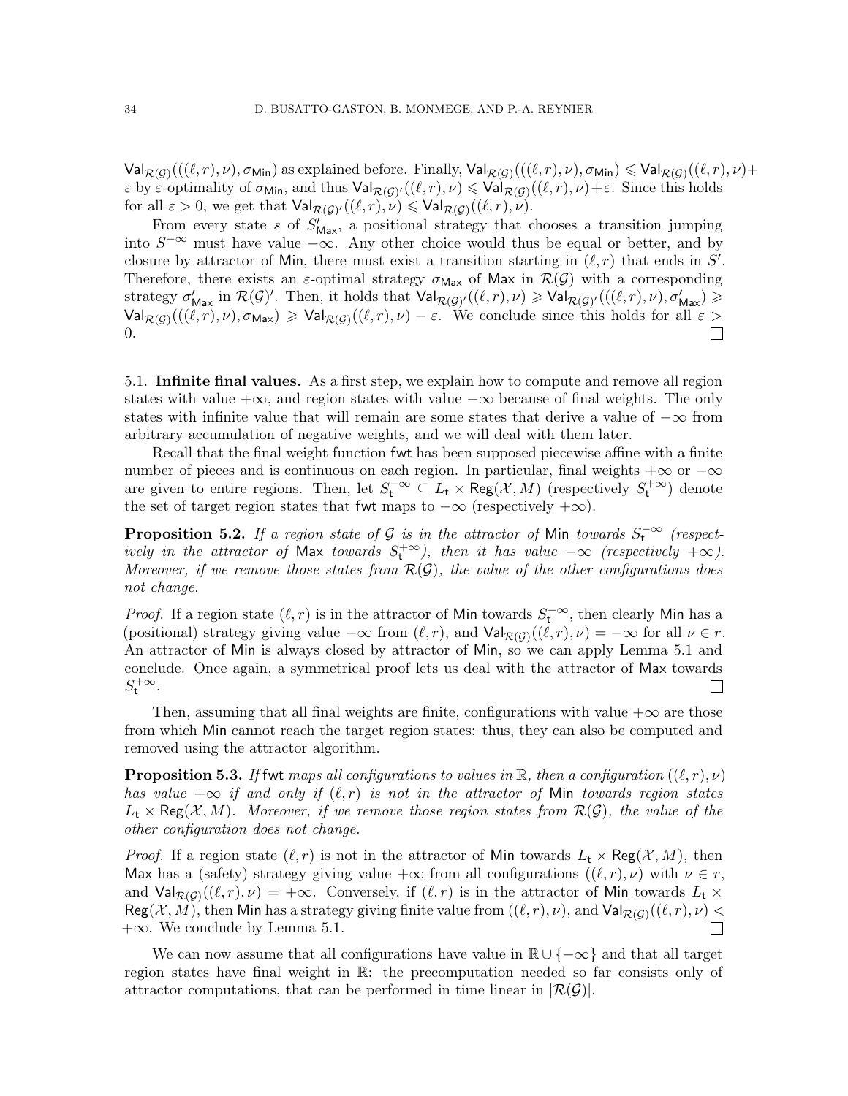$\mathsf{Val}_{\mathcal{R}(\mathcal{G})}(((\ell,r),\nu),\sigma_{\mathsf{Min}})$  as explained before. Finally,  $\mathsf{Val}_{\mathcal{R}(\mathcal{G})}(((\ell,r),\nu),\sigma_{\mathsf{Min}}) \leqslant \mathsf{Val}_{\mathcal{R}(\mathcal{G})}((\ell,r),\nu)+$  $\varepsilon$  by  $\varepsilon$ -optimality of  $\sigma_{\text{Min}}$ , and thus  $\text{Val}_{\mathcal{R}(\mathcal{G})'}((\ell,r),\nu) \leq \text{Val}_{\mathcal{R}(\mathcal{G})}((\ell,r),\nu)+\varepsilon$ . Since this holds for all  $\varepsilon > 0$ , we get that  $\mathsf{Val}_{\mathcal{R}(\mathcal{G})'}((\ell,r),\nu) \leqslant \mathsf{Val}_{\mathcal{R}(\mathcal{G})}((\ell,r),\nu).$ 

From every state s of  $S'_{\text{Max}}$ , a positional strategy that chooses a transition jumping into  $S^{-\infty}$  must have value  $-\infty$ . Any other choice would thus be equal or better, and by closure by attractor of Min, there must exist a transition starting in  $(\ell, r)$  that ends in  $S'$ . Therefore, there exists an  $\varepsilon$ -optimal strategy  $\sigma_{\text{Max}}$  of Max in  $\mathcal{R}(\mathcal{G})$  with a corresponding strategy  $\sigma'_{\mathsf{Max}}$  in  $\mathcal{R}(\mathcal{G})'$ . Then, it holds that  $\mathsf{Val}_{\mathcal{R}(\mathcal{G})'}((\ell,r),\nu) \geqslant \mathsf{Val}_{\mathcal{R}(\mathcal{G})'}(((\ell,r),\nu),\sigma'_{\mathsf{Max}}) \geqslant$  $\mathsf{Val}_{\mathcal{R}(\mathcal{G})}(((\ell, r), \nu), \sigma_{\mathsf{Max}}) \geqslant \mathsf{Val}_{\mathcal{R}(\mathcal{G})}((\ell, r), \nu) - \varepsilon$ . We conclude since this holds for all  $\varepsilon >$ 0.  $\Box$ 

5.1. Infinite final values. As a first step, we explain how to compute and remove all region states with value  $+\infty$ , and region states with value  $-\infty$  because of final weights. The only states with infinite value that will remain are some states that derive a value of −∞ from arbitrary accumulation of negative weights, and we will deal with them later.

Recall that the final weight function fwt has been supposed piecewise affine with a finite number of pieces and is continuous on each region. In particular, final weights  $+\infty$  or  $-\infty$ are given to entire regions. Then, let  $S_t^{-\infty} \subseteq L_t \times \text{Reg}(\mathcal{X}, M)$  (respectively  $S_t^{+\infty}$ ) denote the set of target region states that fwt maps to  $-\infty$  (respectively  $+\infty$ ).

**Proposition 5.2.** If a region state of G is in the attractor of Min towards  $S_t^{-\infty}$  (respectively in the attractor of Max towards  $S_t^{+\infty}$ ), then it has value  $-\infty$  (respectively  $+\infty$ ). Moreover, if we remove those states from  $\mathcal{R}(\mathcal{G})$ , the value of the other configurations does not change.

*Proof.* If a region state  $(\ell, r)$  is in the attractor of Min towards  $S_t^{-\infty}$ , then clearly Min has a (positional) strategy giving value  $-\infty$  from  $(\ell, r)$ , and  $\text{Val}_{\mathcal{R}(\mathcal{G})}((\ell, r), \nu) = -\infty$  for all  $\nu \in r$ . An attractor of Min is always closed by attractor of Min, so we can apply Lemma [5.1](#page-32-1) and conclude. Once again, a symmetrical proof lets us deal with the attractor of Max towards  $S_{t}^{+\infty}$ .  $\mathcal{L}$ 

Then, assuming that all final weights are finite, configurations with value  $+\infty$  are those from which Min cannot reach the target region states: thus, they can also be computed and removed using the attractor algorithm.

<span id="page-33-0"></span>**Proposition 5.3.** If fwt maps all configurations to values in R, then a configuration  $((\ell, r), \nu)$ has value  $+\infty$  if and only if  $(\ell, r)$  is not in the attractor of Min towards region states  $L_t \times \text{Reg}(\mathcal{X}, M)$ . Moreover, if we remove those region states from  $\mathcal{R}(\mathcal{G})$ , the value of the other configuration does not change.

*Proof.* If a region state  $(\ell, r)$  is not in the attractor of Min towards  $L_t \times \text{Reg}(\mathcal{X}, M)$ , then Max has a (safety) strategy giving value  $+\infty$  from all configurations  $((\ell, r), \nu)$  with  $\nu \in r$ , and  $\mathsf{Val}_{\mathcal{R}(\mathcal{G})}((\ell,r),\nu) = +\infty$ . Conversely, if  $(\ell,r)$  is in the attractor of Min towards  $L_t \times$  $\mathsf{Reg}(\mathcal{X},M),$  then  $\mathsf{Min}$  has a strategy giving finite value from  $((\ell,r),\nu),$  and  $\mathsf{Val}_{\mathcal{R}(\mathcal{G})}((\ell,r),\nu) < \infty$ +∞. We conclude by Lemma [5.1.](#page-32-1)  $\Box$ 

We can now assume that all configurations have value in  $\mathbb{R} \cup \{-\infty\}$  and that all target region states have final weight in R: the precomputation needed so far consists only of attractor computations, that can be performed in time linear in  $|\mathcal{R}(\mathcal{G})|$ .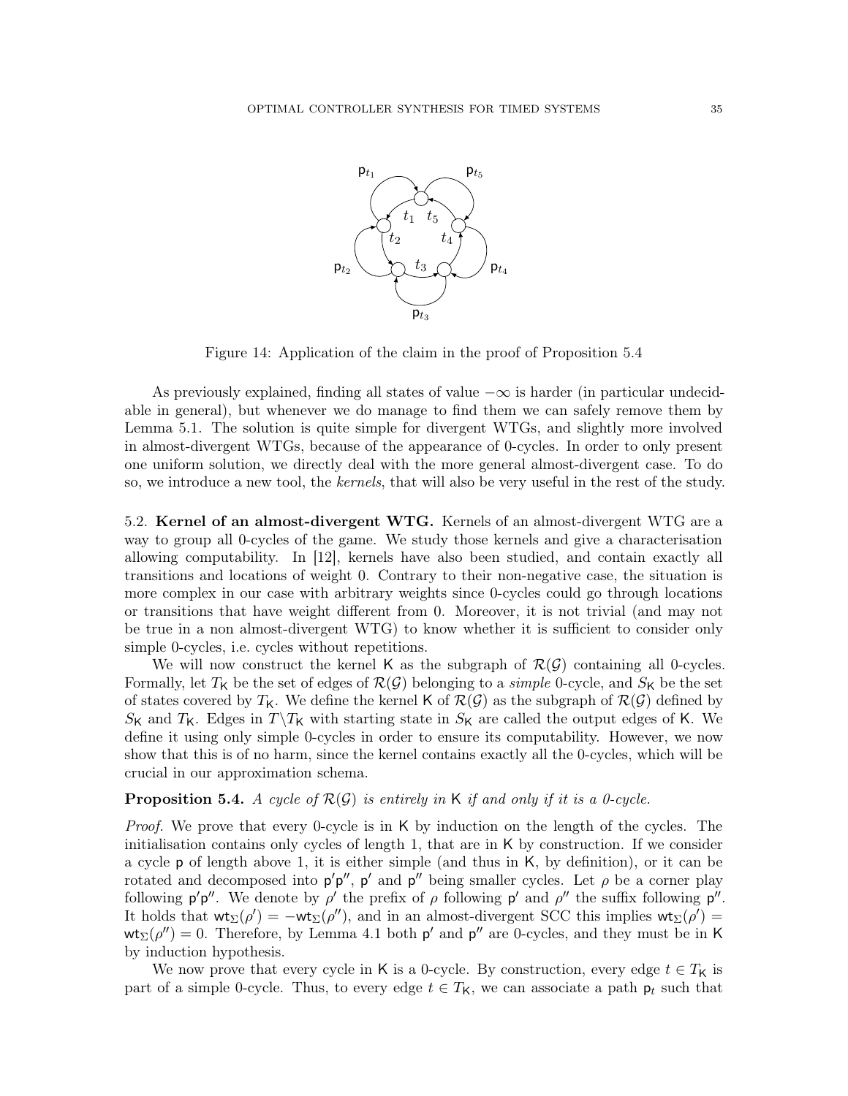

<span id="page-34-1"></span>Figure 14: Application of the claim in the proof of Proposition [5.4](#page-34-0)

As previously explained, finding all states of value  $-\infty$  is harder (in particular undecidable in general), but whenever we do manage to find them we can safely remove them by Lemma [5.1.](#page-32-1) The solution is quite simple for divergent WTGs, and slightly more involved in almost-divergent WTGs, because of the appearance of 0-cycles. In order to only present one uniform solution, we directly deal with the more general almost-divergent case. To do so, we introduce a new tool, the kernels, that will also be very useful in the rest of the study.

5.2. Kernel of an almost-divergent WTG. Kernels of an almost-divergent WTG are a way to group all 0-cycles of the game. We study those kernels and give a characterisation allowing computability. In [\[12\]](#page-71-5), kernels have also been studied, and contain exactly all transitions and locations of weight 0. Contrary to their non-negative case, the situation is more complex in our case with arbitrary weights since 0-cycles could go through locations or transitions that have weight different from 0. Moreover, it is not trivial (and may not be true in a non almost-divergent WTG) to know whether it is sufficient to consider only simple 0-cycles, i.e. cycles without repetitions.

We will now construct the kernel K as the subgraph of  $\mathcal{R}(\mathcal{G})$  containing all 0-cycles. Formally, let  $T_K$  be the set of edges of  $\mathcal{R}(\mathcal{G})$  belonging to a *simple* 0-cycle, and  $S_K$  be the set of states covered by  $T_K$ . We define the kernel K of  $\mathcal{R}(\mathcal{G})$  as the subgraph of  $\mathcal{R}(\mathcal{G})$  defined by  $S_{\mathsf{K}}$  and  $T_{\mathsf{K}}$ . Edges in  $T\backslash T_{\mathsf{K}}$  with starting state in  $S_{\mathsf{K}}$  are called the output edges of K. We define it using only simple 0-cycles in order to ensure its computability. However, we now show that this is of no harm, since the kernel contains exactly all the 0-cycles, which will be crucial in our approximation schema.

### <span id="page-34-0"></span>**Proposition 5.4.** A cycle of  $\mathcal{R}(\mathcal{G})$  is entirely in K if and only if it is a 0-cycle.

Proof. We prove that every 0-cycle is in K by induction on the length of the cycles. The initialisation contains only cycles of length 1, that are in  $K$  by construction. If we consider a cycle p of length above 1, it is either simple (and thus in K, by definition), or it can be rotated and decomposed into  $p'p''$ ,  $p'$  and  $p''$  being smaller cycles. Let  $\rho$  be a corner play following  $p'p''$ . We denote by  $\rho'$  the prefix of  $\rho$  following  $p'$  and  $\rho''$  the suffix following  $p''$ . It holds that  $\mathsf{wt}_{\Sigma}(\rho') = -\mathsf{wt}_{\Sigma}(\rho'')$ , and in an almost-divergent SCC this implies  $\mathsf{wt}_{\Sigma}(\rho') =$  $\mathsf{wt}_{\Sigma}(\rho'') = 0$ . Therefore, by Lemma [4.1](#page-25-3) both  $p'$  and  $p''$  are 0-cycles, and they must be in K by induction hypothesis.

We now prove that every cycle in K is a 0-cycle. By construction, every edge  $t \in T_{\mathsf{K}}$  is part of a simple 0-cycle. Thus, to every edge  $t \in T_{\mathsf{K}}$ , we can associate a path  $\mathsf{p}_t$  such that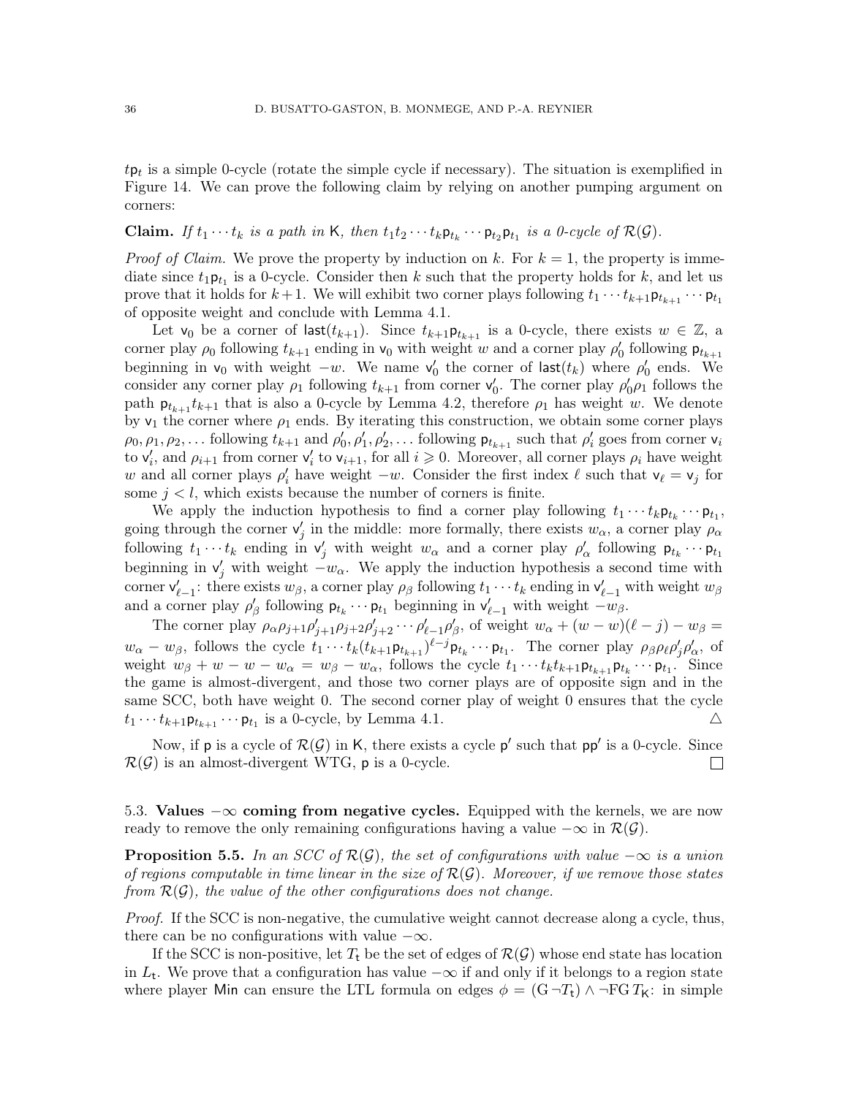$tp_t$  is a simple 0-cycle (rotate the simple cycle if necessary). The situation is exemplified in Figure [14.](#page-34-1) We can prove the following claim by relying on another pumping argument on corners:

# **Claim.** If  $t_1 \cdots t_k$  is a path in K, then  $t_1 t_2 \cdots t_k \mathsf{p}_{t_k} \cdots \mathsf{p}_{t_2} \mathsf{p}_{t_1}$  is a 0-cycle of  $\mathcal{R}(\mathcal{G})$ .

*Proof of Claim.* We prove the property by induction on k. For  $k = 1$ , the property is immediate since  $t_1 \mathbf{p}_{t_1}$  is a 0-cycle. Consider then k such that the property holds for k, and let us prove that it holds for  $k+1$ . We will exhibit two corner plays following  $t_1 \cdots t_{k+1} \mathsf{p}_{t_{k+1}} \cdots \mathsf{p}_{t_1}$ of opposite weight and conclude with Lemma [4.1.](#page-25-3)

Let  $v_0$  be a corner of last $(t_{k+1})$ . Since  $t_{k+1}$ **p**<sub> $t_{k+1}$ </sub> is a 0-cycle, there exists  $w \in \mathbb{Z}$ , a corner play  $\rho_0$  following  $t_{k+1}$  ending in  $v_0$  with weight w and a corner play  $\rho'_0$  following  $p_{t_{k+1}}$ beginning in  $v_0$  with weight  $-w$ . We name  $v'_0$  the corner of last $(t_k)$  where  $\rho'_0$  ends. We consider any corner play  $\rho_1$  following  $t_{k+1}$  from corner  $v'_0$ . The corner play  $\rho'_0 \rho_1$  follows the path  $p_{t_{k+1}}t_{k+1}$  that is also a 0-cycle by Lemma [4.2,](#page-26-0) therefore  $\rho_1$  has weight w. We denote by  $v_1$  the corner where  $\rho_1$  ends. By iterating this construction, we obtain some corner plays  $\rho_0, \rho_1, \rho_2, \ldots$  following  $t_{k+1}$  and  $\rho'_0, \rho'_1, \rho'_2, \ldots$  following  $\mathsf{p}_{t_{k+1}}$  such that  $\rho'_i$  goes from corner  $\mathsf{v}_i$ to  $v'_i$ , and  $\rho_{i+1}$  from corner  $v'_i$  to  $v_{i+1}$ , for all  $i \geq 0$ . Moreover, all corner plays  $\rho_i$  have weight w and all corner plays  $\rho'_i$  have weight  $-w$ . Consider the first index  $\ell$  such that  $\mathsf{v}_\ell = \mathsf{v}_j$  for some  $j < l$ , which exists because the number of corners is finite.

We apply the induction hypothesis to find a corner play following  $t_1 \cdots t_k \mathsf{p}_{t_k} \cdots \mathsf{p}_{t_1}$ , going through the corner  $v'_j$  in the middle: more formally, there exists  $w_\alpha$ , a corner play  $\rho_\alpha$ following  $t_1 \cdots t_k$  ending in  $v'_j$  with weight  $w_\alpha$  and a corner play  $\rho'_\alpha$  following  $p_{t_k} \cdots p_{t_1}$ beginning in  $v'_j$  with weight  $-v_\alpha$ . We apply the induction hypothesis a second time with corner  $\mathsf{v}'_{\ell-1}$ : there exists  $w_\beta$ , a corner play  $\rho_\beta$  following  $t_1 \cdots t_k$  ending in  $\mathsf{v}'_{\ell-1}$  with weight  $w_\beta$ and a corner play  $\rho'_\beta$  following  $\mathsf{p}_{t_k} \cdots \mathsf{p}_{t_1}$  beginning in  $\mathsf{v}'_{\ell-1}$  with weight  $-w_\beta$ .

The corner play  $\rho_{\alpha}\rho_{j+1}\rho'_{j+1}\rho_{j+2}\rho'_{j+2}\cdots\rho'_{\ell-1}\rho'_{\beta}$ , of weight  $w_{\alpha} + (w-w)(\ell - j) - w_{\beta} =$  $w_{\alpha}-w_{\beta}$ , follows the cycle  $t_1\cdots t_k(t_{k+1}\mathsf{p}_{t_{k+1}})^{\ell-j}\mathsf{p}_{t_k}\cdots \mathsf{p}_{t_1}$ . The corner play  $\rho_{\beta}\rho_{\ell}\rho_{\beta}'\rho_{\alpha}'$ , of weight  $w_{\beta} + w - w - w_{\alpha} = w_{\beta} - w_{\alpha}$ , follows the cycle  $t_1 \cdots t_k t_{k+1} \mathsf{p}_{t_{k+1}} \mathsf{p}_{t_k} \cdots \mathsf{p}_{t_1}$ . Since the game is almost-divergent, and those two corner plays are of opposite sign and in the same SCC, both have weight 0. The second corner play of weight 0 ensures that the cycle  $t_1 \cdots t_{k+1} \mathsf{p}_{t_{k+1}} \cdots \mathsf{p}_{t_1}$  is a 0-cycle, by Lemma [4.1.](#page-25-3)  $\triangle$ 

Now, if p is a cycle of  $\mathcal{R}(\mathcal{G})$  in K, there exists a cycle p' such that pp' is a 0-cycle. Since  $\mathcal{R}(\mathcal{G})$  is an almost-divergent WTG, p is a 0-cycle.  $\mathbf{L}$ 

5.3. Values  $-\infty$  coming from negative cycles. Equipped with the kernels, we are now ready to remove the only remaining configurations having a value  $-\infty$  in  $\mathcal{R}(\mathcal{G})$ .

<span id="page-35-0"></span>**Proposition 5.5.** In an SCC of  $\mathcal{R}(\mathcal{G})$ , the set of configurations with value  $-\infty$  is a union of regions computable in time linear in the size of  $\mathcal{R}(\mathcal{G})$ . Moreover, if we remove those states from  $\mathcal{R}(\mathcal{G})$ , the value of the other configurations does not change.

Proof. If the SCC is non-negative, the cumulative weight cannot decrease along a cycle, thus, there can be no configurations with value  $-\infty$ .

If the SCC is non-positive, let  $T_t$  be the set of edges of  $\mathcal{R}(\mathcal{G})$  whose end state has location in  $L_t$ . We prove that a configuration has value  $-\infty$  if and only if it belongs to a region state where player Min can ensure the LTL formula on edges  $\phi = (G \neg T_t) \wedge \neg FG T_K$ : in simple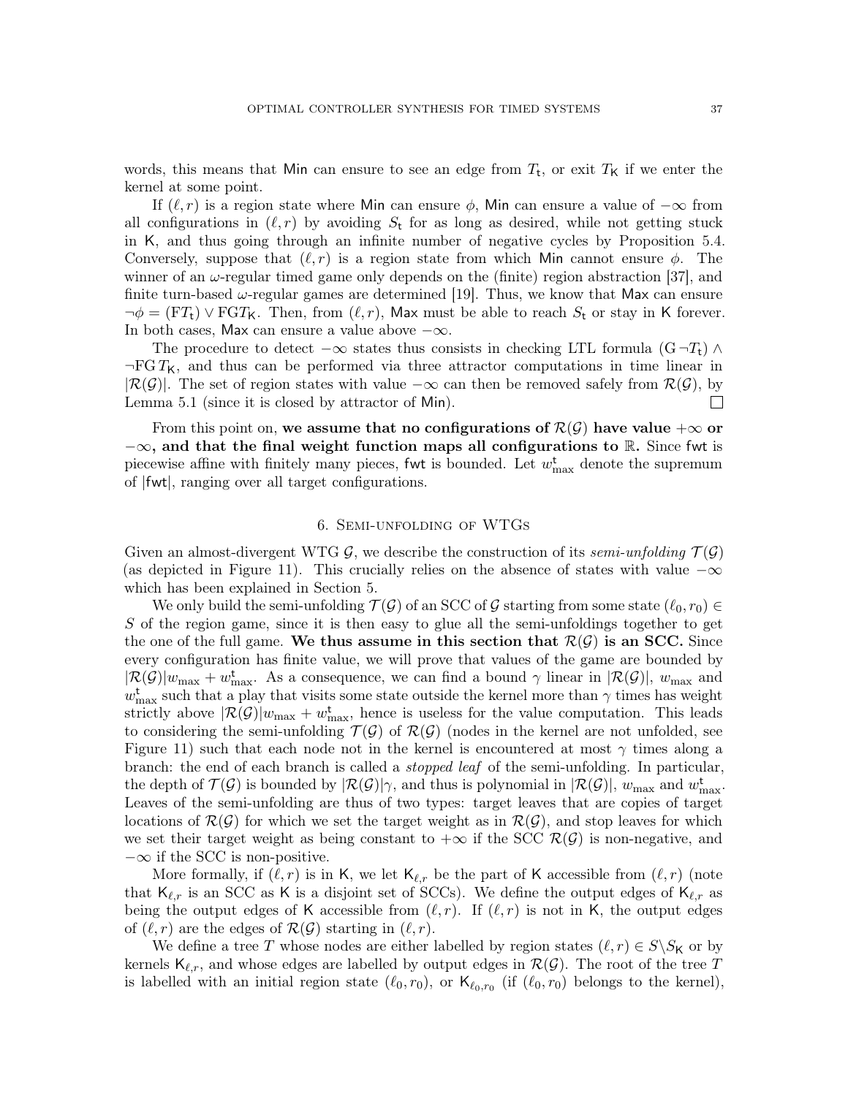words, this means that Min can ensure to see an edge from  $T_t$ , or exit  $T_K$  if we enter the kernel at some point.

If  $(\ell, r)$  is a region state where Min can ensure  $\phi$ , Min can ensure a value of  $-\infty$  from all configurations in  $(\ell, r)$  by avoiding  $S_t$  for as long as desired, while not getting stuck in K, and thus going through an infinite number of negative cycles by Proposition [5.4.](#page-34-0) Conversely, suppose that  $(\ell, r)$  is a region state from which Min cannot ensure  $\phi$ . The winner of an  $\omega$ -regular timed game only depends on the (finite) region abstraction [\[37\]](#page-72-0), and finite turn-based  $\omega$ -regular games are determined [\[19\]](#page-71-0). Thus, we know that Max can ensure  $\neg \phi = (\mathbf{F}T_t) \vee \mathbf{F} \mathbf{G}T_K$ . Then, from  $(\ell, r)$ , Max must be able to reach  $S_t$  or stay in K forever. In both cases, Max can ensure a value above  $-\infty$ .

The procedure to detect  $-\infty$  states thus consists in checking LTL formula  $(G\neg T_t) \wedge$  $\neg FGT_K$ , and thus can be performed via three attractor computations in time linear in  $|\mathcal{R}(\mathcal{G})|$ . The set of region states with value  $-\infty$  can then be removed safely from  $\mathcal{R}(\mathcal{G})$ , by Lemma [5.1](#page-32-0) (since it is closed by attractor of Min).  $\Box$ 

From this point on, we assume that no configurations of  $\mathcal{R}(\mathcal{G})$  have value  $+\infty$  or  $-\infty$ , and that the final weight function maps all configurations to R. Since fwt is piecewise affine with finitely many pieces, fwt is bounded. Let  $w_{\text{max}}^{\text{t}}$  denote the supremum of |fwt|, ranging over all target configurations.

# 6. Semi-unfolding of WTGs

<span id="page-36-0"></span>Given an almost-divergent WTG G, we describe the construction of its semi-unfolding  $\mathcal{T}(\mathcal{G})$ (as depicted in Figure [11\)](#page-24-0). This crucially relies on the absence of states with value  $-\infty$ which has been explained in Section [5.](#page-32-1)

We only build the semi-unfolding  $\mathcal{T}(\mathcal{G})$  of an SCC of  $\mathcal G$  starting from some state  $(\ell_0, r_0) \in$  $S$  of the region game, since it is then easy to glue all the semi-unfoldings together to get the one of the full game. We thus assume in this section that  $\mathcal{R}(\mathcal{G})$  is an SCC. Since every configuration has finite value, we will prove that values of the game are bounded by  $|\mathcal{R}(\mathcal{G})|w_{\text{max}} + w_{\text{max}}^{\text{t}}$ . As a consequence, we can find a bound  $\gamma$  linear in  $|\mathcal{R}(\mathcal{G})|$ ,  $w_{\text{max}}$  and  $w_{\text{max}}^{\text{t}}$  such that a play that visits some state outside the kernel more than  $\gamma$  times has weight strictly above  $\lvert \mathcal{R}(\mathcal{G}) \rvert w_{\text{max}} + w_{\text{max}}^{\text{t}}$ , hence is useless for the value computation. This leads to considering the semi-unfolding  $\mathcal{T}(\mathcal{G})$  of  $\mathcal{R}(\mathcal{G})$  (nodes in the kernel are not unfolded, see Figure [11\)](#page-24-0) such that each node not in the kernel is encountered at most  $\gamma$  times along a branch: the end of each branch is called a stopped leaf of the semi-unfolding. In particular, the depth of  $\mathcal{T}(\mathcal{G})$  is bounded by  $|\mathcal{R}(\mathcal{G})|\gamma$ , and thus is polynomial in  $|\mathcal{R}(\mathcal{G})|$ ,  $w_{\text{max}}$  and  $w_{\text{max}}^{\mathbf{t}}$ . Leaves of the semi-unfolding are thus of two types: target leaves that are copies of target locations of  $\mathcal{R}(\mathcal{G})$  for which we set the target weight as in  $\mathcal{R}(\mathcal{G})$ , and stop leaves for which we set their target weight as being constant to  $+\infty$  if the SCC  $\mathcal{R}(\mathcal{G})$  is non-negative, and  $-\infty$  if the SCC is non-positive.

More formally, if  $(\ell, r)$  is in K, we let  $\mathsf{K}_{\ell,r}$  be the part of K accessible from  $(\ell, r)$  (note that  $\mathsf{K}_{\ell,r}$  is an SCC as K is a disjoint set of SCCs). We define the output edges of  $\mathsf{K}_{\ell,r}$  as being the output edges of K accessible from  $(\ell, r)$ . If  $(\ell, r)$  is not in K, the output edges of  $(\ell, r)$  are the edges of  $\mathcal{R}(\mathcal{G})$  starting in  $(\ell, r)$ .

We define a tree T whose nodes are either labelled by region states  $(\ell, r) \in S \backslash S_{\mathsf{K}}$  or by kernels  $\mathsf{K}_{\ell,r}$ , and whose edges are labelled by output edges in  $\mathcal{R}(\mathcal{G})$ . The root of the tree T is labelled with an initial region state  $(\ell_0, r_0)$ , or  $\mathsf{K}_{\ell_0,r_0}$  (if  $(\ell_0, r_0)$ ) belongs to the kernel),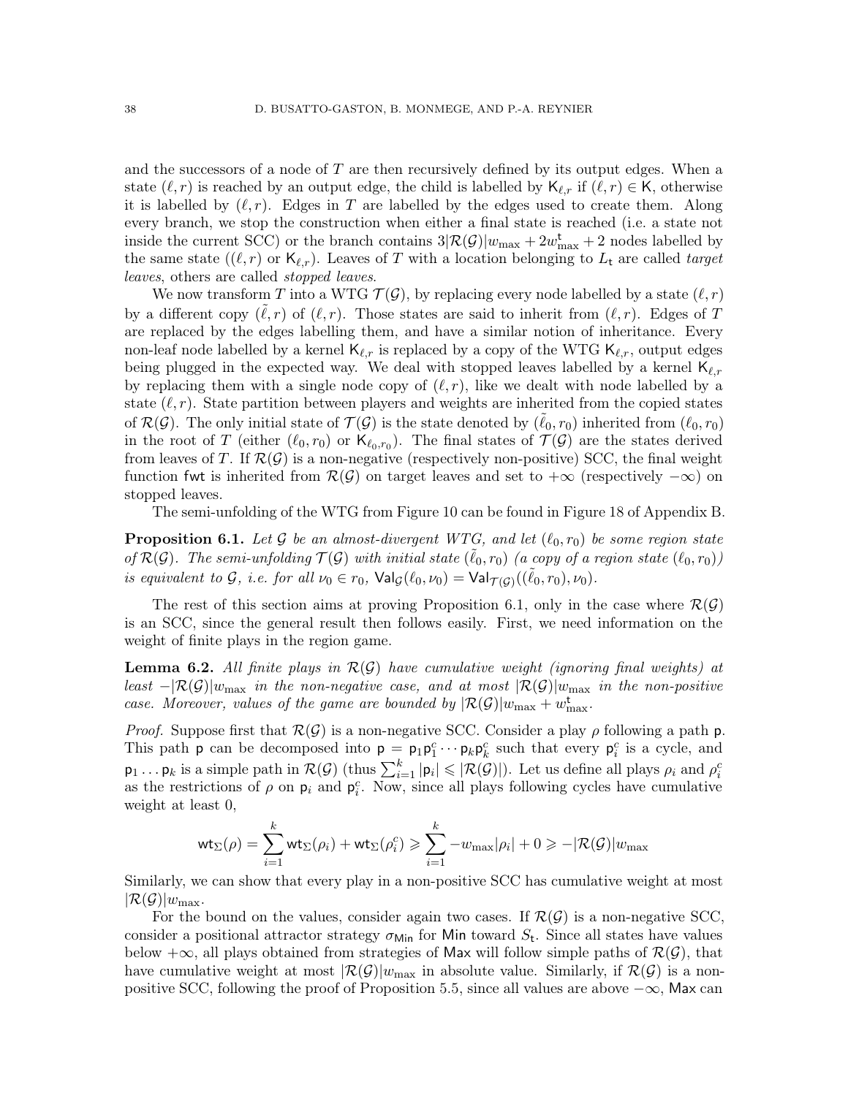and the successors of a node of  $T$  are then recursively defined by its output edges. When a state  $(\ell, r)$  is reached by an output edge, the child is labelled by  $\mathsf{K}_{\ell,r}$  if  $(\ell, r) \in \mathsf{K}$ , otherwise it is labelled by  $(\ell, r)$ . Edges in T are labelled by the edges used to create them. Along every branch, we stop the construction when either a final state is reached (i.e. a state not inside the current SCC) or the branch contains  $3\mathcal{R}(\mathcal{G})|w_{\text{max}} + 2w_{\text{max}}^{\text{t}} + 2$  nodes labelled by the same state  $((\ell, r)$  or  $\mathsf{K}_{\ell,r})$ . Leaves of T with a location belonging to  $L_t$  are called target leaves, others are called stopped leaves.

We now transform T into a WTG  $\mathcal{T}(\mathcal{G})$ , by replacing every node labelled by a state  $(\ell, r)$ by a different copy  $(\tilde{\ell}, r)$  of  $(\ell, r)$ . Those states are said to inherit from  $(\ell, r)$ . Edges of T are replaced by the edges labelling them, and have a similar notion of inheritance. Every non-leaf node labelled by a kernel  $\mathsf{K}_{\ell,r}$  is replaced by a copy of the WTG  $\mathsf{K}_{\ell,r}$ , output edges being plugged in the expected way. We deal with stopped leaves labelled by a kernel  $\mathsf{K}_{\ell,r}$ by replacing them with a single node copy of  $(\ell, r)$ , like we dealt with node labelled by a state  $(\ell, r)$ . State partition between players and weights are inherited from the copied states of  $\mathcal{R}(\mathcal{G})$ . The only initial state of  $\mathcal{T}(\mathcal{G})$  is the state denoted by  $(\tilde{\ell}_0, r_0)$  inherited from  $(\ell_0, r_0)$ in the root of T (either  $(\ell_0, r_0)$  or  $\mathsf{K}_{\ell_0, r_0}$ ). The final states of  $\mathcal{T}(\mathcal{G})$  are the states derived from leaves of T. If  $\mathcal{R}(\mathcal{G})$  is a non-negative (respectively non-positive) SCC, the final weight function fwt is inherited from  $\mathcal{R}(\mathcal{G})$  on target leaves and set to  $+\infty$  (respectively  $-\infty$ ) on stopped leaves.

The semi-unfolding of the WTG from Figure [10](#page-23-0) can be found in Figure [18](#page-74-0) of Appendix [B.](#page-73-0)

<span id="page-37-0"></span>**Proposition 6.1.** Let G be an almost-divergent WTG, and let  $(\ell_0, r_0)$  be some region state of  $\mathcal{R}(\mathcal{G})$ . The semi-unfolding  $\mathcal{T}(\mathcal{G})$  with initial state  $(\tilde{\ell}_0, r_0)$  (a copy of a region state  $(\ell_0, r_0)$ ) is equivalent to G, i.e. for all  $\nu_0 \in r_0$ ,  $\text{Val}_{\mathcal{G}}(\ell_0, \nu_0) = \text{Val}_{\mathcal{T}(\mathcal{G})}((\tilde{\ell}_0, r_0), \nu_0)$ .

The rest of this section aims at proving Proposition [6.1,](#page-37-0) only in the case where  $\mathcal{R}(\mathcal{G})$ is an SCC, since the general result then follows easily. First, we need information on the weight of finite plays in the region game.

<span id="page-37-1"></span>**Lemma 6.2.** All finite plays in  $\mathcal{R}(\mathcal{G})$  have cumulative weight (ignoring final weights) at least  $-|\mathcal{R}(\mathcal{G})|w_{\text{max}}$  in the non-negative case, and at most  $|\mathcal{R}(\mathcal{G})|w_{\text{max}}$  in the non-positive case. Moreover, values of the game are bounded by  $\frac{\mathcal{R}(G)}{w_{\max}} + w_{\max}^{\mathsf{t}}$ .

*Proof.* Suppose first that  $\mathcal{R}(\mathcal{G})$  is a non-negative SCC. Consider a play  $\rho$  following a path p. This path **p** can be decomposed into  $p = p_1 p_1^c \cdots p_k p_k^c$  such that every  $p_i^c$  is a cycle, and  $\mathsf{p}_1 \ldots \mathsf{p}_k$  is a simple path in  $\mathcal{R}(\mathcal{G})$  (thus  $\sum_{i=1}^k |\mathsf{p}_i| \leqslant |\mathcal{R}(\mathcal{G})|$ ). Let us define all plays  $\rho_i$  and  $\rho_i^c$ as the restrictions of  $\rho$  on  $p_i$  and  $p_i^c$ . Now, since all plays following cycles have cumulative weight at least 0,

$$
\text{wt}_{\Sigma}(\rho) = \sum_{i=1}^{k} \text{wt}_{\Sigma}(\rho_i) + \text{wt}_{\Sigma}(\rho_i^c) \geqslant \sum_{i=1}^{k} -w_{\text{max}}|\rho_i| + 0 \geqslant -|\mathcal{R}(\mathcal{G})|w_{\text{max}}
$$

Similarly, we can show that every play in a non-positive SCC has cumulative weight at most  $|\mathcal{R}(\mathcal{G})|w_{\text{max}}.$ 

For the bound on the values, consider again two cases. If  $\mathcal{R}(\mathcal{G})$  is a non-negative SCC, consider a positional attractor strategy  $\sigma_{\text{Min}}$  for Min toward  $S_t$ . Since all states have values below  $+\infty$ , all plays obtained from strategies of Max will follow simple paths of  $\mathcal{R}(\mathcal{G})$ , that have cumulative weight at most  $\mathcal{R}(G)|w_{\text{max}}$  in absolute value. Similarly, if  $\mathcal{R}(G)$  is a non-positive SCC, following the proof of Proposition [5.5,](#page-35-0) since all values are above  $-\infty$ , Max can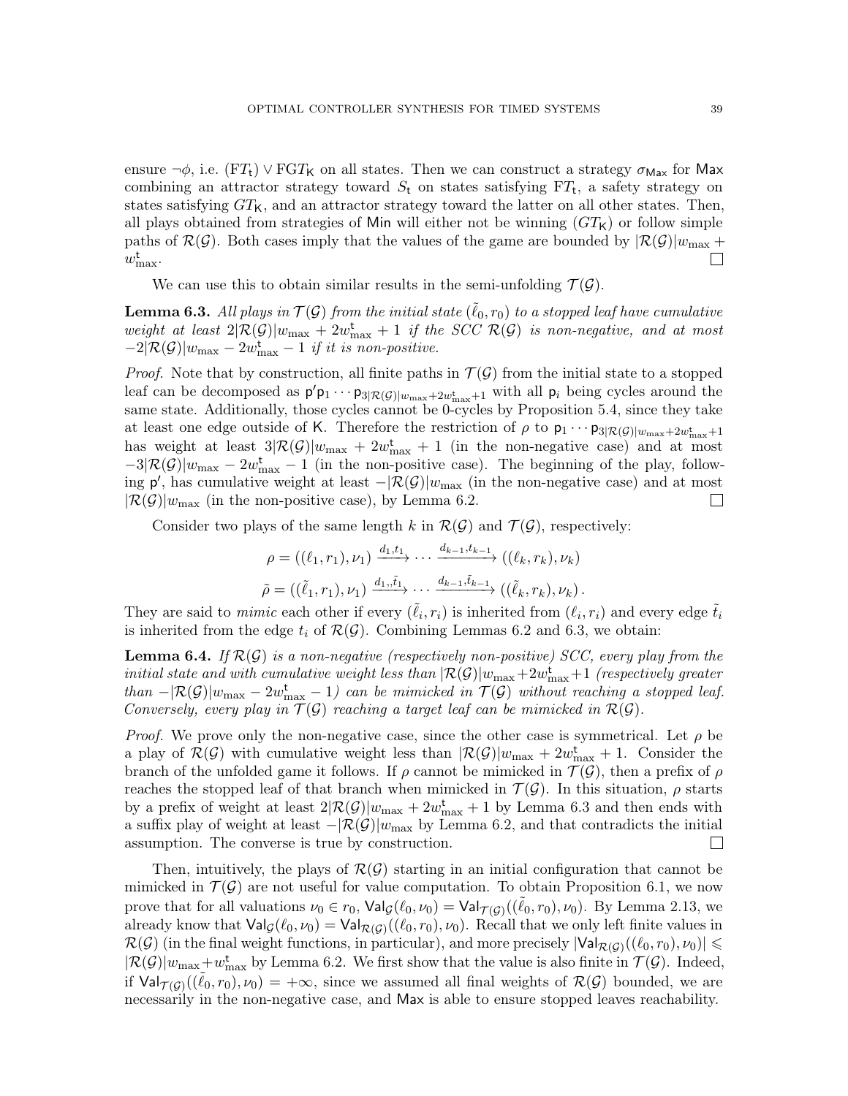ensure  $\neg \phi$ , i.e. (FT<sub>t</sub>)  $\vee$  FGT<sub>K</sub> on all states. Then we can construct a strategy  $\sigma_{\text{Max}}$  for Max combining an attractor strategy toward  $S_t$  on states satisfying  $FT_t$ , a safety strategy on states satisfying  $GT_{\mathsf{K}}$ , and an attractor strategy toward the latter on all other states. Then, all plays obtained from strategies of Min will either not be winning  $(GT<sub>K</sub>)$  or follow simple paths of  $\mathcal{R}(\mathcal{G})$ . Both cases imply that the values of the game are bounded by  $|\mathcal{R}(\mathcal{G})|w_{\text{max}} +$  $w_{\text{max}}^{\text{t}}$ .  $\Box$ 

We can use this to obtain similar results in the semi-unfolding  $\mathcal{T}(\mathcal{G})$ .

<span id="page-38-0"></span>**Lemma 6.3.** All plays in  $\mathcal{T}(\mathcal{G})$  from the initial state  $(\tilde{\ell}_0, r_0)$  to a stopped leaf have cumulative weight at least  $2|\mathcal{R}(\mathcal{G})|w_{\text{max}} + 2w_{\text{max}}^{\text{t}} + 1$  if the SCC  $\mathcal{R}(\mathcal{G})$  is non-negative, and at most  $-2|\mathcal{R}(\mathcal{G})|w_{\text{max}} - 2w_{\text{max}}^{\text{t}} - 1$  if it is non-positive.

*Proof.* Note that by construction, all finite paths in  $\mathcal{T}(\mathcal{G})$  from the initial state to a stopped leaf can be decomposed as  $p'p_1 \cdots p_{3|\mathcal{R}(\mathcal{G})|w_{\max}+2w_{\max}+1}$  with all  $p_i$  being cycles around the same state. Additionally, those cycles cannot be 0-cycles by Proposition [5.4,](#page-34-0) since they take at least one edge outside of K. Therefore the restriction of  $\rho$  to  $p_1 \cdots p_{3|\mathcal{R}(\mathcal{G})|w_{\max}+2w_{\max}+1}$ has weight at least  $3\mathcal{R}(\mathcal{G})|w_{\text{max}} + 2w_{\text{max}}^{\text{t}} + 1$  (in the non-negative case) and at most  $-3\mathcal{R}(\mathcal{G})|w_{\text{max}} - 2w_{\text{max}}^{\text{t}} - 1$  (in the non-positive case). The beginning of the play, following  $p'$ , has cumulative weight at least  $-|\mathcal{R}(\mathcal{G})|w_{\text{max}}$  (in the non-negative case) and at most  $|\mathcal{R}(\mathcal{G})|w_{\text{max}}$  (in the non-positive case), by Lemma [6.2.](#page-37-1)  $\Box$ 

Consider two plays of the same length k in  $\mathcal{R}(\mathcal{G})$  and  $\mathcal{T}(\mathcal{G})$ , respectively:

$$
\rho = ((\ell_1, r_1), \nu_1) \xrightarrow{d_1, t_1} \cdots \xrightarrow{d_{k-1}, t_{k-1}} ((\ell_k, r_k), \nu_k)
$$
  

$$
\tilde{\rho} = ((\tilde{\ell}_1, r_1), \nu_1) \xrightarrow{d_1, \tilde{t}_1} \cdots \xrightarrow{d_{k-1}, \tilde{t}_{k-1}} ((\tilde{\ell}_k, r_k), \nu_k).
$$

They are said to *mimic* each other if every  $(\tilde{\ell}_i, r_i)$  is inherited from  $(\ell_i, r_i)$  and every edge  $\tilde{t}_i$ is inherited from the edge  $t_i$  of  $\mathcal{R}(\mathcal{G})$ . Combining Lemmas [6.2](#page-37-1) and [6.3,](#page-38-0) we obtain:

<span id="page-38-1"></span>**Lemma 6.4.** If  $\mathcal{R}(\mathcal{G})$  is a non-negative (respectively non-positive) SCC, every play from the  $initial\ state\ and\ with\ cumulative\ weight\ less\ than\ |\mathcal{R(G)}| w_{\max}+2w_{\max}^{\mathbf{t}}+1\ (respectively\ greater\$ than  $-|\mathcal{R}(\mathcal{G})|w_{\text{max}} - 2w_{\text{max}}^{\text{t}} - 1$  can be mimicked in  $\mathcal{T}(\mathcal{G})$  without reaching a stopped leaf. Conversely, every play in  $\mathcal{T}(\mathcal{G})$  reaching a target leaf can be mimicked in  $\mathcal{R}(\mathcal{G})$ .

*Proof.* We prove only the non-negative case, since the other case is symmetrical. Let  $\rho$  be a play of  $\mathcal{R}(\mathcal{G})$  with cumulative weight less than  $|\mathcal{R}(\mathcal{G})|w_{\text{max}} + 2w_{\text{max}}^{\text{t}} + 1$ . Consider the branch of the unfolded game it follows. If  $\rho$  cannot be mimicked in  $\mathcal{T}(\mathcal{G})$ , then a prefix of  $\rho$ reaches the stopped leaf of that branch when mimicked in  $\mathcal{T}(\mathcal{G})$ . In this situation,  $\rho$  starts by a prefix of weight at least  $2|\mathcal{R}(\mathcal{G})|w_{\text{max}} + 2w_{\text{max}}^{\text{t}} + 1$  by Lemma [6.3](#page-38-0) and then ends with a suffix play of weight at least  $-|\mathcal{R}(\mathcal{G})|w_{\text{max}}$  by Lemma [6.2,](#page-37-1) and that contradicts the initial assumption. The converse is true by construction.  $\Box$ 

Then, intuitively, the plays of  $\mathcal{R}(\mathcal{G})$  starting in an initial configuration that cannot be mimicked in  $\mathcal{T}(\mathcal{G})$  are not useful for value computation. To obtain Proposition [6.1,](#page-37-0) we now prove that for all valuations  $\nu_0 \in r_0$ ,  $\mathsf{Val}_{\mathcal{G}}(\ell_0, \nu_0) = \mathsf{Val}_{\mathcal{T}(\mathcal{G})}((\tilde{\ell}_0, r_0), \nu_0)$ . By Lemma [2.13,](#page-16-0) we already know that  $\text{Val}_{\mathcal{G}}(\ell_0, \nu_0) = \text{Val}_{\mathcal{R}(\mathcal{G})}((\ell_0, r_0), \nu_0)$ . Recall that we only left finite values in  $\mathcal{R}(\mathcal{G})$  (in the final weight functions, in particular), and more precisely  $|\mathsf{Val}_{\mathcal{R}(\mathcal{G})}((\ell_0,r_0),\nu_0)| \leq$  $|\mathcal{R}(\mathcal{G})|w_{\text{max}}+w_{\text{max}}^{\text{t}}$  by Lemma [6.2.](#page-37-1) We first show that the value is also finite in  $\mathcal{T}(\mathcal{G})$ . Indeed, if  $\text{Val}_{\mathcal{T}(\mathcal{G})}((\tilde{\ell}_0,r_0),\nu_0) = +\infty$ , since we assumed all final weights of  $\mathcal{R}(\mathcal{G})$  bounded, we are necessarily in the non-negative case, and Max is able to ensure stopped leaves reachability.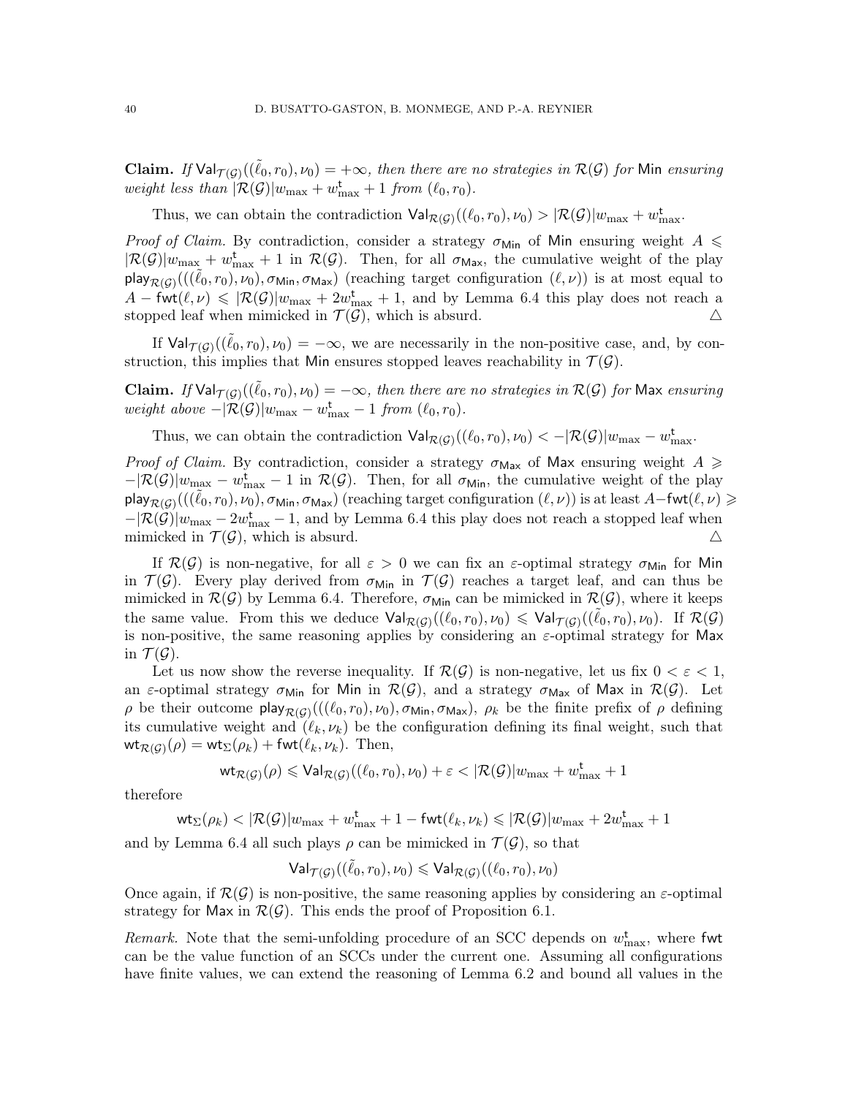**Claim.** If  $\text{Val}_{\mathcal{T}(\mathcal{G})}((\tilde{\ell}_0, r_0), \nu_0) = +\infty$ , then there are no strategies in  $\mathcal{R}(\mathcal{G})$  for Min ensuring weight less than  $|\mathcal{R}(\mathcal{G})|w_{\text{max}} + w_{\text{max}}^{\mathsf{t}} + 1$  from  $(\ell_0, r_0)$ .

Thus, we can obtain the contradiction  $\text{Val}_{\mathcal{R}(\mathcal{G})}((\ell_0, r_0), \nu_0) > |\mathcal{R}(\mathcal{G})|w_{\max} + w_{\max}^{\mathbf{t}}$ .

*Proof of Claim.* By contradiction, consider a strategy  $\sigma_{\text{Min}}$  of Min ensuring weight  $A \leq$  $|\mathcal{R}(\mathcal{G})|w_{\text{max}} + w_{\text{max}}^{\text{t}} + 1$  in  $\mathcal{R}(\mathcal{G})$ . Then, for all  $\sigma_{\text{Max}}$ , the cumulative weight of the play play $_{\mathcal{R}(\mathcal{G})}(((\tilde{\ell}_0,r_0),\nu_0),\sigma_{\mathsf{Min}},\sigma_{\mathsf{Max}})$  (reaching target configuration  $(\ell,\nu)$ ) is at most equal to  $A - \text{fwt}(\ell, \nu) \leq \frac{1}{\mathcal{R}(\mathcal{G})|w_{\text{max}} + 2w_{\text{max}}^{\text{t}} + 1$ , and by Lemma [6.4](#page-38-1) this play does not reach a stopped leaf when mimicked in  $\mathcal{T}(\mathcal{G})$ , which is absurd.  $\Delta$ 

If  $\text{Val}_{\mathcal{T}(\mathcal{G})}((\tilde{\ell}_0, r_0), \nu_0) = -\infty$ , we are necessarily in the non-positive case, and, by construction, this implies that Min ensures stopped leaves reachability in  $\mathcal{T}(\mathcal{G})$ .

**Claim.** If  $\text{Val}_{\mathcal{T}(\mathcal{G})}((\tilde{\ell}_0, r_0), \nu_0) = -\infty$ , then there are no strategies in  $\mathcal{R}(\mathcal{G})$  for Max ensuring weight above  $-|\mathcal{R}(\mathcal{G})|w_{\text{max}} - w_{\text{max}}^{\text{t}} - 1$  from  $(\ell_0, r_0)$ .

Thus, we can obtain the contradiction  $\text{Val}_{\mathcal{R}(\mathcal{G})}((\ell_0, r_0), \nu_0) < -|\mathcal{R}(\mathcal{G})|w_{\max} - w_{\max}^{\mathbf{t}}$ .

Proof of Claim. By contradiction, consider a strategy  $\sigma_{\text{Max}}$  of Max ensuring weight  $A \geq$  $-|\mathcal{R}(\mathcal{G})|w_{\text{max}} - w_{\text{max}}^{\text{t}} - 1$  in  $\mathcal{R}(\mathcal{G})$ . Then, for all  $\sigma_{\text{Min}}$ , the cumulative weight of the play  $\mathsf{play}_{\mathcal{R}(\mathcal{G})}(((\tilde{\ell}_0,r_0),\nu_0),\sigma_{\mathsf{Min}},\sigma_{\mathsf{Max}})$  (reaching target configuration  $(\ell,\nu)$ ) is at least  $A-\mathsf{fwt}(\ell,\nu) \geqslant 1$  $-|\mathcal{R}(\mathcal{G})|w_{\text{max}} - 2w_{\text{max}}^{\text{t}} - 1$ , and by Lemma [6.4](#page-38-1) this play does not reach a stopped leaf when mimicked in  $\mathcal{T}(\mathcal{G})$ , which is absurd.  $\Delta$ 

If  $\mathcal{R}(\mathcal{G})$  is non-negative, for all  $\varepsilon > 0$  we can fix an  $\varepsilon$ -optimal strategy  $\sigma_{\text{Min}}$  for Min in  $\mathcal{T}(\mathcal{G})$ . Every play derived from  $\sigma_{\text{Min}}$  in  $\mathcal{T}(\mathcal{G})$  reaches a target leaf, and can thus be mimicked in  $\mathcal{R}(\mathcal{G})$  by Lemma [6.4.](#page-38-1) Therefore,  $\sigma_{\text{Min}}$  can be mimicked in  $\mathcal{R}(\mathcal{G})$ , where it keeps the same value. From this we deduce  $\text{Val}_{\mathcal{R}(\mathcal{G})}((\ell_0,r_0),\nu_0) \leq \text{Val}_{\mathcal{T}(\mathcal{G})}((\tilde{\ell}_0,r_0),\nu_0)$ . If  $\mathcal{R}(\mathcal{G})$ is non-positive, the same reasoning applies by considering an  $\varepsilon$ -optimal strategy for Max in  $\mathcal{T}(\mathcal{G})$ .

Let us now show the reverse inequality. If  $\mathcal{R}(\mathcal{G})$  is non-negative, let us fix  $0 < \varepsilon < 1$ , an  $\varepsilon$ -optimal strategy  $\sigma_{Min}$  for Min in  $\mathcal{R}(\mathcal{G})$ , and a strategy  $\sigma_{Max}$  of Max in  $\mathcal{R}(\mathcal{G})$ . Let ρ be their outcome play<sub>R(β)</sub>((( $(\ell_0, r_0)$ ,  $\nu_0$ ),  $\sigma_{Min}, \sigma_{Max}$ ),  $\rho_k$  be the finite prefix of  $\rho$  defining its cumulative weight and  $(\ell_k, \nu_k)$  be the configuration defining its final weight, such that  $\mathsf{wt}_{\mathcal{R}(\mathcal{G})}(\rho) = \mathsf{wt}_\Sigma(\rho_k) + \mathsf{fwt}(\ell_k, \nu_k).$  Then,

$$
\text{wt}_{\mathcal{R}(\mathcal{G})}(\rho) \leqslant \text{Val}_{\mathcal{R}(\mathcal{G})}((\ell_0,r_0),\nu_0)+\varepsilon < |\mathcal{R}(\mathcal{G})| w_{\max} + w_{\max}^{\mathbf{t}} + 1
$$

therefore

 $\mathsf{wt}_\Sigma(\rho_k)<|\mathcal{R}(\mathcal{G})|w_{\max}+w^\mathtt{t}_{\max}+1-\mathsf{fwt}(\ell_k,\nu_k)\leqslant |\mathcal{R}(\mathcal{G})|w_{\max}+2w^\mathtt{t}_{\max}+1$ 

and by Lemma [6.4](#page-38-1) all such plays  $\rho$  can be mimicked in  $\mathcal{T}(\mathcal{G})$ , so that

$$
\mathsf{Val}_{\mathcal{T}(\mathcal{G})}((\tilde{\ell}_0,r_0),\nu_0) \leqslant \mathsf{Val}_{\mathcal{R}(\mathcal{G})}((\ell_0,r_0),\nu_0)
$$

Once again, if  $\mathcal{R}(\mathcal{G})$  is non-positive, the same reasoning applies by considering an  $\varepsilon$ -optimal strategy for Max in  $\mathcal{R}(\mathcal{G})$ . This ends the proof of Proposition [6.1.](#page-37-0)

*Remark*. Note that the semi-unfolding procedure of an SCC depends on  $w_{\text{max}}^{\text{t}}$ , where fwt can be the value function of an SCCs under the current one. Assuming all configurations have finite values, we can extend the reasoning of Lemma [6.2](#page-37-1) and bound all values in the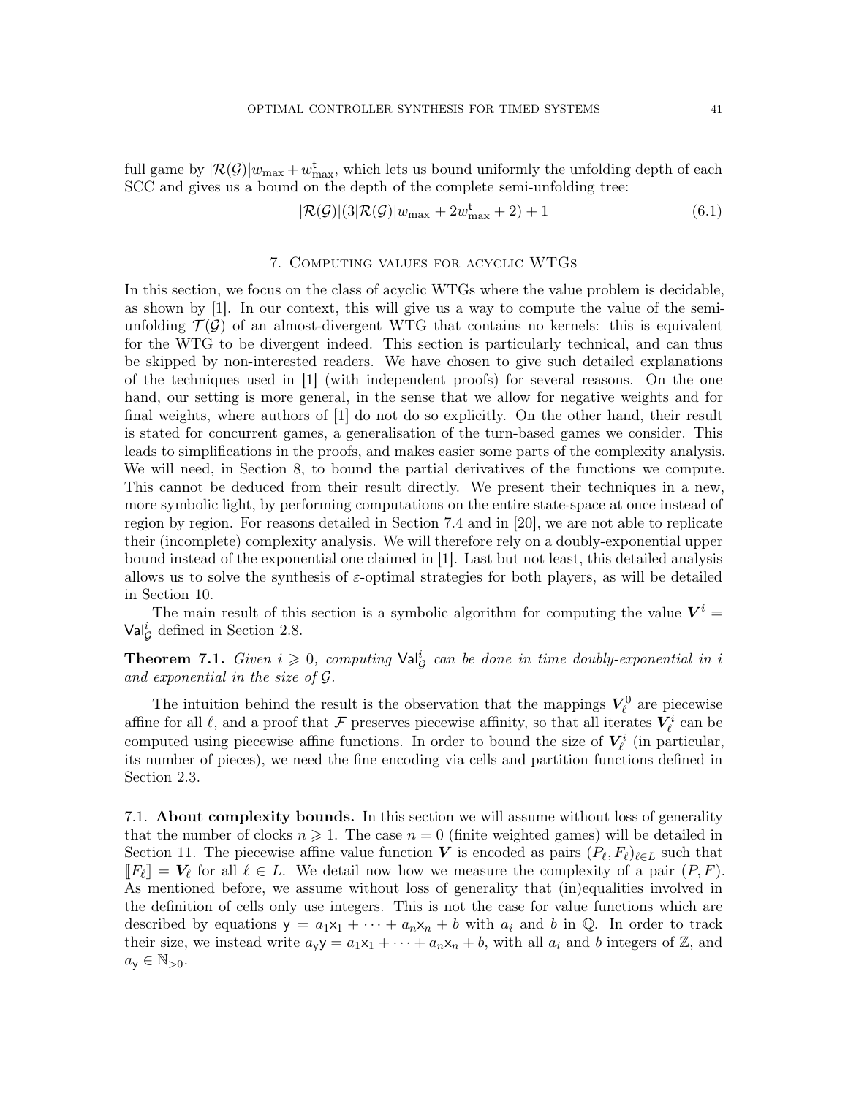full game by  $|\mathcal{R}(\mathcal{G})|w_{\text{max}} + w_{\text{max}}^{\text{t}}$ , which lets us bound uniformly the unfolding depth of each SCC and gives us a bound on the depth of the complete semi-unfolding tree:

<span id="page-40-1"></span>
$$
|\mathcal{R}(\mathcal{G})|(3|\mathcal{R}(\mathcal{G})|w_{\text{max}} + 2w_{\text{max}}^{\text{t}} + 2) + 1
$$
\n(6.1)

## 7. Computing values for acyclic WTGs

<span id="page-40-2"></span>In this section, we focus on the class of acyclic WTGs where the value problem is decidable, as shown by [\[1\]](#page-70-0). In our context, this will give us a way to compute the value of the semiunfolding  $\mathcal{T}(\mathcal{G})$  of an almost-divergent WTG that contains no kernels: this is equivalent for the WTG to be divergent indeed. This section is particularly technical, and can thus be skipped by non-interested readers. We have chosen to give such detailed explanations of the techniques used in [\[1\]](#page-70-0) (with independent proofs) for several reasons. On the one hand, our setting is more general, in the sense that we allow for negative weights and for final weights, where authors of [\[1\]](#page-70-0) do not do so explicitly. On the other hand, their result is stated for concurrent games, a generalisation of the turn-based games we consider. This leads to simplifications in the proofs, and makes easier some parts of the complexity analysis. We will need, in Section [8,](#page-52-0) to bound the partial derivatives of the functions we compute. This cannot be deduced from their result directly. We present their techniques in a new, more symbolic light, by performing computations on the entire state-space at once instead of region by region. For reasons detailed in Section [7.4](#page-48-0) and in [\[20\]](#page-71-1), we are not able to replicate their (incomplete) complexity analysis. We will therefore rely on a doubly-exponential upper bound instead of the exponential one claimed in [\[1\]](#page-70-0). Last but not least, this detailed analysis allows us to solve the synthesis of  $\varepsilon$ -optimal strategies for both players, as will be detailed in Section [10.](#page-62-0)

The main result of this section is a symbolic algorithm for computing the value  $V^i$  =  $Val_{\mathcal{G}}^{i}$  defined in Section [2.8.](#page-18-0)

<span id="page-40-0"></span>**Theorem 7.1.** Given  $i \geq 0$ , computing  $\text{Val}_{\mathcal{G}}^i$  can be done in time doubly-exponential in i and exponential in the size of  $\mathcal G$ .

The intuition behind the result is the observation that the mappings  $V_{\ell}^{0}$  are piecewise affine for all  $\ell$ , and a proof that  $\mathcal F$  preserves piecewise affinity, so that all iterates  $V^i_\ell$  can be computed using piecewise affine functions. In order to bound the size of  $V_{\ell}^{i}$  (in particular, its number of pieces), we need the fine encoding via cells and partition functions defined in Section [2.3.](#page-8-0)

7.1. About complexity bounds. In this section we will assume without loss of generality that the number of clocks  $n \geq 1$ . The case  $n = 0$  (finite weighted games) will be detailed in Section [11.](#page-65-0) The piecewise affine value function V is encoded as pairs  $(P_{\ell}, F_{\ell})_{\ell \in L}$  such that  $[F_{\ell}]] = V_{\ell}$  for all  $\ell \in L$ . We detail now how we measure the complexity of a pair  $(P, F)$ . As mentioned before, we assume without loss of generality that (in)equalities involved in the definition of cells only use integers. This is not the case for value functions which are described by equations  $y = a_1x_1 + \cdots + a_nx_n + b$  with  $a_i$  and b in Q. In order to track their size, we instead write  $a_y y = a_1 x_1 + \cdots + a_n x_n + b$ , with all  $a_i$  and b integers of Z, and  $a_{\mathsf{y}} \in \mathbb{N}_{>0}$ .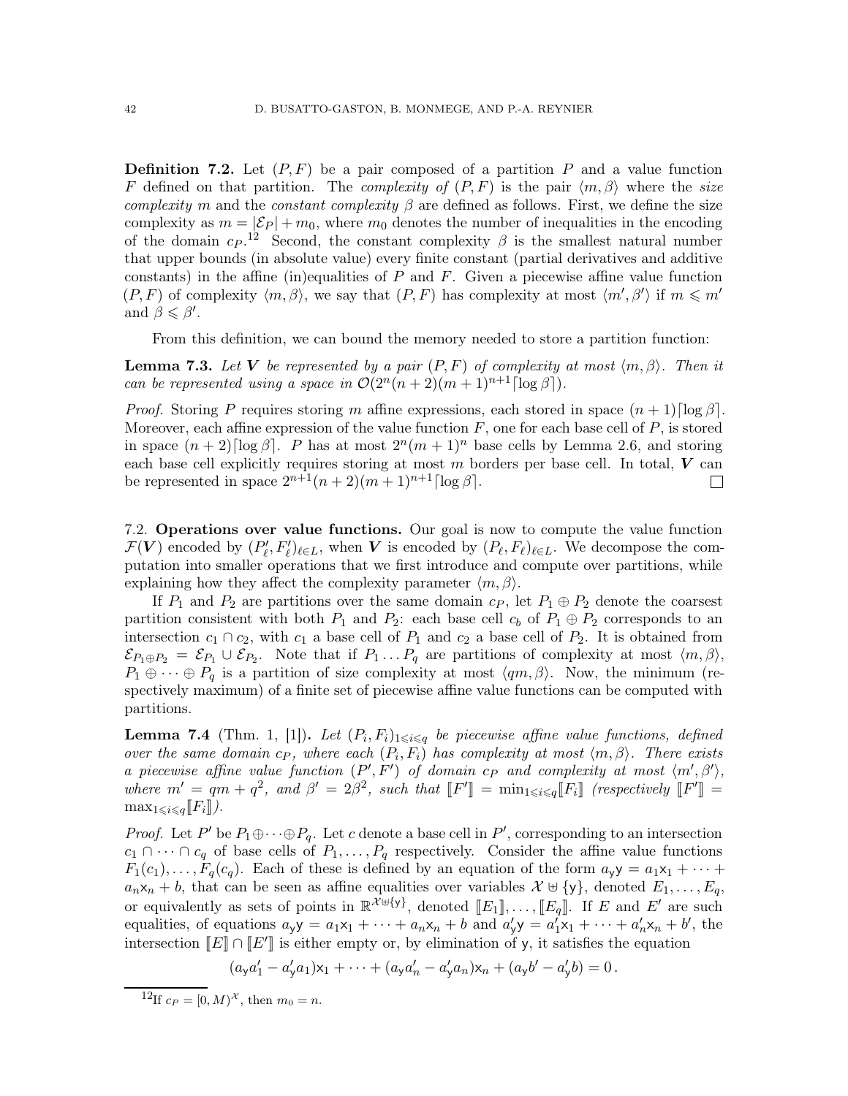**Definition 7.2.** Let  $(P, F)$  be a pair composed of a partition P and a value function F defined on that partition. The *complexity of*  $(P, F)$  is the pair  $\langle m, \beta \rangle$  where the size complexity m and the constant complexity  $\beta$  are defined as follows. First, we define the size complexity as  $m = |\mathcal{E}_P| + m_0$ , where  $m_0$  denotes the number of inequalities in the encoding of the domain  $c_P$ .<sup>[12](#page-41-0)</sup> Second, the constant complexity  $\beta$  is the smallest natural number that upper bounds (in absolute value) every finite constant (partial derivatives and additive constants) in the affine (in)equalities of  $P$  and  $F$ . Given a piecewise affine value function  $(P, F)$  of complexity  $\langle m, \beta \rangle$ , we say that  $(P, F)$  has complexity at most  $\langle m', \beta' \rangle$  if  $m \leqslant m'$ and  $\beta \leq \beta'$ .

From this definition, we can bound the memory needed to store a partition function:

<span id="page-41-2"></span>**Lemma 7.3.** Let V be represented by a pair  $(P, F)$  of complexity at most  $\langle m, \beta \rangle$ . Then it can be represented using a space in  $\mathcal{O}(2^n(n+2)(m+1)^{n+1} \lceil \log \beta \rceil)$ .

*Proof.* Storing P requires storing m affine expressions, each stored in space  $(n + 1)$ [log  $\beta$ ]. Moreover, each affine expression of the value function  $F$ , one for each base cell of  $P$ , is stored in space  $(n+2)$ [log  $\beta$ ]. P has at most  $2^{n}(m+1)^{n}$  base cells by Lemma [2.6,](#page-10-0) and storing each base cell explicitly requires storing at most  $m$  borders per base cell. In total,  $V$  can be represented in space  $2^{n+1}(n+2)(m+1)^{n+1}[\log \beta]$ .  $\mathbf{L}$ 

7.2. Operations over value functions. Our goal is now to compute the value function  $\mathcal{F}(\boldsymbol{V})$  encoded by  $(P'_\ell, F'_\ell)_{\ell \in L}$ , when  $\boldsymbol{V}$  is encoded by  $(P_\ell, F_\ell)_{\ell \in L}$ . We decompose the computation into smaller operations that we first introduce and compute over partitions, while explaining how they affect the complexity parameter  $\langle m, \beta \rangle$ .

If  $P_1$  and  $P_2$  are partitions over the same domain  $c_P$ , let  $P_1 \oplus P_2$  denote the coarsest partition consistent with both  $P_1$  and  $P_2$ : each base cell  $c_b$  of  $P_1 \oplus P_2$  corresponds to an intersection  $c_1 \cap c_2$ , with  $c_1$  a base cell of  $P_1$  and  $c_2$  a base cell of  $P_2$ . It is obtained from  $\mathcal{E}_{P_1\oplus P_2} = \mathcal{E}_{P_1} \cup \mathcal{E}_{P_2}$ . Note that if  $P_1 \dots P_q$  are partitions of complexity at most  $\langle m, \beta \rangle$ ,  $P_1 \oplus \cdots \oplus P_q$  is a partition of size complexity at most  $\langle q_m, \beta \rangle$ . Now, the minimum (respectively maximum) of a finite set of piecewise affine value functions can be computed with partitions.

<span id="page-41-1"></span>**Lemma 7.4** (Thm. 1, [\[1\]](#page-70-0)). Let  $(P_i, F_i)_{1 \leq i \leq q}$  be piecewise affine value functions, defined over the same domain  $c_P$ , where each  $(P_i, F_i)$  has complexity at most  $\langle m, \beta \rangle$ . There exists a piecewise affine value function  $(P', F')$  of domain  $c_P$  and complexity at most  $\langle m', \beta' \rangle$ , where  $m' = qm + q^2$ , and  $\beta' = 2\beta^2$ , such that  $[[F']] = \min_{1 \leq i \leq q} [F_i]$  (respectively  $[[F']] =$  $\max_{1\leq i\leq q} [F_i]$ .

*Proof.* Let  $P'$  be  $P_1 \oplus \cdots \oplus P_q$ . Let c denote a base cell in  $P'$ , corresponding to an intersection  $c_1 \cap \cdots \cap c_q$  of base cells of  $P_1, \ldots, P_q$  respectively. Consider the affine value functions  $F_1(c_1), \ldots, F_q(c_q)$ . Each of these is defined by an equation of the form  $a_{\gamma}y = a_1x_1 + \cdots$  $a_n x_n + b$ , that can be seen as affine equalities over variables  $\mathcal{X} \uplus {\mathcal{Y}}$ , denoted  $E_1, \ldots, E_q$ , or equivalently as sets of points in  $\mathbb{R}^{\mathcal{X} \uplus \{y\}}$ , denoted  $[[E_1]], \ldots, [[E_q]]$ . If E and E' are such equalities, of equations  $a_y y = a_1 x_1 + \cdots + a_n x_n + b$  and  $a'_y y = a'_1 x_1 + \cdots + a'_n x_n + b'$ , the intersection  $[[E] \cap [[E']]$  is either empty or, by elimination of y, it satisfies the equation

$$
(a_y a'_1 - a'_y a_1) x_1 + \dots + (a_y a'_n - a'_y a_n) x_n + (a_y b' - a'_y b) = 0.
$$

<span id="page-41-0"></span><sup>12</sup>If  $c_P = [0, M)^{\mathcal{X}}$ , then  $m_0 = n$ .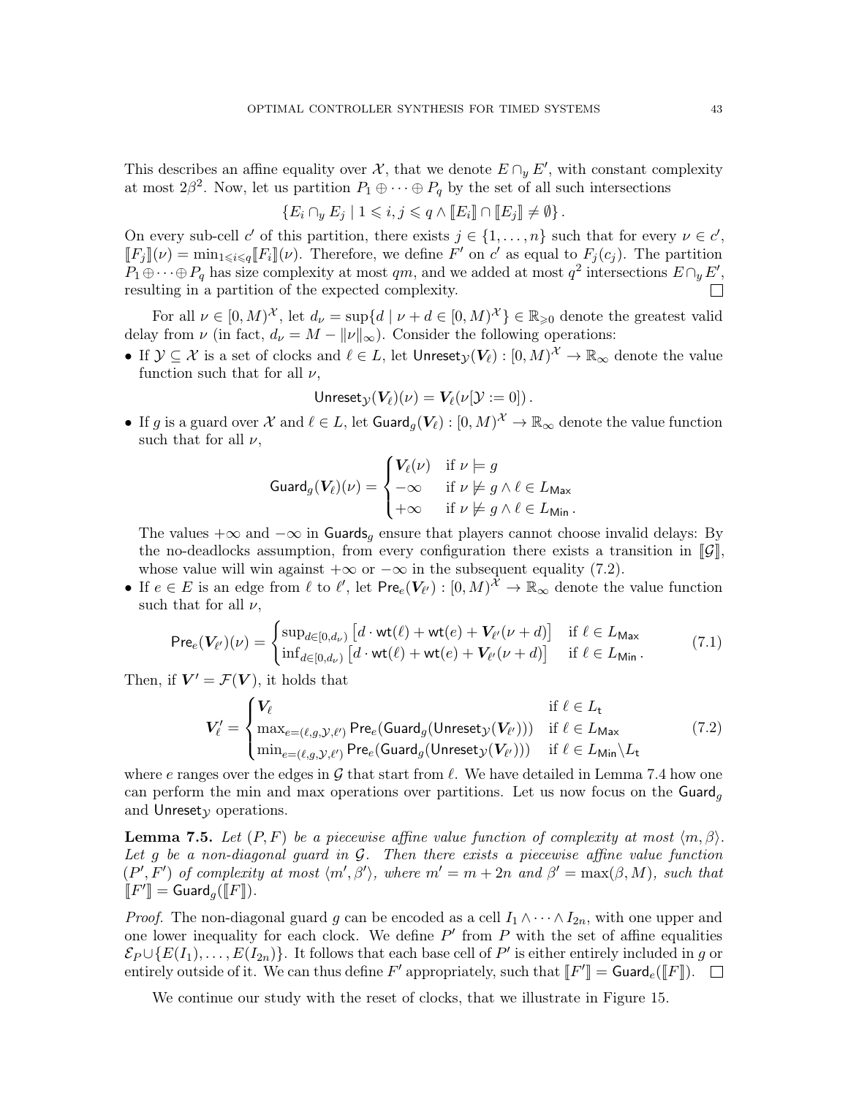This describes an affine equality over  $\mathcal{X}$ , that we denote  $E \cap_y E'$ , with constant complexity at most  $2\beta^2$ . Now, let us partition  $P_1 \oplus \cdots \oplus P_q$  by the set of all such intersections

$$
\{E_i \cap_y E_j \mid 1 \leqslant i, j \leqslant q \wedge [E_i] \cap [E_j] \neq \emptyset\}.
$$

On every sub-cell c' of this partition, there exists  $j \in \{1, \ldots, n\}$  such that for every  $\nu \in c'$ ,  $\llbracket F_j \rrbracket(\nu) = \min_{1 \leq i \leq q} [F_i] \llbracket (\nu)$ . Therefore, we define  $F'$  on  $c'$  as equal to  $F_j(c_j)$ . The partition  $P_1 \oplus \cdots \oplus P_q$  has size complexity at most  $qm$ , and we added at most  $q^2$  intersections  $E \cap_y E'$ , resulting in a partition of the expected complexity.  $\Box$ 

For all  $\nu \in [0, M)^{\mathcal{X}}$ , let  $d_{\nu} = \sup\{d \mid \nu + d \in [0, M)^{\mathcal{X}}\} \in \mathbb{R}_{\geqslant 0}$  denote the greatest valid delay from  $\nu$  (in fact,  $d_{\nu} = M - ||\nu||_{\infty}$ ). Consider the following operations:

• If  $\mathcal{Y} \subseteq \mathcal{X}$  is a set of clocks and  $\ell \in L$ , let  $\mathsf{Unreset}_{\mathcal{Y}}(\mathbf{V}_{\ell}) : [0, M)^{\mathcal{X}} \to \mathbb{R}_{\infty}$  denote the value function such that for all  $\nu$ ,

$$
\mathsf{Unreset}_{\mathcal{Y}}(\mathbf{V}_{\ell})(\nu) = \mathbf{V}_{\ell}(\nu[\mathcal{Y} := 0]).
$$

• If g is a guard over  $\mathcal X$  and  $\ell \in L$ , let  $\mathsf{Guard}_g(\mathbf{V}_{\ell}): [0, M)^{\mathcal X} \to \mathbb{R}_{\infty}$  denote the value function such that for all  $\nu$ ,

$$
\text{Guard}_g(\mathbf{V}_{\ell})(\nu) = \begin{cases} \mathbf{V}_{\ell}(\nu) & \text{if } \nu \models g \\ -\infty & \text{if } \nu \not\models g \land \ell \in L_{\text{Max}} \\ +\infty & \text{if } \nu \not\models g \land \ell \in L_{\text{Min}}. \end{cases}
$$

The values  $+\infty$  and  $-\infty$  in Guards<sub>q</sub> ensure that players cannot choose invalid delays: By the no-deadlocks assumption, from every configuration there exists a transition in  $\llbracket \mathcal{G} \rrbracket$ , whose value will win against  $+\infty$  or  $-\infty$  in the subsequent equality [\(7.2\)](#page-42-0).

• If  $e \in E$  is an edge from  $\ell$  to  $\ell'$ , let  $\mathsf{Pre}_e(V_{\ell'}) : [0, M)^\mathcal{X} \to \mathbb{R}_{\infty}$  denote the value function such that for all  $\nu$ ,

<span id="page-42-1"></span>
$$
\text{Pre}_e(\mathbf{V}_{\ell'})(\nu) = \begin{cases} \sup_{d \in [0,d_{\nu})} \left[ d \cdot \text{wt}(\ell) + \text{wt}(e) + V_{\ell'}(\nu + d) \right] & \text{if } \ell \in L_{\text{Max}} \\ \inf_{d \in [0,d_{\nu})} \left[ d \cdot \text{wt}(\ell) + \text{wt}(e) + V_{\ell'}(\nu + d) \right] & \text{if } \ell \in L_{\text{Min}}. \end{cases} \tag{7.1}
$$

Then, if  $V' = \mathcal{F}(V)$ , it holds that

<span id="page-42-0"></span>
$$
V'_{\ell} = \begin{cases} V_{\ell} & \text{if } \ell \in L_{\mathsf{t}} \\ \max_{e = (\ell, g, \mathcal{Y}, \ell')} \mathsf{Pre}_{e}(\mathsf{Guard}_{g}(\mathsf{Unreset}_{\mathcal{Y}}(V_{\ell'}))) & \text{if } \ell \in L_{\mathsf{Max}} \\ \min_{e = (\ell, g, \mathcal{Y}, \ell')} \mathsf{Pre}_{e}(\mathsf{Guard}_{g}(\mathsf{Unreset}_{\mathcal{Y}}(V_{\ell'}))) & \text{if } \ell \in L_{\mathsf{Min}} \backslash L_{\mathsf{t}} \end{cases} \tag{7.2}
$$

where e ranges over the edges in  $\mathcal G$  that start from  $\ell$ . We have detailed in Lemma [7.4](#page-41-1) how one can perform the min and max operations over partitions. Let us now focus on the  $\text{Guard}_q$ and Unresety operations.

<span id="page-42-2"></span>**Lemma 7.5.** Let  $(P, F)$  be a piecewise affine value function of complexity at most  $\langle m, \beta \rangle$ . Let q be a non-diagonal quard in  $G$ . Then there exists a piecewise affine value function  $(P', F')$  of complexity at most  $\langle m', \beta' \rangle$ , where  $m' = m + 2n$  and  $\beta' = \max(\beta, M)$ , such that  $\llbracket F' \rrbracket = \mathsf{Guard}_g(\llbracket F \rrbracket).$ 

*Proof.* The non-diagonal guard g can be encoded as a cell  $I_1 \wedge \cdots \wedge I_{2n}$ , with one upper and one lower inequality for each clock. We define  $P'$  from  $P$  with the set of affine equalities  $\mathcal{E}_P \cup \{E(I_1), \ldots, E(I_{2n})\}$ . It follows that each base cell of  $P'$  is either entirely included in g or entirely outside of it. We can thus define  $F'$  appropriately, such that  $[[F']]=\mathsf{Guard}_e([\![F]\!]).$ 

We continue our study with the reset of clocks, that we illustrate in Figure [15.](#page-43-0)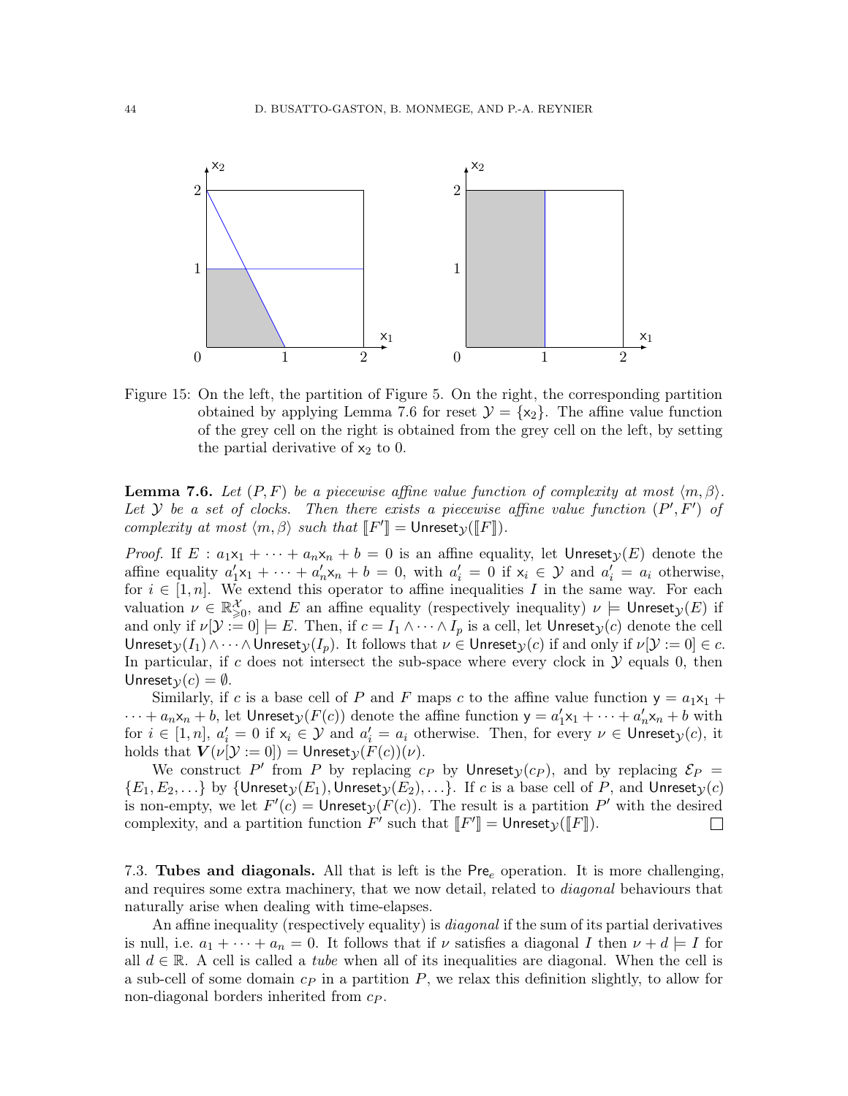

<span id="page-43-0"></span>Figure 15: On the left, the partition of Figure [5.](#page-10-1) On the right, the corresponding partition obtained by applying Lemma [7.6](#page-43-1) for reset  $\mathcal{Y} = \{x_2\}$ . The affine value function of the grey cell on the right is obtained from the grey cell on the left, by setting the partial derivative of  $x_2$  to 0.

<span id="page-43-1"></span>**Lemma 7.6.** Let  $(P, F)$  be a piecewise affine value function of complexity at most  $\langle m, \beta \rangle$ . Let Y be a set of clocks. Then there exists a piecewise affine value function  $(P', F')$  of complexity at most  $\langle m, \beta \rangle$  such that  $\llbracket F' \rrbracket = \mathsf{Unreset}_\mathcal{Y}(\llbracket F \rrbracket)$ .

*Proof.* If  $E : a_1x_1 + \cdots + a_nx_n + b = 0$  is an affine equality, let  $Unresety(E)$  denote the affine equality  $a'_1x_1 + \cdots + a'_nx_n + b = 0$ , with  $a'_i = 0$  if  $x_i \in \mathcal{Y}$  and  $a'_i = a_i$  otherwise, for  $i \in [1, n]$ . We extend this operator to affine inequalities I in the same way. For each valuation  $\nu \in \mathbb{R}^{\mathcal{X}}_{\geqslant 0}$ , and E an affine equality (respectively inequality)  $\nu \models \mathsf{Unreset}_\mathcal{Y}(E)$  if and only if  $\nu[\mathcal{Y} := 0] \models E$ . Then, if  $c = I_1 \land \cdots \land I_p$  is a cell, let Unreset $y(c)$  denote the cell Unreset $y(I_1) \wedge \cdots \wedge$  Unreset $y(I_p)$ . It follows that  $\nu \in \mathsf{Unreset}_\mathcal{Y}(c)$  if and only if  $\nu[\mathcal{Y} := 0] \in c$ . In particular, if c does not intersect the sub-space where every clock in  $\mathcal Y$  equals 0, then Unreset $v(c) = \emptyset$ .

Similarly, if c is a base cell of P and F maps c to the affine value function  $y = a_1x_1 +$  $\cdots + a_n \mathsf{x}_n + b$ , let Unreset $\mathsf{y}(F(c))$  denote the affine function  $\mathsf{y} = a'_1 \mathsf{x}_1 + \cdots + a'_n \mathsf{x}_n + b$  with for  $i \in [1, n]$ ,  $a'_i = 0$  if  $x_i \in \mathcal{Y}$  and  $a'_i = a_i$  otherwise. Then, for every  $\nu \in \mathsf{Unreset}_\mathcal{Y}(c)$ , it holds that  $V(\nu[\mathcal{Y} := 0]) = \text{Unreset}_{\mathcal{Y}}(F(c))(\nu)$ .

We construct P' from P by replacing  $c_P$  by Unreset<sub>y</sub>  $(c_P)$ , and by replacing  $\mathcal{E}_P$  =  $\{E_1, E_2, ...\}$  by  $\{Unreset_{\mathcal{Y}}(E_1), Unreset_{\mathcal{Y}}(E_2), ...\}$ . If c is a base cell of P, and Unreset<sub> $\mathcal{Y}(c)$ </sub> is non-empty, we let  $F'(c) =$  Unreset $y(F(c))$ . The result is a partition P' with the desired complexity, and a partition function  $F'$  such that  $[[F']]=\mathsf{Unreset}_\mathcal{Y}([F])$ .  $\Box$ 

7.3. Tubes and diagonals. All that is left is the  $Pre_e$  operation. It is more challenging, and requires some extra machinery, that we now detail, related to *diagonal* behaviours that naturally arise when dealing with time-elapses.

An affine inequality (respectively equality) is *diagonal* if the sum of its partial derivatives is null, i.e.  $a_1 + \cdots + a_n = 0$ . It follows that if  $\nu$  satisfies a diagonal I then  $\nu + d \models I$  for all  $d \in \mathbb{R}$ . A cell is called a *tube* when all of its inequalities are diagonal. When the cell is a sub-cell of some domain  $c_P$  in a partition  $P$ , we relax this definition slightly, to allow for non-diagonal borders inherited from  $c_P$ .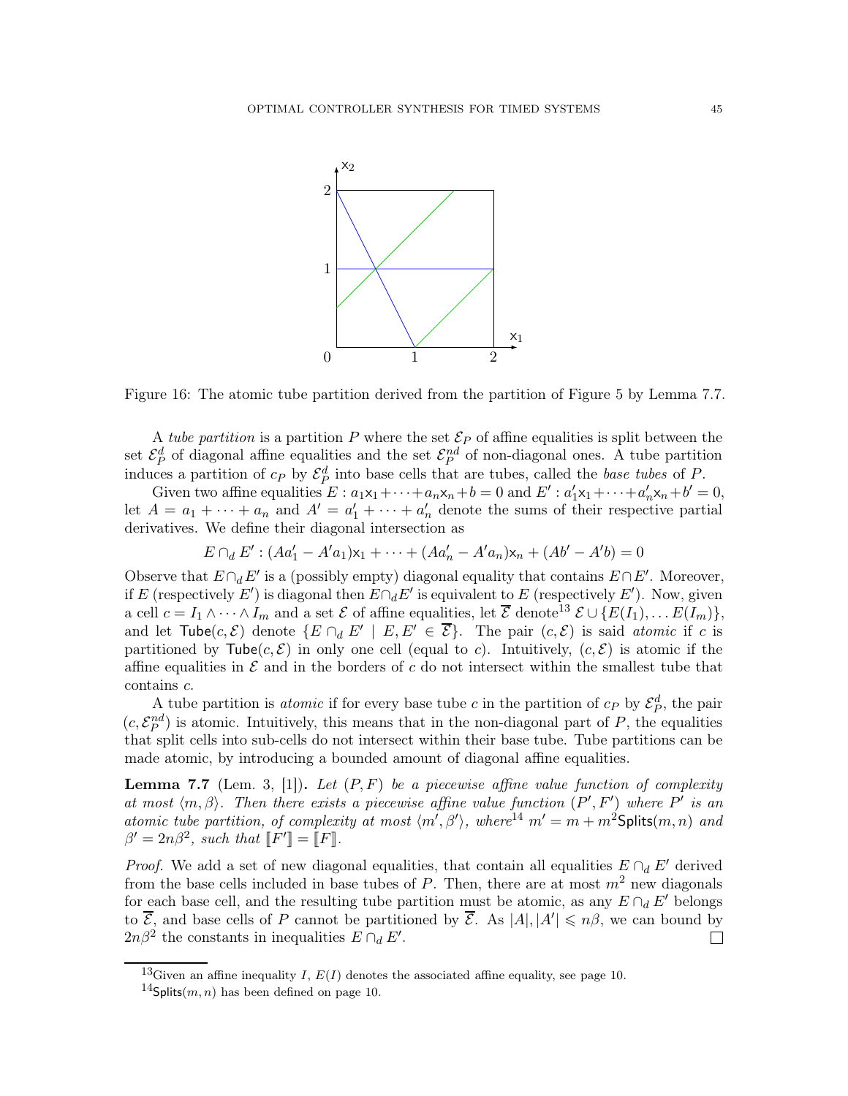

<span id="page-44-3"></span>Figure 16: The atomic tube partition derived from the partition of Figure [5](#page-10-1) by Lemma [7.7.](#page-44-0)

A tube partition is a partition P where the set  $\mathcal{E}_P$  of affine equalities is split between the set  $\mathcal{E}_P^d$  of diagonal affine equalities and the set  $\mathcal{E}_P^{nd}$  of non-diagonal ones. A tube partition induces a partition of  $c_P$  by  $\mathcal{E}_P^d$  into base cells that are tubes, called the *base tubes* of P.

Given two affine equalities  $E: a_1x_1 + \cdots + a_nx_n + b = 0$  and  $E': a'_1x_1 + \cdots + a'_nx_n + b' = 0$ , let  $A = a_1 + \cdots + a_n$  and  $A' = a'_1 + \cdots + a'_n$  denote the sums of their respective partial derivatives. We define their diagonal intersection as

$$
E \cap_d E' : (Aa'_1 - A'a_1)x_1 + \dots + (Aa'_n - A'a_n)x_n + (Ab' - A'b) = 0
$$

Observe that  $E \cap_d E'$  is a (possibly empty) diagonal equality that contains  $E \cap E'$ . Moreover, if E (respectively E') is diagonal then  $E \cap_d E'$  is equivalent to E (respectively E'). Now, given a cell  $c = I_1 \wedge \cdots \wedge I_m$  and a set  $\mathcal E$  of affine equalities, let  $\overline{\mathcal E}$  denote<sup>[13](#page-44-1)</sup>  $\mathcal E \cup \{E(I_1), \ldots E(I_m)\},$ and let Tube $(c, \mathcal{E})$  denote  $\{E \cap_d E' \mid E, E' \in \overline{\mathcal{E}}\}$ . The pair  $(c, \mathcal{E})$  is said *atomic* if c is partitioned by  $\mathsf{Table}(c, \mathcal{E})$  in only one cell (equal to c). Intuitively,  $(c, \mathcal{E})$  is atomic if the affine equalities in  $\mathcal E$  and in the borders of c do not intersect within the smallest tube that contains c.

A tube partition is *atomic* if for every base tube c in the partition of  $c_P$  by  $\mathcal{E}_P^d$ , the pair  $(c, \mathcal{E}_P^{nd})$  is atomic. Intuitively, this means that in the non-diagonal part of P, the equalities that split cells into sub-cells do not intersect within their base tube. Tube partitions can be made atomic, by introducing a bounded amount of diagonal affine equalities.

<span id="page-44-0"></span>**Lemma 7.7** (Lem. 3, [\[1\]](#page-70-0)). Let  $(P, F)$  be a piecewise affine value function of complexity at most  $\langle m, \beta \rangle$ . Then there exists a piecewise affine value function  $(P', F')$  where P' is an atomic tube partition, of complexity at most  $\langle m', \beta' \rangle$ , where<sup>[14](#page-44-2)</sup>  $m' = m + m^2$ Splits $(m, n)$  and  $\beta' = 2n\beta^2$ , such that  $\llbracket F' \rrbracket = \llbracket F \rrbracket$ .

*Proof.* We add a set of new diagonal equalities, that contain all equalities  $E \cap dE'$  derived from the base cells included in base tubes of P. Then, there are at most  $m<sup>2</sup>$  new diagonals for each base cell, and the resulting tube partition must be atomic, as any  $E \cap_d E'$  belongs to  $\overline{E}$ , and base cells of P cannot be partitioned by  $\overline{E}$ . As  $|A|, |A'| \leq n\beta$ , we can bound by  $2n\beta^2$  the constants in inequalities  $E \cap_d E'$ .  $\Box$ 

<sup>&</sup>lt;sup>13</sup>Given an affine inequality I,  $E(I)$  denotes the associated affine equality, see page [10.](#page-9-0)

<span id="page-44-2"></span><span id="page-44-1"></span><sup>&</sup>lt;sup>14</sup>Splits(*m*, *n*) has been defined on page [10.](#page-9-1)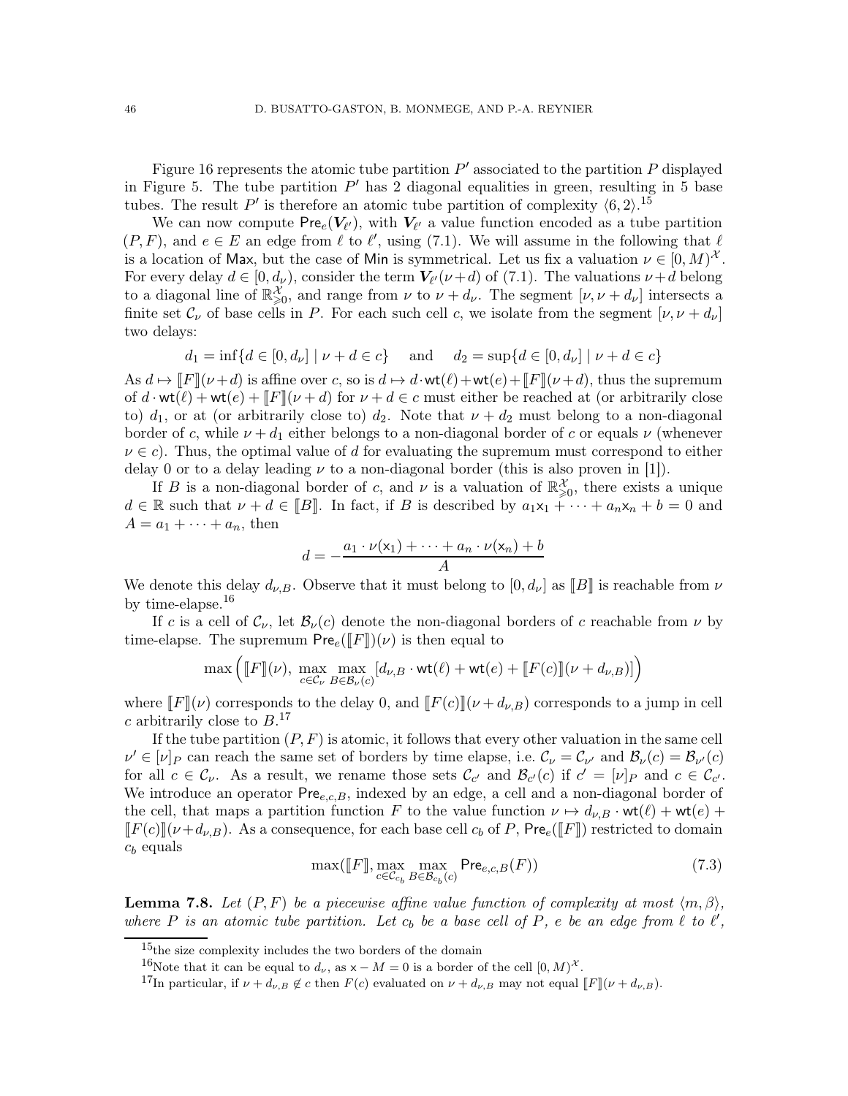Figure [16](#page-44-3) represents the atomic tube partition  $P'$  associated to the partition  $P$  displayed in Figure [5.](#page-10-1) The tube partition  $P'$  has 2 diagonal equalities in green, resulting in 5 base tubes. The result P' is therefore an atomic tube partition of complexity  $\langle 6, 2 \rangle$ .<sup>[15](#page-45-0)</sup>

We can now compute  $\mathsf{Pre}_e(V_{\ell'})$ , with  $V_{\ell'}$  a value function encoded as a tube partition  $(P, F)$ , and  $e \in E$  an edge from  $\ell$  to  $\ell'$ , using [\(7.1\)](#page-42-1). We will assume in the following that  $\ell$ is a location of Max, but the case of Min is symmetrical. Let us fix a valuation  $\nu \in [0, M)^{\mathcal{X}}$ . For every delay  $d \in [0, d_{\nu})$ , consider the term  $V_{\ell'}(\nu+d)$  of [\(7.1\)](#page-42-1). The valuations  $\nu+d$  belong to a diagonal line of  $\mathbb{R}^{\mathcal{X}}_{\geqslant 0}$ , and range from  $\nu$  to  $\nu + d_{\nu}$ . The segment  $[\nu, \nu + d_{\nu}]$  intersects a finite set  $\mathcal{C}_{\nu}$  of base cells in P. For each such cell c, we isolate from the segment  $[\nu, \nu + d_{\nu}]$ two delays:

$$
d_1 = \inf\{d \in [0, d_\nu] \mid \nu + d \in c\}
$$
 and  $d_2 = \sup\{d \in [0, d_\nu] \mid \nu + d \in c\}$ 

As  $d \mapsto ||F||(\nu + d)$  is affine over c, so is  $d \mapsto d \cdot \text{wt}(\ell) + \text{wt}(e) + ||F||(\nu + d)$ , thus the supremum of  $d \cdot \text{wt}(\ell) + \text{wt}(e) + ||F||(\nu + d)$  for  $\nu + d \in c$  must either be reached at (or arbitrarily close to)  $d_1$ , or at (or arbitrarily close to)  $d_2$ . Note that  $\nu + d_2$  must belong to a non-diagonal border of c, while  $\nu + d_1$  either belongs to a non-diagonal border of c or equals  $\nu$  (whenever  $\nu \in c$ ). Thus, the optimal value of d for evaluating the supremum must correspond to either delay 0 or to a delay leading  $\nu$  to a non-diagonal border (this is also proven in [\[1\]](#page-70-0)).

If B is a non-diagonal border of c, and  $\nu$  is a valuation of  $\mathbb{R}^{\mathcal{X}}_{\geqslant 0}$ , there exists a unique  $d \in \mathbb{R}$  such that  $\nu + d \in [B]$ . In fact, if B is described by  $a_1x_1 + \cdots + a_nx_n + b = 0$  and  $A = a_1 + \cdots + a_n$ , then

$$
d = -\frac{a_1 \cdot \nu(\mathbf{x}_1) + \dots + a_n \cdot \nu(\mathbf{x}_n) + b}{A}
$$

We denote this delay  $d_{\nu,B}$ . Observe that it must belong to  $[0, d_{\nu}]$  as  $[[B]]$  is reachable from  $\nu$ by time-elapse.<sup>[16](#page-45-1)</sup>

If c is a cell of  $\mathcal{C}_{\nu}$ , let  $\mathcal{B}_{\nu}(c)$  denote the non-diagonal borders of c reachable from  $\nu$  by time-elapse. The supremum  $\mathsf{Pre}_{e}(\llbracket F \rrbracket)(\nu)$  is then equal to

$$
\max \Big(\llbracket F \rrbracket(\nu), \ \max_{c \in \mathcal{C}_{\nu}} \max_{B \in \mathcal{B}_{\nu}(c)} [d_{\nu,B} \cdot \mathrm{wt}(\ell) + \mathrm{wt}(e) + \llbracket F(c) \rrbracket(\nu + d_{\nu,B})] \Big)
$$

where  $\llbracket F \rrbracket(\nu)$  corresponds to the delay 0, and  $\llbracket F(c) \rrbracket(\nu + d_{\nu,B})$  corresponds to a jump in cell c arbitrarily close to  $B.^{17}$  $B.^{17}$  $B.^{17}$ 

If the tube partition  $(P, F)$  is atomic, it follows that every other valuation in the same cell  $\nu' \in [\nu]_P$  can reach the same set of borders by time elapse, i.e.  $\mathcal{C}_{\nu} = \mathcal{C}_{\nu'}$  and  $\mathcal{B}_{\nu}(c) = \mathcal{B}_{\nu'}(c)$ for all  $c \in \mathcal{C}_{\nu}$ . As a result, we rename those sets  $\mathcal{C}_{c'}$  and  $\mathcal{B}_{c'}(c)$  if  $c' = [\nu]_P$  and  $c \in \mathcal{C}_{c'}$ . We introduce an operator  $Pre_{e,c,B}$ , indexed by an edge, a cell and a non-diagonal border of the cell, that maps a partition function F to the value function  $\nu \mapsto d_{\nu,B} \cdot \text{wt}(\ell) + \text{wt}(e) +$  $\llbracket F(c) \rrbracket(\nu+d_{\nu,B})$ . As a consequence, for each base cell  $c_b$  of P, Pre $_e(\llbracket F \rrbracket)$  restricted to domain  $c_b$  equals

<span id="page-45-3"></span>
$$
\max([\![F]\!], \max_{c \in \mathcal{C}_{c_b}} \max_{B \in \mathcal{B}_{c_b}(c)} \mathsf{Pre}_{e,c,B}(F)) \tag{7.3}
$$

<span id="page-45-4"></span>**Lemma 7.8.** Let  $(P, F)$  be a piecewise affine value function of complexity at most  $\langle m, \beta \rangle$ , where P is an atomic tube partition. Let  $c_b$  be a base cell of P, e be an edge from  $\ell$  to  $\ell'$ ,

<sup>15</sup>the size complexity includes the two borders of the domain

<span id="page-45-0"></span><sup>&</sup>lt;sup>16</sup>Note that it can be equal to  $d_{\nu}$ , as  $x - M = 0$  is a border of the cell  $[0, M)^{\mathcal{X}}$ .

<span id="page-45-2"></span><span id="page-45-1"></span><sup>&</sup>lt;sup>17</sup>In particular, if  $\nu + d_{\nu,B} \notin c$  then  $F(c)$  evaluated on  $\nu + d_{\nu,B}$  may not equal  $\llbracket F \rrbracket(\nu + d_{\nu,B})$ .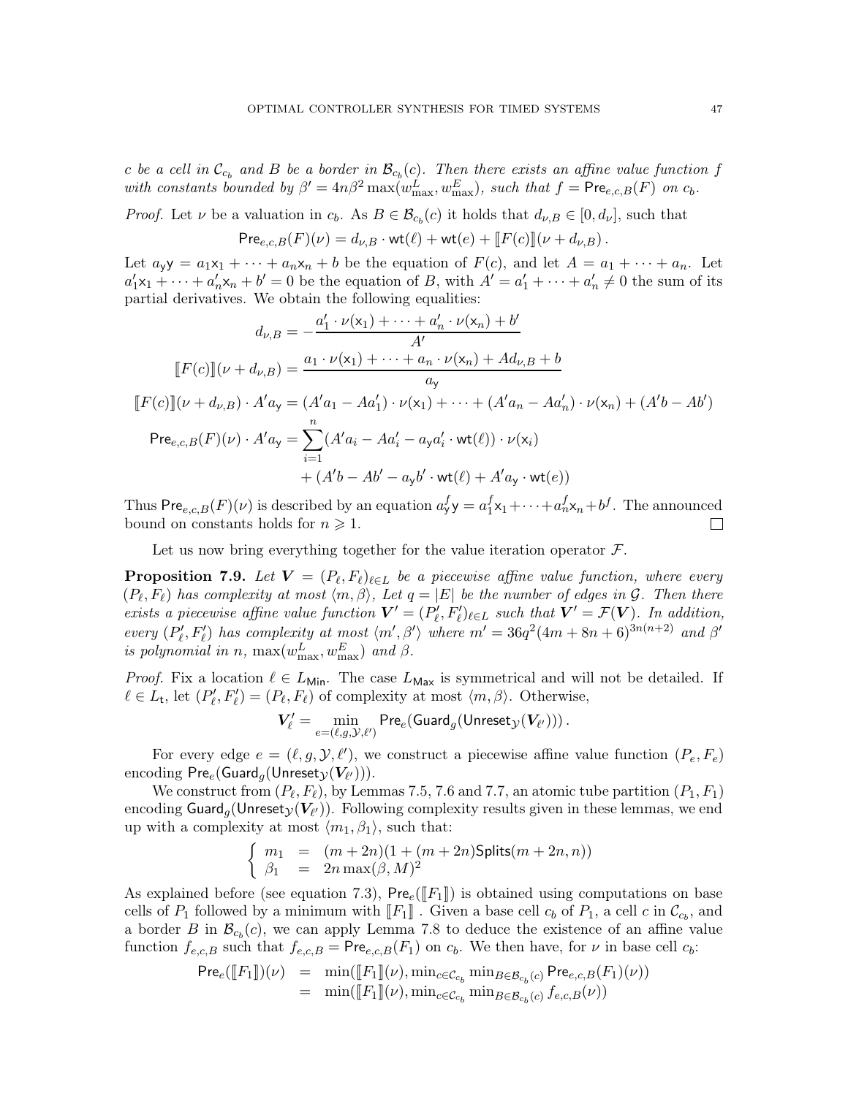c be a cell in  $\mathcal{C}_{c_b}$  and B be a border in  $\mathcal{B}_{c_b}(c)$ . Then there exists an affine value function f with constants bounded by  $\beta' = 4n\beta^2 \max(w_{\text{max}}^L, w_{\text{max}}^E)$ , such that  $f = \text{Pre}_{e,c,B}(F)$  on  $c_b$ .

*Proof.* Let  $\nu$  be a valuation in  $c_b$ . As  $B \in \mathcal{B}_{c_b}(c)$  it holds that  $d_{\nu,B} \in [0, d_{\nu}]$ , such that

$$
\text{Pre}_{e,c,B}(F)(\nu) = d_{\nu,B} \cdot \text{wt}(\ell) + \text{wt}(e) + [F(c)][(\nu + d_{\nu,B}).
$$

Let  $a_y y = a_1 x_1 + \cdots + a_n x_n + b$  be the equation of  $F(c)$ , and let  $A = a_1 + \cdots + a_n$ . Let  $a'_1x_1 + \cdots + a'_nx_n + b' = 0$  be the equation of B, with  $A' = a'_1 + \cdots + a'_n \neq 0$  the sum of its partial derivatives. We obtain the following equalities:

$$
d_{\nu,B} = -\frac{a'_1 \cdot \nu(x_1) + \dots + a'_n \cdot \nu(x_n) + b'}{A'}
$$
  

$$
[\![F(c)]\!](\nu + d_{\nu,B}) = \frac{a_1 \cdot \nu(x_1) + \dots + a_n \cdot \nu(x_n) + Ad_{\nu,B} + b}{a_y}
$$
  

$$
[\![F(c)]\!](\nu + d_{\nu,B}) \cdot A' a_y = (A' a_1 - A a'_1) \cdot \nu(x_1) + \dots + (A' a_n - A a'_n) \cdot \nu(x_n) + (A' b - A b')
$$
  

$$
\text{Pre}_{e,c,B}(F)(\nu) \cdot A' a_y = \sum_{i=1}^n (A' a_i - A a'_i - a_y a'_i \cdot \text{wt}(\ell)) \cdot \nu(x_i)
$$
  

$$
+ (A' b - A b' - a_y b' \cdot \text{wt}(\ell) + A' a_y \cdot \text{wt}(\ell))
$$

Thus Pre $_{e,c,B}(F)(\nu)$  is described by an equation  $a_{\mathsf{y}}^f \mathsf{y} = a_1^f$  ${}_{1}^{f}x_{1}+\cdots+ a_{n}^{f}x_{n}+b^{f}$ . The announced bound on constants holds for  $n \geq 1$ .  $\Box$ 

Let us now bring everything together for the value iteration operator  $\mathcal{F}$ .

<span id="page-46-0"></span>**Proposition 7.9.** Let  $V = (P_{\ell}, F_{\ell})_{\ell \in L}$  be a piecewise affine value function, where every  $(P_{\ell}, F_{\ell})$  has complexity at most  $\langle m, \beta \rangle$ , Let  $q = |E|$  be the number of edges in  $\mathcal G$ . Then there exists a piecewise affine value function  $V' = (P'_\ell, F'_\ell)_{\ell \in L}$  such that  $V' = \mathcal{F}(V)$ . In addition, every  $(P'_\ell, F'_\ell)$  has complexity at most  $\langle m', \beta' \rangle$  where  $m' = 36q^2(4m + 8n + 6)^{3n(n+2)}$  and  $\beta'$ is polynomial in n,  $\max(w_{\text{max}}^L, w_{\text{max}}^E)$  and  $\beta$ .

*Proof.* Fix a location  $\ell \in L_{\text{Min}}$ . The case  $L_{\text{Max}}$  is symmetrical and will not be detailed. If  $\ell \in L_{\mathsf{t}}, \text{ let } (P'_{\ell}, F'_{\ell}) = (P_{\ell}, F_{\ell}) \text{ of complexity at most } \langle m, \beta \rangle. \text{ Otherwise,}$ 

$$
\textbf{\textit{V}}_\ell' = \min_{e = (\ell, g, \mathcal{Y}, \ell')} \mathsf{Pre}_e(\mathsf{Guard}_g(\mathsf{Unreset}_{\mathcal{Y}}(\textbf{\textit{V}}_{\ell'})))\,.
$$

For every edge  $e = (\ell, g, \mathcal{Y}, \ell')$ , we construct a piecewise affine value function  $(P_e, F_e)$  $\text{encoding Pre}_e(\textsf{Guard}_g(\textsf{Unreset}_{\mathcal{Y}}(\tilde{\boldsymbol{V_{\ell'}}}))).$ 

We construct from  $(P_\ell, F_\ell)$ , by Lemmas [7.5,](#page-42-2) [7.6](#page-43-1) and [7.7,](#page-44-0) an atomic tube partition  $(P_1, F_1)$ encoding  $\mathsf{Guard}_g(\mathsf{Unreset}_\mathcal{Y}(\bar{\mathbf{V}_{\ell'}}))$ . Following complexity results given in these lemmas, we end up with a complexity at most  $\langle m_1, \beta_1 \rangle$ , such that:

$$
\left\{ \begin{array}{lcl} m_1 & = & (m+2n)(1+(m+2n){\rm {\rm Splits}}(m+2n,n)) \\ \beta_1 & = & 2n\max(\beta,M)^2 \end{array} \right.
$$

As explained before (see equation [7.3\)](#page-45-3),  $\text{Pre}_{e}([F_1])$  is obtained using computations on base cells of  $P_1$  followed by a minimum with  $\llbracket F_1 \rrbracket$ . Given a base cell  $c_b$  of  $P_1$ , a cell  $c$  in  $\mathcal{C}_{c_b}$ , and a border B in  $\mathcal{B}_{c_b}(c)$ , we can apply Lemma [7.8](#page-45-4) to deduce the existence of an affine value function  $f_{e,c,B}$  such that  $f_{e,c,B} = \text{Pre}_{e,c,B}(F_1)$  on  $c_b$ . We then have, for  $\nu$  in base cell  $c_b$ :

$$
\begin{array}{rcl}\n\mathsf{Pre}_e(\llbracket F_1 \rrbracket)(\nu) & = & \min(\llbracket F_1 \rrbracket(\nu), \min_{c \in C_{c_b}} \min_{B \in \mathcal{B}_{c_b}(c)} \mathsf{Pre}_{e,c,B}(F_1)(\nu)) \\
& = & \min(\llbracket F_1 \rrbracket(\nu), \min_{c \in C_{c_b}} \min_{B \in \mathcal{B}_{c_b}(c)} f_{e,c,B}(\nu))\n\end{array}
$$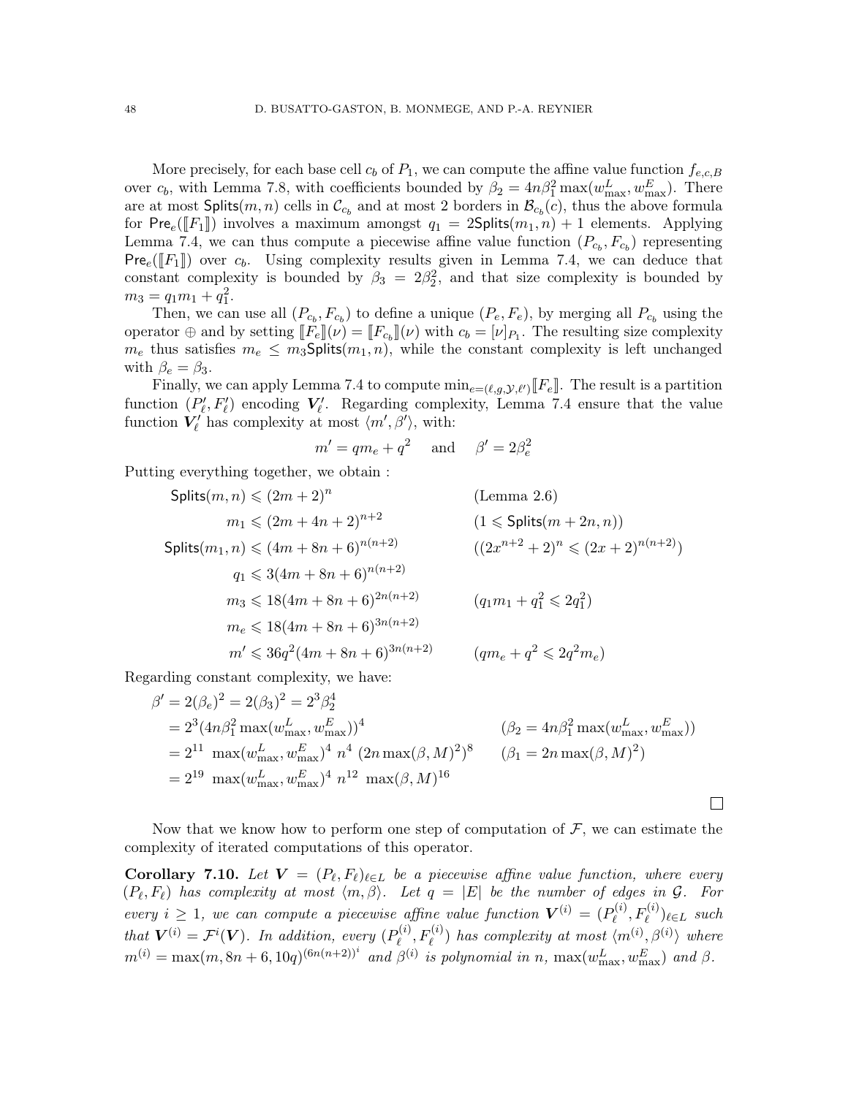More precisely, for each base cell  $c_b$  of  $P_1$ , we can compute the affine value function  $f_{e,c,B}$ over  $c_b$ , with Lemma [7.8,](#page-45-4) with coefficients bounded by  $\beta_2 = 4n\beta_1^2 \max(w_{\text{max}}^L, w_{\text{max}}^E)$ . There are at most  $\textsf{Splits}(m, n)$  cells in  $\mathcal{C}_{c_b}$  and at most 2 borders in  $\mathcal{B}_{c_b}(c)$ , thus the above formula for Pre<sub>e</sub>([F<sub>1</sub>]) involves a maximum amongst  $q_1 = 2$ Splits( $m_1, n$ ) + 1 elements. Applying Lemma [7.4,](#page-41-1) we can thus compute a piecewise affine value function  $(P_{c_b}, F_{c_b})$  representing  $Pre_e(\llbracket F_1 \rrbracket)$  over  $c_b$ . Using complexity results given in Lemma [7.4,](#page-41-1) we can deduce that constant complexity is bounded by  $\beta_3 = 2\beta_2^2$ , and that size complexity is bounded by  $m_3 = q_1 m_1 + q_1^2.$ 

Then, we can use all  $(P_{c_b}, F_{c_b})$  to define a unique  $(P_e, F_e)$ , by merging all  $P_{c_b}$  using the operator  $\oplus$  and by setting  $[[F_e]](\nu) = [[F_{c_b}]](\nu)$  with  $c_b = [\nu]_{P_1}$ . The resulting size complexity  $m_e$  thus satisfies  $m_e \n\leq m_3$ Splits $(m_1, n)$ , while the constant complexity is left unchanged with  $\beta_e = \beta_3$ .

Finally, we can apply Lemma [7.4](#page-41-1) to compute  $\min_{e=(\ell,g,\mathcal{Y},\ell')}[F_e]$ . The result is a partition function  $(P'_\ell, F'_\ell)$  encoding  $V'_\ell$ . Regarding complexity, Lemma [7.4](#page-41-1) ensure that the value function  $V'_{\ell}$  has complexity at most  $\langle m', \beta' \rangle$ , with:

$$
m' = qm_e + q^2 \quad \text{and} \quad \beta' = 2\beta_e^2
$$

Putting everything together, we obtain :

$$
Splits(m, n) \leq (2m + 2)^n \qquad \text{(Lemma 2.6)}
$$
\n
$$
m_1 \leq (2m + 4n + 2)^{n+2} \qquad (1 \leq \text{Splits}(m + 2n, n))
$$
\n
$$
Splits(m_1, n) \leq (4m + 8n + 6)^{n(n+2)} \qquad ((2x^{n+2} + 2)^n \leq (2x + 2)^{n(n+2)})
$$
\n
$$
m_2 \leq 18(4m + 8n + 6)^{2n(n+2)} \qquad (q_1m_1 + q_1^2 \leq 2q_1^2)
$$
\n
$$
m_e \leq 18(4m + 8n + 6)^{3n(n+2)} \qquad (q_1m_1 + q_1^2 \leq 2q_1^2)
$$
\n
$$
m' \leq 36q^2(4m + 8n + 6)^{3n(n+2)} \qquad (qm_e + q^2 \leq 2q^2m_e)
$$

Regarding constant complexity, we have:

$$
\beta' = 2(\beta_e)^2 = 2(\beta_3)^2 = 2^3 \beta_2^4
$$
  
= 2<sup>3</sup>(4n $\beta_1^2$  max( $w_{\text{max}}^L, w_{\text{max}}^E$ ))<sup>4</sup> ( $\beta_2 = 4n\beta_1^2$  max( $w_{\text{max}}^L, w_{\text{max}}^E$ ))  
= 2<sup>11</sup> max( $w_{\text{max}}^L, w_{\text{max}}^E$ )<sup>4</sup> n<sup>4</sup> (2n max( $\beta, M$ )<sup>2</sup>)<sup>8</sup> ( $\beta_1 = 2n$  max( $\beta, M$ )<sup>2</sup>)  
= 2<sup>19</sup> max( $w_{\text{max}}^L, w_{\text{max}}^E$ )<sup>4</sup> n<sup>12</sup> max( $\beta, M$ )<sup>16</sup>

Now that we know how to perform one step of computation of  $\mathcal{F}$ , we can estimate the complexity of iterated computations of this operator.

 $\Box$ 

<span id="page-47-0"></span>**Corollary 7.10.** Let  $V = (P_{\ell}, F_{\ell})_{\ell \in L}$  be a piecewise affine value function, where every  $(P_{\ell}, F_{\ell})$  has complexity at most  $\langle m, \beta \rangle$ . Let  $q = |E|$  be the number of edges in  $\mathcal{G}$ . For every  $i \geq 1$ , we can compute a piecewise affine value function  $\mathbf{V}^{(i)} = (P_{\ell}^{(i)})$  $P_{\ell}^{(i)}, F_{\ell}^{(i)})_{\ell \in L}$  such that  $\mathbf{V}^{(i)} = \mathcal{F}^i(\mathbf{V})$ . In addition, every  $(P^{(i)}_{\rho})$  $\mathcal{L}^{(i)}_{\ell}, F^{(i)}_{\ell}$ ) has complexity at most  $\langle m^{(i)}, \beta^{(i)} \rangle$  where  $m^{(i)} = \max(m, 8n + 6, 10q)^{(6n(n+2))^i}$  and  $\beta^{(i)}$  is polynomial in n,  $\max(w_{\text{max}}^L, w_{\text{max}}^E)$  and  $\beta$ .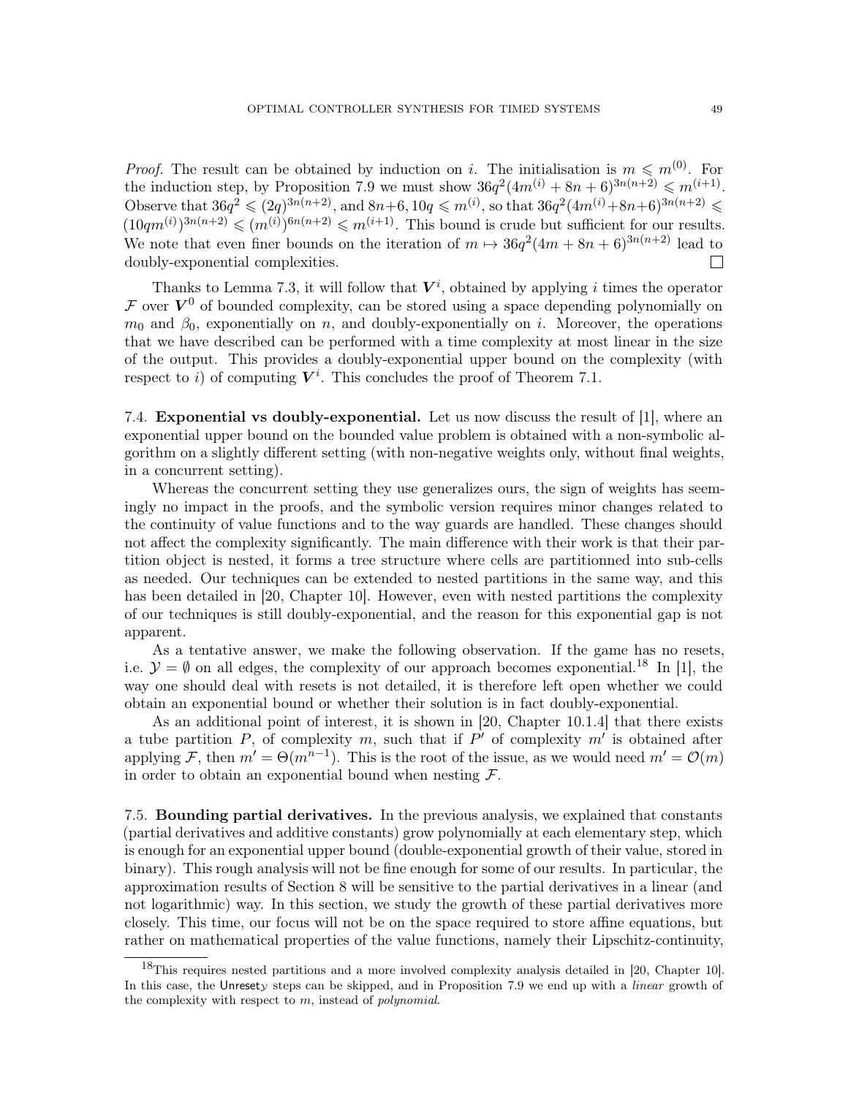*Proof.* The result can be obtained by induction on i. The initialisation is  $m \leq m^{(0)}$ . For the induction step, by Proposition [7.9](#page-46-0) we must show  $36q^2(4m^{(i)} + 8n + 6)^{3n(n+2)} \leq m^{(i+1)}$ . Observe that  $36q^2 \leq (2q)^{3n(n+2)}$ , and  $8n+6, 10q \leq m^{(i)}$ , so that  $36q^2(4m^{(i)}+8n+6)^{3n(n+2)} \leq$  $(10qm^{(i)})^{3n(n+2)} \leqslant (m^{(i)})^{6n(n+2)} \leqslant m^{(i+1)}$ . This bound is crude but sufficient for our results. We note that even finer bounds on the iteration of  $m \mapsto 36q^2(4m + 8n + 6)^{3n(n+2)}$  lead to doubly-exponential complexities.  $\Box$ 

Thanks to Lemma [7.3,](#page-41-2) it will follow that  $V^i$ , obtained by applying i times the operator F over  $V^0$  of bounded complexity, can be stored using a space depending polynomially on  $m_0$  and  $\beta_0$ , exponentially on n, and doubly-exponentially on i. Moreover, the operations that we have described can be performed with a time complexity at most linear in the size of the output. This provides a doubly-exponential upper bound on the complexity (with respect to i) of computing  $V^i$ . This concludes the proof of Theorem [7.1.](#page-40-0)

<span id="page-48-0"></span>7.4. Exponential vs doubly-exponential. Let us now discuss the result of [\[1\]](#page-70-0), where an exponential upper bound on the bounded value problem is obtained with a non-symbolic algorithm on a slightly different setting (with non-negative weights only, without final weights, in a concurrent setting).

Whereas the concurrent setting they use generalizes ours, the sign of weights has seemingly no impact in the proofs, and the symbolic version requires minor changes related to the continuity of value functions and to the way guards are handled. These changes should not affect the complexity significantly. The main difference with their work is that their partition object is nested, it forms a tree structure where cells are partitionned into sub-cells as needed. Our techniques can be extended to nested partitions in the same way, and this has been detailed in [\[20,](#page-71-1) Chapter 10]. However, even with nested partitions the complexity of our techniques is still doubly-exponential, and the reason for this exponential gap is not apparent.

As a tentative answer, we make the following observation. If the game has no resets, i.e.  $\mathcal{Y} = \emptyset$  on all edges, the complexity of our approach becomes exponential.<sup>[18](#page-48-1)</sup> In [\[1\]](#page-70-0), the way one should deal with resets is not detailed, it is therefore left open whether we could obtain an exponential bound or whether their solution is in fact doubly-exponential.

As an additional point of interest, it is shown in [\[20,](#page-71-1) Chapter 10.1.4] that there exists a tube partition  $P$ , of complexity  $m$ , such that if  $P'$  of complexity  $m'$  is obtained after applying F, then  $m' = \Theta(m^{n-1})$ . This is the root of the issue, as we would need  $m' = \mathcal{O}(m)$ in order to obtain an exponential bound when nesting  $\mathcal{F}$ .

7.5. Bounding partial derivatives. In the previous analysis, we explained that constants (partial derivatives and additive constants) grow polynomially at each elementary step, which is enough for an exponential upper bound (double-exponential growth of their value, stored in binary). This rough analysis will not be fine enough for some of our results. In particular, the approximation results of Section [8](#page-52-0) will be sensitive to the partial derivatives in a linear (and not logarithmic) way. In this section, we study the growth of these partial derivatives more closely. This time, our focus will not be on the space required to store affine equations, but rather on mathematical properties of the value functions, namely their Lipschitz-continuity,

<span id="page-48-1"></span><sup>18</sup>This requires nested partitions and a more involved complexity analysis detailed in [\[20,](#page-71-1) Chapter 10]. In this case, the Unresety steps can be skipped, and in Proposition [7.9](#page-46-0) we end up with a *linear* growth of the complexity with respect to  $m$ , instead of *polynomial*.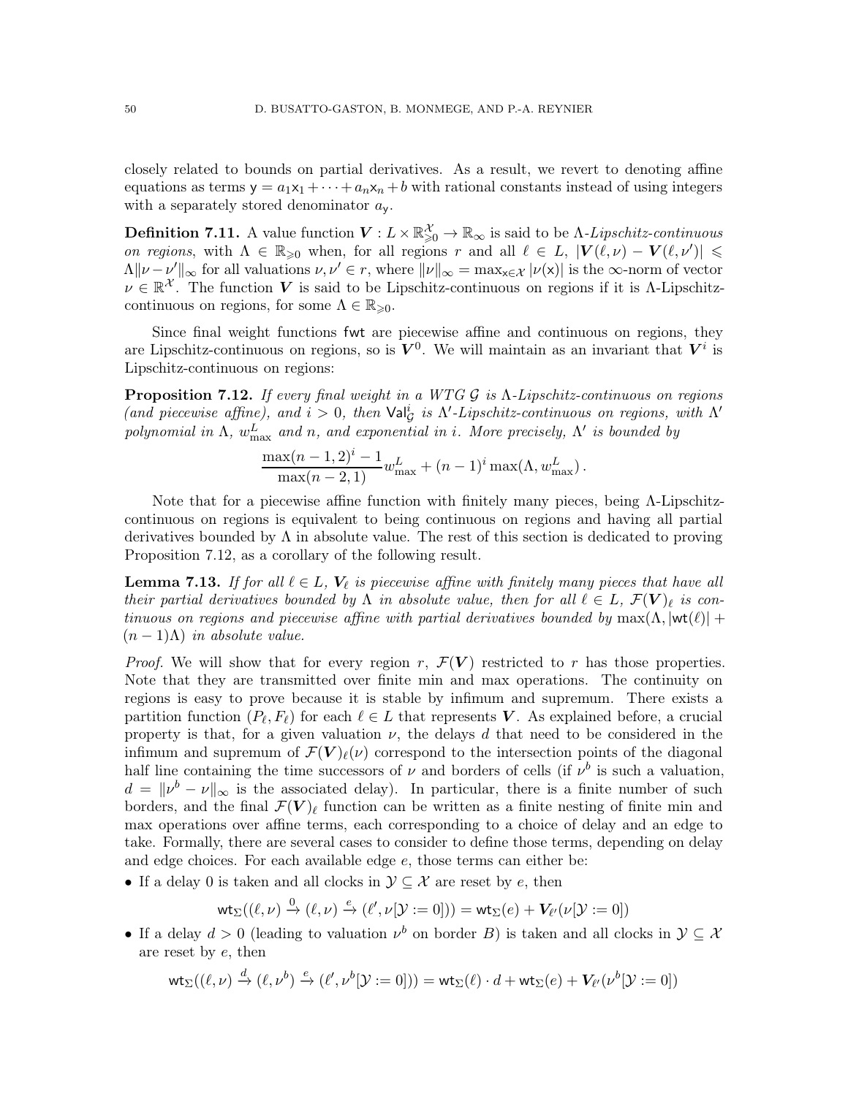closely related to bounds on partial derivatives. As a result, we revert to denoting affine equations as terms  $y = a_1x_1 + \cdots + a_nx_n + b$  with rational constants instead of using integers with a separately stored denominator  $a_{\mathsf{v}}$ .

**Definition 7.11.** A value function  $V: L \times \mathbb{R}^{\mathcal{X}}_{\geqslant 0} \to \mathbb{R}_{\infty}$  is said to be  $\Lambda$ -Lipschitz-continuous on regions, with  $\Lambda \in \mathbb{R}_{\geqslant 0}$  when, for all regions r and all  $\ell \in L$ ,  $|\mathbf{V}(\ell,\nu) - \mathbf{V}(\ell,\nu')| \leqslant$  $\Lambda \|\nu - \nu'\|_{\infty}$  for all valuations  $\nu, \nu' \in r$ , where  $\|\nu\|_{\infty} = \max_{x \in \mathcal{X}} |\nu(x)|$  is the  $\infty$ -norm of vector  $\nu \in \mathbb{R}^{\mathcal{X}}$ . The function V is said to be Lipschitz-continuous on regions if it is  $\Lambda$ -Lipschitzcontinuous on regions, for some  $\Lambda \in \mathbb{R}_{\geq 0}$ .

Since final weight functions fwt are piecewise affine and continuous on regions, they are Lipschitz-continuous on regions, so is  $V^0$ . We will maintain as an invariant that  $V^i$  is Lipschitz-continuous on regions:

<span id="page-49-0"></span>**Proposition 7.12.** If every final weight in a WTG  $G$  is  $\Lambda$ -Lipschitz-continuous on regions (and piecewise affine), and  $i > 0$ , then  $\text{Val}_{\mathcal{G}}^i$  is  $\Lambda'$ -Lipschitz-continuous on regions, with  $\Lambda'$ polynomial in  $\Lambda$ ,  $w_{\text{max}}^L$  and n, and exponential in i. More precisely,  $\Lambda'$  is bounded by

$$
\frac{\max(n-1,2)^i - 1}{\max(n-2,1)} w_{\max}^L + (n-1)^i \max(\Lambda, w_{\max}^L).
$$

Note that for a piecewise affine function with finitely many pieces, being Λ-Lipschitzcontinuous on regions is equivalent to being continuous on regions and having all partial derivatives bounded by  $\Lambda$  in absolute value. The rest of this section is dedicated to proving Proposition [7.12,](#page-49-0) as a corollary of the following result.

<span id="page-49-1"></span>**Lemma 7.13.** If for all  $l \in L$ ,  $V_{l}$  is piecewise affine with finitely many pieces that have all their partial derivatives bounded by  $\Lambda$  in absolute value, then for all  $\ell \in L$ ,  $\mathcal{F}(\mathbf{V})_{\ell}$  is continuous on regions and piecewise affine with partial derivatives bounded by  $\max(\Lambda, |\text{wt}(\ell)| +$  $(n-1)\Lambda$ ) in absolute value.

*Proof.* We will show that for every region r,  $\mathcal{F}(V)$  restricted to r has those properties. Note that they are transmitted over finite min and max operations. The continuity on regions is easy to prove because it is stable by infimum and supremum. There exists a partition function  $(P_{\ell}, F_{\ell})$  for each  $\ell \in L$  that represents V. As explained before, a crucial property is that, for a given valuation  $\nu$ , the delays d that need to be considered in the infimum and supremum of  $\mathcal{F}(V)_\ell(\nu)$  correspond to the intersection points of the diagonal half line containing the time successors of  $\nu$  and borders of cells (if  $\nu^b$  is such a valuation,  $d = ||v^b - v||_{\infty}$  is the associated delay). In particular, there is a finite number of such borders, and the final  $\mathcal{F}(V)$ <sub>l</sub> function can be written as a finite nesting of finite min and max operations over affine terms, each corresponding to a choice of delay and an edge to take. Formally, there are several cases to consider to define those terms, depending on delay and edge choices. For each available edge e, those terms can either be:

• If a delay 0 is taken and all clocks in  $\mathcal{Y} \subseteq \mathcal{X}$  are reset by e, then

$$
\mathsf{wt}_\Sigma((\ell,\nu) \xrightarrow{0} (\ell,\nu) \xrightarrow{e} (\ell',\nu[\mathcal{Y}:=0])) = \mathsf{wt}_\Sigma(e) + V_{\ell'}(\nu[\mathcal{Y}:=0])
$$

• If a delay  $d > 0$  (leading to valuation  $\nu^b$  on border B) is taken and all clocks in  $\mathcal{Y} \subseteq \mathcal{X}$ are reset by e, then

$$
\mathsf{wt}_{\Sigma}((\ell,\nu) \xrightarrow{d} (\ell,\nu^b) \xrightarrow{e} (\ell',\nu^b[\mathcal{Y}:=0])) = \mathsf{wt}_{\Sigma}(\ell) \cdot d + \mathsf{wt}_{\Sigma}(e) + V_{\ell'}(\nu^b[\mathcal{Y}:=0])
$$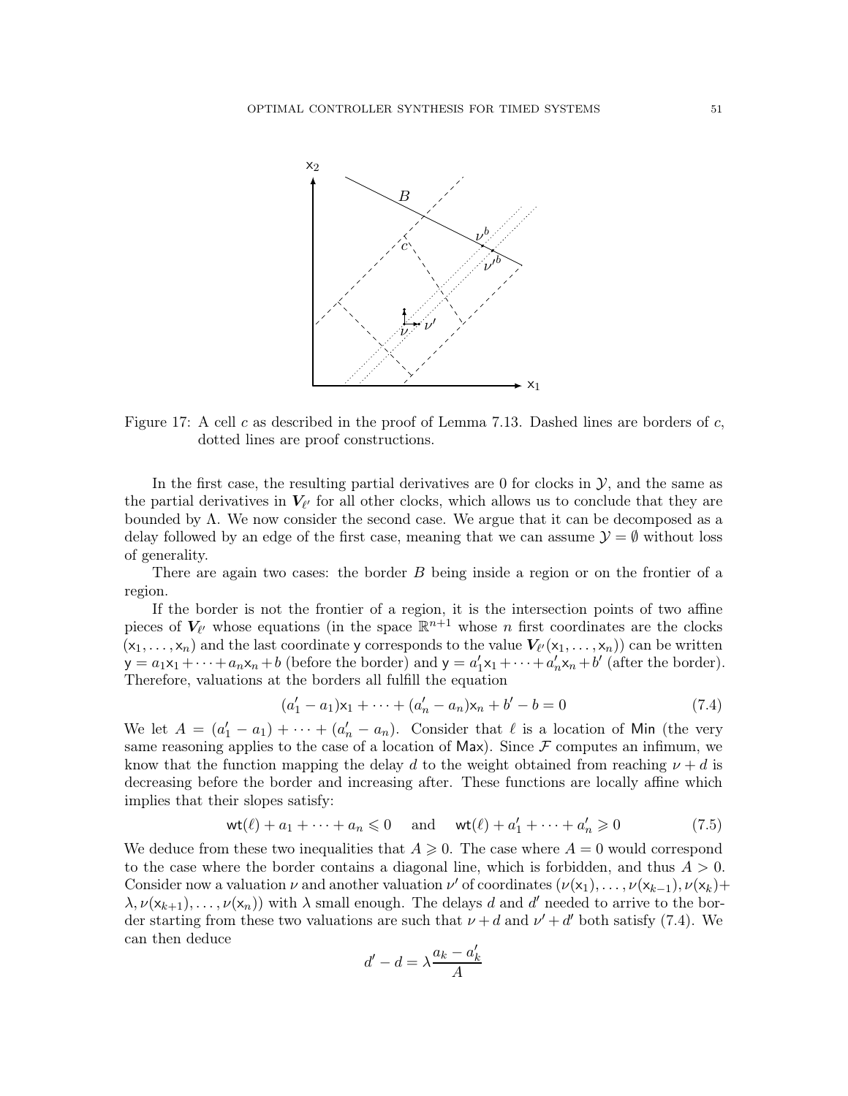

Figure 17: A cell c as described in the proof of Lemma [7.13.](#page-49-1) Dashed lines are borders of c, dotted lines are proof constructions.

In the first case, the resulting partial derivatives are 0 for clocks in  $\mathcal{Y}$ , and the same as the partial derivatives in  $V_{\ell'}$  for all other clocks, which allows us to conclude that they are bounded by Λ. We now consider the second case. We argue that it can be decomposed as a delay followed by an edge of the first case, meaning that we can assume  $\mathcal{Y} = \emptyset$  without loss of generality.

There are again two cases: the border B being inside a region or on the frontier of a region.

If the border is not the frontier of a region, it is the intersection points of two affine pieces of  $V_{\ell'}$  whose equations (in the space  $\mathbb{R}^{n+1}$  whose n first coordinates are the clocks  $(x_1, \ldots, x_n)$  and the last coordinate y corresponds to the value  $V_{\ell'}(x_1, \ldots, x_n)$  can be written  $y = a_1x_1 + \cdots + a_nx_n + b$  (before the border) and  $y = a'_1x_1 + \cdots + a'_nx_n + b'$  (after the border). Therefore, valuations at the borders all fulfill the equation

<span id="page-50-0"></span>
$$
(a'_1 - a_1)\mathsf{x}_1 + \dots + (a'_n - a_n)\mathsf{x}_n + b' - b = 0 \tag{7.4}
$$

We let  $A = (a'_1 - a_1) + \cdots + (a'_n - a_n)$ . Consider that  $\ell$  is a location of Min (the very same reasoning applies to the case of a location of Max). Since  $\mathcal F$  computes an infimum, we know that the function mapping the delay d to the weight obtained from reaching  $\nu + d$  is decreasing before the border and increasing after. These functions are locally affine which implies that their slopes satisfy:

<span id="page-50-1"></span>
$$
\text{wt}(\ell) + a_1 + \dots + a_n \leq 0 \quad \text{and} \quad \text{wt}(\ell) + a'_1 + \dots + a'_n \geq 0 \tag{7.5}
$$

We deduce from these two inequalities that  $A \geq 0$ . The case where  $A = 0$  would correspond to the case where the border contains a diagonal line, which is forbidden, and thus  $A > 0$ . Consider now a valuation  $\nu$  and another valuation  $\nu'$  of coordinates  $(\nu(x_1), \ldots, \nu(x_{k-1}), \nu(x_k))$  $\lambda, \nu(\mathsf{x}_{k+1}), \ldots, \nu(\mathsf{x}_n)$  with  $\lambda$  small enough. The delays d and d' needed to arrive to the border starting from these two valuations are such that  $\nu + d$  and  $\nu' + d'$  both satisfy [\(7.4\)](#page-50-0). We can then deduce

$$
d'-d=\lambda\frac{a_k-a'_k}{A}
$$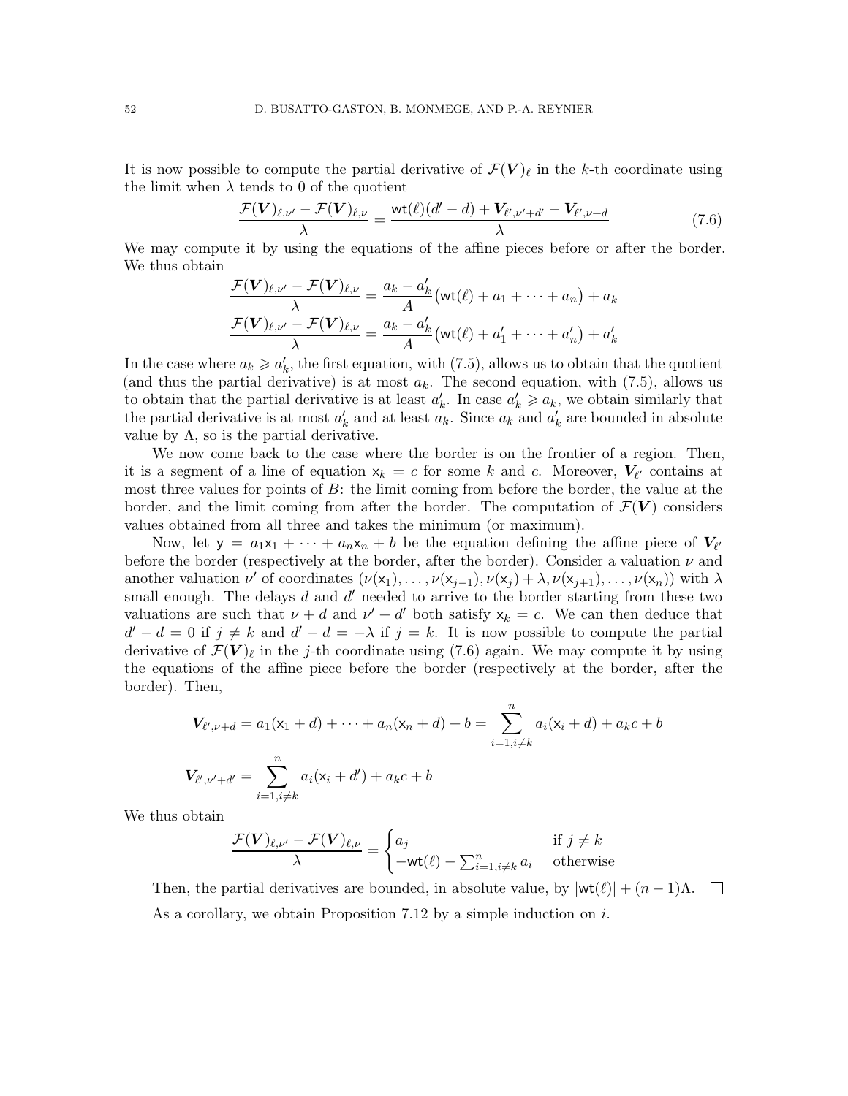It is now possible to compute the partial derivative of  $\mathcal{F}(\mathbf{V})_{\ell}$  in the k-th coordinate using the limit when  $\lambda$  tends to 0 of the quotient

<span id="page-51-0"></span>
$$
\frac{\mathcal{F}(\mathbf{V})_{\ell,\nu'} - \mathcal{F}(\mathbf{V})_{\ell,\nu}}{\lambda} = \frac{\text{wt}(\ell)(d'-d) + \mathbf{V}_{\ell',\nu'+d'} - \mathbf{V}_{\ell',\nu+d}}{\lambda} \tag{7.6}
$$

We may compute it by using the equations of the affine pieces before or after the border. We thus obtain

$$
\frac{\mathcal{F}(\mathbf{V})_{\ell,\nu'} - \mathcal{F}(\mathbf{V})_{\ell,\nu}}{\lambda} = \frac{a_k - a'_k}{A} \left( \text{wt}(\ell) + a_1 + \dots + a_n \right) + a_k
$$

$$
\frac{\mathcal{F}(\mathbf{V})_{\ell,\nu'} - \mathcal{F}(\mathbf{V})_{\ell,\nu}}{\lambda} = \frac{a_k - a'_k}{A} \left( \text{wt}(\ell) + a'_1 + \dots + a'_n \right) + a'_k
$$

In the case where  $a_k \geq a'_k$ , the first equation, with [\(7.5\)](#page-50-1), allows us to obtain that the quotient (and thus the partial derivative) is at most  $a_k$ . The second equation, with [\(7.5\)](#page-50-1), allows us to obtain that the partial derivative is at least  $a'_k$ . In case  $a'_k \geq a_k$ , we obtain similarly that the partial derivative is at most  $a'_k$  and at least  $a_k$ . Since  $a_k$  and  $a'_k$  are bounded in absolute value by  $\Lambda$ , so is the partial derivative.

We now come back to the case where the border is on the frontier of a region. Then, it is a segment of a line of equation  $x_k = c$  for some k and c. Moreover,  $V_{\ell'}$  contains at most three values for points of  $B$ : the limit coming from before the border, the value at the border, and the limit coming from after the border. The computation of  $\mathcal{F}(V)$  considers values obtained from all three and takes the minimum (or maximum).

Now, let  $y = a_1x_1 + \cdots + a_nx_n + b$  be the equation defining the affine piece of  $V_{\ell'}$ before the border (respectively at the border, after the border). Consider a valuation  $\nu$  and another valuation  $\nu'$  of coordinates  $(\nu(x_1), \ldots, \nu(x_{j-1}), \nu(x_j) + \lambda, \nu(x_{j+1}), \ldots, \nu(x_n))$  with  $\lambda$ small enough. The delays  $d$  and  $d'$  needed to arrive to the border starting from these two valuations are such that  $\nu + d$  and  $\nu' + d'$  both satisfy  $x_k = c$ . We can then deduce that  $d'-d=0$  if  $j\neq k$  and  $d'-d=-\lambda$  if  $j=k$ . It is now possible to compute the partial derivative of  $\mathcal{F}(\boldsymbol{V})_{\ell}$  in the j-th coordinate using [\(7.6\)](#page-51-0) again. We may compute it by using the equations of the affine piece before the border (respectively at the border, after the border). Then,

$$
V_{\ell',\nu+d} = a_1(x_1 + d) + \dots + a_n(x_n + d) + b = \sum_{i=1, i \neq k}^{n} a_i(x_i + d) + a_k c + b
$$
  

$$
V_{\ell',\nu'+d'} = \sum_{i=1, i \neq k}^{n} a_i(x_i + d') + a_k c + b
$$

We thus obtain

$$
\frac{\mathcal{F}(\mathbf{V})_{\ell,\nu'} - \mathcal{F}(\mathbf{V})_{\ell,\nu}}{\lambda} = \begin{cases} a_j & \text{if } j \neq k \\ -\text{wt}(\ell) - \sum_{i=1, i \neq k}^n a_i & \text{otherwise} \end{cases}
$$

Then, the partial derivatives are bounded, in absolute value, by  $|\textsf{wt}(\ell)| + (n-1)\Lambda$ . As a corollary, we obtain Proposition [7.12](#page-49-0) by a simple induction on  $i$ .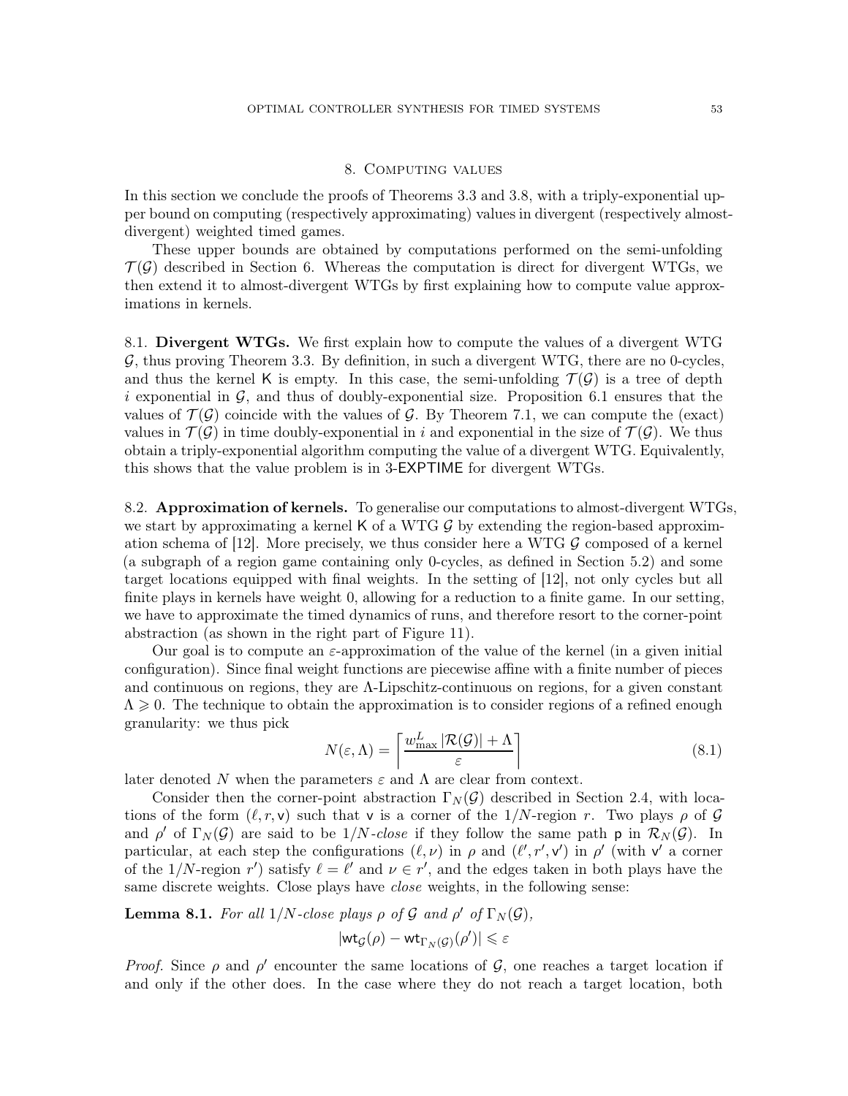# 8. Computing values

<span id="page-52-0"></span>In this section we conclude the proofs of Theorems [3.3](#page-21-0) and [3.8,](#page-22-0) with a triply-exponential upper bound on computing (respectively approximating) values in divergent (respectively almostdivergent) weighted timed games.

These upper bounds are obtained by computations performed on the semi-unfolding  $\mathcal{T}(\mathcal{G})$  described in Section [6.](#page-36-0) Whereas the computation is direct for divergent WTGs, we then extend it to almost-divergent WTGs by first explaining how to compute value approximations in kernels.

8.1. Divergent WTGs. We first explain how to compute the values of a divergent WTG  $G$ , thus proving Theorem [3.3.](#page-21-0) By definition, in such a divergent WTG, there are no 0-cycles, and thus the kernel K is empty. In this case, the semi-unfolding  $\mathcal{T}(\mathcal{G})$  is a tree of depth i exponential in  $\mathcal G$ , and thus of doubly-exponential size. Proposition [6.1](#page-37-0) ensures that the values of  $\mathcal{T}(\mathcal{G})$  coincide with the values of  $\mathcal{G}$ . By Theorem [7.1,](#page-40-0) we can compute the (exact) values in  $\mathcal{T}(\mathcal{G})$  in time doubly-exponential in i and exponential in the size of  $\mathcal{T}(\mathcal{G})$ . We thus obtain a triply-exponential algorithm computing the value of a divergent WTG. Equivalently, this shows that the value problem is in 3-EXPTIME for divergent WTGs.

<span id="page-52-3"></span>8.2. **Approximation of kernels.** To generalise our computations to almost-divergent WTGs, we start by approximating a kernel K of a WTG  $\mathcal{G}$  by extending the region-based approxim-ation schema of [\[12\]](#page-71-2). More precisely, we thus consider here a WTG  $\mathcal{G}$  composed of a kernel (a subgraph of a region game containing only 0-cycles, as defined in Section [5.2\)](#page-34-1) and some target locations equipped with final weights. In the setting of [\[12\]](#page-71-2), not only cycles but all finite plays in kernels have weight 0, allowing for a reduction to a finite game. In our setting, we have to approximate the timed dynamics of runs, and therefore resort to the corner-point abstraction (as shown in the right part of Figure [11\)](#page-24-0).

Our goal is to compute an  $\varepsilon$ -approximation of the value of the kernel (in a given initial configuration). Since final weight functions are piecewise affine with a finite number of pieces and continuous on regions, they are Λ-Lipschitz-continuous on regions, for a given constant  $\Lambda \geq 0$ . The technique to obtain the approximation is to consider regions of a refined enough granularity: we thus pick

<span id="page-52-2"></span>
$$
N(\varepsilon, \Lambda) = \left\lceil \frac{w_{\text{max}}^L |\mathcal{R}(\mathcal{G})| + \Lambda}{\varepsilon} \right\rceil \tag{8.1}
$$

later denoted N when the parameters  $\varepsilon$  and  $\Lambda$  are clear from context.

Consider then the corner-point abstraction  $\Gamma_N(\mathcal{G})$  described in Section [2.4,](#page-10-2) with locations of the form  $(\ell, r, v)$  such that v is a corner of the 1/N-region r. Two plays  $\rho$  of G and  $\rho'$  of  $\Gamma_N(\mathcal{G})$  are said to be 1/*N*-close if they follow the same path  $p$  in  $\mathcal{R}_N(\mathcal{G})$ . In particular, at each step the configurations  $(\ell, \nu)$  in  $\rho$  and  $(\ell', r', v')$  in  $\rho'$  (with v' a corner of the 1/N-region r') satisfy  $\ell = \ell'$  and  $\nu \in r'$ , and the edges taken in both plays have the same discrete weights. Close plays have *close* weights, in the following sense:

<span id="page-52-1"></span>**Lemma 8.1.** For all  $1/N$ -close plays  $\rho$  of  $\mathcal G$  and  $\rho'$  of  $\Gamma_N(\mathcal G)$ ,

$$
|\mathsf{wt}_{\mathcal{G}}(\rho)-\mathsf{wt}_{\Gamma_N(\mathcal{G})}(\rho')|\leqslant \varepsilon
$$

Proof. Since  $\rho$  and  $\rho'$  encounter the same locations of  $\mathcal{G}$ , one reaches a target location if and only if the other does. In the case where they do not reach a target location, both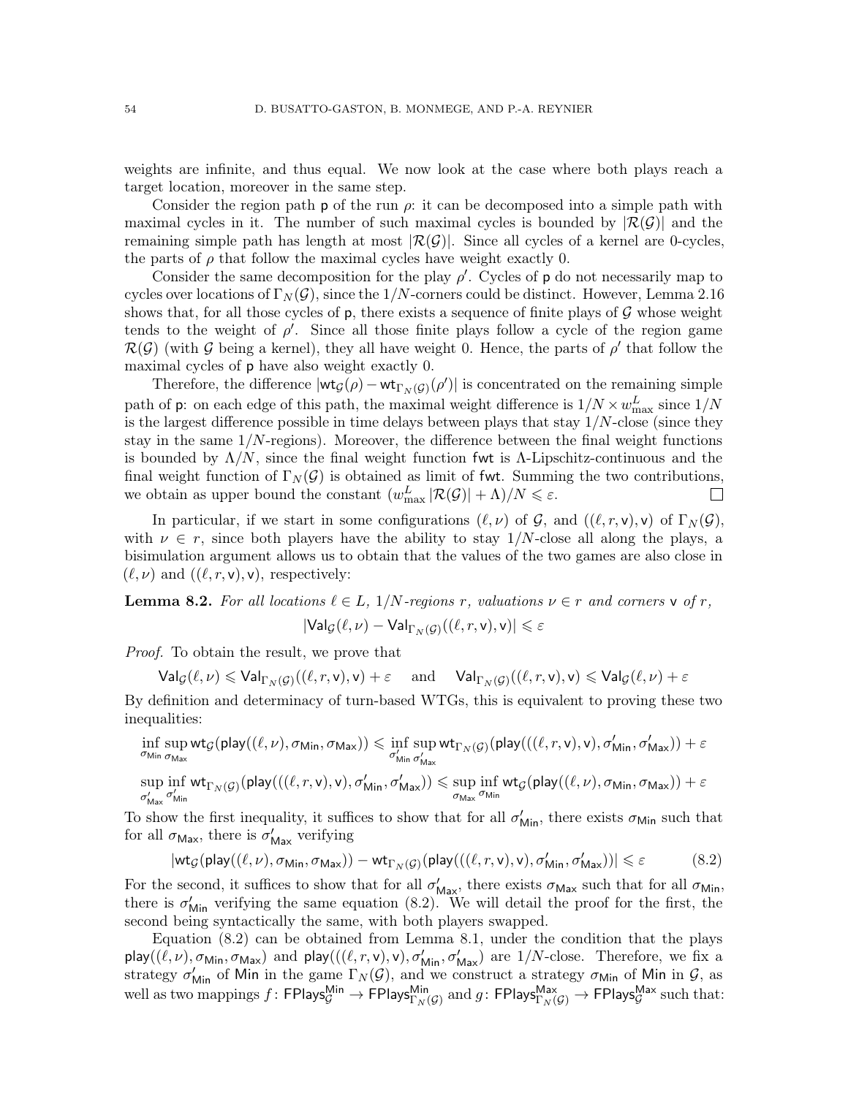weights are infinite, and thus equal. We now look at the case where both plays reach a target location, moreover in the same step.

Consider the region path **p** of the run  $\rho$ : it can be decomposed into a simple path with maximal cycles in it. The number of such maximal cycles is bounded by  $|\mathcal{R}(\mathcal{G})|$  and the remaining simple path has length at most  $|\mathcal{R}(\mathcal{G})|$ . Since all cycles of a kernel are 0-cycles, the parts of  $\rho$  that follow the maximal cycles have weight exactly 0.

Consider the same decomposition for the play  $\rho'$ . Cycles of p do not necessarily map to cycles over locations of  $\Gamma_N(\mathcal{G})$ , since the 1/N-corners could be distinct. However, Lemma [2.16](#page-17-0) shows that, for all those cycles of  $p$ , there exists a sequence of finite plays of  $\mathcal G$  whose weight tends to the weight of  $\rho'$ . Since all those finite plays follow a cycle of the region game  $\mathcal{R}(\mathcal{G})$  (with G being a kernel), they all have weight 0. Hence, the parts of  $\rho'$  that follow the maximal cycles of p have also weight exactly 0.

Therefore, the difference  $|\text{wt}_{\mathcal{G}}(\rho) - \text{wt}_{\Gamma_N(\mathcal{G})}(\rho')|$  is concentrated on the remaining simple path of **p**: on each edge of this path, the maximal weight difference is  $1/N \times w_{\text{max}}^L$  since  $1/N$ is the largest difference possible in time delays between plays that stay  $1/N$ -close (since they stay in the same  $1/N$ -regions). Moreover, the difference between the final weight functions is bounded by  $\Lambda/N$ , since the final weight function fwt is  $\Lambda$ -Lipschitz-continuous and the final weight function of  $\Gamma_N(\mathcal{G})$  is obtained as limit of fwt. Summing the two contributions, we obtain as upper bound the constant  $(w_{\text{max}}^L |\mathcal{R}(\mathcal{G})| + \Lambda)/N \leq \varepsilon$ .  $\Box$ 

In particular, if we start in some configurations  $(\ell, \nu)$  of G, and  $((\ell, r, \nu), \nu)$  of  $\Gamma_N(\mathcal{G}),$ with  $\nu \in r$ , since both players have the ability to stay  $1/N$ -close all along the plays, a bisimulation argument allows us to obtain that the values of the two games are also close in  $(\ell, \nu)$  and  $((\ell, r, v), v)$ , respectively:

<span id="page-53-1"></span>**Lemma 8.2.** For all locations  $\ell \in L$ ,  $1/N$ -regions r, valuations  $\nu \in r$  and corners v of r,  $\left| \mathsf{Val}_{\mathcal{G}}(\ell, \nu) - \mathsf{Val}_{\Gamma_{N}(\mathcal{G})}((\ell, r, \mathsf{v}), \mathsf{v}) \right| \leqslant \varepsilon$ 

Proof. To obtain the result, we prove that

 $\mathsf{Val}_\mathcal{G}(\ell,\nu) \leqslant \mathsf{Val}_{\Gamma_N(\mathcal{G})}((\ell,r,\mathsf{v}),\mathsf{v}) + \varepsilon \quad \text{ and } \quad \mathsf{Val}_{\Gamma_N(\mathcal{G})}((\ell,r,\mathsf{v}),\mathsf{v}) \leqslant \mathsf{Val}_\mathcal{G}(\ell,\nu) + \varepsilon$ 

By definition and determinacy of turn-based WTGs, this is equivalent to proving these two inequalities:

$$
\inf_{\sigma_{\mathsf{Min}\,\sigma_{\mathsf{Max}}} } \sup_{\sigma_{\mathsf{Max}}} \mathsf{wt}_{\mathcal{G}}(\mathsf{play}((\ell, \nu), \sigma_{\mathsf{Min}}, \sigma_{\mathsf{Max}})) \leqslant \inf_{\sigma_{\mathsf{Min}\,\sigma_{\mathsf{Max}}}'} \sup_{\sigma_{\mathsf{Max}}'} \mathsf{wt}_{\Gamma_{N}(\mathcal{G})}(\mathsf{play}((\ell, r, \mathsf{v}), \mathsf{v}), \sigma_{\mathsf{Min}}', \sigma_{\mathsf{Max}}')) + \varepsilon \\ \sup_{\sigma_{\mathsf{Max}}'} \inf_{\sigma_{\mathsf{Max}}'} \mathsf{wt}_{\Gamma_{N}(\mathcal{G})}(\mathsf{play}((\ell, r, \mathsf{v}), \mathsf{v}), \sigma_{\mathsf{Min}}, \sigma_{\mathsf{Max}}')) \leqslant \sup_{\sigma_{\mathsf{Max}}}\inf_{\sigma_{\mathsf{Min}}} \mathsf{wt}_{\mathcal{G}}(\mathsf{play}((\ell, \nu), \sigma_{\mathsf{Min}}, \sigma_{\mathsf{Max}})) + \varepsilon
$$

To show the first inequality, it suffices to show that for all  $\sigma'_{\text{Min}}$ , there exists  $\sigma_{\text{Min}}$  such that for all  $\sigma_{\text{Max}}$ , there is  $\sigma'_{\text{Max}}$  verifying

<span id="page-53-0"></span>
$$
|\mathsf{wt}_{\mathcal{G}}(\mathsf{play}((\ell,\nu),\sigma_{\mathsf{Min}},\sigma_{\mathsf{Max}})) - \mathsf{wt}_{\Gamma_N(\mathcal{G})}(\mathsf{play}(((\ell,r,\mathsf{v}),\mathsf{v}),\sigma_{\mathsf{Min}}',\sigma_{\mathsf{Max}}'))| \leq \varepsilon
$$
(8.2)

For the second, it suffices to show that for all  $\sigma'_{\text{Max}}$ , there exists  $\sigma_{\text{Max}}$  such that for all  $\sigma_{\text{Min}}$ , there is  $\sigma'_{\text{Min}}$  verifying the same equation [\(8.2\)](#page-53-0). We will detail the proof for the first, the second being syntactically the same, with both players swapped.

Equation [\(8.2\)](#page-53-0) can be obtained from Lemma [8.1,](#page-52-1) under the condition that the plays play $((\ell,\nu),\sigma_{\mathsf{Min}},\sigma_{\mathsf{Max}})$  and play $(((\ell,r,\mathsf{v}),\mathsf{v}),\sigma_{\mathsf{Min}}',\sigma_{\mathsf{Max}}')$  are 1/N-close. Therefore, we fix a strategy  $\sigma'_{\text{Min}}$  of Min in the game  $\Gamma_N(\mathcal{G})$ , and we construct a strategy  $\sigma_{\text{Min}}$  of Min in  $\mathcal{G}$ , as well as two mappings  $f\colon\mathsf{FPlays}_\mathcal{G}^{\mathsf{Min}}\to\mathsf{FPlays}_{\Gamma_N(\mathcal{G})}^{\mathsf{Min}}$  and  $g\colon\mathsf{FPlays}_{\Gamma_N(\mathcal{G})}^{\mathsf{Max}}\to\mathsf{FPlays}_\mathcal{G}^{\mathsf{Max}}$  such that: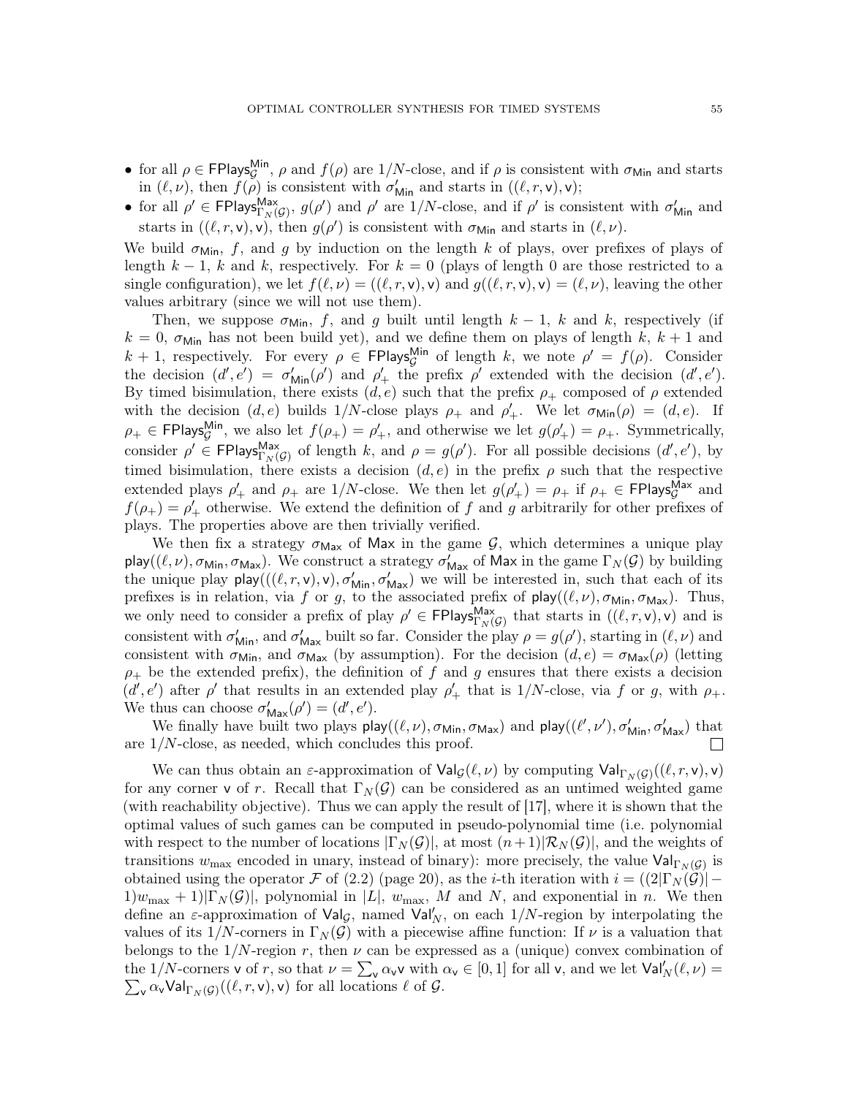- for all  $\rho \in \text{FPlays}_{\mathcal{G}}^{\text{Min}}$ ,  $\rho$  and  $f(\rho)$  are  $1/N$ -close, and if  $\rho$  is consistent with  $\sigma_{\text{Min}}$  and starts in  $(\ell, \nu)$ , then  $f(\rho)$  is consistent with  $\sigma'_{\text{Min}}$  and starts in  $((\ell, r, \mathsf{v}), \mathsf{v})$ ;
- for all  $\rho' \in \text{FPlays}_{\Gamma_N(G)}^{\text{Max}}, g(\rho')$  and  $\rho'$  are  $1/N$ -close, and if  $\rho'$  is consistent with  $\sigma'_{\text{Min}}$  and starts in  $((\ell, r, \mathsf{v}), \mathsf{v})$ , then  $g(\rho')$  is consistent with  $\sigma_{\mathsf{Min}}$  and starts in  $(\ell, \nu)$ .

We build  $\sigma_{\text{Min}}$ , f, and g by induction on the length k of plays, over prefixes of plays of length  $k-1$ , k and k, respectively. For  $k=0$  (plays of length 0 are those restricted to a single configuration), we let  $f(\ell, \nu) = ((\ell, r, \mathsf{v}), \mathsf{v})$  and  $g((\ell, r, \mathsf{v}), \mathsf{v}) = (\ell, \nu)$ , leaving the other values arbitrary (since we will not use them).

Then, we suppose  $\sigma_{\text{Min}}$ , f, and g built until length  $k-1$ , k and k, respectively (if  $k = 0$ ,  $\sigma_{\text{Min}}$  has not been build yet), and we define them on plays of length k,  $k + 1$  and  $k + 1$ , respectively. For every  $\rho \in \text{FPlays}_{\mathcal{G}}^{\text{Min}}$  of length k, we note  $\rho' = f(\rho)$ . Consider the decision  $(d', e') = \sigma'_{\text{Min}}(\rho')$  and  $\rho'_{+}$  the prefix  $\rho'$  extended with the decision  $(d', e')$ . By timed bisimulation, there exists  $(d, e)$  such that the prefix  $\rho_+$  composed of  $\rho$  extended with the decision  $(d, e)$  builds  $1/N$ -close plays  $\rho_+$  and  $\rho'_+$ . We let  $\sigma_{\text{Min}}(\rho) = (d, e)$ . If  $\rho_+ \in \text{FPlays}_{\mathcal{G}}^{\text{Min}}$ , we also let  $f(\rho_+) = \rho'_+$ , and otherwise we let  $g(\rho'_+) = \rho_+$ . Symmetrically, consider  $\rho' \in \text{FPlays}_{\Gamma_N(G)}^{\text{Max}}$  of length k, and  $\rho = g(\rho')$ . For all possible decisions  $(d', e'),$  by timed bisimulation, there exists a decision  $(d, e)$  in the prefix  $\rho$  such that the respective extended plays  $\rho'_+$  and  $\rho_+$  are 1/N-close. We then let  $g(\rho'_+) = \rho_+$  if  $\rho_+ \in \text{FPlays}_{\mathcal{G}}^{\text{Max}}$  and  $f(\rho_+) = \rho'_+$  otherwise. We extend the definition of f and g arbitrarily for other prefixes of plays. The properties above are then trivially verified.

We then fix a strategy  $\sigma_{\text{Max}}$  of Max in the game  $\mathcal{G}$ , which determines a unique play play $((\ell,\nu),\sigma_{\mathsf{Min}},\sigma_{\mathsf{Max}})$ . We construct a strategy  $\sigma'_{\mathsf{Max}}$  of Max in the game  $\Gamma_N(\mathcal{G})$  by building the unique play  $p\log((\ell, r, v), v), \sigma'_{\text{Min}}, \sigma'_{\text{Max}})$  we will be interested in, such that each of its prefixes is in relation, via f or g, to the associated prefix of  $\text{play}((\ell, \nu), \sigma_{\text{Min}}, \sigma_{\text{Max}})$ . Thus, we only need to consider a prefix of play  $\rho' \in \text{FPlays}_{\Gamma_N(\mathcal{G})}^{\text{Max}}$  that starts in  $((\ell,r,\mathsf{v}),\mathsf{v})$  and is consistent with  $\sigma'_{\text{Min}}$ , and  $\sigma'_{\text{Max}}$  built so far. Consider the play  $\rho = g(\rho')$ , starting in  $(\ell, \nu)$  and consistent with  $\sigma_{\text{Min}}$ , and  $\sigma_{\text{Max}}$  (by assumption). For the decision  $(d, e) = \sigma_{\text{Max}}(\rho)$  (letting  $\rho_+$  be the extended prefix), the definition of f and g ensures that there exists a decision  $(d', e')$  after  $\rho'$  that results in an extended play  $\rho'_+$  that is 1/N-close, via f or g, with  $\rho_+$ . We thus can choose  $\sigma'_{\text{Max}}(\rho') = (d', e').$ 

We finally have built two plays  $\mathsf{play}((\ell, \nu), \sigma_{\mathsf{Min}}, \sigma_{\mathsf{Max}})$  and  $\mathsf{play}((\ell', \nu'), \sigma'_{\mathsf{Min}}, \sigma'_{\mathsf{Max}})$  that are  $1/N$ -close, as needed, which concludes this proof.  $\Box$ 

We can thus obtain an  $\varepsilon$ -approximation of  $\text{Val}_{\mathcal{G}}(\ell,\nu)$  by computing  $\text{Val}_{\Gamma_N(\mathcal{G})}((\ell,r,\nu),\nu)$ for any corner v of r. Recall that  $\Gamma_N(\mathcal{G})$  can be considered as an untimed weighted game (with reachability objective). Thus we can apply the result of [\[17\]](#page-71-3), where it is shown that the optimal values of such games can be computed in pseudo-polynomial time (i.e. polynomial with respect to the number of locations  $|\Gamma_N(\mathcal{G})|$ , at most  $(n+1)|\mathcal{R}_N(\mathcal{G})|$ , and the weights of transitions  $w_{\text{max}}$  encoded in unary, instead of binary): more precisely, the value  $\text{Val}_{\Gamma_N(G)}$  is obtained using the operator F of [\(2.2\)](#page-19-0) (page [20\)](#page-19-0), as the *i*-th iteration with  $i = (2|\Gamma_N(\mathcal{G})| 1)w_{\text{max}} + 1|\Gamma_N(\mathcal{G})|$ , polynomial in  $|L|$ ,  $w_{\text{max}}$ , M and N, and exponential in n. We then define an  $\varepsilon$ -approximation of  $\mathsf{Val}_{\mathcal{G}}$ , named  $\mathsf{Val}'_N$ , on each  $1/N$ -region by interpolating the values of its  $1/N$ -corners in  $\Gamma_N(\mathcal{G})$  with a piecewise affine function: If  $\nu$  is a valuation that belongs to the  $1/N$ -region r, then  $\nu$  can be expressed as a (unique) convex combination of the 1/N-corners v of r, so that  $\nu = \sum_{\mathbf{v}} \alpha_{\mathbf{v}} \mathbf{v}$  with  $\alpha_{\mathbf{v}} \in [0,1]$  for all v, and we let  $\text{Val}'_N(\ell,\nu) =$  $\sum_{\mathsf{v}} \alpha_{\mathsf{v}} \mathsf{Val}_{\Gamma_N(\mathcal{G})}((\ell,r,\mathsf{v}),\mathsf{v})$  for all locations  $\ell$  of  $\mathcal{G}$ .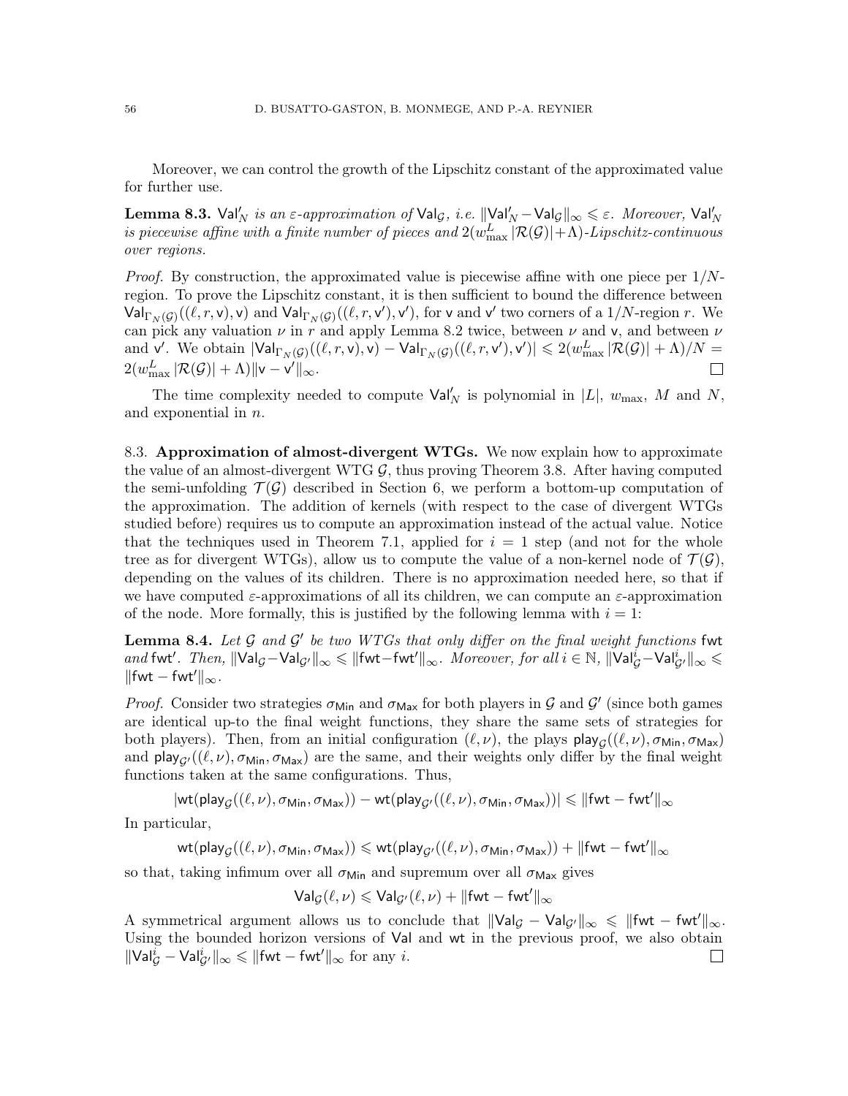Moreover, we can control the growth of the Lipschitz constant of the approximated value for further use.

<span id="page-55-1"></span>Lemma 8.3. Val $'_N$  is an  $\varepsilon$ -approximation of Val $_\mathcal{G},$  i.e.  $\|\e{V}$ al $'_N-$ Val $_\mathcal{G}\|_\infty\leqslant\varepsilon$ . Moreover, Val $'_N$ is piecewise affine with a finite number of pieces and  $2(w^L_{\text{max}}\,|\mathcal{R}(\mathcal{G})|+\Lambda)$ -Lipschitz-continuous over regions.

*Proof.* By construction, the approximated value is piecewise affine with one piece per  $1/N$ region. To prove the Lipschitz constant, it is then sufficient to bound the difference between  $\mathsf{Val}_{\Gamma_N(\mathcal{G})}((\ell,r,\mathsf{v}),\mathsf{v})$  and  $\mathsf{Val}_{\Gamma_N(\mathcal{G})}((\ell,r,\mathsf{v}'),\mathsf{v}')$ , for  $\mathsf{v}$  and  $\mathsf{v}'$  two corners of a  $1/N$ -region  $r$ . We can pick any valuation  $\nu$  in r and apply Lemma [8.2](#page-53-1) twice, between  $\nu$  and  $\nu$ , and between  $\nu$ and v'. We obtain  $|\mathsf{Val}_{\Gamma_N(\mathcal{G})}((\ell,r,\mathsf{v}),\mathsf{v}) - \mathsf{Val}_{\Gamma_N(\mathcal{G})}((\ell,r,\mathsf{v}'),\mathsf{v}')| \leqslant 2(w^L_{\max}|\mathcal{R}(\mathcal{G})| + \Lambda)/N =$  $2(w^L_{\text{max}}|\mathcal{R}(\mathcal{G})| + \Lambda) \|\mathsf{v}-\mathsf{v}'\|_\infty.$ 

The time complexity needed to compute  $\text{Val}'_N$  is polynomial in  $|L|$ ,  $w_{\text{max}}$ , M and N, and exponential in n.

8.3. Approximation of almost-divergent WTGs. We now explain how to approximate the value of an almost-divergent WTG  $\mathcal{G}$ , thus proving Theorem [3.8.](#page-22-0) After having computed the semi-unfolding  $\mathcal{T}(\mathcal{G})$  described in Section [6,](#page-36-0) we perform a bottom-up computation of the approximation. The addition of kernels (with respect to the case of divergent WTGs studied before) requires us to compute an approximation instead of the actual value. Notice that the techniques used in Theorem [7.1,](#page-40-0) applied for  $i = 1$  step (and not for the whole tree as for divergent WTGs), allow us to compute the value of a non-kernel node of  $\mathcal{T}(\mathcal{G})$ , depending on the values of its children. There is no approximation needed here, so that if we have computed  $\varepsilon$ -approximations of all its children, we can compute an  $\varepsilon$ -approximation of the node. More formally, this is justified by the following lemma with  $i = 1$ :

<span id="page-55-0"></span>**Lemma 8.4.** Let  $\mathcal G$  and  $\mathcal G'$  be two WTGs that only differ on the final weight functions fwt and fwt'. Then,  $\|\mathsf{Val}_\mathcal{G}-\mathsf{Val}_{\mathcal{G}'}\|_\infty\leqslant\|\mathsf{fwt}-\mathsf{fwt}'\|_\infty$ . Moreover, for all  $i\in\mathbb{N}$ ,  $\|\mathsf{Val}_\mathcal{G}^i-\mathsf{Val}_{\mathcal{G}'}^i\|_\infty\leqslant$  $\|\text{fwt} - \text{fwt}'\|_{\infty}$ .

*Proof.* Consider two strategies  $\sigma_{\text{Min}}$  and  $\sigma_{\text{Max}}$  for both players in G and G' (since both games are identical up-to the final weight functions, they share the same sets of strategies for both players). Then, from an initial configuration  $(\ell, \nu)$ , the plays  $\mathsf{play}_{\mathcal{G}}((\ell, \nu), \sigma_{\mathsf{Min}}, \sigma_{\mathsf{Max}})$ and  $\mathsf{play}_{G'}((\ell, \nu), \sigma_{\mathsf{Min}}, \sigma_{\mathsf{Max}})$  are the same, and their weights only differ by the final weight functions taken at the same configurations. Thus,

 $|\mathsf{wt}(\mathsf{play}_{\mathcal{G}}((\ell,\nu),\sigma_{\mathsf{Min}},\sigma_{\mathsf{Max}}))-\mathsf{wt}(\mathsf{play}_{\mathcal{G}'}((\ell,\nu),\sigma_{\mathsf{Min}},\sigma_{\mathsf{Max}}))|\leqslant\|\mathsf{fwt}-\mathsf{fwt}'\|_\infty$ 

In particular,

 $\mathsf{wt}(\mathsf{play}_{\mathcal{G}}((\ell,\nu),\sigma_{\mathsf{Min}},\sigma_{\mathsf{Max}})) \leqslant \mathsf{wt}(\mathsf{play}_{\mathcal{G}'}((\ell,\nu),\sigma_{\mathsf{Min}},\sigma_{\mathsf{Max}})) + \|\mathsf{fwt} - \mathsf{fwt}'\|_\infty$ 

so that, taking infimum over all  $\sigma_{\text{Min}}$  and supremum over all  $\sigma_{\text{Max}}$  gives

 $\mathsf{Val}_\mathcal{G}(\ell,\nu) \leqslant \mathsf{Val}_{\mathcal{G}'}(\ell,\nu) + \|\mathsf{fwt} - \mathsf{fwt}'\|_\infty$ 

A symmetrical argument allows us to conclude that  $\|\text{Val}_G - \text{Val}_{G'}\|_{\infty} \leq \|\text{fwt} - \text{fwt}'\|_{\infty}$ . Using the bounded horizon versions of Val and wt in the previous proof, we also obtain  $\|\text{Val}_{\mathcal{G}}^i - \text{Val}_{\mathcal{G}'}^i\|_{\infty} \le \|\text{fwt} - \text{fwt}'\|_{\infty}$  for any *i*.  $\Box$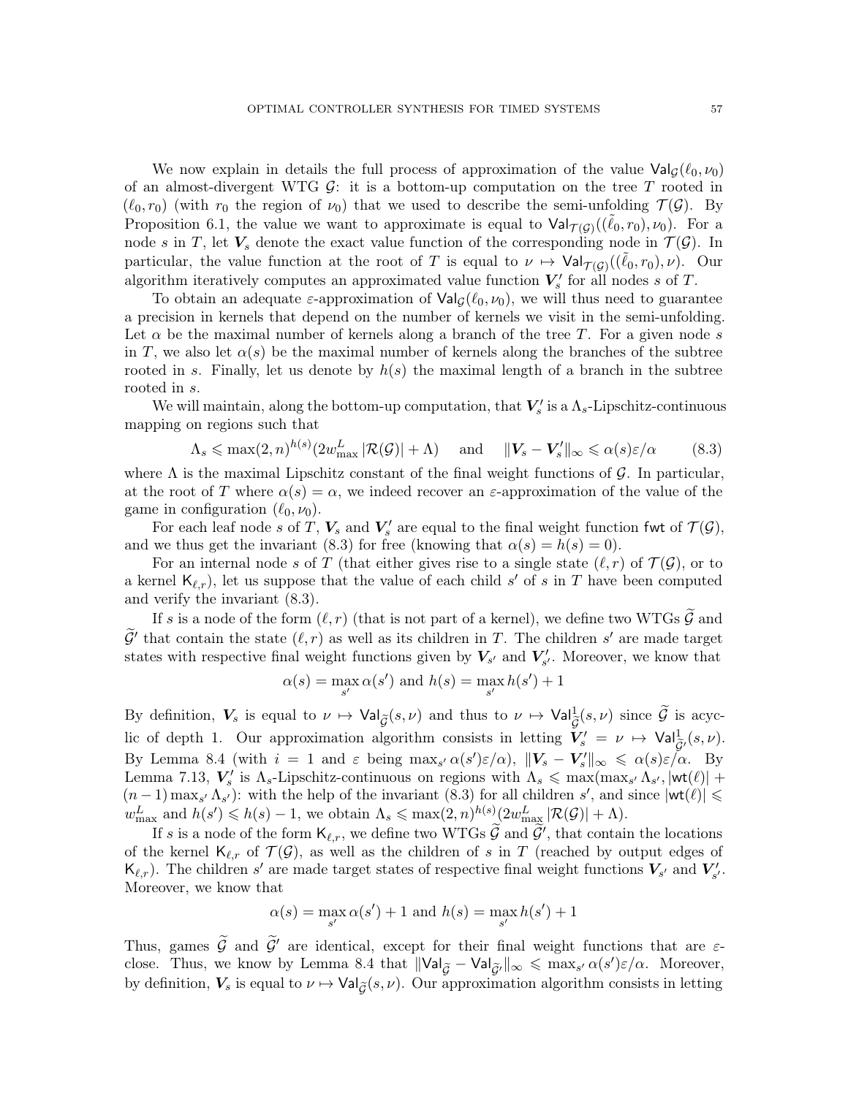We now explain in details the full process of approximation of the value  $\text{Val}_G(\ell_0, \nu_0)$ of an almost-divergent WTG  $\mathcal{G}$ : it is a bottom-up computation on the tree T rooted in  $(\ell_0, r_0)$  (with  $r_0$  the region of  $\nu_0$ ) that we used to describe the semi-unfolding  $\mathcal{T}(\mathcal{G})$ . By Proposition [6.1,](#page-37-0) the value we want to approximate is equal to  $\text{Val}_{\mathcal{T}(\mathcal{G})}((\tilde{\ell}_0, r_0), \nu_0)$ . For a node s in T, let  $V_s$  denote the exact value function of the corresponding node in  $\mathcal{T}(\mathcal{G})$ . In particular, the value function at the root of T is equal to  $\nu \mapsto \mathrm{Val}_{\mathcal{T}(\mathcal{G})}((\tilde{\ell}_0, r_0), \nu)$ . Our algorithm iteratively computes an approximated value function  $V'_{s}$  for all nodes s of T.

To obtain an adequate  $\varepsilon$ -approximation of  $\text{Val}_{G}(\ell_0, \nu_0)$ , we will thus need to guarantee a precision in kernels that depend on the number of kernels we visit in the semi-unfolding. Let  $\alpha$  be the maximal number of kernels along a branch of the tree T. For a given node s in T, we also let  $\alpha(s)$  be the maximal number of kernels along the branches of the subtree rooted in s. Finally, let us denote by  $h(s)$  the maximal length of a branch in the subtree rooted in s.

We will maintain, along the bottom-up computation, that  $V'_s$  is a  $\Lambda_s$ -Lipschitz-continuous mapping on regions such that

<span id="page-56-0"></span>
$$
\Lambda_s \leqslant \max(2, n)^{h(s)} (2w_{\text{max}}^L |\mathcal{R}(\mathcal{G})| + \Lambda) \quad \text{and} \quad ||\mathbf{V}_s - \mathbf{V}'_s||_{\infty} \leqslant \alpha(s)\varepsilon/\alpha \quad (8.3)
$$

where  $\Lambda$  is the maximal Lipschitz constant of the final weight functions of G. In particular, at the root of T where  $\alpha(s) = \alpha$ , we indeed recover an  $\varepsilon$ -approximation of the value of the game in configuration  $(\ell_0, \nu_0)$ .

For each leaf node s of T,  $V_s$  and  $V'_s$  are equal to the final weight function fwt of  $\mathcal{T}(\mathcal{G})$ , and we thus get the invariant [\(8.3\)](#page-56-0) for free (knowing that  $\alpha(s) = h(s) = 0$ ).

For an internal node s of T (that either gives rise to a single state  $(\ell, r)$  of  $\mathcal{T}(\mathcal{G})$ , or to a kernel  $\mathsf{K}_{\ell,r}$ , let us suppose that the value of each child s' of s in T have been computed and verify the invariant [\(8.3\)](#page-56-0).

If s is a node of the form  $(\ell, r)$  (that is not part of a kernel), we define two WTGs  $\mathcal G$  and  $\widetilde{\mathcal{G}}'$  that contain the state  $(\ell, r)$  as well as its children in T. The children s' are made target states with respective final weight functions given by  $V_{s'}$  and  $V'_{s'}$ . Moreover, we know that

$$
\alpha(s) = \max_{s'} \alpha(s') \text{ and } h(s) = \max_{s'} h(s') + 1
$$

By definition,  $V_s$  is equal to  $\nu \mapsto \text{Val}_{\widetilde{\mathcal{G}}}(s, \nu)$  and thus to  $\nu \mapsto \text{Val}_{\widetilde{\mathcal{G}}}(s, \nu)$  since  $\widetilde{\mathcal{G}}$  is acyclic of depth 1. Our approximation algorithm consists in letting  $V'_s = \nu \mapsto \text{Val}_{\tilde{G}'}^1(s, \nu)$ . By Lemma [8.4](#page-55-0) (with  $i = 1$  and  $\varepsilon$  being  $\max_{s'} \alpha(s') \varepsilon/\alpha$ ),  $||\mathbf{V}_s - \mathbf{V}'_s||_{\infty} \leq \alpha(s) \varepsilon/\alpha$ . By Lemma [7.13,](#page-49-1)  $V'_s$  is  $\Lambda_s$ -Lipschitz-continuous on regions with  $\Lambda_s \leq \max(\max_{s'} \Lambda_{s'}, |wt(\ell)| +$  $(n-1) \max_{s'} \Lambda_{s'}$ : with the help of the invariant  $(8.3)$  for all children s', and since  $|\textsf{wt}(\ell)| \leq$  $w_{\text{max}}^L$  and  $h(s') \leqslant h(s) - 1$ , we obtain  $\Lambda_s \leqslant \max(2, n)^{h(s)} (2w_{\text{max}}^L |\mathcal{R}(\mathcal{G})| + \Lambda)$ .

If s is a node of the form  $\mathsf{K}_{\ell,r}$ , we define two WTGs  $\widetilde{\mathcal{G}}$  and  $\widetilde{\mathcal{G}}'$ , that contain the locations of the kernel  $\mathsf{K}_{\ell,r}$  of  $\mathcal{T}(\mathcal{G})$ , as well as the children of s in T (reached by output edges of  $\mathsf{K}_{\ell,r}$ ). The children s' are made target states of respective final weight functions  $V_{s'}$  and  $V'_{s'}$ . Moreover, we know that

$$
\alpha(s) = \max_{s'} \alpha(s') + 1 \text{ and } h(s) = \max_{s'} h(s') + 1
$$

Thus, games  $\tilde{\mathcal{G}}$  and  $\tilde{\mathcal{G}}'$  are identical, except for their final weight functions that are  $\varepsilon$ -close. Thus, we know by Lemma [8.4](#page-55-0) that  $\|\text{Val}_{\widetilde{\mathcal{G}}} - \text{Val}_{\widetilde{\mathcal{G}}'}\|_{\infty} \leq \max_{s'} \alpha(s') \varepsilon/\alpha$ . Moreover, by definition,  $V_s$  is equal to  $\nu \mapsto \mathrm{Val}_{\tilde{G}}(s, \nu)$ . Our approximation algorithm consists in letting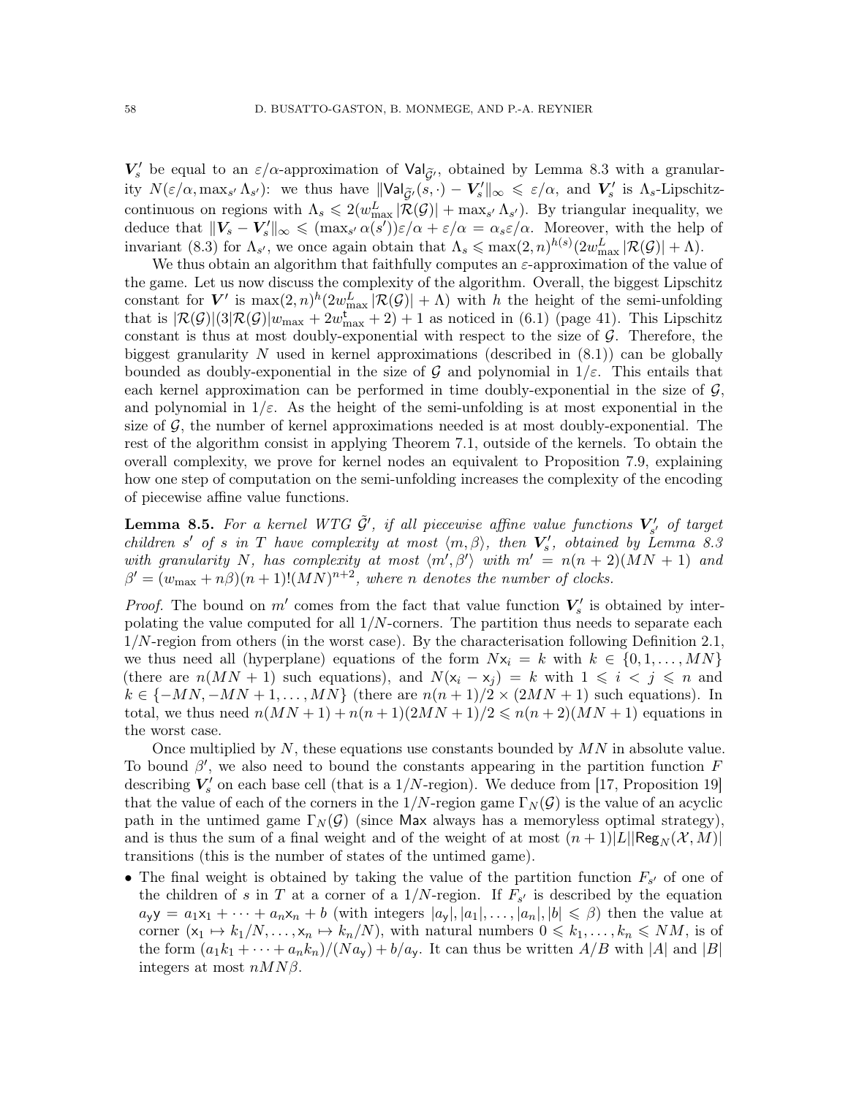$V'_s$  be equal to an  $\varepsilon/\alpha$ -approximation of  $\mathrm{Val}_{\widetilde{\mathcal{G}}'}$ , obtained by Lemma [8.3](#page-55-1) with a granularity  $N(\varepsilon/\alpha, \max_{s'} \Lambda_{s'})$ : we thus have  $\|\text{Val}_{\tilde{\mathcal{G}}'}(s, \cdot) - V_s'\|_{\infty} \leq \varepsilon/\alpha$ , and  $V_s'$  is  $\Lambda_s$ -Lipschitzcontinuous on regions with  $\Lambda_s \leq 2(w_{\text{max}}^L |\mathcal{R}(\mathcal{G})| + \max_{s'} \Lambda_{s'})$ . By triangular inequality, we deduce that  $||V_s - V'_s||_{\infty} \leq (\max_{s'} \alpha(s'))\varepsilon/\alpha + \varepsilon/\alpha = \alpha_s \varepsilon/\alpha$ . Moreover, with the help of invariant [\(8.3\)](#page-56-0) for  $\Lambda_{s'}$ , we once again obtain that  $\Lambda_s \leqslant \max(2,n)^{h(s)}(2w_{\max}^L |\mathcal{R}(\mathcal{G})| + \Lambda)$ .

We thus obtain an algorithm that faithfully computes an  $\varepsilon$ -approximation of the value of the game. Let us now discuss the complexity of the algorithm. Overall, the biggest Lipschitz constant for V' is  $\max(2,n)^h(2w_{\max}^L|\mathcal{R}(\mathcal{G})|+\Lambda)$  with h the height of the semi-unfolding that is  $|\mathcal{R}(\mathcal{G})|(3|\mathcal{R}(\mathcal{G})|w_{\text{max}} + 2w_{\text{max}}^{\text{t}} + 2) + 1$  as noticed in [\(6.1\)](#page-40-1) (page [41\)](#page-40-1). This Lipschitz constant is thus at most doubly-exponential with respect to the size of  $G$ . Therefore, the biggest granularity N used in kernel approximations (described in  $(8.1)$ ) can be globally bounded as doubly-exponential in the size of G and polynomial in  $1/\varepsilon$ . This entails that each kernel approximation can be performed in time doubly-exponential in the size of  $\mathcal{G}$ , and polynomial in  $1/\varepsilon$ . As the height of the semi-unfolding is at most exponential in the size of  $\mathcal{G}$ , the number of kernel approximations needed is at most doubly-exponential. The rest of the algorithm consist in applying Theorem [7.1,](#page-40-0) outside of the kernels. To obtain the overall complexity, we prove for kernel nodes an equivalent to Proposition [7.9,](#page-46-0) explaining how one step of computation on the semi-unfolding increases the complexity of the encoding of piecewise affine value functions.

**Lemma 8.5.** For a kernel WTG  $\tilde{\mathcal{G}}'$ , if all piecewise affine value functions  $\mathbf{V}'_{s'}$  of target children s' of s in T have complexity at most  $\langle m, \beta \rangle$ , then  $V'_s$ , obtained by Lemma [8.3](#page-55-1) with granularity N, has complexity at most  $\langle m', \beta' \rangle$  with  $m' = n(n+2)(MN + 1)$  and  $\beta' = (w_{\text{max}} + n\beta)(n+1)!(MN)^{n+2}$ , where n denotes the number of clocks.

*Proof.* The bound on  $m'$  comes from the fact that value function  $V'_s$  is obtained by interpolating the value computed for all  $1/N$ -corners. The partition thus needs to separate each  $1/N$ -region from others (in the worst case). By the characterisation following Definition [2.1,](#page-7-0) we thus need all (hyperplane) equations of the form  $Nx_i = k$  with  $k \in \{0, 1, ..., MN\}$ (there are  $n(MN + 1)$  such equations), and  $N(x_i - x_j) = k$  with  $1 \leq i \leq j \leq n$  and  $k \in \{-MN, -MN+1, \ldots, MN\}$  (there are  $n(n+1)/2 \times (2MN+1)$  such equations). In total, we thus need  $n(MN + 1) + n(n+1)(2MN + 1)/2 \leq n(n+2)(MN + 1)$  equations in the worst case.

Once multiplied by  $N$ , these equations use constants bounded by  $MN$  in absolute value. To bound  $\beta'$ , we also need to bound the constants appearing in the partition function F describing  $V'_s$  on each base cell (that is a 1/N-region). We deduce from [\[17,](#page-71-3) Proposition 19] that the value of each of the corners in the  $1/N$ -region game  $\Gamma_N(\mathcal{G})$  is the value of an acyclic path in the untimed game  $\Gamma_N(\mathcal{G})$  (since Max always has a memoryless optimal strategy). and is thus the sum of a final weight and of the weight of at most  $(n + 1)|L||\text{Reg}_{N}(\mathcal{X}, M)|$ transitions (this is the number of states of the untimed game).

• The final weight is obtained by taking the value of the partition function  $F_{s'}$  of one of the children of s in T at a corner of a  $1/N$ -region. If  $F_{s'}$  is described by the equation  $a_{\mathbf{y}}\mathbf{y} = a_1\mathbf{x}_1 + \cdots + a_n\mathbf{x}_n + b$  (with integers  $|a_{\mathbf{y}}|, |a_1|, \ldots, |a_n|, |b| \leq \beta$ ) then the value at corner  $(x_1 \mapsto k_1/N, \ldots, x_n \mapsto k_n/N)$ , with natural numbers  $0 \leq k_1, \ldots, k_n \leq NM$ , is of the form  $(a_1k_1 + \cdots + a_nk_n)/(Na_v) + b/a_v$ . It can thus be written  $A/B$  with  $|A|$  and  $|B|$ integers at most  $nMN\beta$ .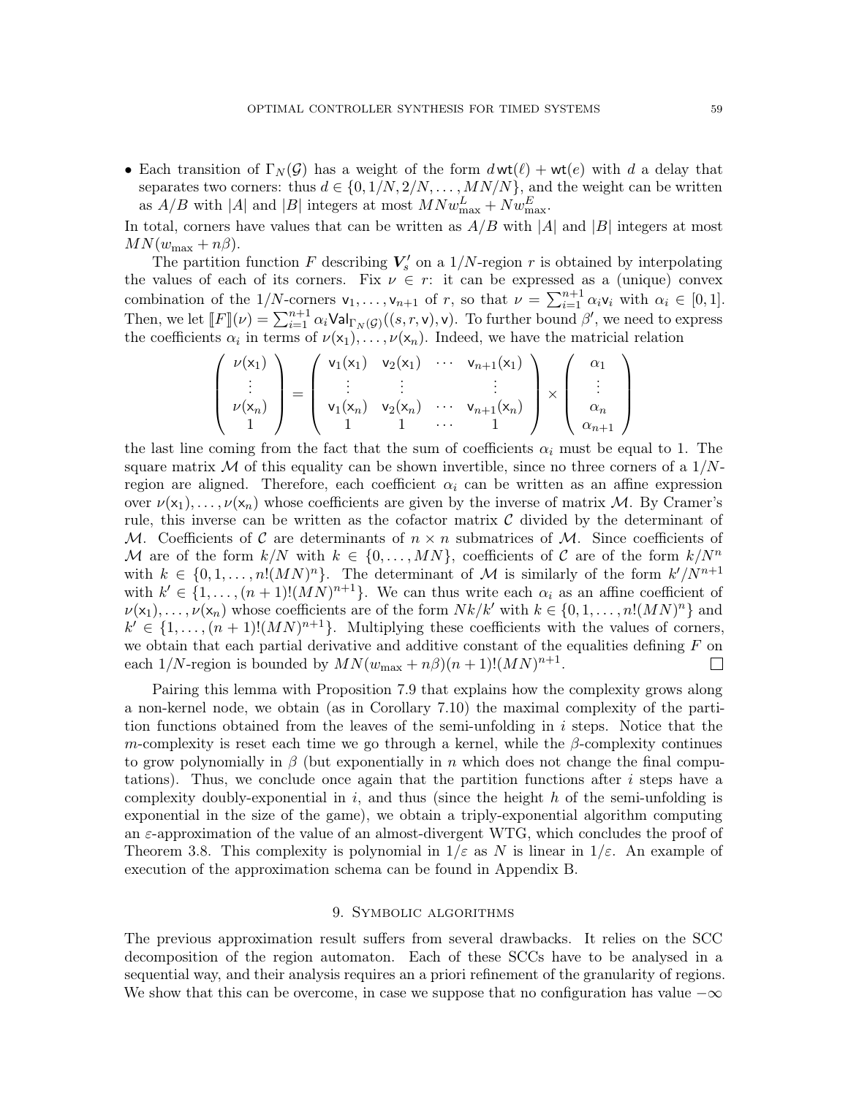• Each transition of  $\Gamma_N(\mathcal{G})$  has a weight of the form  $d\text{wt}(\ell) + \text{wt}(e)$  with d a delay that separates two corners: thus  $d \in \{0, 1/N, 2/N, \ldots, MN/N\}$ , and the weight can be written as  $A/B$  with |A| and |B| integers at most  $M N w_{\text{max}}^L + N w_{\text{max}}^E$ .

In total, corners have values that can be written as  $A/B$  with |A| and |B| integers at most  $MN(w_{\text{max}} + n\beta).$ 

The partition function F describing  $V'_{s}$  on a 1/N-region r is obtained by interpolating the values of each of its corners. Fix  $\nu \in r$ : it can be expressed as a (unique) convex combination of the 1/N-corners  $v_1, \ldots, v_{n+1}$  of r, so that  $\nu = \sum_{i=1}^{n+1} \alpha_i v_i$  with  $\alpha_i \in [0, 1]$ . Then, we let  $\llbracket F \rrbracket(\nu) = \sum_{i=1}^{n+1} \alpha_i \mathsf{Val}_{\Gamma_N(\mathcal{G})}((s,r,\mathsf{v}),\mathsf{v})$ . To further bound  $\beta'$ , we need to express the coefficients  $\alpha_i$  in terms of  $\nu(x_1), \ldots, \nu(x_n)$ . Indeed, we have the matricial relation

$$
\begin{pmatrix}\n\nu(x_1) \\
\vdots \\
\nu(x_n) \\
1\n\end{pmatrix} = \begin{pmatrix}\n\nu_1(x_1) & \nu_2(x_1) & \cdots & \nu_{n+1}(x_1) \\
\vdots & \vdots & & \vdots \\
\nu_1(x_n) & \nu_2(x_n) & \cdots & \nu_{n+1}(x_n) \\
1 & 1 & \cdots & 1\n\end{pmatrix} \times \begin{pmatrix}\n\alpha_1 \\
\vdots \\
\alpha_n \\
\alpha_{n+1}\n\end{pmatrix}
$$

the last line coming from the fact that the sum of coefficients  $\alpha_i$  must be equal to 1. The square matrix M of this equality can be shown invertible, since no three corners of a  $1/N$ region are aligned. Therefore, each coefficient  $\alpha_i$  can be written as an affine expression over  $\nu(x_1), \ldots, \nu(x_n)$  whose coefficients are given by the inverse of matrix M. By Cramer's rule, this inverse can be written as the cofactor matrix  $\mathcal C$  divided by the determinant of M. Coefficients of C are determinants of  $n \times n$  submatrices of M. Since coefficients of M are of the form  $k/N$  with  $k \in \{0, \ldots, MN\}$ , coefficients of C are of the form  $k/N^n$ with  $k \in \{0, 1, ..., n!(MN)^n\}$ . The determinant of M is similarly of the form  $k^2/N^{n+1}$ with  $k' \in \{1, \ldots, (n+1)!(MN)^{n+1}\}$ . We can thus write each  $\alpha_i$  as an affine coefficient of  $\nu(\mathsf{x}_1), \ldots, \nu(\mathsf{x}_n)$  whose coefficients are of the form  $Nk/k'$  with  $k \in \{0, 1, \ldots, n!(MN)^n\}$  and  $k' \in \{1, \ldots, (n+1)!(MN)^{n+1}\}.$  Multiplying these coefficients with the values of corners, we obtain that each partial derivative and additive constant of the equalities defining  $F$  on each 1/N-region is bounded by  $MN(w_{\text{max}} + n\beta)(n+1)!(MN)^{n+1}$ .  $\Box$ 

Pairing this lemma with Proposition [7.9](#page-46-0) that explains how the complexity grows along a non-kernel node, we obtain (as in Corollary [7.10\)](#page-47-0) the maximal complexity of the partition functions obtained from the leaves of the semi-unfolding in  $i$  steps. Notice that the m-complexity is reset each time we go through a kernel, while the  $\beta$ -complexity continues to grow polynomially in  $\beta$  (but exponentially in n which does not change the final computations). Thus, we conclude once again that the partition functions after  $i$  steps have a complexity doubly-exponential in i, and thus (since the height  $h$  of the semi-unfolding is exponential in the size of the game), we obtain a triply-exponential algorithm computing an  $\varepsilon$ -approximation of the value of an almost-divergent WTG, which concludes the proof of Theorem [3.8.](#page-22-0) This complexity is polynomial in  $1/\varepsilon$  as N is linear in  $1/\varepsilon$ . An example of execution of the approximation schema can be found in Appendix [B.](#page-73-0)

# 9. Symbolic algorithms

The previous approximation result suffers from several drawbacks. It relies on the SCC decomposition of the region automaton. Each of these SCCs have to be analysed in a sequential way, and their analysis requires an a priori refinement of the granularity of regions. We show that this can be overcome, in case we suppose that no configuration has value  $-\infty$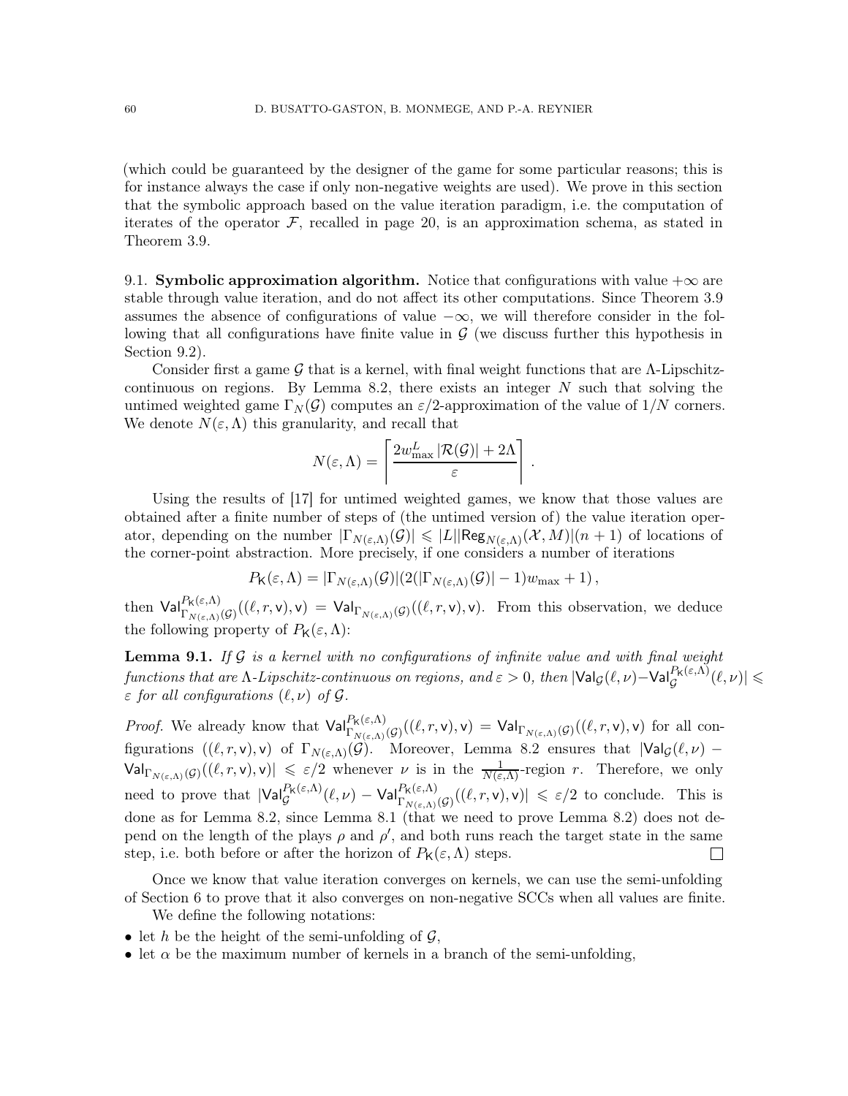(which could be guaranteed by the designer of the game for some particular reasons; this is for instance always the case if only non-negative weights are used). We prove in this section that the symbolic approach based on the value iteration paradigm, i.e. the computation of iterates of the operator  $\mathcal F$ , recalled in page [20,](#page-19-1) is an approximation schema, as stated in Theorem [3.9.](#page-24-1)

<span id="page-59-1"></span>9.1. Symbolic approximation algorithm. Notice that configurations with value  $+\infty$  are stable through value iteration, and do not affect its other computations. Since Theorem [3.9](#page-24-1) assumes the absence of configurations of value  $-\infty$ , we will therefore consider in the following that all configurations have finite value in  $G$  (we discuss further this hypothesis in Section [9.2\)](#page-62-1).

Consider first a game G that is a kernel, with final weight functions that are  $\Lambda$ -Lipschitz-continuous on regions. By Lemma [8.2,](#page-53-1) there exists an integer  $N$  such that solving the untimed weighted game  $\Gamma_N(\mathcal{G})$  computes an  $\varepsilon/2$ -approximation of the value of  $1/N$  corners. We denote  $N(\varepsilon,\Lambda)$  this granularity, and recall that

$$
N(\varepsilon,\Lambda) = \left\lceil \frac{2w_{\text{max}}^L |\mathcal{R}(\mathcal{G})| + 2\Lambda}{\varepsilon} \right\rceil.
$$

Using the results of [\[17\]](#page-71-3) for untimed weighted games, we know that those values are obtained after a finite number of steps of (the untimed version of) the value iteration operator, depending on the number  $|\Gamma_{N(\varepsilon,\Lambda)}(\mathcal{G})| \leqslant |L||\text{Reg}_{N(\varepsilon,\Lambda)}(\mathcal{X},M)|(n+1)$  of locations of the corner-point abstraction. More precisely, if one considers a number of iterations

$$
P_{\mathsf{K}}(\varepsilon,\Lambda)=|\Gamma_{N(\varepsilon,\Lambda)}(\mathcal{G})|(2(|\Gamma_{N(\varepsilon,\Lambda)}(\mathcal{G})|-1)w_{\max}+1),
$$

then  $\text{Val}_{\Gamma_{N(\varepsilon,\Lambda)}(\mathcal{G})}^{P_{\mathsf{K}}(\varepsilon,\Lambda)}((\ell,r,\mathsf{v}),\mathsf{v}) = \text{Val}_{\Gamma_{N(\varepsilon,\Lambda)}(\mathcal{G})}((\ell,r,\mathsf{v}),\mathsf{v})$ . From this observation, we deduce the following property of  $P_K(\varepsilon,\Lambda)$ :

<span id="page-59-0"></span>**Lemma 9.1.** If G is a kernel with no configurations of infinite value and with final weight  $functions$  that are  $\Lambda$ -Lipschitz-continuous on regions, and  $\varepsilon > 0$ , then  $|\mathsf{Val}_\mathcal{G}(\ell,\nu) - \mathsf{Val}_\mathcal{G}^{\mathsf{PK}(\varepsilon,\Lambda)}(\ell,\nu)| \leqslant$  $\varepsilon$  for all configurations  $(\ell, \nu)$  of  $\mathcal{G}$ .

*Proof.* We already know that  $\mathsf{Val}_{\Gamma_{N(\varepsilon,\Lambda)}(\mathcal{G})}^{\mathsf{P}_{\mathsf{K}}(\varepsilon,\Lambda)}((\ell,r,\mathsf{v}),\mathsf{v}) = \mathsf{Val}_{\Gamma_{N(\varepsilon,\Lambda)}(\mathcal{G})}((\ell,r,\mathsf{v}),\mathsf{v})$  for all configurations  $((\ell,r,\mathsf{v}),\mathsf{v})$  of  $\Gamma_{N(\varepsilon,\Lambda)}(\mathcal{G})$ . Moreover, Lemma [8.2](#page-53-1) ensures that  $|\mathsf{Val}_{\mathcal{G}}(\ell,\nu) \mathsf{Val}_{\Gamma_{N(\varepsilon,\Lambda)}(\mathcal{G})}((\ell,r,\mathsf{v}),\mathsf{v})\vert \leqslant \varepsilon/2$  whenever  $\nu$  is in the  $\frac{1}{N(\varepsilon,\Lambda)}$ -region r. Therefore, we only need to prove that  $|\mathsf{Val}_{\mathcal{G}}^{P_{\mathsf{K}}(\varepsilon,\Lambda)}(\ell,\nu) - \mathsf{Val}_{\Gamma_{N(\varepsilon,\Lambda)}(\mathcal{G})}^{P_{\mathsf{K}}(\varepsilon,\Lambda)}((\ell,r,\mathsf{v}),\mathsf{v})| \leq \varepsilon/2$  to conclude. This is done as for Lemma [8.2,](#page-53-1) since Lemma [8.1](#page-52-1) (that we need to prove Lemma [8.2\)](#page-53-1) does not depend on the length of the plays  $\rho$  and  $\rho'$ , and both runs reach the target state in the same step, i.e. both before or after the horizon of  $P_K(\varepsilon,\Lambda)$  steps.  $\begin{array}{c} \hline \end{array}$ 

Once we know that value iteration converges on kernels, we can use the semi-unfolding of Section [6](#page-36-0) to prove that it also converges on non-negative SCCs when all values are finite.

We define the following notations:

- let h be the height of the semi-unfolding of  $\mathcal{G}$ ,
- let  $\alpha$  be the maximum number of kernels in a branch of the semi-unfolding,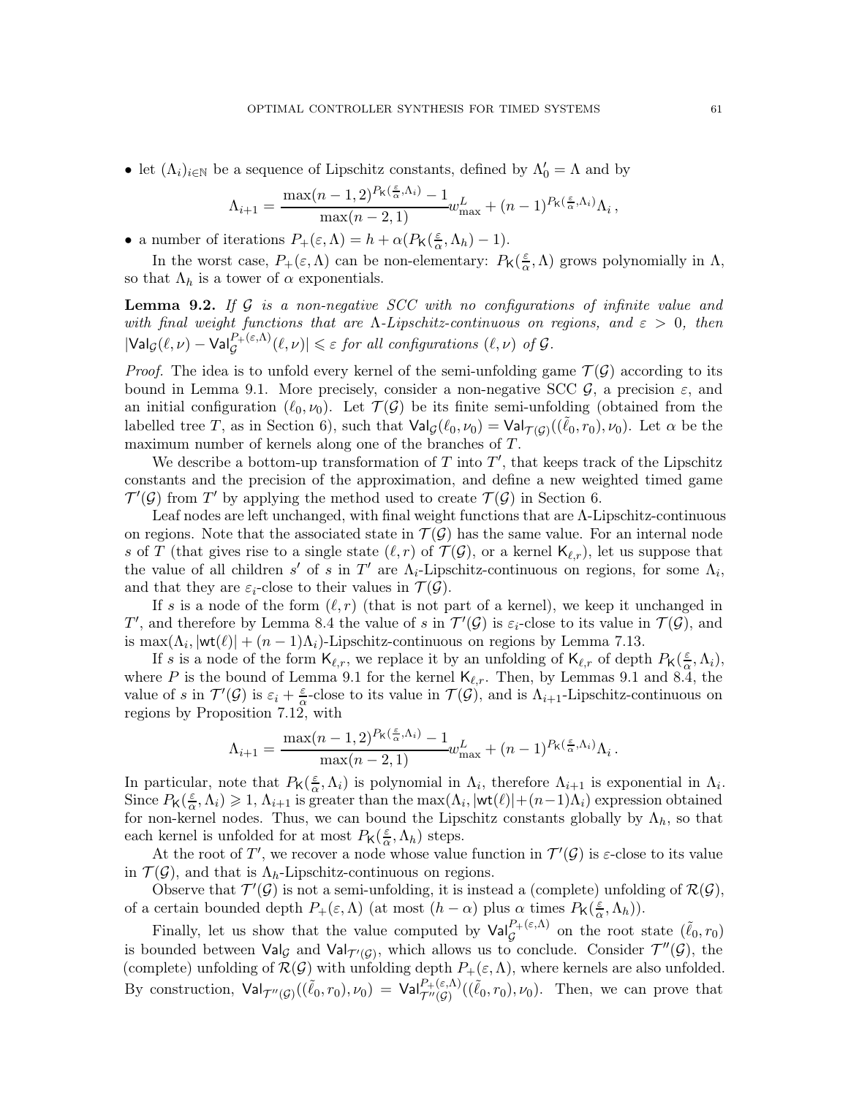• let  $(\Lambda_i)_{i\in\mathbb{N}}$  be a sequence of Lipschitz constants, defined by  $\Lambda'_0 = \Lambda$  and by

$$
\Lambda_{i+1} = \frac{\max(n-1,2)^{P_{\mathsf{K}}(\frac{\varepsilon}{\alpha},\Lambda_i)}-1}{\max(n-2,1)}w_{\max}^L + (n-1)^{P_{\mathsf{K}}(\frac{\varepsilon}{\alpha},\Lambda_i)}\Lambda_i,
$$

• a number of iterations  $P_+(\varepsilon,\Lambda) = h + \alpha (P_{\mathsf{K}}(\frac{\varepsilon}{\alpha}))$  $\frac{\varepsilon}{\alpha}, \Lambda_h) - 1$ ).

In the worst case,  $P_+(\varepsilon,\Lambda)$  can be non-elementary:  $P_{\mathsf{K}}(\frac{\varepsilon}{\alpha})$  $\frac{\varepsilon}{\alpha}$ ,  $\Lambda$ ) grows polynomially in  $\Lambda$ , so that  $\Lambda_h$  is a tower of  $\alpha$  exponentials.

<span id="page-60-0"></span>**Lemma 9.2.** If  $G$  is a non-negative SCC with no configurations of infinite value and with final weight functions that are  $\Lambda$ -Lipschitz-continuous on regions, and  $\varepsilon > 0$ , then  $|\mathsf{Val}_{\mathcal{G}}(\ell,\nu) - \mathsf{Val}_{\mathcal{G}}^{P_+(\varepsilon,\Lambda)}(\ell,\nu)| \leq \varepsilon$  for all configurations  $(\ell,\nu)$  of  $\mathcal{G}$ .

*Proof.* The idea is to unfold every kernel of the semi-unfolding game  $\mathcal{T}(\mathcal{G})$  according to its bound in Lemma [9.1.](#page-59-0) More precisely, consider a non-negative SCC  $\mathcal{G}$ , a precision  $\varepsilon$ , and an initial configuration  $(\ell_0, \nu_0)$ . Let  $\mathcal{T}(\mathcal{G})$  be its finite semi-unfolding (obtained from the labelled tree T, as in Section [6\)](#page-36-0), such that  $\mathsf{Val}_{\mathcal{G}}(\ell_0, \nu_0) = \mathsf{Val}_{\mathcal{T}(\mathcal{G})}((\tilde{\ell}_0, r_0), \nu_0)$ . Let  $\alpha$  be the maximum number of kernels along one of the branches of T.

We describe a bottom-up transformation of  $T$  into  $T'$ , that keeps track of the Lipschitz constants and the precision of the approximation, and define a new weighted timed game  $\mathcal{T}'(\mathcal{G})$  from T' by applying the method used to create  $\mathcal{T}(\mathcal{G})$  in Section [6.](#page-36-0)

Leaf nodes are left unchanged, with final weight functions that are Λ-Lipschitz-continuous on regions. Note that the associated state in  $\mathcal{T}(\mathcal{G})$  has the same value. For an internal node s of T (that gives rise to a single state  $(\ell, r)$  of  $\mathcal{T}(\mathcal{G})$ , or a kernel  $\mathsf{K}_{\ell,r}$ ), let us suppose that the value of all children s' of s in T' are  $\Lambda_i$ -Lipschitz-continuous on regions, for some  $\Lambda_i$ , and that they are  $\varepsilon_i$ -close to their values in  $\mathcal{T}(\mathcal{G})$ .

If s is a node of the form  $(\ell, r)$  (that is not part of a kernel), we keep it unchanged in T', and therefore by Lemma [8.4](#page-55-0) the value of s in  $\mathcal{T}'(\mathcal{G})$  is  $\varepsilon_i$ -close to its value in  $\mathcal{T}(\mathcal{G})$ , and is  $\max(\Lambda_i, |\textsf{wt}(\ell)| + (n-1)\Lambda_i)$ -Lipschitz-continuous on regions by Lemma [7.13.](#page-49-1)

If s is a node of the form  $\mathsf{K}_{\ell,r}$ , we replace it by an unfolding of  $\mathsf{K}_{\ell,r}$  of depth  $P_{\mathsf{K}}(\frac{\varepsilon}{\alpha})$  $\frac{\varepsilon}{\alpha}, \Lambda_i$ ), where P is the bound of Lemma [9.1](#page-59-0) for the kernel  $\mathsf{K}_{\ell,r}$ . Then, by Lemmas 9.1 and [8.4,](#page-55-0) the value of s in  $\mathcal{T}'(\mathcal{G})$  is  $\varepsilon_i + \frac{\varepsilon}{\alpha}$  $\frac{\varepsilon}{\alpha}$ -close to its value in  $\mathcal{T}(\mathcal{G})$ , and is  $\Lambda_{i+1}$ -Lipschitz-continuous on regions by Proposition [7.12,](#page-49-0) with

$$
\Lambda_{i+1} = \frac{\max(n-1,2)^{P_{\mathsf{K}}(\frac{\varepsilon}{\alpha},\Lambda_i)} - 1}{\max(n-2,1)} w_{\max}^L + (n-1)^{P_{\mathsf{K}}(\frac{\varepsilon}{\alpha},\Lambda_i)} \Lambda_i.
$$

In particular, note that  $P_{\mathsf{K}}(\frac{\varepsilon}{\alpha})$  $\frac{\varepsilon}{\alpha}, \Lambda_i$ ) is polynomial in  $\Lambda_i$ , therefore  $\Lambda_{i+1}$  is exponential in  $\Lambda_i$ . Since  $P_{\mathsf{K}}(\frac{\varepsilon}{\alpha})$  $\frac{\varepsilon}{\alpha}, \Lambda_i$ )  $\geq 1, \Lambda_{i+1}$  is greater than the  $\max(\Lambda_i, |\text{wt}(\ell)| + (n-1)\Lambda_i)$  expression obtained for non-kernel nodes. Thus, we can bound the Lipschitz constants globally by  $\Lambda_h$ , so that each kernel is unfolded for at most  $P_{\mathsf{K}}(\frac{\varepsilon}{\alpha})$  $\frac{\varepsilon}{\alpha}, \Lambda_h$ ) steps.

At the root of T', we recover a node whose value function in  $\mathcal{T}'(\mathcal{G})$  is  $\varepsilon$ -close to its value in  $\mathcal{T}(\mathcal{G})$ , and that is  $\Lambda_h$ -Lipschitz-continuous on regions.

Observe that  $\mathcal{T}'(\mathcal{G})$  is not a semi-unfolding, it is instead a (complete) unfolding of  $\mathcal{R}(\mathcal{G})$ , of a certain bounded depth  $P_+(\varepsilon,\Lambda)$  (at most  $(h-\alpha)$  plus  $\alpha$  times  $P_{\mathsf{K}}(\frac{\varepsilon}{\alpha})$  $\frac{\varepsilon}{\alpha}, \Lambda_h$ )).

Finally, let us show that the value computed by  $\text{Val}_{\mathcal{G}}^{P_+(\varepsilon,\Lambda)}$  on the root state  $(\tilde{\ell}_0, r_0)$ is bounded between  $\text{Val}_{\mathcal{G}}$  and  $\text{Val}_{\mathcal{T}'(\mathcal{G})}$ , which allows us to conclude. Consider  $\mathcal{T}''(\mathcal{G})$ , the (complete) unfolding of  $\mathcal{R}(\mathcal{G})$  with unfolding depth  $P_+(\varepsilon,\Lambda)$ , where kernels are also unfolded. By construction,  $\text{Val}_{\mathcal{T}''(\mathcal{G})}((\tilde{\ell}_0,r_0),\nu_0) = \text{Val}_{\mathcal{T}''(\mathcal{G})}^{P_+(\varepsilon,\Lambda)}((\tilde{\ell}_0,r_0),\nu_0)$ . Then, we can prove that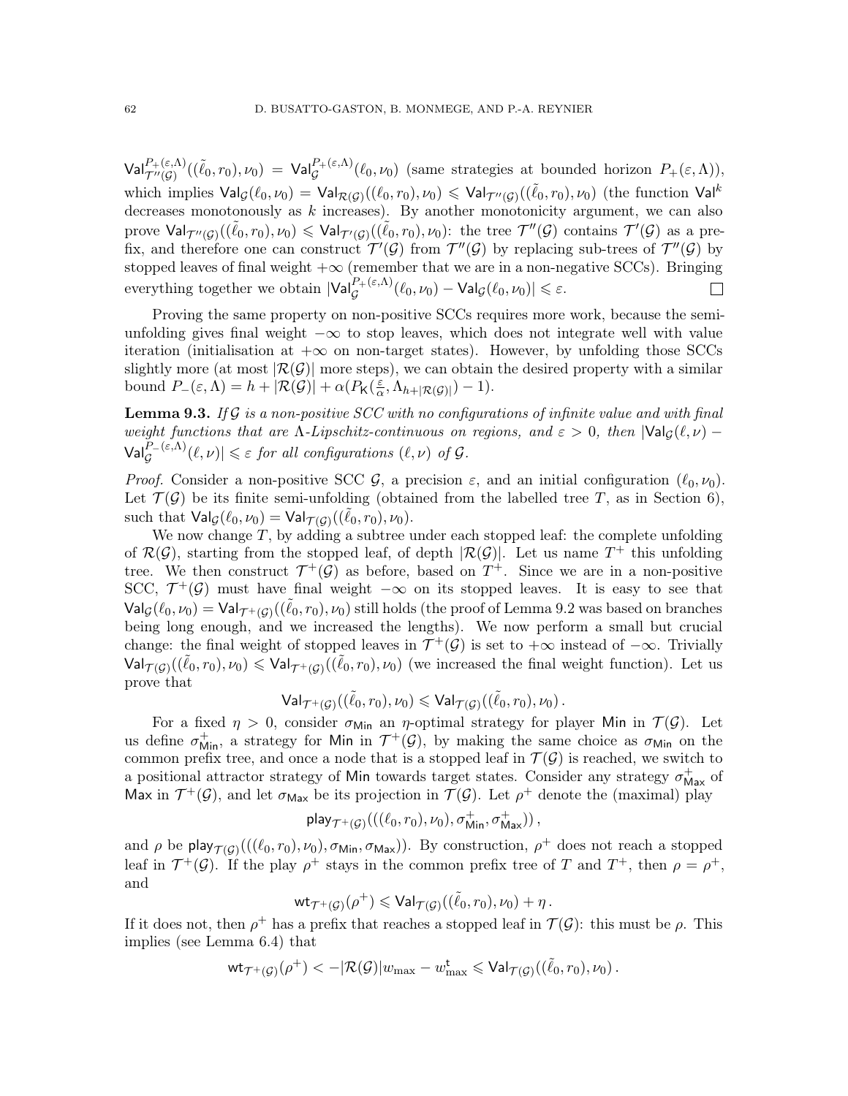$\mathsf{Val}^{P_+(\varepsilon,\Lambda)}_{\mathcal{T}''(\mathcal{G})}((\tilde{\ell}_0,r_0),\nu_0) = \mathsf{Val}^{P_+(\varepsilon,\Lambda)}_{\mathcal{G}}(\ell_0,\nu_0)$  (same strategies at bounded horizon  $P_+(\varepsilon,\Lambda)$ ), which implies  $\mathsf{Val}_{\mathcal{G}}(\ell_0,\nu_0) = \mathsf{Val}_{\mathcal{R}(\mathcal{G})}((\ell_0,r_0),\nu_0) \leqslant \mathsf{Val}_{\mathcal{T}''(\mathcal{G})}((\tilde{\ell}_0,r_0),\nu_0)$  (the function  $\mathsf{Val}^k$ decreases monotonously as  $k$  increases). By another monotonicity argument, we can also prove  $\mathsf{Val}_{\mathcal{T}''(\mathcal{G})}((\tilde{\ell}_0,r_0),\nu_0) \leqslant \mathsf{Val}_{\mathcal{T}'(\mathcal{G})}((\tilde{\ell}_0,r_0),\nu_0)$ : the tree  $\mathcal{T}''(\mathcal{G})$  contains  $\mathcal{T}'(\mathcal{G})$  as a prefix, and therefore one can construct  $\mathcal{T}'(\mathcal{G})$  from  $\mathcal{T}''(\mathcal{G})$  by replacing sub-trees of  $\mathcal{T}''(\mathcal{G})$  by stopped leaves of final weight  $+\infty$  (remember that we are in a non-negative SCCs). Bringing everything together we obtain  $|\text{Val}_{\mathcal{G}}^{P_+(\varepsilon,\Lambda)}(\ell_0,\nu_0) - \text{Val}_{\mathcal{G}}(\ell_0,\nu_0)| \leqslant \varepsilon$ .  $\Box$ 

Proving the same property on non-positive SCCs requires more work, because the semiunfolding gives final weight  $-\infty$  to stop leaves, which does not integrate well with value iteration (initialisation at  $+\infty$  on non-target states). However, by unfolding those SCCs slightly more (at most  $|\mathcal{R}(G)|$  more steps), we can obtain the desired property with a similar bound  $P_-(\varepsilon,\Lambda) = h + |\mathcal{R}(\mathcal{G})| + \alpha (P_{\mathsf{K}}(\frac{\varepsilon}{\alpha}))$  $\frac{\varepsilon}{\alpha}, \Lambda_{h+|\mathcal{R}(\mathcal{G})|})-1).$ 

<span id="page-61-0"></span>**Lemma 9.3.** If G is a non-positive SCC with no configurations of infinite value and with final weight functions that are  $\Lambda$ -Lipschitz-continuous on regions, and  $\varepsilon > 0$ , then  $|\text{Val}_G(\ell, \nu) \mathsf{Val}_{\mathcal{G}}^{P_-(\varepsilon,\Lambda)}(\ell,\nu) \leq \varepsilon$  for all configurations  $(\ell,\nu)$  of  $\mathcal{G}$ .

*Proof.* Consider a non-positive SCC  $\mathcal{G}$ , a precision  $\varepsilon$ , and an initial configuration  $(\ell_0, \nu_0)$ . Let  $\mathcal{T}(\mathcal{G})$  be its finite semi-unfolding (obtained from the labelled tree T, as in Section [6\)](#page-36-0), such that  $\mathsf{Val}_{\mathcal{G}}(\ell_0, \nu_0) = \mathsf{Val}_{\mathcal{T}(\mathcal{G})}((\tilde{\ell}_0, r_0), \nu_0).$ 

We now change  $T$ , by adding a subtree under each stopped leaf: the complete unfolding of  $\mathcal{R}(\mathcal{G})$ , starting from the stopped leaf, of depth  $|\mathcal{R}(\mathcal{G})|$ . Let us name  $T^+$  this unfolding tree. We then construct  $\mathcal{T}^+(\mathcal{G})$  as before, based on  $T^+$ . Since we are in a non-positive SCC,  $\mathcal{T}^+(\mathcal{G})$  must have final weight  $-\infty$  on its stopped leaves. It is easy to see that  $\mathsf{Val}_\mathcal{G}(\ell_0,\nu_0) = \mathsf{Val}_{\mathcal{T}^+(\mathcal{G})}((\tilde{\ell}_0,r_0),\nu_0)$  still holds (the proof of Lemma [9.2](#page-60-0) was based on branches being long enough, and we increased the lengths). We now perform a small but crucial change: the final weight of stopped leaves in  $\mathcal{T}^+(\mathcal{G})$  is set to  $+\infty$  instead of  $-\infty$ . Trivially  $\mathsf{Val}_{\mathcal{T}(\mathcal{G})}((\tilde{\ell}_0,r_0),\nu_0) \leqslant \mathsf{Val}_{\mathcal{T}^+(\mathcal{G})}((\tilde{\ell}_0,r_0),\nu_0)$  (we increased the final weight function). Let us prove that

$$
\mathsf{Val}_{\mathcal{T}^+(\mathcal{G})}((\tilde{\ell}_0,r_0),\nu_0) \leqslant \mathsf{Val}_{\mathcal{T}(\mathcal{G})}((\tilde{\ell}_0,r_0),\nu_0)\,.
$$

For a fixed  $\eta > 0$ , consider  $\sigma_{\text{Min}}$  an  $\eta$ -optimal strategy for player Min in  $\mathcal{T}(\mathcal{G})$ . Let us define  $\sigma_{Min}^+$ , a strategy for Min in  $\mathcal{T}^+(\mathcal{G})$ , by making the same choice as  $\sigma_{Min}$  on the common prefix tree, and once a node that is a stopped leaf in  $\mathcal{T}(\mathcal{G})$  is reached, we switch to a positional attractor strategy of Min towards target states. Consider any strategy  $\sigma_{\mathsf{Max}}^+$  of Max in  $\mathcal{T}^+(\mathcal{G})$ , and let  $\sigma_{\text{Max}}$  be its projection in  $\mathcal{T}(\mathcal{G})$ . Let  $\rho^+$  denote the (maximal) play

$$
\mathsf{play}_{\mathcal{T}^+(\mathcal{G})}(((\ell_0,r_0),\nu_0),\sigma_\mathsf{Min}^+,\sigma_\mathsf{Max}^+)),
$$

and  $\rho$  be play  $\tau(g)(((\ell_0, r_0), \nu_0), \sigma_{\text{Min}}, \sigma_{\text{Max}}))$ . By construction,  $\rho^+$  does not reach a stopped leaf in  $\mathcal{T}^+(\mathcal{G})$ . If the play  $\rho^+$  stays in the common prefix tree of T and  $T^+$ , then  $\rho = \rho^+$ , and

$$
\mathsf{wt}_{\mathcal{T}^+(\mathcal{G})}(\rho^+) \leqslant \mathsf{Val}_{\mathcal{T}(\mathcal{G})}((\tilde{\ell}_0,r_0),\nu_0) + \eta\,.
$$

If it does not, then  $\rho^+$  has a prefix that reaches a stopped leaf in  $\mathcal{T}(\mathcal{G})$ : this must be  $\rho$ . This implies (see Lemma [6.4\)](#page-38-1) that

$$
\mathsf{wt}_{\mathcal{T}^+(\mathcal{G})}(\rho^+) < -|\mathcal{R}(\mathcal{G})| w_{\max} - w_{\max}^{\mathbf{t}} \leqslant \mathsf{Val}_{\mathcal{T}(\mathcal{G})}((\tilde{\ell}_0,r_0), \nu_0) \,.
$$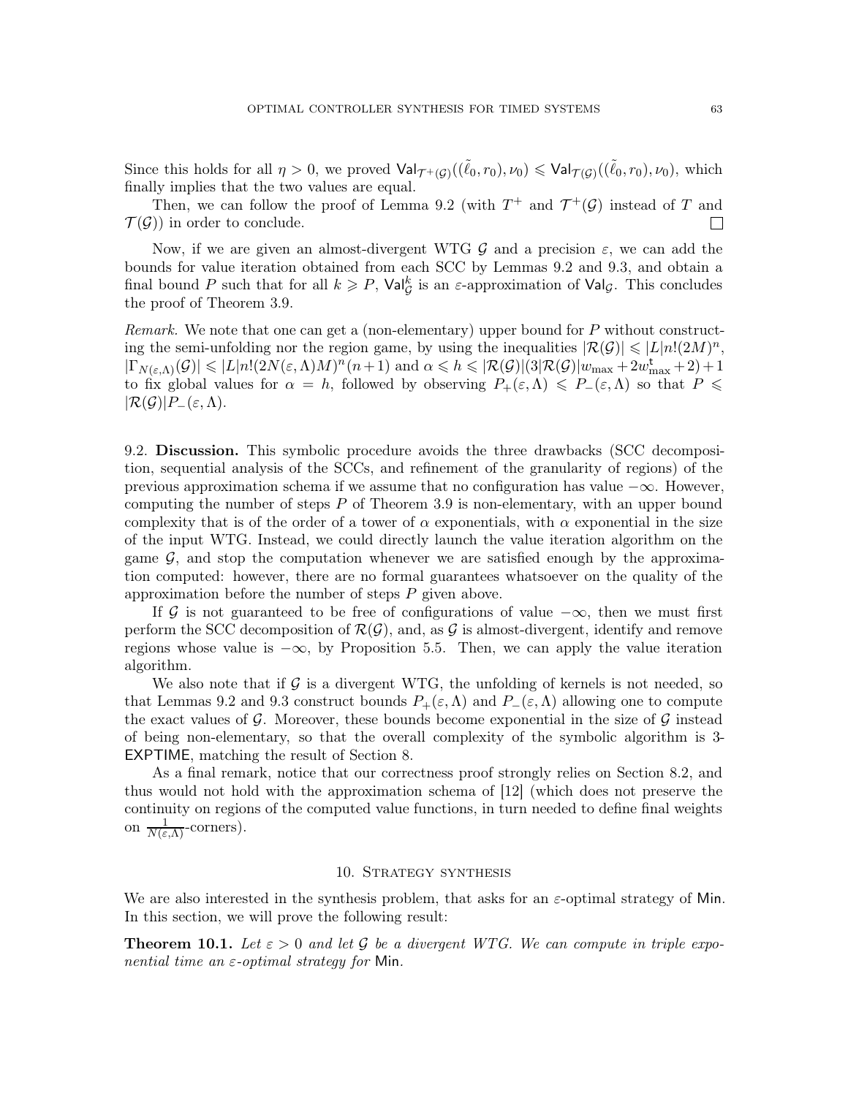Since this holds for all  $\eta > 0$ , we proved  $\mathsf{Val}_{\mathcal{T}^+(\mathcal{G})}((\tilde{\ell}_0,r_0),\nu_0) \leq \mathsf{Val}_{\mathcal{T}(\mathcal{G})}((\tilde{\ell}_0,r_0),\nu_0)$ , which finally implies that the two values are equal.

Then, we can follow the proof of Lemma [9.2](#page-60-0) (with  $T^+$  and  $\mathcal{T}^+(\mathcal{G})$  instead of T and  $\mathcal{T}(\mathcal{G})$  in order to conclude.  $\mathbf{L}$ 

Now, if we are given an almost-divergent WTG G and a precision  $\varepsilon$ , we can add the bounds for value iteration obtained from each SCC by Lemmas [9.2](#page-60-0) and [9.3,](#page-61-0) and obtain a final bound P such that for all  $k \geqslant P$ ,  $\text{Val}_{\mathcal{G}}^k$  is an  $\varepsilon$ -approximation of  $\text{Val}_{\mathcal{G}}$ . This concludes the proof of Theorem [3.9.](#page-24-1)

Remark. We note that one can get a (non-elementary) upper bound for P without constructing the semi-unfolding nor the region game, by using the inequalities  $|\mathcal{R}(\mathcal{G})| \leq L |n!(2M)^n$ ,  $|\Gamma_{N(\varepsilon,\Lambda)}(\mathcal{G})| \leqslant |L|n!(2N(\varepsilon,\Lambda)M)^n(n+1)$  and  $\alpha \leqslant h \leqslant |\mathcal{R}(\mathcal{G})|(3|\mathcal{R}(\mathcal{G})|w_{\max}+2w_{\max}^{\mathbf{t}}+2)+1$ to fix global values for  $\alpha = h$ , followed by observing  $P_+(\varepsilon,\Lambda) \leq P_-(\varepsilon,\Lambda)$  so that  $P \leq$  $|\mathcal{R}(\mathcal{G})|P_-(\varepsilon,\Lambda).$ 

<span id="page-62-1"></span>9.2. Discussion. This symbolic procedure avoids the three drawbacks (SCC decomposition, sequential analysis of the SCCs, and refinement of the granularity of regions) of the previous approximation schema if we assume that no configuration has value  $-\infty$ . However, computing the number of steps  $P$  of Theorem [3.9](#page-24-1) is non-elementary, with an upper bound complexity that is of the order of a tower of  $\alpha$  exponentials, with  $\alpha$  exponential in the size of the input WTG. Instead, we could directly launch the value iteration algorithm on the game  $G$ , and stop the computation whenever we are satisfied enough by the approximation computed: however, there are no formal guarantees whatsoever on the quality of the approximation before the number of steps  $P$  given above.

If G is not guaranteed to be free of configurations of value  $-\infty$ , then we must first perform the SCC decomposition of  $\mathcal{R}(\mathcal{G})$ , and, as  $\mathcal{G}$  is almost-divergent, identify and remove regions whose value is  $-\infty$ , by Proposition [5.5.](#page-35-0) Then, we can apply the value iteration algorithm.

We also note that if  $\mathcal G$  is a divergent WTG, the unfolding of kernels is not needed, so that Lemmas [9.2](#page-60-0) and [9.3](#page-61-0) construct bounds  $P_+(\varepsilon,\Lambda)$  and  $P_-(\varepsilon,\Lambda)$  allowing one to compute the exact values of G. Moreover, these bounds become exponential in the size of  $\mathcal G$  instead of being non-elementary, so that the overall complexity of the symbolic algorithm is 3- EXPTIME, matching the result of Section [8.](#page-52-0)

As a final remark, notice that our correctness proof strongly relies on Section [8.2,](#page-52-3) and thus would not hold with the approximation schema of [\[12\]](#page-71-2) (which does not preserve the continuity on regions of the computed value functions, in turn needed to define final weights on  $\frac{1}{N(\varepsilon,\Lambda)}$ -corners).

## 10. Strategy synthesis

<span id="page-62-0"></span>We are also interested in the synthesis problem, that asks for an  $\varepsilon$ -optimal strategy of Min. In this section, we will prove the following result:

<span id="page-62-2"></span>**Theorem 10.1.** Let  $\varepsilon > 0$  and let G be a divergent WTG. We can compute in triple exponential time an  $\varepsilon$ -optimal strategy for Min.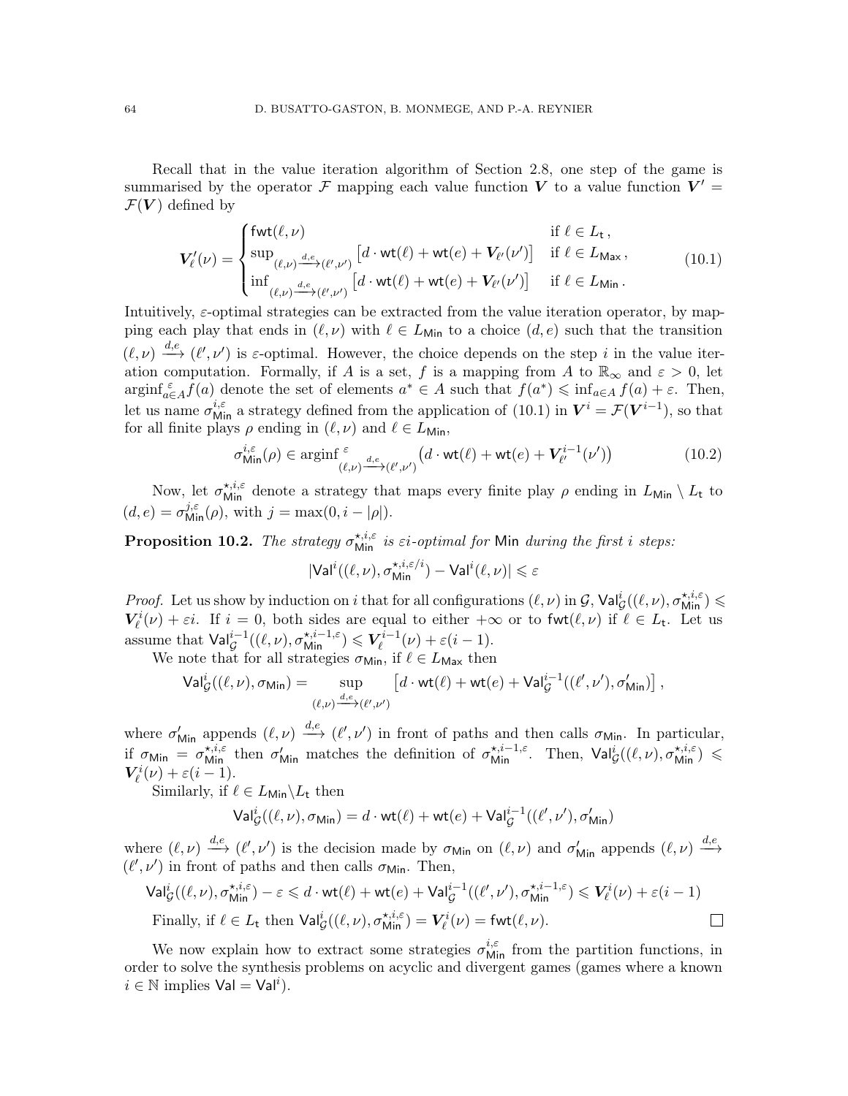Recall that in the value iteration algorithm of Section [2.8,](#page-18-0) one step of the game is summarised by the operator  $\mathcal F$  mapping each value function  $V$  to a value function  $V' =$  $\mathcal{F}(V)$  defined by

<span id="page-63-0"></span>
$$
\mathbf{V}_{\ell}'(\nu) = \begin{cases}\n\text{fwt}(\ell, \nu) & \text{if } \ell \in L_{\mathsf{t}} \,, \\
\sup_{(\ell, \nu) \xrightarrow{d, e} (\ell', \nu')} [d \cdot \text{wt}(\ell) + \text{wt}(e) + V_{\ell'}(\nu')] & \text{if } \ell \in L_{\text{Max}} \,, \\
\inf_{(\ell, \nu) \xrightarrow{d, e} (\ell', \nu')} [d \cdot \text{wt}(\ell) + \text{wt}(e) + V_{\ell'}(\nu')] & \text{if } \ell \in L_{\text{Min}} \,. \n\end{cases} \tag{10.1}
$$

Intuitively,  $\varepsilon$ -optimal strategies can be extracted from the value iteration operator, by mapping each play that ends in  $(\ell, \nu)$  with  $\ell \in L_{\text{Min}}$  to a choice  $(d, e)$  such that the transition  $(\ell, \nu) \stackrel{d,e}{\longrightarrow} (\ell', \nu')$  is  $\varepsilon$ -optimal. However, the choice depends on the step i in the value iteration computation. Formally, if A is a set, f is a mapping from A to  $\mathbb{R}_{\infty}$  and  $\varepsilon > 0$ , let  $\arg\inf_{a\in A} f(a)$  denote the set of elements  $a^* \in A$  such that  $f(a^*) \leq \inf_{a\in A} f(a) + \varepsilon$ . Then, let us name  $\sigma_{\text{Min}}^{i,\varepsilon}$  a strategy defined from the application of [\(10.1\)](#page-63-0) in  $V^i = \mathcal{F}(V^{i-1})$ , so that for all finite plays  $\rho$  ending in  $(\ell, \nu)$  and  $\ell \in L_{\text{Min}}$ ,

<span id="page-63-1"></span>
$$
\sigma_{\text{Min}}^{i,\varepsilon}(\rho) \in \operatorname{arginf}_{(\ell,\nu)}^{\varepsilon} \frac{d}{d} \mathcal{L}_{(\ell',\nu')} \left( d \cdot \text{wt}(\ell) + \text{wt}(e) + V_{\ell'}^{i-1}(\nu') \right) \tag{10.2}
$$

Now, let  $\sigma_{\text{Min}}^{\star,i,\varepsilon}$  denote a strategy that maps every finite play  $\rho$  ending in  $L_{\text{Min}} \setminus L_{\text{t}}$  to  $(d, e) = \sigma_{\text{Min}}^{j, \varepsilon}(\rho), \text{ with } j = \max(0, i - |\rho|).$ 

<span id="page-63-2"></span>**Proposition 10.2.** The strategy  $\sigma_{\text{Min}}^{*,i,\varepsilon}$  is  $\varepsilon i$ -optimal for Min during the first i steps:

$$
|\mathsf{Val}^{i}((\ell,\nu),\sigma^{\star,i,\varepsilon/i}_{\mathsf{Min}})-\mathsf{Val}^{i}(\ell,\nu)| \leqslant \varepsilon
$$

*Proof.* Let us show by induction on i that for all configurations  $(\ell, \nu)$  in  $\mathcal{G}$ ,  $\mathsf{Val}_{\mathcal{G}}^i((\ell, \nu), \sigma_{\text{Min}}^{\star, i, \varepsilon}) \leq$  $V_{\ell}^{i}(\nu) + \varepsilon i$ . If  $i = 0$ , both sides are equal to either  $+\infty$  or to fwt $(\ell, \nu)$  if  $\ell \in L_{t}$ . Let us assume that  $\mathsf{Val}^{i-1}_\mathcal{G}((\ell,\nu),\sigma^{\star,i-1,\varepsilon}_\mathsf{Min}) \leqslant V^{i-1}_\ell$  $\zeta_{\ell}^{i-1}(\nu)+\varepsilon(i-1).$ 

We note that for all strategies  $\sigma_{\text{Min}}$ , if  $\ell \in L_{\text{Max}}$  then

$$
\mathsf{Val}^i_\mathcal{G}((\ell,\nu),\sigma_{\mathsf{Min}}) = \sup_{(\ell,\nu) \xrightarrow{d,e} (\ell',\nu')} \left[ d \cdot \mathsf{wt}(\ell) + \mathsf{wt}(e) + \mathsf{Val}^{i-1}_\mathcal{G}((\ell',\nu'),\sigma'_{\mathsf{Min}}) \right],
$$

where  $\sigma'_{\text{Min}}$  appends  $(\ell, \nu) \stackrel{d,e}{\longrightarrow} (\ell', \nu')$  in front of paths and then calls  $\sigma_{\text{Min}}$ . In particular, if  $\sigma_{\text{Min}} = \sigma_{\text{Min}}^{\star,i,\varepsilon}$  then  $\sigma_{\text{Min}}'$  matches the definition of  $\sigma_{\text{Min}}^{\star,i-1,\varepsilon}$ . Then,  $\text{Val}_{\mathcal{G}}^{i}((\ell,\nu),\sigma_{\text{Min}}^{\star,i,\varepsilon})$  $V_{\ell}^{i}(\nu)+\varepsilon(i-1).$ 

Similarly, if  $\ell \in L_{\text{Min}} \backslash L_t$  then

$$
\mathsf{Val}_{\mathcal{G}}^{i}((\ell,\nu),\sigma_{\mathsf{Min}}) = d \cdot \mathsf{wt}(\ell) + \mathsf{wt}(e) + \mathsf{Val}_{\mathcal{G}}^{i-1}((\ell',\nu'),\sigma_{\mathsf{Min}}')
$$

where  $(\ell, \nu) \stackrel{d,e}{\longrightarrow} (\ell', \nu')$  is the decision made by  $\sigma_{\text{Min}}$  on  $(\ell, \nu)$  and  $\sigma'_{\text{Min}}$  appends  $(\ell, \nu) \stackrel{d,e}{\longrightarrow}$  $(\ell',\nu')$  in front of paths and then calls  $\sigma_{\mathsf{Min}}.$  Then,

$$
\mathsf{Val}_{\mathcal{G}}^{i}((\ell,\nu),\sigma^{\star,i,\varepsilon}_{\mathsf{Min}}) - \varepsilon \leq d \cdot \mathsf{wt}(\ell) + \mathsf{wt}(e) + \mathsf{Val}_{\mathcal{G}}^{i-1}((\ell',\nu'),\sigma^{\star,i-1,\varepsilon}_{\mathsf{Min}}) \leq \mathbf{V}_{\ell}^{i}(\nu) + \varepsilon(i-1)
$$
  
Finally, if  $\ell \in L_{\mathsf{t}}$  then  $\mathsf{Val}_{\mathcal{G}}^{i}((\ell,\nu),\sigma^{\star,i,\varepsilon}_{\mathsf{Min}}) = \mathbf{V}_{\ell}^{i}(\nu) = \mathsf{fwt}(\ell,\nu).$ 

We now explain how to extract some strategies  $\sigma_{\text{Min}}^{i,\varepsilon}$  from the partition functions, in order to solve the synthesis problems on acyclic and divergent games (games where a known  $i \in \mathbb{N}$  implies  $\mathsf{Val} = \mathsf{Val}^i$ ).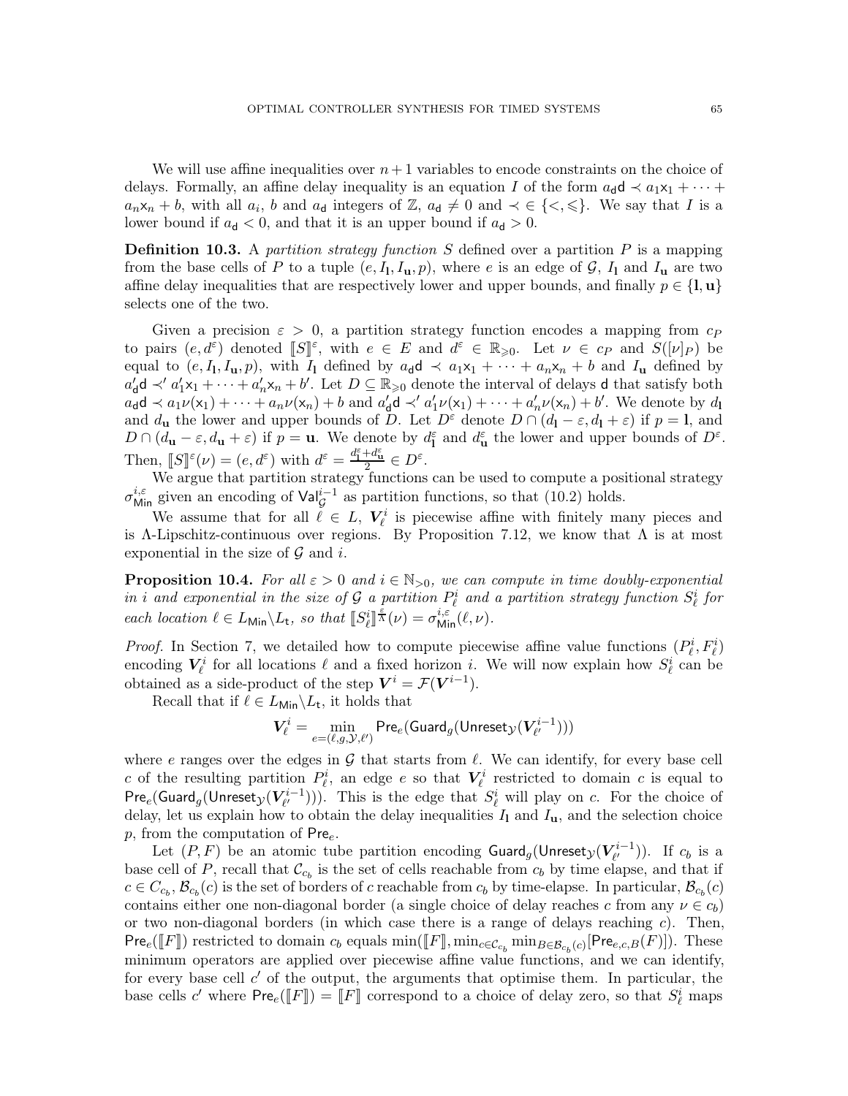We will use affine inequalities over  $n+1$  variables to encode constraints on the choice of delays. Formally, an affine delay inequality is an equation I of the form  $a_d d \prec a_1 x_1 + \cdots$  $a_n x_n + b$ , with all  $a_i$ , b and  $a_d$  integers of  $\mathbb{Z}$ ,  $a_d \neq 0$  and  $\prec \in \{<,\leqslant\}$ . We say that I is a lower bound if  $a_d < 0$ , and that it is an upper bound if  $a_d > 0$ .

**Definition 10.3.** A partition strategy function S defined over a partition  $P$  is a mapping from the base cells of P to a tuple  $(e, I_1, I_u, p)$ , where e is an edge of G,  $I_1$  and  $I_u$  are two affine delay inequalities that are respectively lower and upper bounds, and finally  $p \in \{1, u\}$ selects one of the two.

Given a precision  $\varepsilon > 0$ , a partition strategy function encodes a mapping from  $c_P$ to pairs  $(e, d^{\varepsilon})$  denoted  $[[S]]^{\varepsilon}$ , with  $e \in E$  and  $d^{\varepsilon} \in \mathbb{R}_{\geqslant 0}$ . Let  $\nu \in c_P$  and  $S([\nu]_P)$  be equal to  $(e, I_1, I_u, p)$ , with  $I_1$  defined by  $a_d \mathbf{d} \prec a_1 \mathbf{x}_1 + \cdots + a_n \mathbf{x}_n + b$  and  $I_u$  defined by  $a'_d$ **d** ≺'  $a'_1$ **x**<sub>1</sub> + · · · +  $a'_n$ **x**<sub>n</sub> + *b'*. Let  $D \subseteq \mathbb{R}_{\geqslant 0}$  denote the interval of delays **d** that satisfy both  $a_{\mathbf{d}}\mathbf{d} \prec a_1\nu(\mathbf{x}_1) + \cdots + a_n\nu(\mathbf{x}_n) + b$  and  $a'_{\mathbf{d}}\mathbf{d} \prec' a'_1\nu(\mathbf{x}_1) + \cdots + a'_n\nu(\mathbf{x}_n) + b'$ . We denote by  $d_{\mathbf{l}}$ and  $d_{\mathbf{u}}$  the lower and upper bounds of D. Let  $D^{\varepsilon}$  denote  $D \cap (d_{\mathbf{l}} - \varepsilon, d_{\mathbf{l}} + \varepsilon)$  if  $p = \mathbf{l}$ , and  $D \cap (d_{\mathbf{u}} - \varepsilon, d_{\mathbf{u}} + \varepsilon)$  if  $p = \mathbf{u}$ . We denote by  $d_{\mathbf{u}}^{\varepsilon}$  and  $d_{\mathbf{u}}^{\varepsilon}$  the lower and upper bounds of  $D^{\varepsilon}$ . Then,  $\llbracket S \rrbracket^{\varepsilon}(\nu) = (e, d^{\varepsilon})$  with  $d^{\varepsilon} = \frac{d^{\varepsilon}_1 + d^{\varepsilon}_2}{2} \in D^{\varepsilon}$ .

We argue that partition strategy functions can be used to compute a positional strategy  $\sigma_{\text{Min}}^{i,\varepsilon}$  given an encoding of  $\text{Val}_{\mathcal{G}}^{i-1}$  as partition functions, so that [\(10.2\)](#page-63-1) holds.

We assume that for all  $\ell \in L$ ,  $V_{\ell}^{i}$  is piecewise affine with finitely many pieces and is Λ-Lipschitz-continuous over regions. By Proposition [7.12,](#page-49-0) we know that  $\Lambda$  is at most exponential in the size of  $\mathcal G$  and i.

**Proposition 10.4.** For all  $\varepsilon > 0$  and  $i \in \mathbb{N}_{>0}$ , we can compute in time doubly-exponential in i and exponential in the size of G a partition  $P^i_\ell$  and a partition strategy function  $S^i_\ell$  for each location  $\ell \in L_{\text{Min}} \backslash L_t$ , so that  $\llbracket S^i_{\ell} \rrbracket^{\frac{\varepsilon}{\Lambda}}(\nu) = \sigma_{\text{Min}}^{i,\varepsilon}(\ell,\nu)$ .

*Proof.* In Section [7,](#page-40-2) we detailed how to compute piecewise affine value functions  $(P_{\ell}^i, F_{\ell}^i)$ encoding  $V^i_\ell$  for all locations  $\ell$  and a fixed horizon i. We will now explain how  $S^i_\ell$  can be obtained as a side-product of the step  $V^i = \mathcal{F}(V^{i-1})$ .

Recall that if  $\ell \in L_{\text{Min}} \backslash L_{\text{t}}$ , it holds that

$$
\boldsymbol{V}_{\ell}^i = \min_{e = (\ell, g, \mathcal{Y}, \ell')} \mathsf{Pre}_e(\mathsf{Guard}_g(\mathsf{Unreset}_{\mathcal{Y}}(\boldsymbol{V}_{\ell'}^{i-1})))
$$

where e ranges over the edges in G that starts from  $\ell$ . We can identify, for every base cell c of the resulting partition  $P_{\ell}^{i}$ , an edge e so that  $V_{\ell}^{i}$  restricted to domain c is equal to  $\mathsf{Pre}_e(\mathsf{Guard}_g(\mathsf{Unreset}_{\mathcal{Y}}(V^{i-1}_{\ell'})$  $(\ell^{i-1}_{\ell'}))$ . This is the edge that  $S_{\ell}^{i}$  will play on c. For the choice of delay, let us explain how to obtain the delay inequalities  $I_1$  and  $I_u$ , and the selection choice  $p$ , from the computation of Pre $_e$ .

Let  $(P,F)$  be an atomic tube partition encoding  $\mathsf{Guard}_g(\mathsf{Unreset}_{\mathcal{Y}}(V^{i-1}_{\ell'})$  $\binom{n-1}{\ell'}$ ). If  $c_b$  is a base cell of P, recall that  $\mathcal{C}_{c_b}$  is the set of cells reachable from  $c_b$  by time elapse, and that if  $c \in C_{c_b}, \mathcal{B}_{c_b}(c)$  is the set of borders of c reachable from  $c_b$  by time-elapse. In particular,  $\mathcal{B}_{c_b}(c)$ contains either one non-diagonal border (a single choice of delay reaches c from any  $\nu \in c_b$ ) or two non-diagonal borders (in which case there is a range of delays reaching  $c$ ). Then,  $\text{Pre}_e(\llbracket F \rrbracket)$  restricted to domain  $c_b$  equals  $\min(\llbracket F \rrbracket, \min_{c \in \mathcal{C}_{c_b}} \min_{B \in \mathcal{B}_{c_b}(c)} [\text{Pre}_{e,c,B}(F)]$ ). These minimum operators are applied over piecewise affine value functions, and we can identify, for every base cell  $c'$  of the output, the arguments that optimise them. In particular, the base cells c' where  $\text{Pre}_e(\llbracket F \rrbracket) = \llbracket F \rrbracket$  correspond to a choice of delay zero, so that  $S^i_{\ell}$  maps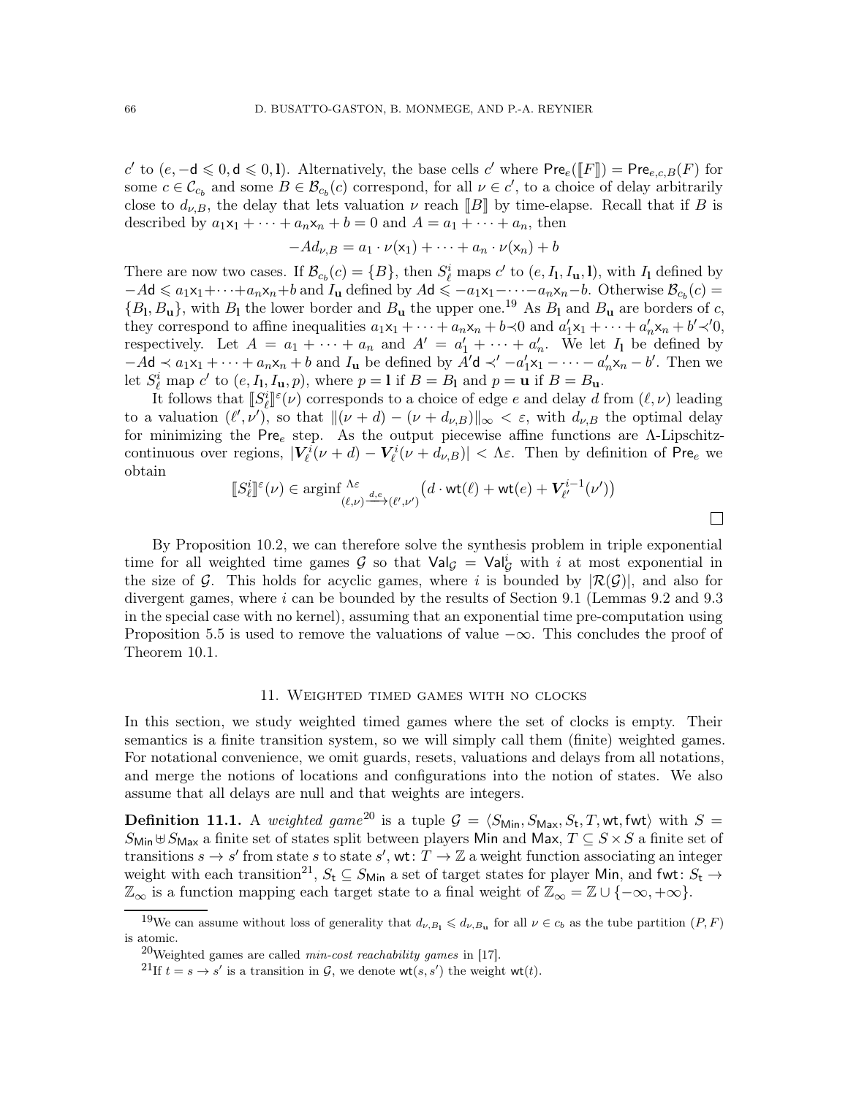c' to  $(e, -d \le 0, d \le 0, l)$ . Alternatively, the base cells c' where Pre<sub>e</sub>([F]] = Pre<sub>e,c,B</sub>(F) for some  $c \in \mathcal{C}_{c_b}$  and some  $B \in \mathcal{B}_{c_b}(c)$  correspond, for all  $\nu \in c'$ , to a choice of delay arbitrarily close to  $d_{\nu,B}$ , the delay that lets valuation  $\nu$  reach  $||B||$  by time-elapse. Recall that if B is described by  $a_1x_1 + \cdots + a_nx_n + b = 0$  and  $A = a_1 + \cdots + a_n$ , then

$$
-Ad_{\nu,B} = a_1 \cdot \nu(\mathsf{x}_1) + \dots + a_n \cdot \nu(\mathsf{x}_n) + b
$$

There are now two cases. If  $\mathcal{B}_{c_b}(c) = \{B\}$ , then  $S^i_{\ell}$  maps  $c'$  to  $(e, I_1, I_u, I)$ , with  $I_1$  defined by  $-Ad \leq a_1x_1+\cdots+a_nx_n+b$  and  $I_u$  defined by  $Ad \leq -a_1x_1-\cdots-a_nx_n-b$ . Otherwise  $\mathcal{B}_{c_b}(c)$  =  ${B_1, B_1}$ , with  $B_1$  the lower border and  $B_u$  the upper one.<sup>[19](#page-65-1)</sup> As  $B_1$  and  $B_u$  are borders of c, they correspond to affine inequalities  $a_1x_1 + \cdots + a_nx_n + b \prec 0$  and  $a'_1x_1 + \cdots + a'_nx_n + b' \prec' 0$ , respectively. Let  $A = a_1 + \cdots + a_n$  and  $A' = a'_1 + \cdots + a'_n$ . We let  $I_1$  be defined by  $-A\mathbf{d} \prec a_1\mathbf{x}_1 + \cdots + a_n\mathbf{x}_n + b$  and  $I_\mathbf{u}$  be defined by  $\overline{A'}\mathbf{d} \prec' -a'_1\mathbf{x}_1 - \cdots - a'_n\mathbf{x}_n - b'$ . Then we let  $S_{\ell}^{i}$  map  $c'$  to  $(e, I_1, I_u, p)$ , where  $p = 1$  if  $B = B_1$  and  $p = u$  if  $B = B_u$ .

It follows that  $[[S^i_{\ell}]]^{\epsilon}(\nu)$  corresponds to a choice of edge e and delay d from  $(\ell, \nu)$  leading to a valuation  $(\ell', \nu')$ , so that  $\|(\nu + d) - (\nu + d_{\nu,B})\|_{\infty} < \varepsilon$ , with  $d_{\nu,B}$  the optimal delay for minimizing the Pre<sub>e</sub> step. As the output piecewise affine functions are Λ-Lipschitzcontinuous over regions,  $|V_{\ell}^{i}(\nu+d)-V_{\ell}^{i}(\nu+d_{\nu,B})| < \Lambda \varepsilon$ . Then by definition of Pre<sub>e</sub> we obtain

$$
\llbracket S^i_\ell \rrbracket^\varepsilon(\nu) \in \mathop{\rm arginf}\nolimits_{(\ell,\nu) \xrightarrow{d,e} (\ell',\nu')} \bigl(d \cdot {\rm wt}(\ell) + {\rm wt}(e) + V^{i-1}_{\ell'}(\nu')\bigr)
$$

 $\Box$ 

By Proposition [10.2,](#page-63-2) we can therefore solve the synthesis problem in triple exponential time for all weighted time games  $\mathcal G$  so that  $\mathsf{Val}_{\mathcal G} = \mathsf{Val}_{\mathcal G}^i$  with i at most exponential in the size of G. This holds for acyclic games, where i is bounded by  $|\mathcal{R}(G)|$ , and also for divergent games, where  $i$  can be bounded by the results of Section [9.1](#page-59-1) (Lemmas [9.2](#page-60-0) and [9.3](#page-61-0) in the special case with no kernel), assuming that an exponential time pre-computation using Proposition [5.5](#page-35-0) is used to remove the valuations of value  $-\infty$ . This concludes the proof of Theorem [10.1.](#page-62-2)

#### 11. Weighted timed games with no clocks

<span id="page-65-0"></span>In this section, we study weighted timed games where the set of clocks is empty. Their semantics is a finite transition system, so we will simply call them (finite) weighted games. For notational convenience, we omit guards, resets, valuations and delays from all notations, and merge the notions of locations and configurations into the notion of states. We also assume that all delays are null and that weights are integers.

**Definition 11.1.** A weighted game<sup>[20](#page-65-2)</sup> is a tuple  $\mathcal{G} = \langle S_{\text{Min}}$ ,  $S_{\text{Max}}$ ,  $S_t$ , T, wt, fwt $\rangle$  with  $S =$  $S_{\text{Min}} \uplus S_{\text{Max}}$  a finite set of states split between players Min and Max,  $T \subseteq S \times S$  a finite set of transitions  $s \to s'$  from state s to state s', wt:  $T \to \mathbb{Z}$  a weight function associating an integer weight with each transition<sup>[21](#page-65-3)</sup>,  $S_t \subseteq S_{\text{Min}}$  a set of target states for player Min, and fwt:  $S_t \rightarrow$  $\mathbb{Z}_{\infty}$  is a function mapping each target state to a final weight of  $\mathbb{Z}_{\infty} = \mathbb{Z} \cup \{-\infty, +\infty\}.$ 

<sup>&</sup>lt;sup>19</sup>We can assume without loss of generality that  $d_{\nu,B_1} \leq d_{\nu,B_1}$  for all  $\nu \in c_b$  as the tube partition  $(P, F)$ is atomic.

<span id="page-65-1"></span><sup>&</sup>lt;sup>20</sup>Weighted games are called *min-cost reachability games* in [\[17\]](#page-71-3).

<span id="page-65-3"></span><span id="page-65-2"></span><sup>&</sup>lt;sup>21</sup>If  $t = s \rightarrow s'$  is a transition in  $\mathcal{G}$ , we denote wt $(s, s')$  the weight wt $(t)$ .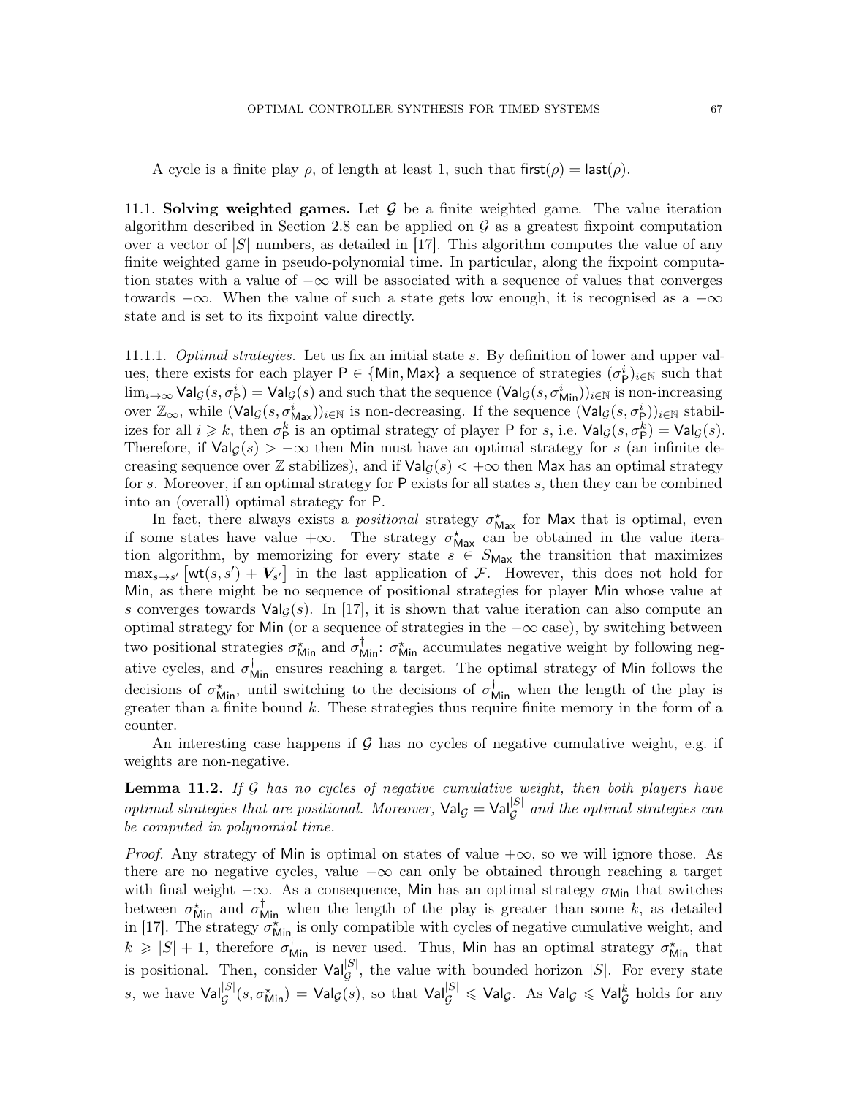A cycle is a finite play  $\rho$ , of length at least 1, such that first( $\rho$ ) = last( $\rho$ ).

11.1. Solving weighted games. Let  $\mathcal G$  be a finite weighted game. The value iteration algorithm described in Section [2.8](#page-18-0) can be applied on  $\mathcal G$  as a greatest fixpoint computation over a vector of  $|S|$  numbers, as detailed in [\[17\]](#page-71-3). This algorithm computes the value of any finite weighted game in pseudo-polynomial time. In particular, along the fixpoint computation states with a value of  $-\infty$  will be associated with a sequence of values that converges towards  $-\infty$ . When the value of such a state gets low enough, it is recognised as a  $-\infty$ state and is set to its fixpoint value directly.

11.1.1. Optimal strategies. Let us fix an initial state s. By definition of lower and upper values, there exists for each player  $P \in \{Min, Max\}$  a sequence of strategies  $(\sigma_P^i)_{i \in \mathbb{N}}$  such that  $\lim_{i\to\infty} \mathsf{Val}_\mathcal{G}(s, \sigma_\mathsf{P}^i) = \mathsf{Val}_\mathcal{G}(s)$  and such that the sequence  $(\mathsf{Val}_\mathcal{G}(s, \sigma_{\mathsf{Min}}^i))_{i\in\mathbb{N}}$  is non-increasing over  $\mathbb{Z}_{\infty}$ , while  $(\text{Val}_{\mathcal{G}}(s, \sigma_{\text{Max}}^i))_{i \in \mathbb{N}}$  is non-decreasing. If the sequence  $(\text{Val}_{\mathcal{G}}(s, \sigma_{\text{P}}^i))_{i \in \mathbb{N}}$  stabilizes for all  $i \geq k$ , then  $\sigma_{\mathsf{P}}^k$  is an optimal strategy of player P for s, i.e.  $\mathsf{Val}_\mathcal{G}(s, \sigma_{\mathsf{P}}^k) = \mathsf{Val}_\mathcal{G}(s)$ . Therefore, if  $\text{Val}_G(s) > -\infty$  then Min must have an optimal strategy for s (an infinite decreasing sequence over Z stabilizes), and if  $\text{Val}_G(s) < +\infty$  then Max has an optimal strategy for s. Moreover, if an optimal strategy for P exists for all states s, then they can be combined into an (overall) optimal strategy for P.

In fact, there always exists a *positional* strategy  $\sigma_{\text{Max}}^{\star}$  for Max that is optimal, even if some states have value  $+\infty$ . The strategy  $\sigma_{\text{Max}}^{\star}$  can be obtained in the value iteration algorithm, by memorizing for every state  $s \in S_{\text{Max}}$  the transition that maximizes  $\max_{s\to s'} \left[\text{wt}(s,s') + V_{s'}\right]$  in the last application of F. However, this does not hold for Min, as there might be no sequence of positional strategies for player Min whose value at s converges towards  $Val_G(s)$ . In [\[17\]](#page-71-3), it is shown that value iteration can also compute an optimal strategy for Min (or a sequence of strategies in the  $-\infty$  case), by switching between two positional strategies  $\sigma_{\text{Min}}^*$  and  $\sigma_{\text{Min}}^*$ :  $\sigma_{\text{Min}}^*$  accumulates negative weight by following negative cycles, and  $\sigma_{Min}^{\dagger}$  ensures reaching a target. The optimal strategy of Min follows the decisions of  $\sigma_{\text{Min}}^*$ , until switching to the decisions of  $\sigma_{\text{Min}}^{\dagger}$  when the length of the play is greater than a finite bound  $k$ . These strategies thus require finite memory in the form of a counter.

An interesting case happens if  $\mathcal G$  has no cycles of negative cumulative weight, e.g. if weights are non-negative.

<span id="page-66-0"></span>**Lemma 11.2.** If  $G$  has no cycles of negative cumulative weight, then both players have optimal strategies that are positional. Moreover,  $\text{Val}_{\mathcal{G}} = \text{Val}_{\mathcal{G}}^{|S|}$  and the optimal strategies can be computed in polynomial time.

*Proof.* Any strategy of Min is optimal on states of value  $+\infty$ , so we will ignore those. As there are no negative cycles, value  $-\infty$  can only be obtained through reaching a target with final weight  $-\infty$ . As a consequence, Min has an optimal strategy  $\sigma_{\text{Min}}$  that switches between  $\sigma_{\text{Min}}^{\star}$  and  $\sigma_{\text{Min}}^{\dagger}$  when the length of the play is greater than some k, as detailed in [\[17\]](#page-71-3). The strategy  $\sigma_{\text{Min}}^{\star}$  is only compatible with cycles of negative cumulative weight, and  $k \geq |S| + 1$ , therefore  $\sigma_{\text{Min}}^{\dagger}$  is never used. Thus, Min has an optimal strategy  $\sigma_{\text{Min}}^{\star}$  that is positional. Then, consider  $Val_{\mathcal{G}}^{|\mathcal{S}|}$ , the value with bounded horizon  $|\mathcal{S}|$ . For every state s, we have  $\textsf{Val}^{ |S|}_\mathcal{G}(s, \sigma^\star_{\textsf{Min}}) = \textsf{Val}_\mathcal{G}(s),$  so that  $\textsf{Val}^{ |S|}_\mathcal{G} \leqslant \textsf{Val}_\mathcal{G}.$  As  $\textsf{Val}_\mathcal{G} \leqslant \textsf{Val}^k_\mathcal{G}$  holds for any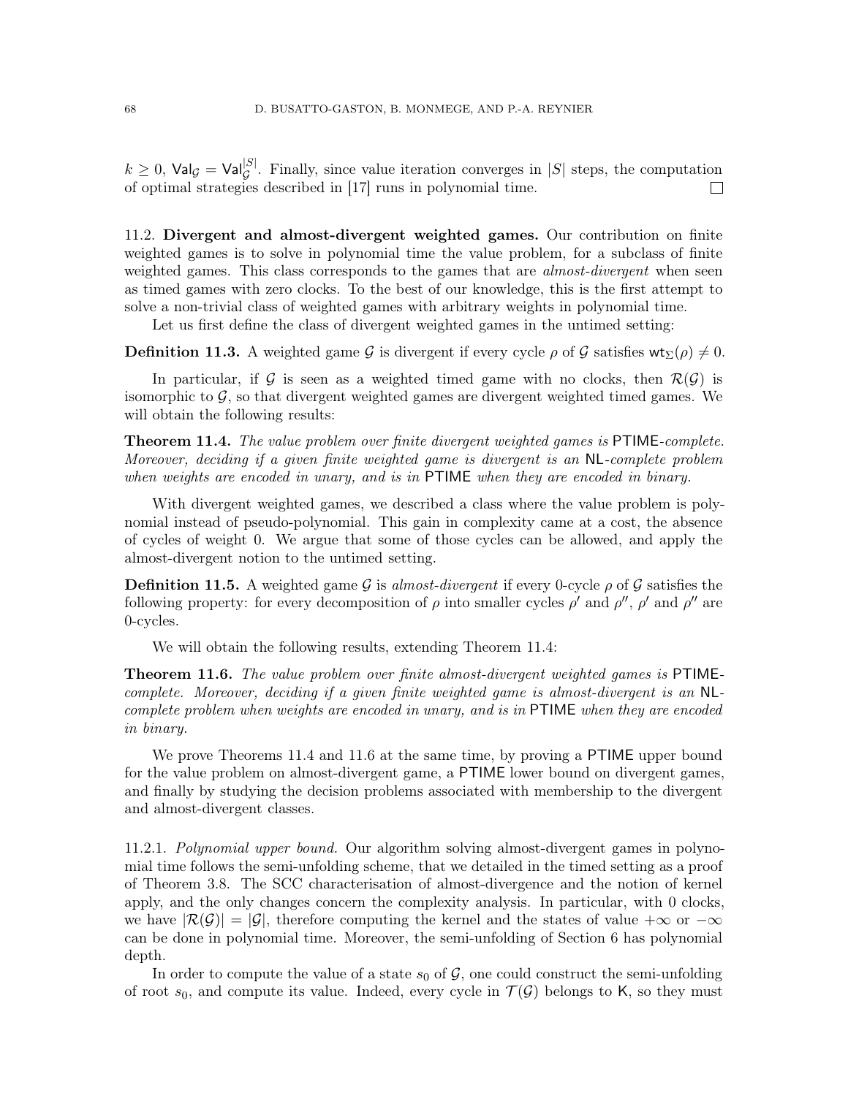$k \geq 0$ ,  $\text{Val}_{\mathcal{G}} = \text{Val}_{\mathcal{G}}^{|S|}$ . Finally, since value iteration converges in  $|S|$  steps, the computation of optimal strategies described in [\[17\]](#page-71-3) runs in polynomial time.  $\Box$ 

11.2. Divergent and almost-divergent weighted games. Our contribution on finite weighted games is to solve in polynomial time the value problem, for a subclass of finite weighted games. This class corresponds to the games that are *almost-divergent* when seen as timed games with zero clocks. To the best of our knowledge, this is the first attempt to solve a non-trivial class of weighted games with arbitrary weights in polynomial time.

Let us first define the class of divergent weighted games in the untimed setting:

**Definition 11.3.** A weighted game G is divergent if every cycle  $\rho$  of G satisfies wt<sub>Σ</sub>( $\rho$ )  $\neq$  0.

In particular, if G is seen as a weighted timed game with no clocks, then  $\mathcal{R}(\mathcal{G})$  is isomorphic to  $\mathcal{G}$ , so that divergent weighted games are divergent weighted timed games. We will obtain the following results:

<span id="page-67-0"></span>Theorem 11.4. The value problem over finite divergent weighted games is PTIME-complete. Moreover, deciding if a given finite weighted game is divergent is an NL-complete problem when weights are encoded in unary, and is in PTIME when they are encoded in binary.

With divergent weighted games, we described a class where the value problem is polynomial instead of pseudo-polynomial. This gain in complexity came at a cost, the absence of cycles of weight 0. We argue that some of those cycles can be allowed, and apply the almost-divergent notion to the untimed setting.

**Definition 11.5.** A weighted game G is almost-divergent if every 0-cycle  $\rho$  of G satisfies the following property: for every decomposition of  $\rho$  into smaller cycles  $\rho'$  and  $\rho''$ ,  $\rho'$  and  $\rho''$  are 0-cycles.

We will obtain the following results, extending Theorem [11.4:](#page-67-0)

<span id="page-67-1"></span>**Theorem 11.6.** The value problem over finite almost-divergent weighted games is PTIMEcomplete. Moreover, deciding if a given finite weighted game is almost-divergent is an NLcomplete problem when weights are encoded in unary, and is in PTIME when they are encoded in binary.

We prove Theorems [11.4](#page-67-0) and [11.6](#page-67-1) at the same time, by proving a **PTIME** upper bound for the value problem on almost-divergent game, a PTIME lower bound on divergent games, and finally by studying the decision problems associated with membership to the divergent and almost-divergent classes.

11.2.1. Polynomial upper bound. Our algorithm solving almost-divergent games in polynomial time follows the semi-unfolding scheme, that we detailed in the timed setting as a proof of Theorem [3.8.](#page-22-0) The SCC characterisation of almost-divergence and the notion of kernel apply, and the only changes concern the complexity analysis. In particular, with 0 clocks, we have  $|\mathcal{R}(\mathcal{G})| = |\mathcal{G}|$ , therefore computing the kernel and the states of value  $+\infty$  or  $-\infty$ can be done in polynomial time. Moreover, the semi-unfolding of Section [6](#page-36-0) has polynomial depth.

In order to compute the value of a state  $s_0$  of  $\mathcal G$ , one could construct the semi-unfolding of root  $s_0$ , and compute its value. Indeed, every cycle in  $\mathcal{T}(\mathcal{G})$  belongs to K, so they must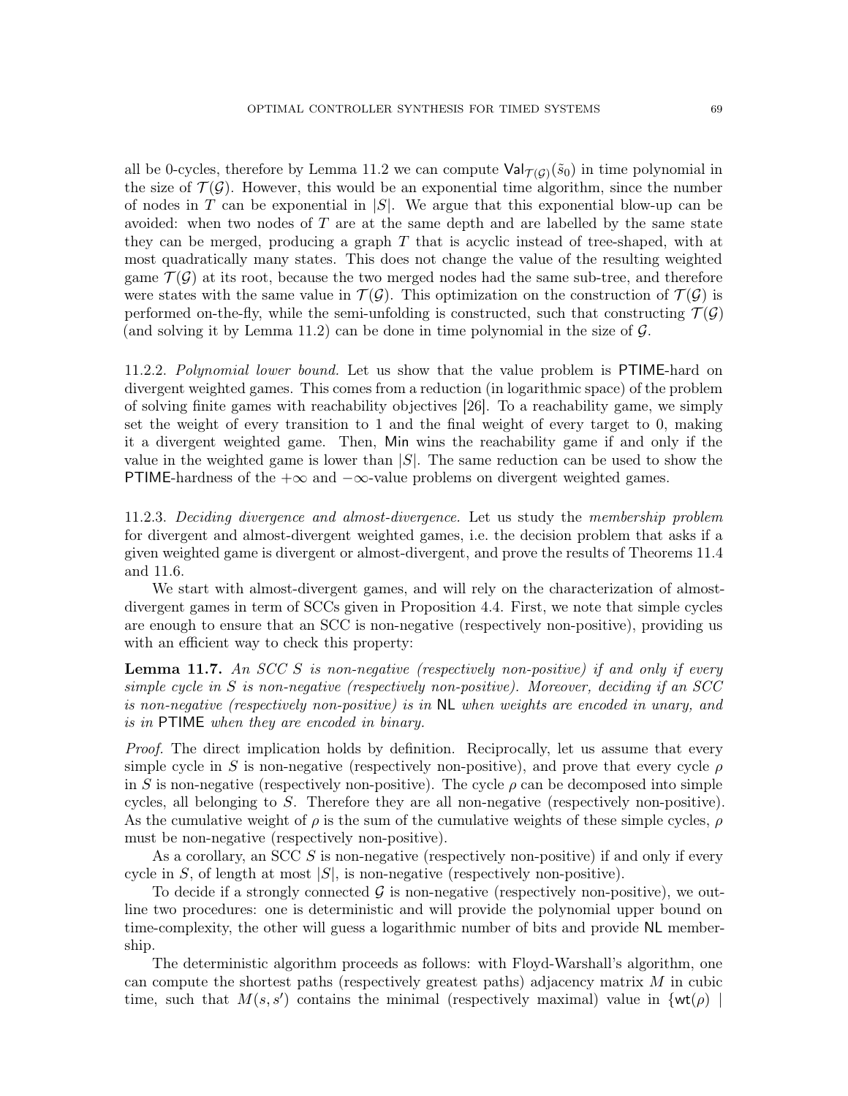all be 0-cycles, therefore by Lemma [11.2](#page-66-0) we can compute  $\text{Val}_{\mathcal{T}(\mathcal{G})}(\tilde{s}_0)$  in time polynomial in the size of  $\mathcal{T}(\mathcal{G})$ . However, this would be an exponential time algorithm, since the number of nodes in T can be exponential in  $|S|$ . We argue that this exponential blow-up can be avoided: when two nodes of  $T$  are at the same depth and are labelled by the same state they can be merged, producing a graph  $T$  that is acyclic instead of tree-shaped, with at most quadratically many states. This does not change the value of the resulting weighted game  $\mathcal{T}(\mathcal{G})$  at its root, because the two merged nodes had the same sub-tree, and therefore were states with the same value in  $\mathcal{T}(\mathcal{G})$ . This optimization on the construction of  $\mathcal{T}(\mathcal{G})$  is performed on-the-fly, while the semi-unfolding is constructed, such that constructing  $\mathcal{T}(\mathcal{G})$ (and solving it by Lemma [11.2\)](#page-66-0) can be done in time polynomial in the size of  $\mathcal{G}$ .

11.2.2. Polynomial lower bound. Let us show that the value problem is PTIME-hard on divergent weighted games. This comes from a reduction (in logarithmic space) of the problem of solving finite games with reachability objectives [\[26\]](#page-72-1). To a reachability game, we simply set the weight of every transition to 1 and the final weight of every target to 0, making it a divergent weighted game. Then, Min wins the reachability game if and only if the value in the weighted game is lower than  $|S|$ . The same reduction can be used to show the PTIME-hardness of the  $+\infty$  and  $-\infty$ -value problems on divergent weighted games.

11.2.3. Deciding divergence and almost-divergence. Let us study the membership problem for divergent and almost-divergent weighted games, i.e. the decision problem that asks if a given weighted game is divergent or almost-divergent, and prove the results of Theorems [11.4](#page-67-0) and [11.6.](#page-67-1)

We start with almost-divergent games, and will rely on the characterization of almostdivergent games in term of SCCs given in Proposition [4.4.](#page-27-0) First, we note that simple cycles are enough to ensure that an SCC is non-negative (respectively non-positive), providing us with an efficient way to check this property:

<span id="page-68-0"></span>**Lemma 11.7.** An SCC S is non-negative (respectively non-positive) if and only if every simple cycle in S is non-negative (respectively non-positive). Moreover, deciding if an SCC is non-negative (respectively non-positive) is in NL when weights are encoded in unary, and is in PTIME when they are encoded in binary.

Proof. The direct implication holds by definition. Reciprocally, let us assume that every simple cycle in S is non-negative (respectively non-positive), and prove that every cycle  $\rho$ in S is non-negative (respectively non-positive). The cycle  $\rho$  can be decomposed into simple cycles, all belonging to  $S$ . Therefore they are all non-negative (respectively non-positive). As the cumulative weight of  $\rho$  is the sum of the cumulative weights of these simple cycles,  $\rho$ must be non-negative (respectively non-positive).

As a corollary, an SCC  $S$  is non-negative (respectively non-positive) if and only if every cycle in S, of length at most  $|S|$ , is non-negative (respectively non-positive).

To decide if a strongly connected  $\mathcal G$  is non-negative (respectively non-positive), we outline two procedures: one is deterministic and will provide the polynomial upper bound on time-complexity, the other will guess a logarithmic number of bits and provide NL membership.

The deterministic algorithm proceeds as follows: with Floyd-Warshall's algorithm, one can compute the shortest paths (respectively greatest paths) adjacency matrix  $M$  in cubic time, such that  $M(s, s')$  contains the minimal (respectively maximal) value in  $\{wt(\rho) \mid$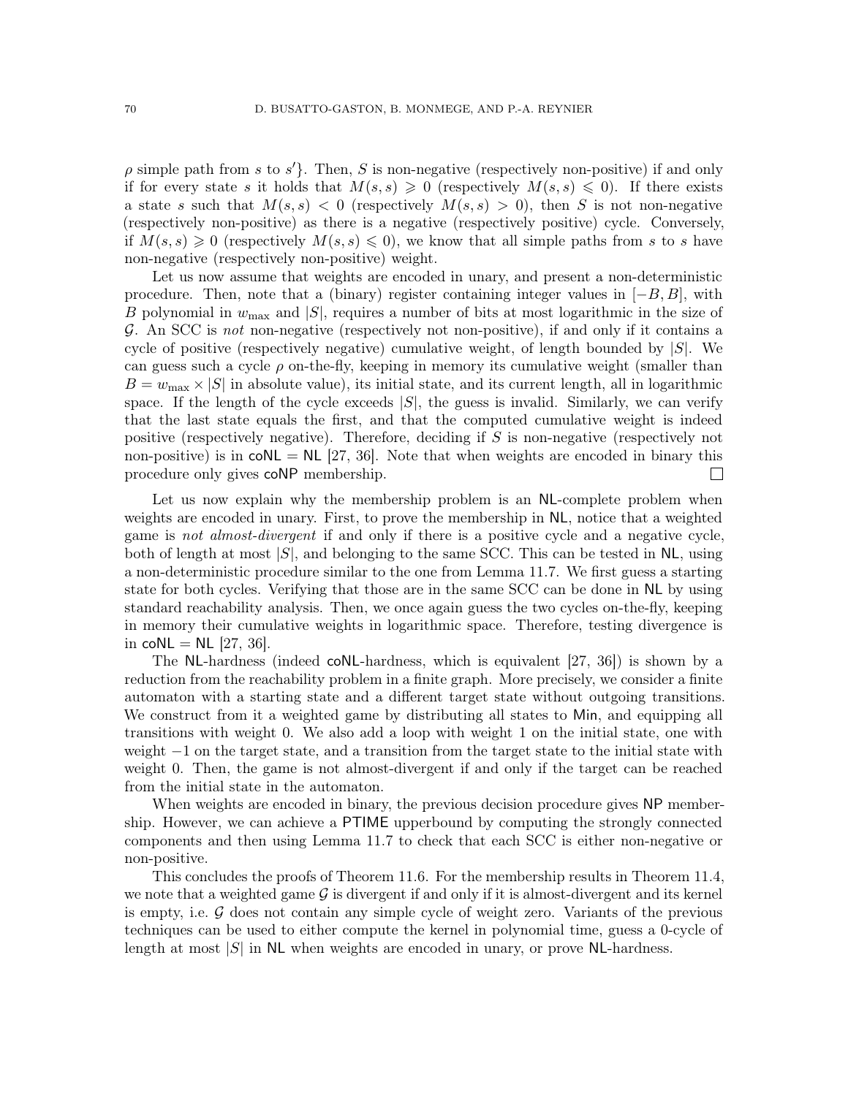$\rho$  simple path from s to s'. Then, S is non-negative (respectively non-positive) if and only if for every state s it holds that  $M(s, s) \geq 0$  (respectively  $M(s, s) \leq 0$ ). If there exists a state s such that  $M(s, s) < 0$  (respectively  $M(s, s) > 0$ ), then S is not non-negative (respectively non-positive) as there is a negative (respectively positive) cycle. Conversely, if  $M(s, s) \geq 0$  (respectively  $M(s, s) \leq 0$ ), we know that all simple paths from s to s have non-negative (respectively non-positive) weight.

Let us now assume that weights are encoded in unary, and present a non-deterministic procedure. Then, note that a (binary) register containing integer values in  $[-B, B]$ , with B polynomial in  $w_{\text{max}}$  and  $|S|$ , requires a number of bits at most logarithmic in the size of G. An SCC is not non-negative (respectively not non-positive), if and only if it contains a cycle of positive (respectively negative) cumulative weight, of length bounded by  $|S|$ . We can guess such a cycle  $\rho$  on-the-fly, keeping in memory its cumulative weight (smaller than  $B = w_{\text{max}} \times |S|$  in absolute value), its initial state, and its current length, all in logarithmic space. If the length of the cycle exceeds  $|S|$ , the guess is invalid. Similarly, we can verify that the last state equals the first, and that the computed cumulative weight is indeed positive (respectively negative). Therefore, deciding if S is non-negative (respectively not non-positive) is in  $coNL = NL$  [\[27,](#page-72-2) [36\]](#page-72-3). Note that when weights are encoded in binary this procedure only gives coNP membership.  $\Box$ 

Let us now explain why the membership problem is an NL-complete problem when weights are encoded in unary. First, to prove the membership in NL, notice that a weighted game is not almost-divergent if and only if there is a positive cycle and a negative cycle, both of length at most  $|S|$ , and belonging to the same SCC. This can be tested in NL, using a non-deterministic procedure similar to the one from Lemma [11.7.](#page-68-0) We first guess a starting state for both cycles. Verifying that those are in the same SCC can be done in NL by using standard reachability analysis. Then, we once again guess the two cycles on-the-fly, keeping in memory their cumulative weights in logarithmic space. Therefore, testing divergence is in  $coNL = NL$  [\[27,](#page-72-2) [36\]](#page-72-3).

The NL-hardness (indeed coNL-hardness, which is equivalent [\[27,](#page-72-2) [36\]](#page-72-3)) is shown by a reduction from the reachability problem in a finite graph. More precisely, we consider a finite automaton with a starting state and a different target state without outgoing transitions. We construct from it a weighted game by distributing all states to Min, and equipping all transitions with weight 0. We also add a loop with weight 1 on the initial state, one with weight −1 on the target state, and a transition from the target state to the initial state with weight 0. Then, the game is not almost-divergent if and only if the target can be reached from the initial state in the automaton.

When weights are encoded in binary, the previous decision procedure gives NP membership. However, we can achieve a PTIME upperbound by computing the strongly connected components and then using Lemma [11.7](#page-68-0) to check that each SCC is either non-negative or non-positive.

This concludes the proofs of Theorem [11.6.](#page-67-1) For the membership results in Theorem [11.4,](#page-67-0) we note that a weighted game  $\mathcal G$  is divergent if and only if it is almost-divergent and its kernel is empty, i.e.  $\mathcal G$  does not contain any simple cycle of weight zero. Variants of the previous techniques can be used to either compute the kernel in polynomial time, guess a 0-cycle of length at most  $|S|$  in NL when weights are encoded in unary, or prove NL-hardness.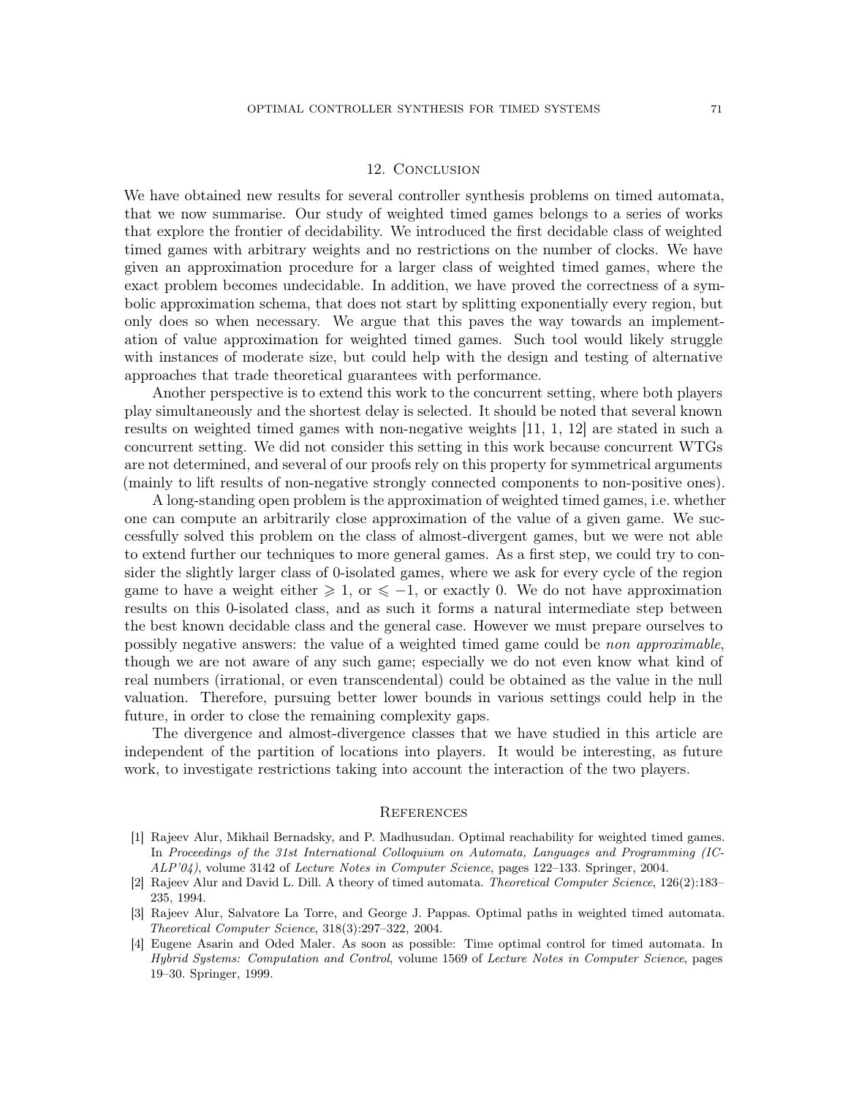### 12. Conclusion

We have obtained new results for several controller synthesis problems on timed automata, that we now summarise. Our study of weighted timed games belongs to a series of works that explore the frontier of decidability. We introduced the first decidable class of weighted timed games with arbitrary weights and no restrictions on the number of clocks. We have given an approximation procedure for a larger class of weighted timed games, where the exact problem becomes undecidable. In addition, we have proved the correctness of a symbolic approximation schema, that does not start by splitting exponentially every region, but only does so when necessary. We argue that this paves the way towards an implementation of value approximation for weighted timed games. Such tool would likely struggle with instances of moderate size, but could help with the design and testing of alternative approaches that trade theoretical guarantees with performance.

Another perspective is to extend this work to the concurrent setting, where both players play simultaneously and the shortest delay is selected. It should be noted that several known results on weighted timed games with non-negative weights [\[11,](#page-71-4) [1,](#page-70-0) [12\]](#page-71-2) are stated in such a concurrent setting. We did not consider this setting in this work because concurrent WTGs are not determined, and several of our proofs rely on this property for symmetrical arguments (mainly to lift results of non-negative strongly connected components to non-positive ones).

A long-standing open problem is the approximation of weighted timed games, i.e. whether one can compute an arbitrarily close approximation of the value of a given game. We successfully solved this problem on the class of almost-divergent games, but we were not able to extend further our techniques to more general games. As a first step, we could try to consider the slightly larger class of 0-isolated games, where we ask for every cycle of the region game to have a weight either  $\geq 1$ , or  $\leq -1$ , or exactly 0. We do not have approximation results on this 0-isolated class, and as such it forms a natural intermediate step between the best known decidable class and the general case. However we must prepare ourselves to possibly negative answers: the value of a weighted timed game could be non approximable, though we are not aware of any such game; especially we do not even know what kind of real numbers (irrational, or even transcendental) could be obtained as the value in the null valuation. Therefore, pursuing better lower bounds in various settings could help in the future, in order to close the remaining complexity gaps.

The divergence and almost-divergence classes that we have studied in this article are independent of the partition of locations into players. It would be interesting, as future work, to investigate restrictions taking into account the interaction of the two players.

#### **REFERENCES**

- <span id="page-70-0"></span>[1] Rajeev Alur, Mikhail Bernadsky, and P. Madhusudan. Optimal reachability for weighted timed games. In Proceedings of the 31st International Colloquium on Automata, Languages and Programming (IC-ALP'04), volume 3142 of Lecture Notes in Computer Science, pages 122–133. Springer, 2004.
- [2] Rajeev Alur and David L. Dill. A theory of timed automata. Theoretical Computer Science, 126(2):183– 235, 1994.
- [3] Rajeev Alur, Salvatore La Torre, and George J. Pappas. Optimal paths in weighted timed automata. Theoretical Computer Science, 318(3):297–322, 2004.
- [4] Eugene Asarin and Oded Maler. As soon as possible: Time optimal control for timed automata. In Hybrid Systems: Computation and Control, volume 1569 of Lecture Notes in Computer Science, pages 19–30. Springer, 1999.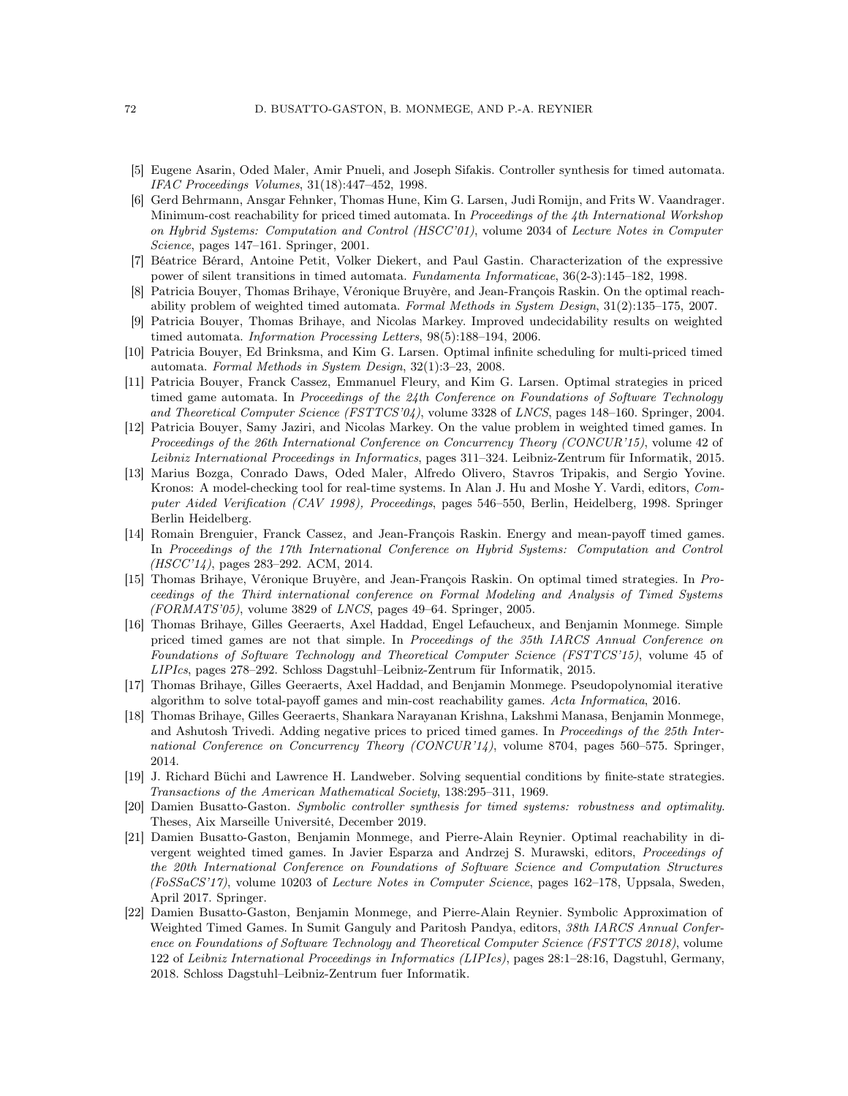- [5] Eugene Asarin, Oded Maler, Amir Pnueli, and Joseph Sifakis. Controller synthesis for timed automata. IFAC Proceedings Volumes, 31(18):447–452, 1998.
- [6] Gerd Behrmann, Ansgar Fehnker, Thomas Hune, Kim G. Larsen, Judi Romijn, and Frits W. Vaandrager. Minimum-cost reachability for priced timed automata. In Proceedings of the 4th International Workshop on Hybrid Systems: Computation and Control (HSCC'01), volume 2034 of Lecture Notes in Computer Science, pages 147–161. Springer, 2001.
- [7] Béatrice Bérard, Antoine Petit, Volker Diekert, and Paul Gastin. Characterization of the expressive power of silent transitions in timed automata. Fundamenta Informaticae, 36(2-3):145–182, 1998.
- [8] Patricia Bouyer, Thomas Brihaye, Véronique Bruyère, and Jean-François Raskin. On the optimal reachability problem of weighted timed automata. Formal Methods in System Design, 31(2):135–175, 2007.
- [9] Patricia Bouyer, Thomas Brihaye, and Nicolas Markey. Improved undecidability results on weighted timed automata. Information Processing Letters, 98(5):188–194, 2006.
- [10] Patricia Bouyer, Ed Brinksma, and Kim G. Larsen. Optimal infinite scheduling for multi-priced timed automata. Formal Methods in System Design, 32(1):3–23, 2008.
- <span id="page-71-4"></span>[11] Patricia Bouyer, Franck Cassez, Emmanuel Fleury, and Kim G. Larsen. Optimal strategies in priced timed game automata. In Proceedings of the 24th Conference on Foundations of Software Technology and Theoretical Computer Science (FSTTCS'04), volume 3328 of LNCS, pages 148–160. Springer, 2004.
- <span id="page-71-2"></span>[12] Patricia Bouyer, Samy Jaziri, and Nicolas Markey. On the value problem in weighted timed games. In Proceedings of the 26th International Conference on Concurrency Theory (CONCUR'15), volume 42 of Leibniz International Proceedings in Informatics, pages 311–324. Leibniz-Zentrum für Informatik, 2015.
- [13] Marius Bozga, Conrado Daws, Oded Maler, Alfredo Olivero, Stavros Tripakis, and Sergio Yovine. Kronos: A model-checking tool for real-time systems. In Alan J. Hu and Moshe Y. Vardi, editors, Computer Aided Verification (CAV 1998), Proceedings, pages 546–550, Berlin, Heidelberg, 1998. Springer Berlin Heidelberg.
- [14] Romain Brenguier, Franck Cassez, and Jean-François Raskin. Energy and mean-payoff timed games. In Proceedings of the 17th International Conference on Hybrid Systems: Computation and Control (HSCC'14), pages 283–292. ACM, 2014.
- [15] Thomas Brihaye, Véronique Bruyère, and Jean-François Raskin. On optimal timed strategies. In Proceedings of the Third international conference on Formal Modeling and Analysis of Timed Systems  $(FORMATS'05)$ , volume 3829 of *LNCS*, pages 49–64. Springer, 2005.
- [16] Thomas Brihaye, Gilles Geeraerts, Axel Haddad, Engel Lefaucheux, and Benjamin Monmege. Simple priced timed games are not that simple. In Proceedings of the 35th IARCS Annual Conference on Foundations of Software Technology and Theoretical Computer Science (FSTTCS'15), volume 45 of LIPIcs, pages 278–292. Schloss Dagstuhl–Leibniz-Zentrum für Informatik, 2015.
- <span id="page-71-3"></span>[17] Thomas Brihaye, Gilles Geeraerts, Axel Haddad, and Benjamin Monmege. Pseudopolynomial iterative algorithm to solve total-payoff games and min-cost reachability games. Acta Informatica, 2016.
- [18] Thomas Brihaye, Gilles Geeraerts, Shankara Narayanan Krishna, Lakshmi Manasa, Benjamin Monmege, and Ashutosh Trivedi. Adding negative prices to priced timed games. In Proceedings of the 25th International Conference on Concurrency Theory (CONCUR'14), volume 8704, pages 560–575. Springer, 2014.
- <span id="page-71-0"></span>[19] J. Richard Büchi and Lawrence H. Landweber. Solving sequential conditions by finite-state strategies. Transactions of the American Mathematical Society, 138:295–311, 1969.
- <span id="page-71-1"></span>[20] Damien Busatto-Gaston. Symbolic controller synthesis for timed systems: robustness and optimality. Theses, Aix Marseille Université, December 2019.
- [21] Damien Busatto-Gaston, Benjamin Monmege, and Pierre-Alain Reynier. Optimal reachability in divergent weighted timed games. In Javier Esparza and Andrzej S. Murawski, editors, Proceedings of the 20th International Conference on Foundations of Software Science and Computation Structures (FoSSaCS'17), volume 10203 of Lecture Notes in Computer Science, pages 162–178, Uppsala, Sweden, April 2017. Springer.
- [22] Damien Busatto-Gaston, Benjamin Monmege, and Pierre-Alain Reynier. Symbolic Approximation of Weighted Timed Games. In Sumit Ganguly and Paritosh Pandya, editors, 38th IARCS Annual Conference on Foundations of Software Technology and Theoretical Computer Science (FSTTCS 2018), volume 122 of Leibniz International Proceedings in Informatics (LIPIcs), pages 28:1–28:16, Dagstuhl, Germany, 2018. Schloss Dagstuhl–Leibniz-Zentrum fuer Informatik.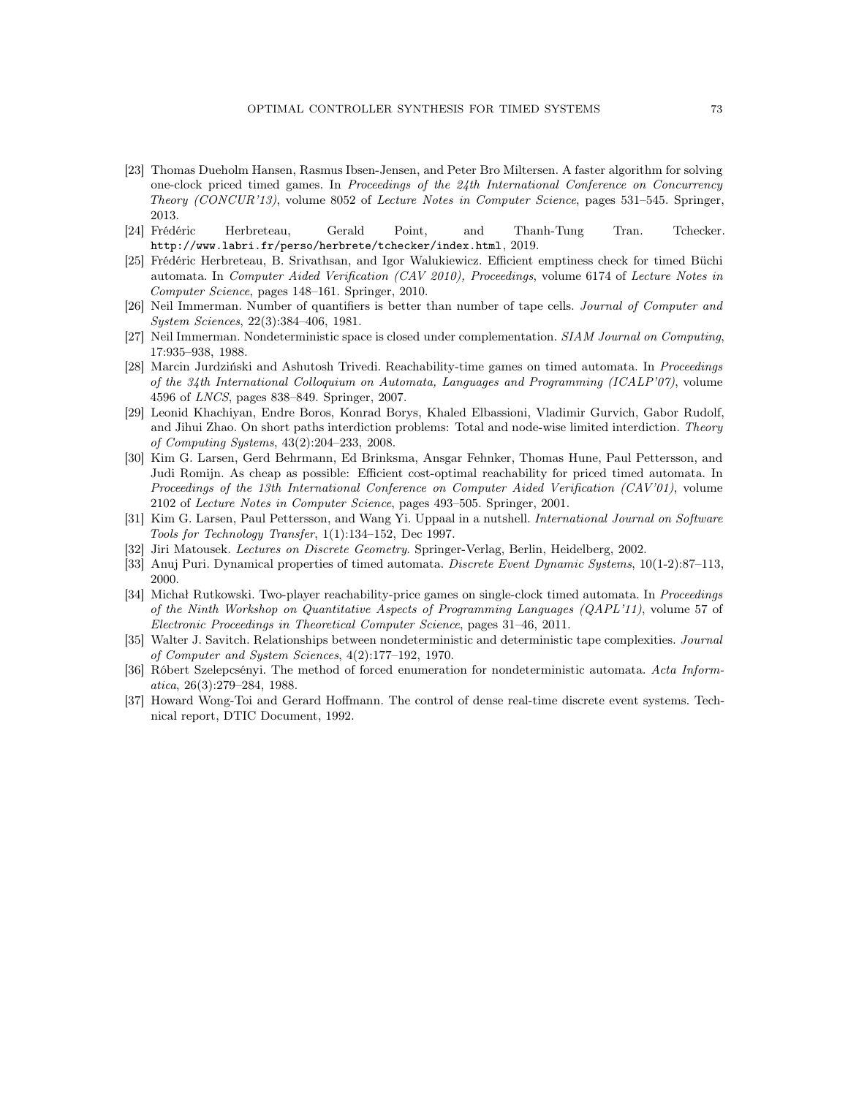- [23] Thomas Dueholm Hansen, Rasmus Ibsen-Jensen, and Peter Bro Miltersen. A faster algorithm for solving one-clock priced timed games. In Proceedings of the 24th International Conference on Concurrency Theory (CONCUR'13), volume 8052 of Lecture Notes in Computer Science, pages 531–545. Springer, 2013.
- [24] Frédéric Herbreteau, Gerald Point, and Thanh-Tung Tran. Tchecker. <http://www.labri.fr/perso/herbrete/tchecker/index.html>, 2019.
- [25] Frédéric Herbreteau, B. Srivathsan, and Igor Walukiewicz. Efficient emptiness check for timed Büchi automata. In Computer Aided Verification (CAV 2010), Proceedings, volume 6174 of Lecture Notes in Computer Science, pages 148–161. Springer, 2010.
- [26] Neil Immerman. Number of quantifiers is better than number of tape cells. Journal of Computer and System Sciences, 22(3):384–406, 1981.
- [27] Neil Immerman. Nondeterministic space is closed under complementation. SIAM Journal on Computing, 17:935–938, 1988.
- [28] Marcin Jurdziński and Ashutosh Trivedi. Reachability-time games on timed automata. In Proceedings of the 34th International Colloquium on Automata, Languages and Programming (ICALP'07), volume 4596 of LNCS, pages 838–849. Springer, 2007.
- [29] Leonid Khachiyan, Endre Boros, Konrad Borys, Khaled Elbassioni, Vladimir Gurvich, Gabor Rudolf, and Jihui Zhao. On short paths interdiction problems: Total and node-wise limited interdiction. Theory of Computing Systems, 43(2):204–233, 2008.
- [30] Kim G. Larsen, Gerd Behrmann, Ed Brinksma, Ansgar Fehnker, Thomas Hune, Paul Pettersson, and Judi Romijn. As cheap as possible: Efficient cost-optimal reachability for priced timed automata. In Proceedings of the 13th International Conference on Computer Aided Verification (CAV'01), volume 2102 of Lecture Notes in Computer Science, pages 493–505. Springer, 2001.
- [31] Kim G. Larsen, Paul Pettersson, and Wang Yi. Uppaal in a nutshell. International Journal on Software Tools for Technology Transfer, 1(1):134–152, Dec 1997.
- <span id="page-72-0"></span>[32] Jiri Matousek. Lectures on Discrete Geometry. Springer-Verlag, Berlin, Heidelberg, 2002.
- [33] Anuj Puri. Dynamical properties of timed automata. Discrete Event Dynamic Systems, 10(1-2):87–113, 2000.
- [34] Michał Rutkowski. Two-player reachability-price games on single-clock timed automata. In Proceedings of the Ninth Workshop on Quantitative Aspects of Programming Languages (QAPL'11), volume 57 of Electronic Proceedings in Theoretical Computer Science, pages 31–46, 2011.
- [35] Walter J. Savitch. Relationships between nondeterministic and deterministic tape complexities. Journal of Computer and System Sciences, 4(2):177–192, 1970.
- [36] Róbert Szelepcsényi. The method of forced enumeration for nondeterministic automata. Acta Informatica, 26(3):279–284, 1988.
- [37] Howard Wong-Toi and Gerard Hoffmann. The control of dense real-time discrete event systems. Technical report, DTIC Document, 1992.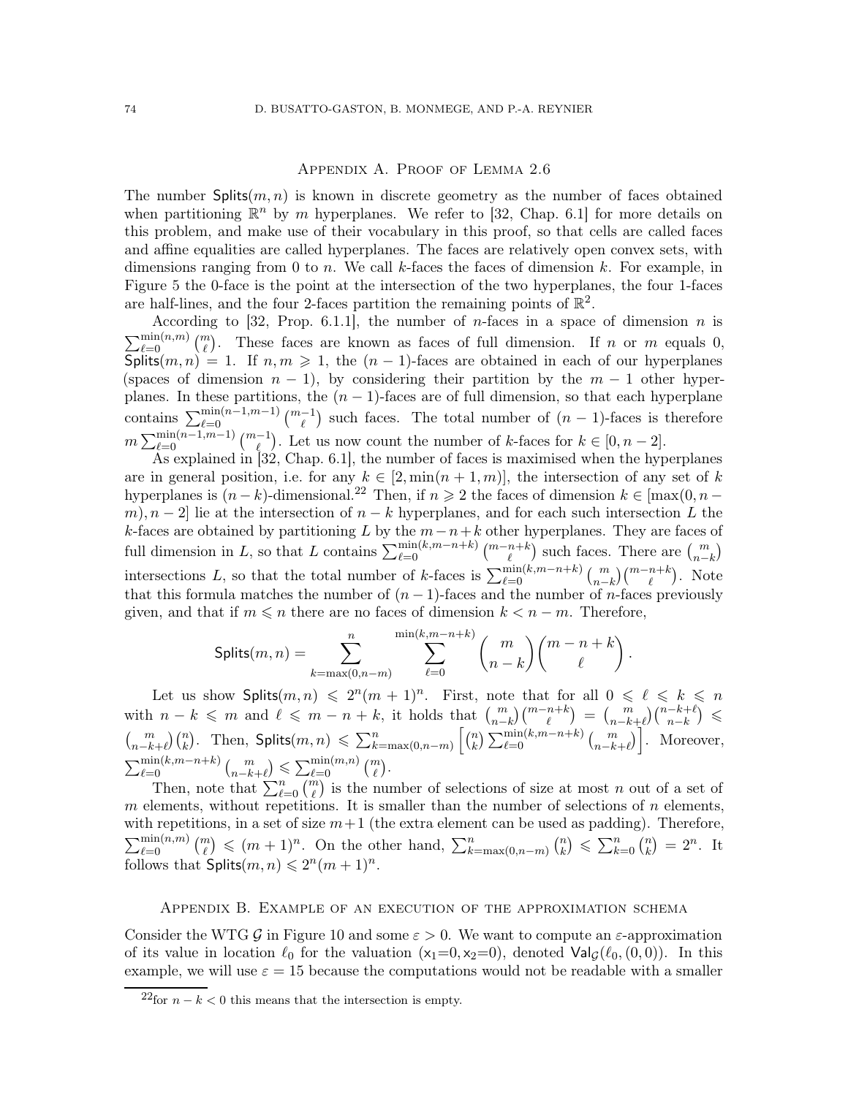## Appendix A. Proof of Lemma [2.6](#page-10-0)

The number  $\text{Splits}(m, n)$  is known in discrete geometry as the number of faces obtained when partitioning  $\mathbb{R}^n$  by m hyperplanes. We refer to [\[32,](#page-72-0) Chap. 6.1] for more details on this problem, and make use of their vocabulary in this proof, so that cells are called faces and affine equalities are called hyperplanes. The faces are relatively open convex sets, with dimensions ranging from 0 to n. We call k-faces the faces of dimension k. For example, in Figure [5](#page-10-1) the 0-face is the point at the intersection of the two hyperplanes, the four 1-faces are half-lines, and the four 2-faces partition the remaining points of  $\mathbb{R}^2$ .

According to [\[32,](#page-72-0) Prop. 6.1.1], the number of *n*-faces in a space of dimension *n* is  $\sum_{\ell=0}^{\min(n,m)} \binom{m}{\ell}$ . These faces are known as faces of full dimension. If n or m equals 0,  $\textsf{Splits}(m, n) = 1$ . If  $n, m \geq 1$ , the  $(n - 1)$ -faces are obtained in each of our hyperplanes (spaces of dimension  $n - 1$ ), by considering their partition by the  $m - 1$  other hyperplanes. In these partitions, the  $(n - 1)$ -faces are of full dimension, so that each hyperplane contains  $\sum_{\ell=0}^{\min(n-1,m-1)} \binom{m-1}{\ell}$  such faces. The total number of  $(n-1)$ -faces is therefore  $m \sum_{\ell=0}^{\min(n-1,m-1)} \binom{m-1}{\ell}$ . Let us now count the number of k-faces for  $k \in [0, n-2]$ .

As explained in [\[32,](#page-72-0) Chap. 6.1], the number of faces is maximised when the hyperplanes are in general position, i.e. for any  $k \in [2, \min(n+1,m)]$ , the intersection of any set of k hyperplanes is  $(n - k)$ -dimensional.<sup>[22](#page-73-0)</sup> Then, if  $n \ge 2$  the faces of dimension  $k \in \max(0, n - k)$ m),  $n-2$  lie at the intersection of  $n-k$  hyperplanes, and for each such intersection L the k-faces are obtained by partitioning L by the  $m-n+k$  other hyperplanes. They are faces of full dimension in L, so that L contains  $\sum_{\ell=0}^{\min(k,m-n+k)} \binom{m-n+k}{\ell}$  such faces. There are  $\binom{m}{n-k}$ intersections L, so that the total number of k-faces is  $\sum_{\ell=0}^{\min(k,m-n+k)} \binom{m}{n-k} \binom{m-n+k}{\ell}$ . Note that this formula matches the number of  $(n-1)$ -faces and the number of *n*-faces previously given, and that if  $m \leq n$  there are no faces of dimension  $k < n - m$ . Therefore,

$$
\mathsf{Splits}(m,n) = \sum_{k=\max(0,n-m)}^n \sum_{\ell=0}^{\min(k,m-n+k)} \binom{m}{n-k} \binom{m-n+k}{\ell}.
$$

Let us show Splits $(m, n) \leq 2^n (m + 1)^n$ . First, note that for all  $0 \leq \ell \leq k \leq n$ with  $n-k \leq m$  and  $\ell \leq m-n+k$ , it holds that  $\binom{m}{n-k}\binom{m-n+k}{\ell} = \binom{m}{n-k+\ell}\binom{n-k+\ell}{n-k}$  $\binom{m}{n-k+\ell}\binom{n}{k}$ . Then, Splits $(m, n) \leq \sum_{k=\max(0,n-m)}^{n} \binom{n}{k}$  $\binom{n}{k} \sum_{\ell=0}^{\min(k,m-n+k)} \binom{m}{n-k+\ell}$ . Moreover,  $\sum_{\ell=0}^{\min(k,m-n+k)} {m \choose n-k+\ell} \leq \sum_{\ell=0}^{\min(m,n)} {m \choose \ell}.$ 

Then, note that  $\sum_{\ell=0}^{n} \binom{m}{\ell}$  is the number of selections of size at most n out of a set of m elements, without repetitions. It is smaller than the number of selections of n elements, with repetitions, in a set of size  $m+1$  (the extra element can be used as padding). Therefore,  $\sum_{\ell=0}^{\min(n,m)} \binom{m}{\ell} \leqslant (m+1)^n$ . On the other hand,  $\sum_{k=\max(0,n-m)}^n \binom{n}{k}$  $\binom{n}{k} \leqslant \sum_{k=0}^{n} \binom{n}{k}$  $\binom{n}{k} = 2^n$ . It follows that  $\textsf{Splits}(m,n) \leqslant 2^n(m+1)^n$ .

## Appendix B. Example of an execution of the approximation schema

Consider the WTG G in Figure [10](#page-23-0) and some  $\varepsilon > 0$ . We want to compute an  $\varepsilon$ -approximation of its value in location  $\ell_0$  for the valuation  $(x_1=0, x_2=0)$ , denoted  $\text{Val}_G(\ell_0, (0, 0))$ . In this example, we will use  $\varepsilon = 15$  because the computations would not be readable with a smaller

<span id="page-73-0"></span><sup>&</sup>lt;sup>22</sup>for  $n - k < 0$  this means that the intersection is empty.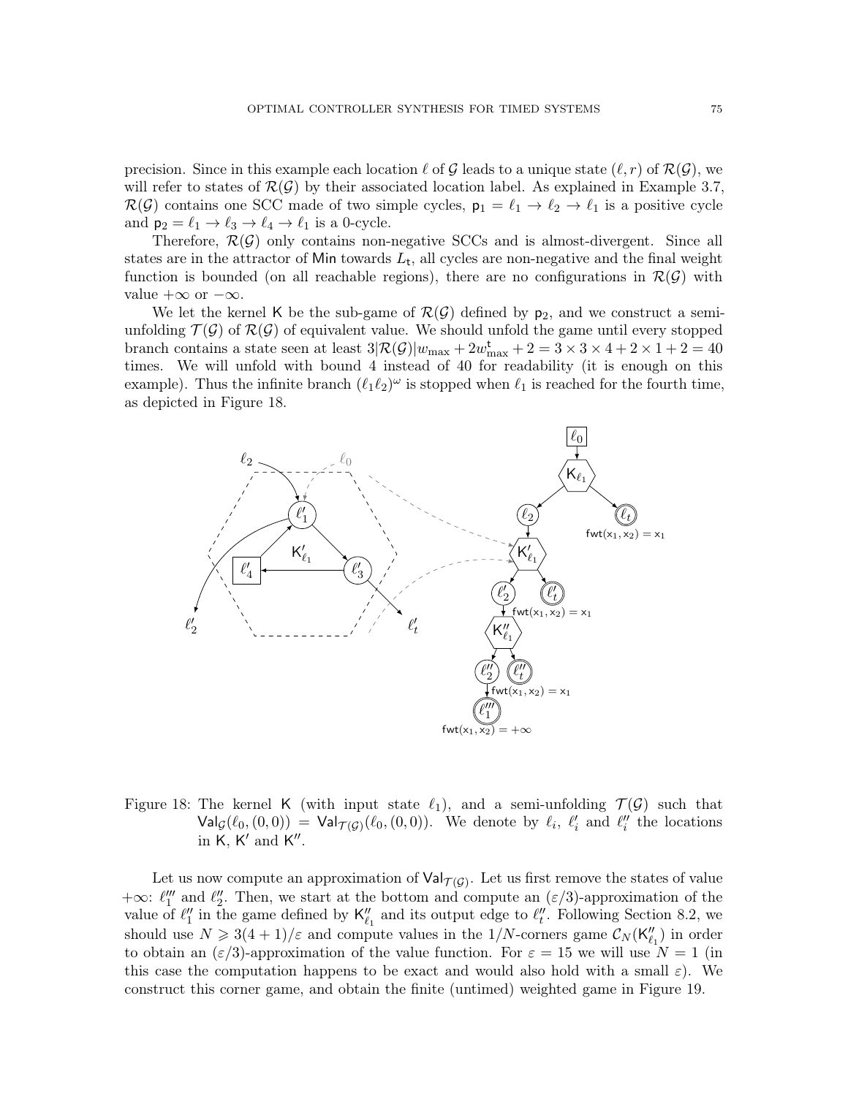precision. Since in this example each location  $\ell$  of  $\mathcal G$  leads to a unique state  $(\ell, r)$  of  $\mathcal R(\mathcal G)$ , we will refer to states of  $\mathcal{R}(\mathcal{G})$  by their associated location label. As explained in Example [3.7,](#page-22-0)  $\mathcal{R}(\mathcal{G})$  contains one SCC made of two simple cycles,  $p_1 = \ell_1 \to \ell_2 \to \ell_1$  is a positive cycle and  $p_2 = \ell_1 \rightarrow \ell_3 \rightarrow \ell_4 \rightarrow \ell_1$  is a 0-cycle.

Therefore,  $\mathcal{R}(\mathcal{G})$  only contains non-negative SCCs and is almost-divergent. Since all states are in the attractor of Min towards  $L_t$ , all cycles are non-negative and the final weight function is bounded (on all reachable regions), there are no configurations in  $\mathcal{R}(\mathcal{G})$  with value  $+\infty$  or  $-\infty$ .

We let the kernel K be the sub-game of  $\mathcal{R}(\mathcal{G})$  defined by  $p_2$ , and we construct a semiunfolding  $\mathcal{T}(\mathcal{G})$  of  $\mathcal{R}(\mathcal{G})$  of equivalent value. We should unfold the game until every stopped branch contains a state seen at least  $3\mathcal{R}(\mathcal{G})|w_{\text{max}} + 2w_{\text{max}}^{\text{t}} + 2 = 3 \times 3 \times 4 + 2 \times 1 + 2 = 40$ times. We will unfold with bound 4 instead of 40 for readability (it is enough on this example). Thus the infinite branch  $(\ell_1 \ell_2)^\omega$  is stopped when  $\ell_1$  is reached for the fourth time, as depicted in Figure [18.](#page-74-0)



<span id="page-74-0"></span>Figure 18: The kernel K (with input state  $\ell_1$ ), and a semi-unfolding  $\mathcal{T}(\mathcal{G})$  such that  $\mathsf{Val}_{\mathcal{G}}(\ell_0, (0,0)) = \mathsf{Val}_{\mathcal{T}(\mathcal{G})}(\ell_0, (0,0)).$  We denote by  $\ell_i$ ,  $\ell'_i$  and  $\ell''_i$  the locations in  $K, K'$  and  $K''$ .

Let us now compute an approximation of  $\mathsf{Val}_{\mathcal{T}(\mathcal{G})}$ . Let us first remove the states of value +∞:  $\ell_1''''$  and  $\ell_2''$ . Then, we start at the bottom and compute an  $(\varepsilon/3)$ -approximation of the value of  $\ell''_1$  in the game defined by  $\mathsf{K}''_{\ell_1}$  and its output edge to  $\ell''_t$ . Following Section [8.2,](#page-52-0) we should use  $N \geq 3(4+1)/\varepsilon$  and compute values in the 1/N-corners game  $\mathcal{C}_N(\mathsf{K}_{\ell_1}^{\prime\prime})$  in order to obtain an  $(\varepsilon/3)$ -approximation of the value function. For  $\varepsilon = 15$  we will use  $N = 1$  (in this case the computation happens to be exact and would also hold with a small  $\varepsilon$ ). We construct this corner game, and obtain the finite (untimed) weighted game in Figure [19.](#page-75-0)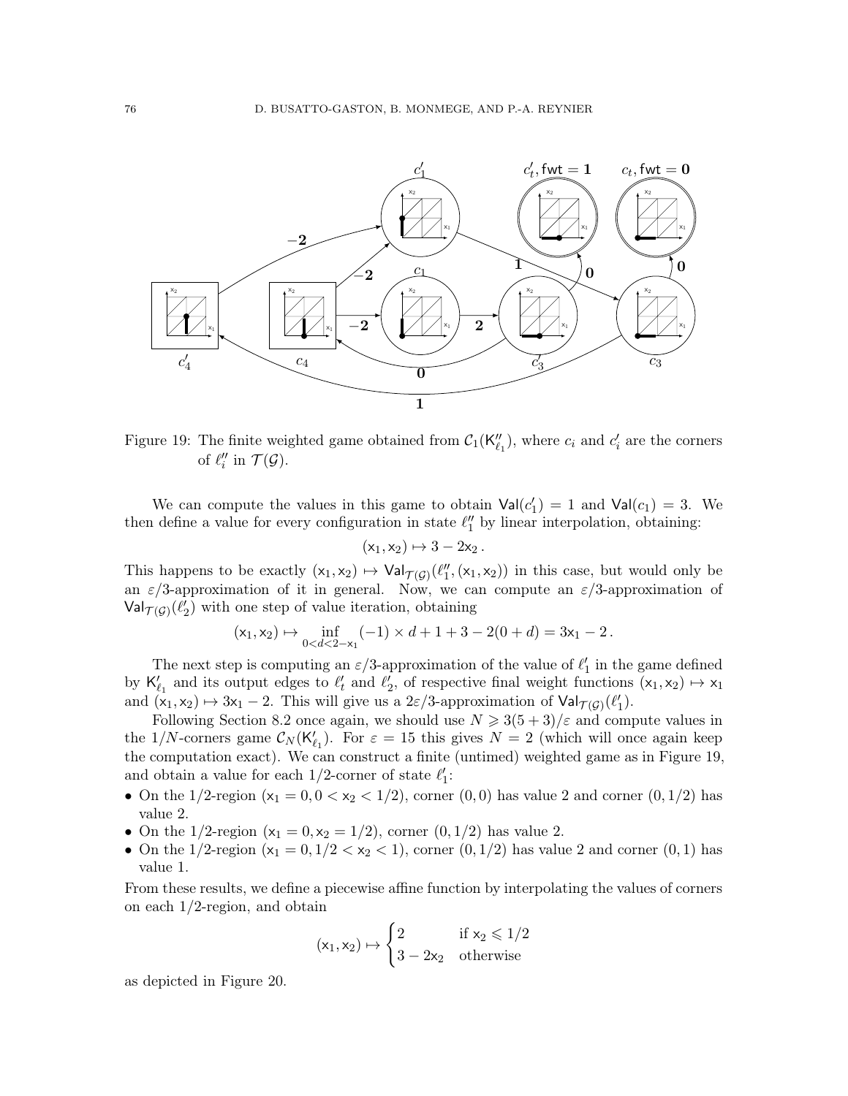

<span id="page-75-0"></span>Figure 19: The finite weighted game obtained from  $C_1(\mathsf{K}''_{\ell_1})$ , where  $c_i$  and  $c'_i$  are the corners of  $\ell_i''$  in  $\mathcal{T}(\mathcal{G})$ .

We can compute the values in this game to obtain  $Val(c'_1) = 1$  and  $Val(c_1) = 3$ . We then define a value for every configuration in state  $\ell''_1$  by linear interpolation, obtaining:

$$
(x_1,x_2)\mapsto 3-2x_2\,.
$$

This happens to be exactly  $(x_1, x_2) \mapsto \text{Val}_{\mathcal{T}(\mathcal{G})}(\ell''_1, (x_1, x_2))$  in this case, but would only be an  $\varepsilon/3$ -approximation of it in general. Now, we can compute an  $\varepsilon/3$ -approximation of  $\mathsf{Val}_{\mathcal{T}(\mathcal{G})}(\ell'_2)$  with one step of value iteration, obtaining

$$
(x_1, x_2) \mapsto \inf_{0 < d < 2-x_1} (-1) \times d + 1 + 3 - 2(0 + d) = 3x_1 - 2.
$$

The next step is computing an  $\varepsilon/3$ -approximation of the value of  $\ell'_1$  in the game defined by  $\mathsf{K}'_{\ell_1}$  and its output edges to  $\ell'_t$  and  $\ell'_2$ , of respective final weight functions  $(\mathsf{x}_1, \mathsf{x}_2) \mapsto \mathsf{x}_1$ and  $(x_1, x_2) \mapsto 3x_1 - 2$ . This will give us a 2 $\varepsilon/3$ -approximation of  $\text{Val}_{\mathcal{T}(\mathcal{G})}(\ell'_1)$ .

Following Section [8.2](#page-52-0) once again, we should use  $N \geq 3(5+3)/\varepsilon$  and compute values in the 1/N-corners game  $C_N(\mathsf{K}'_{\ell_1})$ . For  $\varepsilon = 15$  this gives  $N = 2$  (which will once again keep the computation exact). We can construct a finite (untimed) weighted game as in Figure [19,](#page-75-0) and obtain a value for each 1/2-corner of state  $\ell_1'$ :

- On the 1/2-region  $(x_1 = 0, 0 < x_2 < 1/2)$ , corner  $(0, 0)$  has value 2 and corner  $(0, 1/2)$  has value 2.
- On the 1/2-region  $(x_1 = 0, x_2 = 1/2)$ , corner  $(0, 1/2)$  has value 2.
- On the 1/2-region  $(x_1 = 0, 1/2 < x_2 < 1)$ , corner  $(0, 1/2)$  has value 2 and corner  $(0, 1)$  has value 1.

From these results, we define a piecewise affine function by interpolating the values of corners on each 1/2-region, and obtain

$$
(x_1,x_2)\mapsto \begin{cases} 2 & \text{if } x_2\leqslant 1/2\\ 3-2x_2 & \text{otherwise}\end{cases}
$$

as depicted in Figure [20.](#page-76-0)